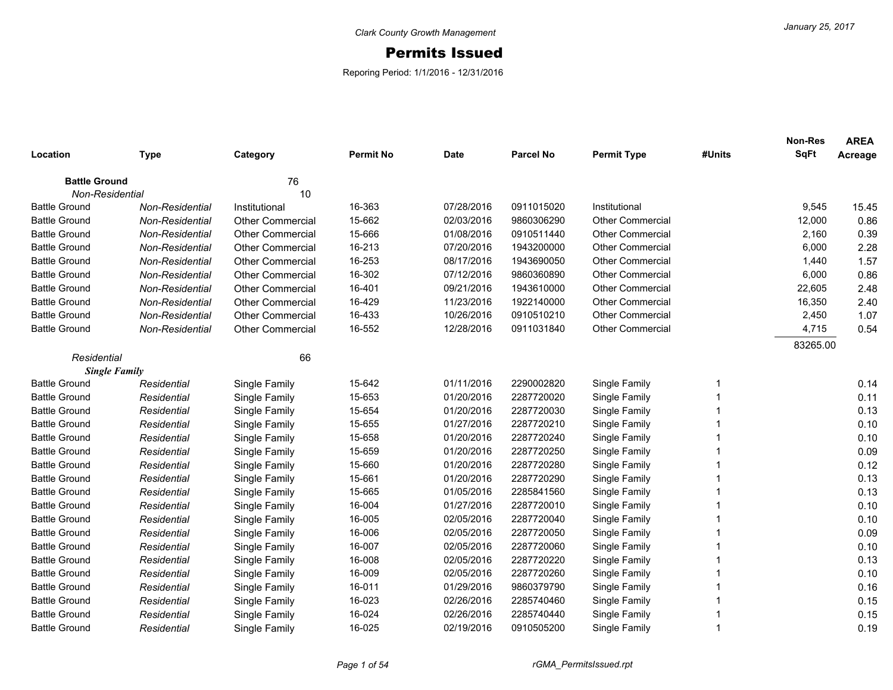## Permits Issued

Reporing Period: 1/1/2016 - 12/31/2016

| Location                                | <b>Type</b>            | Category                | <b>Permit No</b> | <b>Date</b> | <b>Parcel No</b> | <b>Permit Type</b>      | #Units | Non-Res<br><b>SqFt</b> | <b>AREA</b><br>Acreage |
|-----------------------------------------|------------------------|-------------------------|------------------|-------------|------------------|-------------------------|--------|------------------------|------------------------|
|                                         |                        | 76                      |                  |             |                  |                         |        |                        |                        |
| <b>Battle Ground</b><br>Non-Residential |                        | 10                      |                  |             |                  |                         |        |                        |                        |
| <b>Battle Ground</b>                    | Non-Residential        | Institutional           | 16-363           | 07/28/2016  | 0911015020       | Institutional           |        | 9,545                  | 15.45                  |
| <b>Battle Ground</b>                    | Non-Residential        | <b>Other Commercial</b> | 15-662           | 02/03/2016  | 9860306290       | <b>Other Commercial</b> |        | 12,000                 | 0.86                   |
| <b>Battle Ground</b>                    | <b>Non-Residential</b> | Other Commercial        | 15-666           | 01/08/2016  | 0910511440       | <b>Other Commercial</b> |        | 2,160                  | 0.39                   |
| <b>Battle Ground</b>                    | Non-Residential        | <b>Other Commercial</b> | 16-213           | 07/20/2016  | 1943200000       | <b>Other Commercial</b> |        | 6,000                  | 2.28                   |
| <b>Battle Ground</b>                    | <b>Non-Residential</b> | <b>Other Commercial</b> | 16-253           | 08/17/2016  | 1943690050       | <b>Other Commercial</b> |        | 1,440                  | 1.57                   |
| <b>Battle Ground</b>                    | Non-Residential        | <b>Other Commercial</b> | 16-302           | 07/12/2016  | 9860360890       | <b>Other Commercial</b> |        | 6,000                  | 0.86                   |
| <b>Battle Ground</b>                    | Non-Residential        | <b>Other Commercial</b> | 16-401           | 09/21/2016  | 1943610000       | <b>Other Commercial</b> |        | 22,605                 | 2.48                   |
| <b>Battle Ground</b>                    | Non-Residential        | <b>Other Commercial</b> | 16-429           | 11/23/2016  | 1922140000       | <b>Other Commercial</b> |        | 16,350                 | 2.40                   |
| <b>Battle Ground</b>                    | Non-Residential        | <b>Other Commercial</b> | 16-433           | 10/26/2016  | 0910510210       | <b>Other Commercial</b> |        | 2,450                  | 1.07                   |
| <b>Battle Ground</b>                    | Non-Residential        | <b>Other Commercial</b> | 16-552           | 12/28/2016  | 0911031840       | Other Commercial        |        | 4,715                  | 0.54                   |
|                                         |                        |                         |                  |             |                  |                         |        | 83265.00               |                        |
| Residential                             |                        | 66                      |                  |             |                  |                         |        |                        |                        |
|                                         | <b>Single Family</b>   |                         |                  |             |                  |                         |        |                        |                        |
| <b>Battle Ground</b>                    | Residential            | Single Family           | 15-642           | 01/11/2016  | 2290002820       | Single Family           |        |                        | 0.14                   |
| <b>Battle Ground</b>                    | Residential            | Single Family           | 15-653           | 01/20/2016  | 2287720020       | Single Family           |        |                        | 0.11                   |
| <b>Battle Ground</b>                    | Residential            | Single Family           | 15-654           | 01/20/2016  | 2287720030       | Single Family           |        |                        | 0.13                   |
| <b>Battle Ground</b>                    | Residential            | Single Family           | 15-655           | 01/27/2016  | 2287720210       | Single Family           |        |                        | 0.10                   |
| <b>Battle Ground</b>                    | Residential            | Single Family           | 15-658           | 01/20/2016  | 2287720240       | Single Family           |        |                        | 0.10                   |
| <b>Battle Ground</b>                    | Residential            | Single Family           | 15-659           | 01/20/2016  | 2287720250       | Single Family           |        |                        | 0.09                   |
| <b>Battle Ground</b>                    | Residential            | Single Family           | 15-660           | 01/20/2016  | 2287720280       | Single Family           | 1      |                        | 0.12                   |
| <b>Battle Ground</b>                    | Residential            | Single Family           | 15-661           | 01/20/2016  | 2287720290       | Single Family           | 1      |                        | 0.13                   |
| <b>Battle Ground</b>                    | Residential            | Single Family           | 15-665           | 01/05/2016  | 2285841560       | Single Family           | 1      |                        | 0.13                   |
| <b>Battle Ground</b>                    | Residential            | Single Family           | 16-004           | 01/27/2016  | 2287720010       | Single Family           | 1      |                        | 0.10                   |
| <b>Battle Ground</b>                    | Residential            | Single Family           | 16-005           | 02/05/2016  | 2287720040       | Single Family           |        |                        | 0.10                   |
| <b>Battle Ground</b>                    | Residential            | Single Family           | 16-006           | 02/05/2016  | 2287720050       | Single Family           |        |                        | 0.09                   |
| <b>Battle Ground</b>                    | Residential            | Single Family           | 16-007           | 02/05/2016  | 2287720060       | Single Family           |        |                        | 0.10                   |
| <b>Battle Ground</b>                    | Residential            | Single Family           | 16-008           | 02/05/2016  | 2287720220       | Single Family           |        |                        | 0.13                   |
| <b>Battle Ground</b>                    | Residential            | Single Family           | 16-009           | 02/05/2016  | 2287720260       | Single Family           | 1      |                        | 0.10                   |
| <b>Battle Ground</b>                    | Residential            | Single Family           | 16-011           | 01/29/2016  | 9860379790       | Single Family           | 1      |                        | 0.16                   |
| <b>Battle Ground</b>                    | Residential            | Single Family           | 16-023           | 02/26/2016  | 2285740460       | Single Family           | 1      |                        | 0.15                   |
| <b>Battle Ground</b>                    | Residential            | Single Family           | 16-024           | 02/26/2016  | 2285740440       | Single Family           |        |                        | 0.15                   |
| <b>Battle Ground</b>                    | Residential            | Single Family           | 16-025           | 02/19/2016  | 0910505200       | Single Family           | 1      |                        | 0.19                   |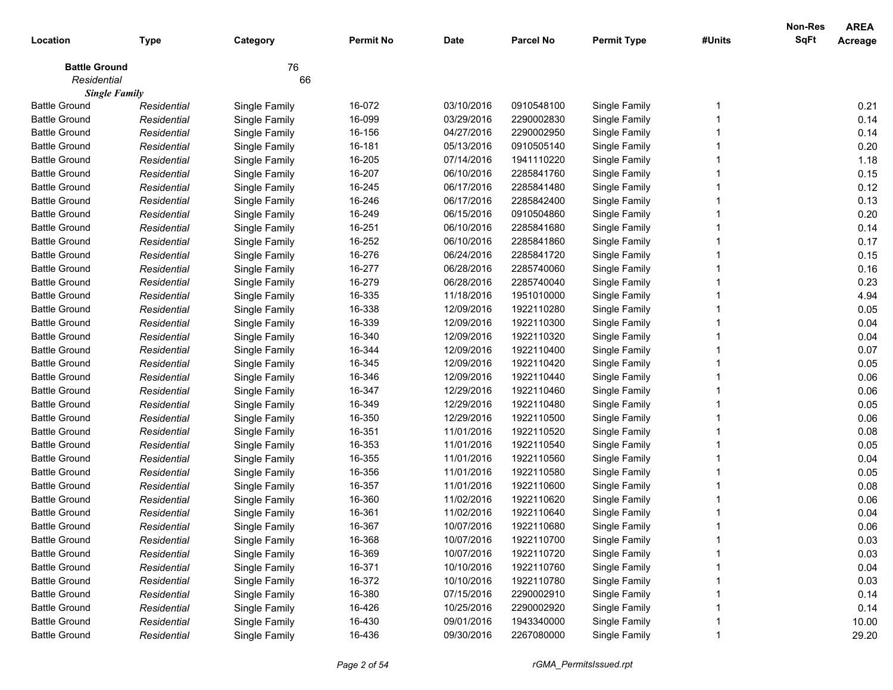|                      |                      |               |                  |             |                  |                    |        | Non-Res     | <b>AREA</b>    |
|----------------------|----------------------|---------------|------------------|-------------|------------------|--------------------|--------|-------------|----------------|
| Location             | <b>Type</b>          | Category      | <b>Permit No</b> | <b>Date</b> | <b>Parcel No</b> | <b>Permit Type</b> | #Units | <b>SqFt</b> | <b>Acreage</b> |
| <b>Battle Ground</b> |                      | 76            |                  |             |                  |                    |        |             |                |
| Residential          |                      | 66            |                  |             |                  |                    |        |             |                |
|                      | <b>Single Family</b> |               |                  |             |                  |                    |        |             |                |
| <b>Battle Ground</b> | Residential          | Single Family | 16-072           | 03/10/2016  | 0910548100       | Single Family      |        |             | 0.21           |
| <b>Battle Ground</b> | Residential          | Single Family | 16-099           | 03/29/2016  | 2290002830       | Single Family      |        |             | 0.14           |
| <b>Battle Ground</b> | Residential          | Single Family | 16-156           | 04/27/2016  | 2290002950       | Single Family      |        |             | 0.14           |
| <b>Battle Ground</b> | Residential          | Single Family | 16-181           | 05/13/2016  | 0910505140       | Single Family      |        |             | 0.20           |
| <b>Battle Ground</b> | Residential          | Single Family | 16-205           | 07/14/2016  | 1941110220       | Single Family      |        |             | 1.18           |
| <b>Battle Ground</b> | Residential          | Single Family | 16-207           | 06/10/2016  | 2285841760       | Single Family      |        |             | 0.15           |
| <b>Battle Ground</b> | Residential          | Single Family | 16-245           | 06/17/2016  | 2285841480       | Single Family      |        |             | 0.12           |
| <b>Battle Ground</b> | Residential          | Single Family | 16-246           | 06/17/2016  | 2285842400       | Single Family      |        |             | 0.13           |
| <b>Battle Ground</b> | Residential          | Single Family | 16-249           | 06/15/2016  | 0910504860       | Single Family      |        |             | 0.20           |
| <b>Battle Ground</b> | Residential          | Single Family | 16-251           | 06/10/2016  | 2285841680       | Single Family      |        |             | 0.14           |
| <b>Battle Ground</b> | Residential          | Single Family | 16-252           | 06/10/2016  | 2285841860       | Single Family      |        |             | 0.17           |
| <b>Battle Ground</b> | Residential          | Single Family | 16-276           | 06/24/2016  | 2285841720       | Single Family      |        |             | 0.15           |
| <b>Battle Ground</b> | Residential          | Single Family | 16-277           | 06/28/2016  | 2285740060       | Single Family      |        |             | 0.16           |
| <b>Battle Ground</b> | Residential          | Single Family | 16-279           | 06/28/2016  | 2285740040       | Single Family      |        |             | 0.23           |
| <b>Battle Ground</b> | Residential          | Single Family | 16-335           | 11/18/2016  | 1951010000       | Single Family      |        |             | 4.94           |
| <b>Battle Ground</b> | Residential          | Single Family | 16-338           | 12/09/2016  | 1922110280       | Single Family      |        |             | 0.05           |
| <b>Battle Ground</b> | Residential          | Single Family | 16-339           | 12/09/2016  | 1922110300       | Single Family      |        |             | 0.04           |
| <b>Battle Ground</b> | Residential          | Single Family | 16-340           | 12/09/2016  | 1922110320       | Single Family      |        |             | 0.04           |
| <b>Battle Ground</b> | Residential          | Single Family | 16-344           | 12/09/2016  | 1922110400       | Single Family      |        |             | 0.07           |
| <b>Battle Ground</b> | Residential          | Single Family | 16-345           | 12/09/2016  | 1922110420       | Single Family      |        |             | 0.05           |
| <b>Battle Ground</b> | Residential          | Single Family | 16-346           | 12/09/2016  | 1922110440       | Single Family      |        |             | 0.06           |
| <b>Battle Ground</b> | Residential          | Single Family | 16-347           | 12/29/2016  | 1922110460       | Single Family      |        |             | 0.06           |
| <b>Battle Ground</b> | Residential          | Single Family | 16-349           | 12/29/2016  | 1922110480       | Single Family      |        |             | 0.05           |
| <b>Battle Ground</b> | Residential          | Single Family | 16-350           | 12/29/2016  | 1922110500       | Single Family      |        |             | 0.06           |
| <b>Battle Ground</b> | Residential          | Single Family | 16-351           | 11/01/2016  | 1922110520       | Single Family      |        |             | 0.08           |
| <b>Battle Ground</b> | Residential          | Single Family | 16-353           | 11/01/2016  | 1922110540       | Single Family      |        |             | 0.05           |
| <b>Battle Ground</b> | Residential          | Single Family | 16-355           | 11/01/2016  | 1922110560       | Single Family      |        |             | 0.04           |
| <b>Battle Ground</b> | Residential          | Single Family | 16-356           | 11/01/2016  | 1922110580       | Single Family      |        |             | 0.05           |
| <b>Battle Ground</b> | Residential          | Single Family | 16-357           | 11/01/2016  | 1922110600       | Single Family      |        |             | 0.08           |
| <b>Battle Ground</b> | Residential          | Single Family | 16-360           | 11/02/2016  | 1922110620       | Single Family      |        |             | 0.06           |
| <b>Battle Ground</b> | Residential          | Single Family | 16-361           | 11/02/2016  | 1922110640       | Single Family      |        |             | 0.04           |
| Battle Ground        | Residential          | Single Family | 16-367           | 10/07/2016  | 1922110680       | Single Family      |        |             | 0.06           |
| <b>Battle Ground</b> | Residential          | Single Family | 16-368           | 10/07/2016  | 1922110700       | Single Family      |        |             | 0.03           |
| <b>Battle Ground</b> | Residential          | Single Family | 16-369           | 10/07/2016  | 1922110720       | Single Family      |        |             | 0.03           |
| <b>Battle Ground</b> | Residential          | Single Family | 16-371           | 10/10/2016  | 1922110760       | Single Family      |        |             | 0.04           |
| <b>Battle Ground</b> | Residential          | Single Family | 16-372           | 10/10/2016  | 1922110780       | Single Family      |        |             | 0.03           |
| <b>Battle Ground</b> | Residential          | Single Family | 16-380           | 07/15/2016  | 2290002910       | Single Family      |        |             | 0.14           |
| <b>Battle Ground</b> | Residential          | Single Family | 16-426           | 10/25/2016  | 2290002920       | Single Family      |        |             | 0.14           |
| <b>Battle Ground</b> | Residential          | Single Family | 16-430           | 09/01/2016  | 1943340000       | Single Family      |        |             | 10.00          |
| <b>Battle Ground</b> | Residential          | Single Family | 16-436           | 09/30/2016  | 2267080000       | Single Family      |        |             | 29.20          |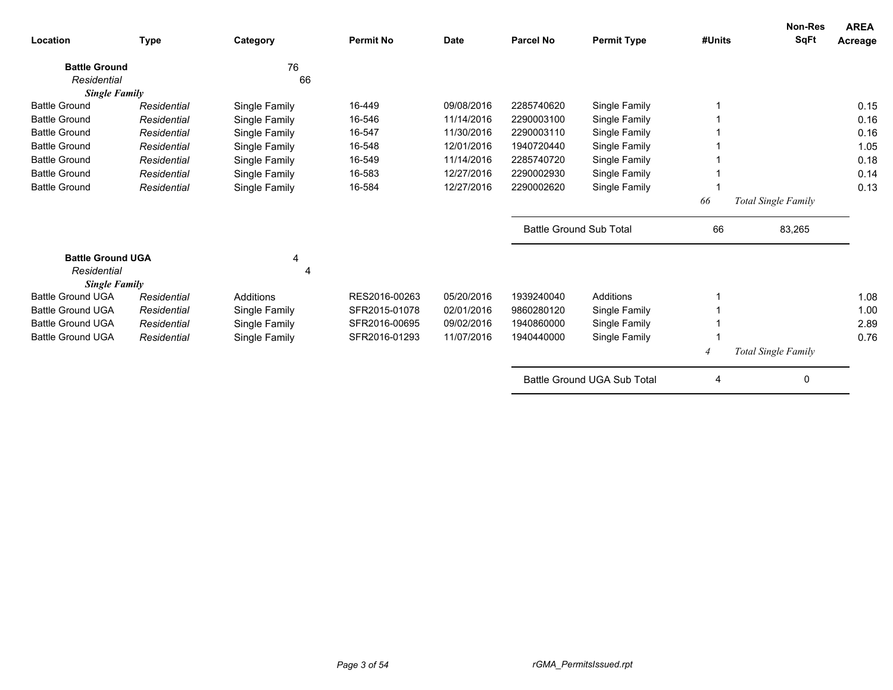| Location                 | <b>Type</b> | Category      | <b>Permit No</b> | <b>Date</b> | <b>Parcel No</b>               | <b>Permit Type</b>          | #Units         | <b>Non-Res</b><br><b>SqFt</b> | <b>AREA</b><br>Acreage |
|--------------------------|-------------|---------------|------------------|-------------|--------------------------------|-----------------------------|----------------|-------------------------------|------------------------|
| <b>Battle Ground</b>     |             | 76            |                  |             |                                |                             |                |                               |                        |
| Residential              |             | 66            |                  |             |                                |                             |                |                               |                        |
| <b>Single Family</b>     |             |               |                  |             |                                |                             |                |                               |                        |
| <b>Battle Ground</b>     | Residential | Single Family | 16-449           | 09/08/2016  | 2285740620                     | Single Family               |                |                               | 0.15                   |
| <b>Battle Ground</b>     | Residential | Single Family | 16-546           | 11/14/2016  | 2290003100                     | Single Family               |                |                               | 0.16                   |
| <b>Battle Ground</b>     | Residential | Single Family | 16-547           | 11/30/2016  | 2290003110                     | Single Family               |                |                               | 0.16                   |
| <b>Battle Ground</b>     | Residential | Single Family | 16-548           | 12/01/2016  | 1940720440                     | Single Family               |                |                               | 1.05                   |
| <b>Battle Ground</b>     | Residential | Single Family | 16-549           | 11/14/2016  | 2285740720                     | Single Family               |                |                               | 0.18                   |
| <b>Battle Ground</b>     | Residential | Single Family | 16-583           | 12/27/2016  | 2290002930                     | Single Family               |                |                               | 0.14                   |
| <b>Battle Ground</b>     | Residential | Single Family | 16-584           | 12/27/2016  | 2290002620                     | Single Family               |                |                               | 0.13                   |
|                          |             |               |                  |             |                                |                             | 66             | Total Single Family           |                        |
|                          |             |               |                  |             | <b>Battle Ground Sub Total</b> |                             | 66             | 83,265                        |                        |
| <b>Battle Ground UGA</b> |             | 4             |                  |             |                                |                             |                |                               |                        |
| Residential              |             | 4             |                  |             |                                |                             |                |                               |                        |
| <b>Single Family</b>     |             |               |                  |             |                                |                             |                |                               |                        |
| <b>Battle Ground UGA</b> | Residential | Additions     | RES2016-00263    | 05/20/2016  | 1939240040                     | Additions                   |                |                               | 1.08                   |
| <b>Battle Ground UGA</b> | Residential | Single Family | SFR2015-01078    | 02/01/2016  | 9860280120                     | Single Family               |                |                               | 1.00                   |
| <b>Battle Ground UGA</b> | Residential | Single Family | SFR2016-00695    | 09/02/2016  | 1940860000                     | Single Family               |                |                               | 2.89                   |
| <b>Battle Ground UGA</b> | Residential | Single Family | SFR2016-01293    | 11/07/2016  | 1940440000                     | Single Family               |                |                               | 0.76                   |
|                          |             |               |                  |             |                                |                             | $\overline{4}$ | Total Single Family           |                        |
|                          |             |               |                  |             |                                | Battle Ground UGA Sub Total | 4              | 0                             |                        |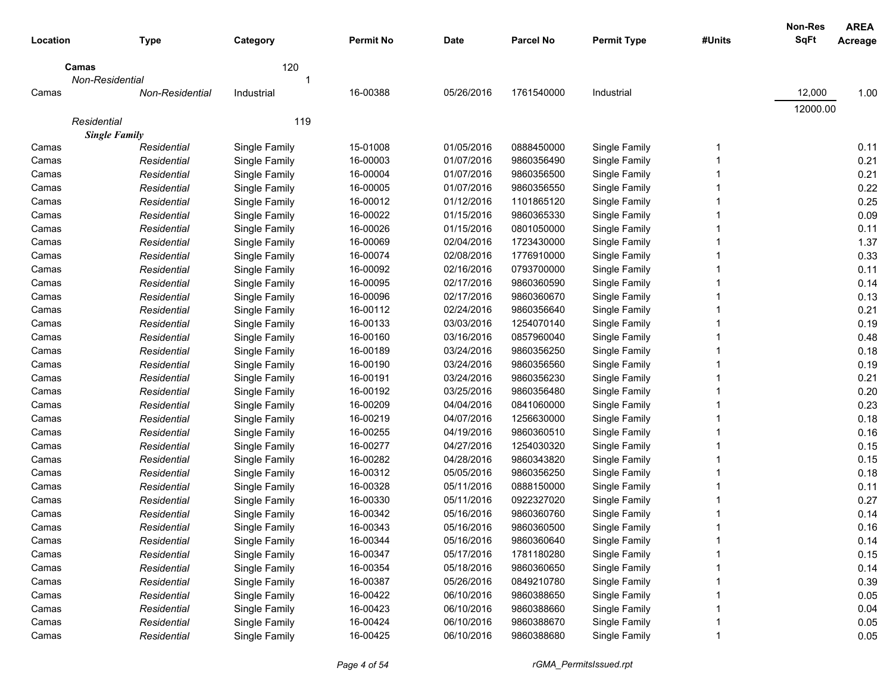| Location | <b>Type</b>            | Category      | <b>Permit No</b> | <b>Date</b> | <b>Parcel No</b> | <b>Permit Type</b> | #Units | <b>Non-Res</b><br><b>SqFt</b> | <b>AREA</b><br>Acreage |
|----------|------------------------|---------------|------------------|-------------|------------------|--------------------|--------|-------------------------------|------------------------|
| Camas    |                        | 120           |                  |             |                  |                    |        |                               |                        |
|          | Non-Residential        | 1             |                  |             |                  |                    |        |                               |                        |
| Camas    | <b>Non-Residential</b> | Industrial    | 16-00388         | 05/26/2016  | 1761540000       | Industrial         |        | 12,000                        | 1.00                   |
|          |                        |               |                  |             |                  |                    |        | 12000.00                      |                        |
|          | Residential            | 119           |                  |             |                  |                    |        |                               |                        |
|          | <b>Single Family</b>   |               |                  |             |                  |                    |        |                               |                        |
| Camas    | Residential            | Single Family | 15-01008         | 01/05/2016  | 0888450000       | Single Family      | 1      |                               | 0.11                   |
| Camas    | Residential            | Single Family | 16-00003         | 01/07/2016  | 9860356490       | Single Family      |        |                               | 0.21                   |
| Camas    | Residential            | Single Family | 16-00004         | 01/07/2016  | 9860356500       | Single Family      |        |                               | 0.21                   |
| Camas    | Residential            | Single Family | 16-00005         | 01/07/2016  | 9860356550       | Single Family      |        |                               | 0.22                   |
| Camas    | Residential            | Single Family | 16-00012         | 01/12/2016  | 1101865120       | Single Family      |        |                               | 0.25                   |
| Camas    | Residential            | Single Family | 16-00022         | 01/15/2016  | 9860365330       | Single Family      |        |                               | 0.09                   |
| Camas    | Residential            | Single Family | 16-00026         | 01/15/2016  | 0801050000       | Single Family      |        |                               | 0.11                   |
| Camas    | Residential            | Single Family | 16-00069         | 02/04/2016  | 1723430000       | Single Family      |        |                               | 1.37                   |
| Camas    | Residential            | Single Family | 16-00074         | 02/08/2016  | 1776910000       | Single Family      |        |                               | 0.33                   |
| Camas    | Residential            | Single Family | 16-00092         | 02/16/2016  | 0793700000       | Single Family      |        |                               | 0.11                   |
| Camas    | Residential            | Single Family | 16-00095         | 02/17/2016  | 9860360590       | Single Family      |        |                               | 0.14                   |
| Camas    | Residential            | Single Family | 16-00096         | 02/17/2016  | 9860360670       | Single Family      |        |                               | 0.13                   |
| Camas    | Residential            | Single Family | 16-00112         | 02/24/2016  | 9860356640       | Single Family      |        |                               | 0.21                   |
| Camas    | Residential            | Single Family | 16-00133         | 03/03/2016  | 1254070140       | Single Family      |        |                               | 0.19                   |
| Camas    | Residential            | Single Family | 16-00160         | 03/16/2016  | 0857960040       | Single Family      |        |                               | 0.48                   |
| Camas    | Residential            | Single Family | 16-00189         | 03/24/2016  | 9860356250       | Single Family      |        |                               | 0.18                   |
| Camas    | Residential            | Single Family | 16-00190         | 03/24/2016  | 9860356560       | Single Family      |        |                               | 0.19                   |
| Camas    | Residential            | Single Family | 16-00191         | 03/24/2016  | 9860356230       | Single Family      |        |                               | 0.21                   |
| Camas    | Residential            | Single Family | 16-00192         | 03/25/2016  | 9860356480       | Single Family      |        |                               | 0.20                   |
| Camas    | Residential            | Single Family | 16-00209         | 04/04/2016  | 0841060000       | Single Family      |        |                               | 0.23                   |
| Camas    | Residential            | Single Family | 16-00219         | 04/07/2016  | 1256630000       | Single Family      |        |                               | 0.18                   |
| Camas    | Residential            | Single Family | 16-00255         | 04/19/2016  | 9860360510       | Single Family      |        |                               | 0.16                   |
| Camas    | Residential            | Single Family | 16-00277         | 04/27/2016  | 1254030320       | Single Family      |        |                               | 0.15                   |
| Camas    | Residential            | Single Family | 16-00282         | 04/28/2016  | 9860343820       | Single Family      |        |                               | 0.15                   |
| Camas    | Residential            | Single Family | 16-00312         | 05/05/2016  | 9860356250       | Single Family      |        |                               | 0.18                   |
| Camas    | Residential            | Single Family | 16-00328         | 05/11/2016  | 0888150000       | Single Family      |        |                               | 0.11                   |
| Camas    | Residential            | Single Family | 16-00330         | 05/11/2016  | 0922327020       | Single Family      |        |                               | 0.27                   |
| Camas    | Residential            | Single Family | 16-00342         | 05/16/2016  | 9860360760       | Single Family      | 1      |                               | 0.14                   |
| Camas    | Residential            | Single Family | 16-00343         | 05/16/2016  | 9860360500       | Single Family      |        |                               | 0.16                   |
| Camas    | Residential            | Single Family | 16-00344         | 05/16/2016  | 9860360640       | Single Family      |        |                               | 0.14                   |
| Camas    | Residential            | Single Family | 16-00347         | 05/17/2016  | 1781180280       | Single Family      |        |                               | 0.15                   |
| Camas    | Residential            | Single Family | 16-00354         | 05/18/2016  | 9860360650       | Single Family      |        |                               | 0.14                   |
| Camas    | Residential            | Single Family | 16-00387         | 05/26/2016  | 0849210780       | Single Family      |        |                               | 0.39                   |
| Camas    | Residential            | Single Family | 16-00422         | 06/10/2016  | 9860388650       | Single Family      |        |                               | 0.05                   |
| Camas    | Residential            | Single Family | 16-00423         | 06/10/2016  | 9860388660       | Single Family      |        |                               | 0.04                   |
| Camas    | Residential            | Single Family | 16-00424         | 06/10/2016  | 9860388670       | Single Family      |        |                               | 0.05                   |
| Camas    | Residential            | Single Family | 16-00425         | 06/10/2016  | 9860388680       | Single Family      | 1      |                               | 0.05                   |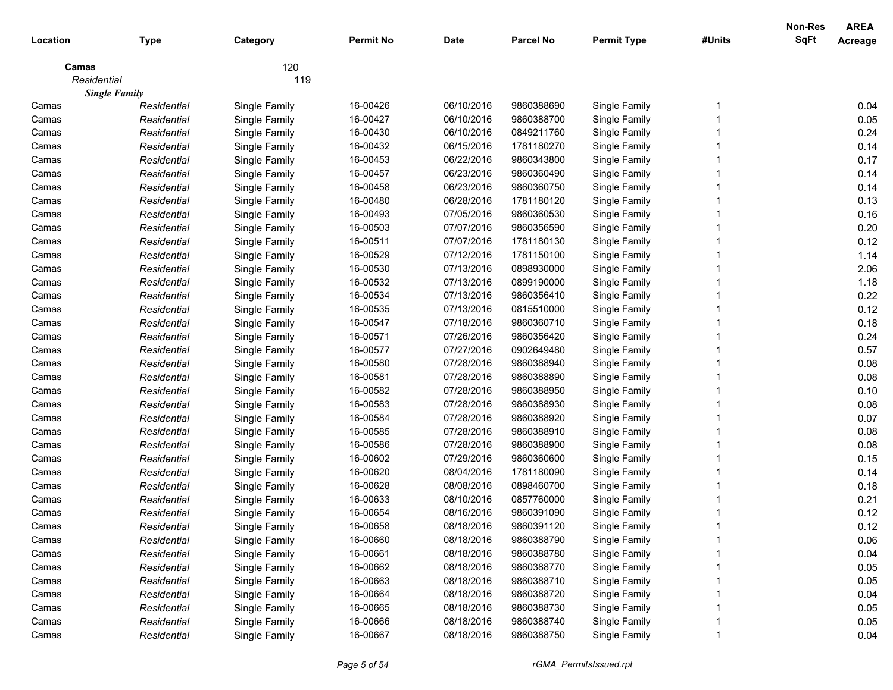| Location    |                      |               | <b>Permit No</b> | <b>Date</b> | <b>Parcel No</b> | <b>Permit Type</b> | #Units | Non-Res<br><b>SqFt</b> | <b>AREA</b>    |
|-------------|----------------------|---------------|------------------|-------------|------------------|--------------------|--------|------------------------|----------------|
|             | <b>Type</b>          | Category      |                  |             |                  |                    |        |                        | <b>Acreage</b> |
| Camas       |                      | 120           |                  |             |                  |                    |        |                        |                |
| Residential |                      | 119           |                  |             |                  |                    |        |                        |                |
|             | <b>Single Family</b> |               |                  |             |                  |                    |        |                        |                |
| Camas       | Residential          | Single Family | 16-00426         | 06/10/2016  | 9860388690       | Single Family      |        |                        | 0.04           |
| Camas       | Residential          | Single Family | 16-00427         | 06/10/2016  | 9860388700       | Single Family      |        |                        | 0.05           |
| Camas       | Residential          | Single Family | 16-00430         | 06/10/2016  | 0849211760       | Single Family      |        |                        | 0.24           |
| Camas       | Residential          | Single Family | 16-00432         | 06/15/2016  | 1781180270       | Single Family      |        |                        | 0.14           |
| Camas       | Residential          | Single Family | 16-00453         | 06/22/2016  | 9860343800       | Single Family      |        |                        | 0.17           |
| Camas       | Residential          | Single Family | 16-00457         | 06/23/2016  | 9860360490       | Single Family      |        |                        | 0.14           |
| Camas       | Residential          | Single Family | 16-00458         | 06/23/2016  | 9860360750       | Single Family      |        |                        | 0.14           |
| Camas       | Residential          | Single Family | 16-00480         | 06/28/2016  | 1781180120       | Single Family      |        |                        | 0.13           |
| Camas       | Residential          | Single Family | 16-00493         | 07/05/2016  | 9860360530       | Single Family      |        |                        | 0.16           |
| Camas       | Residential          | Single Family | 16-00503         | 07/07/2016  | 9860356590       | Single Family      |        |                        | 0.20           |
| Camas       | Residential          | Single Family | 16-00511         | 07/07/2016  | 1781180130       | Single Family      |        |                        | 0.12           |
| Camas       | Residential          | Single Family | 16-00529         | 07/12/2016  | 1781150100       | Single Family      |        |                        | 1.14           |
| Camas       | Residential          | Single Family | 16-00530         | 07/13/2016  | 0898930000       | Single Family      |        |                        | 2.06           |
| Camas       | Residential          | Single Family | 16-00532         | 07/13/2016  | 0899190000       | Single Family      |        |                        | 1.18           |
| Camas       | Residential          | Single Family | 16-00534         | 07/13/2016  | 9860356410       | Single Family      |        |                        | 0.22           |
| Camas       | Residential          | Single Family | 16-00535         | 07/13/2016  | 0815510000       | Single Family      |        |                        | 0.12           |
| Camas       | Residential          | Single Family | 16-00547         | 07/18/2016  | 9860360710       | Single Family      |        |                        | 0.18           |
| Camas       | Residential          | Single Family | 16-00571         | 07/26/2016  | 9860356420       | Single Family      |        |                        | 0.24           |
| Camas       | Residential          | Single Family | 16-00577         | 07/27/2016  | 0902649480       | Single Family      |        |                        | 0.57           |
| Camas       | Residential          | Single Family | 16-00580         | 07/28/2016  | 9860388940       | Single Family      |        |                        | 0.08           |
| Camas       | Residential          | Single Family | 16-00581         | 07/28/2016  | 9860388890       | Single Family      |        |                        | 0.08           |
| Camas       | Residential          | Single Family | 16-00582         | 07/28/2016  | 9860388950       | Single Family      |        |                        | 0.10           |
| Camas       | Residential          | Single Family | 16-00583         | 07/28/2016  | 9860388930       | Single Family      |        |                        | 0.08           |
| Camas       | Residential          | Single Family | 16-00584         | 07/28/2016  | 9860388920       | Single Family      |        |                        | 0.07           |
| Camas       | Residential          | Single Family | 16-00585         | 07/28/2016  | 9860388910       | Single Family      |        |                        | 0.08           |
| Camas       | Residential          | Single Family | 16-00586         | 07/28/2016  | 9860388900       | Single Family      |        |                        | 0.08           |
| Camas       | Residential          | Single Family | 16-00602         | 07/29/2016  | 9860360600       | Single Family      |        |                        | 0.15           |
| Camas       | Residential          | Single Family | 16-00620         | 08/04/2016  | 1781180090       | Single Family      |        |                        | 0.14           |
| Camas       | Residential          | Single Family | 16-00628         | 08/08/2016  | 0898460700       | Single Family      |        |                        | 0.18           |
| Camas       | Residential          | Single Family | 16-00633         | 08/10/2016  | 0857760000       | Single Family      |        |                        | 0.21           |
| Camas       | Residential          | Single Family | 16-00654         | 08/16/2016  | 9860391090       | Single Family      |        |                        | 0.12           |
| Camas       | Residential          | Single Family | 16-00658         | 08/18/2016  | 9860391120       | Single Family      |        |                        | 0.12           |
| Camas       | Residential          | Single Family | 16-00660         | 08/18/2016  | 9860388790       | Single Family      |        |                        | 0.06           |
| Camas       | Residential          | Single Family | 16-00661         | 08/18/2016  | 9860388780       | Single Family      |        |                        | 0.04           |
| Camas       | Residential          | Single Family | 16-00662         | 08/18/2016  | 9860388770       | Single Family      |        |                        | 0.05           |
| Camas       | Residential          | Single Family | 16-00663         | 08/18/2016  | 9860388710       | Single Family      |        |                        | 0.05           |
| Camas       | Residential          | Single Family | 16-00664         | 08/18/2016  | 9860388720       | Single Family      |        |                        | 0.04           |
| Camas       | Residential          | Single Family | 16-00665         | 08/18/2016  | 9860388730       | Single Family      |        |                        | 0.05           |
| Camas       | Residential          | Single Family | 16-00666         | 08/18/2016  | 9860388740       | Single Family      |        |                        | 0.05           |
| Camas       | Residential          | Single Family | 16-00667         | 08/18/2016  | 9860388750       | Single Family      |        |                        | 0.04           |
|             |                      |               |                  |             |                  |                    |        |                        |                |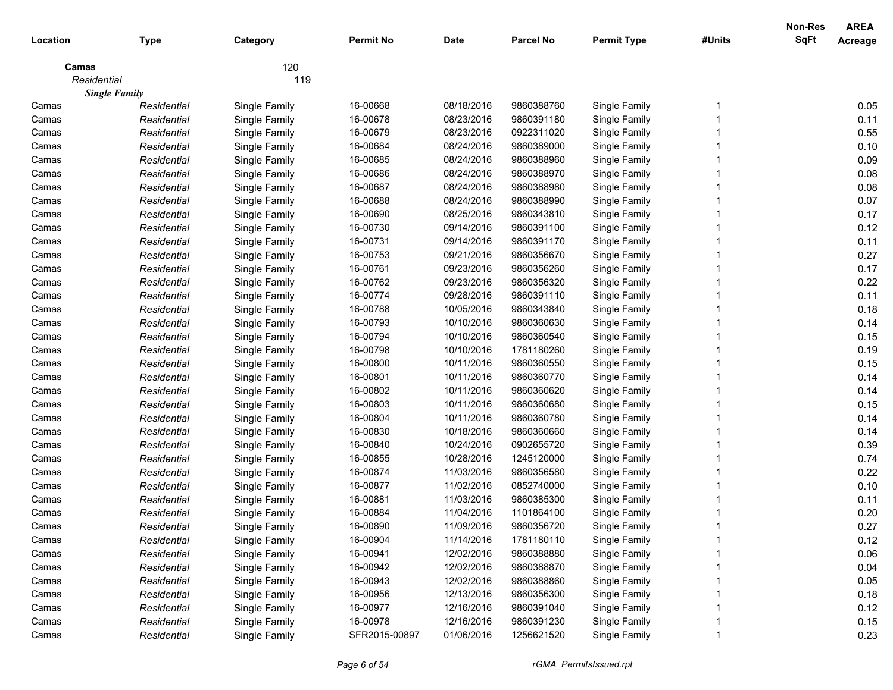|             |                      |               |                  |             |                  |                    |        | Non-Res     | <b>AREA</b>    |
|-------------|----------------------|---------------|------------------|-------------|------------------|--------------------|--------|-------------|----------------|
| Location    | <b>Type</b>          | Category      | <b>Permit No</b> | <b>Date</b> | <b>Parcel No</b> | <b>Permit Type</b> | #Units | <b>SqFt</b> | <b>Acreage</b> |
| Camas       |                      | 120           |                  |             |                  |                    |        |             |                |
| Residential |                      | 119           |                  |             |                  |                    |        |             |                |
|             | <b>Single Family</b> |               |                  |             |                  |                    |        |             |                |
| Camas       | Residential          | Single Family | 16-00668         | 08/18/2016  | 9860388760       | Single Family      |        |             | 0.05           |
| Camas       | Residential          | Single Family | 16-00678         | 08/23/2016  | 9860391180       | Single Family      |        |             | 0.11           |
| Camas       | Residential          | Single Family | 16-00679         | 08/23/2016  | 0922311020       | Single Family      |        |             | 0.55           |
| Camas       | Residential          | Single Family | 16-00684         | 08/24/2016  | 9860389000       | Single Family      |        |             | 0.10           |
| Camas       | Residential          | Single Family | 16-00685         | 08/24/2016  | 9860388960       | Single Family      |        |             | 0.09           |
| Camas       | Residential          | Single Family | 16-00686         | 08/24/2016  | 9860388970       | Single Family      |        |             | 0.08           |
| Camas       | Residential          | Single Family | 16-00687         | 08/24/2016  | 9860388980       | Single Family      |        |             | 0.08           |
| Camas       | Residential          | Single Family | 16-00688         | 08/24/2016  | 9860388990       | Single Family      |        |             | 0.07           |
| Camas       | Residential          | Single Family | 16-00690         | 08/25/2016  | 9860343810       | Single Family      |        |             | 0.17           |
| Camas       | Residential          | Single Family | 16-00730         | 09/14/2016  | 9860391100       | Single Family      |        |             | 0.12           |
| Camas       | Residential          | Single Family | 16-00731         | 09/14/2016  | 9860391170       | Single Family      |        |             | 0.11           |
| Camas       | Residential          | Single Family | 16-00753         | 09/21/2016  | 9860356670       | Single Family      |        |             | 0.27           |
| Camas       | Residential          | Single Family | 16-00761         | 09/23/2016  | 9860356260       | Single Family      |        |             | 0.17           |
| Camas       | Residential          | Single Family | 16-00762         | 09/23/2016  | 9860356320       | Single Family      |        |             | 0.22           |
| Camas       | Residential          | Single Family | 16-00774         | 09/28/2016  | 9860391110       | Single Family      |        |             | 0.11           |
| Camas       | Residential          | Single Family | 16-00788         | 10/05/2016  | 9860343840       | Single Family      |        |             | 0.18           |
| Camas       | Residential          | Single Family | 16-00793         | 10/10/2016  | 9860360630       | Single Family      |        |             | 0.14           |
| Camas       | Residential          | Single Family | 16-00794         | 10/10/2016  | 9860360540       | Single Family      |        |             | 0.15           |
| Camas       | Residential          | Single Family | 16-00798         | 10/10/2016  | 1781180260       | Single Family      |        |             | 0.19           |
| Camas       | Residential          | Single Family | 16-00800         | 10/11/2016  | 9860360550       | Single Family      |        |             | 0.15           |
| Camas       | Residential          | Single Family | 16-00801         | 10/11/2016  | 9860360770       | Single Family      |        |             | 0.14           |
| Camas       | Residential          | Single Family | 16-00802         | 10/11/2016  | 9860360620       | Single Family      |        |             | 0.14           |
| Camas       | Residential          | Single Family | 16-00803         | 10/11/2016  | 9860360680       | Single Family      |        |             | 0.15           |
| Camas       | Residential          | Single Family | 16-00804         | 10/11/2016  | 9860360780       | Single Family      |        |             | 0.14           |
| Camas       | Residential          | Single Family | 16-00830         | 10/18/2016  | 9860360660       | Single Family      |        |             | 0.14           |
| Camas       | Residential          | Single Family | 16-00840         | 10/24/2016  | 0902655720       | Single Family      |        |             | 0.39           |
| Camas       | Residential          | Single Family | 16-00855         | 10/28/2016  | 1245120000       | Single Family      |        |             | 0.74           |
| Camas       | Residential          | Single Family | 16-00874         | 11/03/2016  | 9860356580       | Single Family      |        |             | 0.22           |
| Camas       | Residential          | Single Family | 16-00877         | 11/02/2016  | 0852740000       | Single Family      |        |             | 0.10           |
| Camas       | Residential          | Single Family | 16-00881         | 11/03/2016  | 9860385300       | Single Family      |        |             | 0.11           |
| Camas       | Residential          | Single Family | 16-00884         | 11/04/2016  | 1101864100       | Single Family      |        |             | 0.20           |
| Camas       | Residential          | Single Family | 16-00890         | 11/09/2016  | 9860356720       | Single Family      |        |             | 0.27           |
| Camas       | Residential          | Single Family | 16-00904         | 11/14/2016  | 1781180110       | Single Family      |        |             | 0.12           |
| Camas       | Residential          | Single Family | 16-00941         | 12/02/2016  | 9860388880       | Single Family      |        |             | 0.06           |
| Camas       | Residential          | Single Family | 16-00942         | 12/02/2016  | 9860388870       | Single Family      |        |             | 0.04           |
| Camas       | Residential          | Single Family | 16-00943         | 12/02/2016  | 9860388860       | Single Family      |        |             | 0.05           |
| Camas       | Residential          | Single Family | 16-00956         | 12/13/2016  | 9860356300       | Single Family      |        |             | 0.18           |
| Camas       | Residential          | Single Family | 16-00977         | 12/16/2016  | 9860391040       | Single Family      |        |             | 0.12           |
| Camas       | Residential          | Single Family | 16-00978         | 12/16/2016  | 9860391230       | Single Family      |        |             | 0.15           |
| Camas       | Residential          | Single Family | SFR2015-00897    | 01/06/2016  | 1256621520       | Single Family      |        |             | 0.23           |
|             |                      |               |                  |             |                  |                    |        |             |                |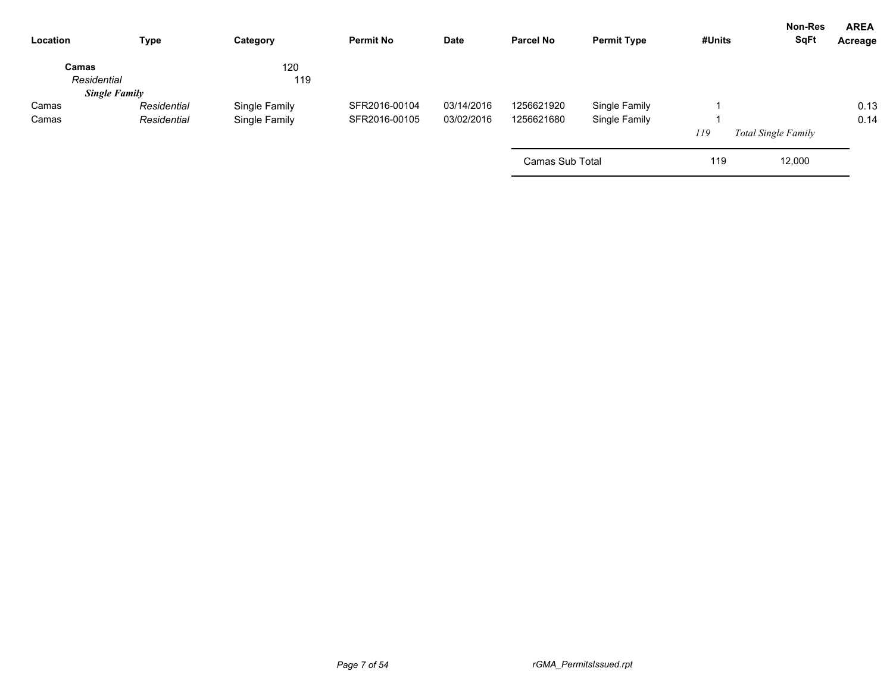| Location             | <b>Type</b>          | Category      | <b>Permit No</b> | Date       | <b>Parcel No</b> | <b>Permit Type</b> | #Units | Non-Res<br><b>SqFt</b>     | <b>AREA</b><br>Acreage |
|----------------------|----------------------|---------------|------------------|------------|------------------|--------------------|--------|----------------------------|------------------------|
| Camas<br>Residential |                      | 120<br>119    |                  |            |                  |                    |        |                            |                        |
|                      | <b>Single Family</b> |               |                  |            |                  |                    |        |                            |                        |
| Camas                | Residential          | Single Family | SFR2016-00104    | 03/14/2016 | 1256621920       | Single Family      |        |                            | 0.13                   |
| Camas                | Residential          | Single Family | SFR2016-00105    | 03/02/2016 | 1256621680       | Single Family      |        |                            | 0.14                   |
|                      |                      |               |                  |            |                  |                    | 119    | <b>Total Single Family</b> |                        |
|                      |                      |               |                  |            | Camas Sub Total  |                    | 119    | 12,000                     |                        |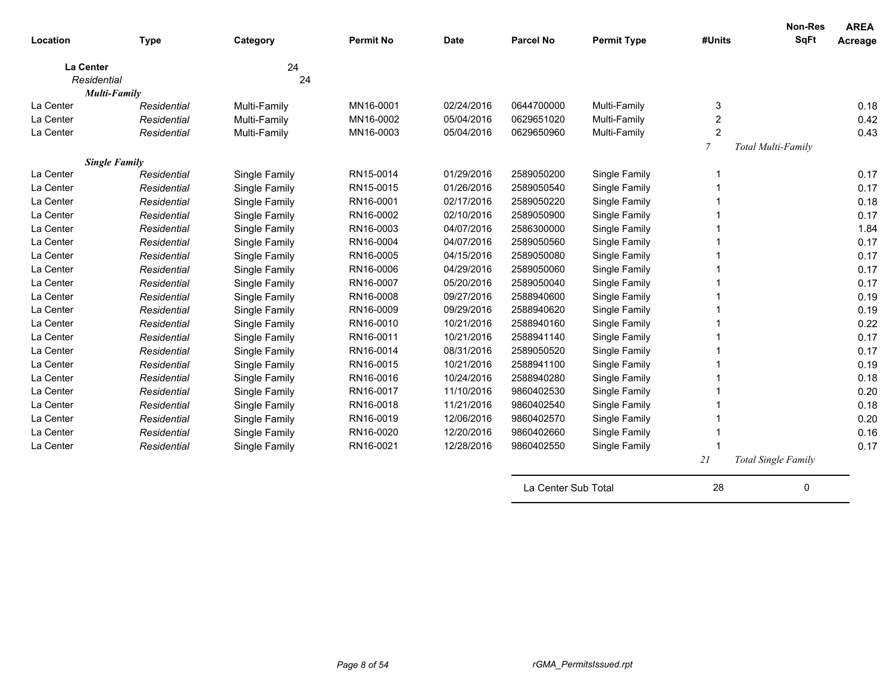| Location  | <b>Type</b>                         | Category      | <b>Permit No</b>       | <b>Date</b>              | <b>Parcel No</b>         | <b>Permit Type</b> | #Units           | <b>Non-Res</b><br><b>SqFt</b> | <b>AREA</b><br>Acreage |
|-----------|-------------------------------------|---------------|------------------------|--------------------------|--------------------------|--------------------|------------------|-------------------------------|------------------------|
|           | <b>La Center</b>                    | 24            |                        |                          |                          |                    |                  |                               |                        |
|           | Residential                         | 24            |                        |                          |                          |                    |                  |                               |                        |
|           | <b>Multi-Family</b>                 |               |                        |                          |                          |                    |                  |                               |                        |
| La Center | Residential                         | Multi-Family  | MN16-0001              | 02/24/2016               | 0644700000               | Multi-Family       | 3                |                               | 0.18                   |
| La Center | Residential                         | Multi-Family  | MN16-0002              | 05/04/2016               | 0629651020               | Multi-Family       | $\boldsymbol{2}$ |                               | 0.42                   |
| La Center | Residential                         | Multi-Family  | MN16-0003              | 05/04/2016               | 0629650960               | Multi-Family       | $\overline{2}$   |                               | 0.43                   |
|           |                                     |               |                        |                          |                          |                    | $\mathcal{I}$    | Total Multi-Family            |                        |
| La Center | <b>Single Family</b><br>Residential |               | RN15-0014              | 01/29/2016               | 2589050200               |                    | -1               |                               | 0.17                   |
| La Center | Residential                         | Single Family | RN15-0015              | 01/26/2016               | 2589050540               | Single Family      |                  |                               | 0.17                   |
| La Center | Residential                         | Single Family | RN16-0001              | 02/17/2016               | 2589050220               | Single Family      |                  |                               | 0.18                   |
| La Center |                                     | Single Family | RN16-0002              | 02/10/2016               | 2589050900               | Single Family      |                  |                               | 0.17                   |
| La Center | Residential<br>Residential          | Single Family | RN16-0003              | 04/07/2016               | 2586300000               | Single Family      |                  |                               | 1.84                   |
| La Center |                                     | Single Family | RN16-0004              | 04/07/2016               | 2589050560               | Single Family      |                  |                               |                        |
| La Center | Residential                         | Single Family | RN16-0005              | 04/15/2016               | 2589050080               | Single Family      |                  |                               | 0.17                   |
|           | Residential                         | Single Family |                        |                          |                          | Single Family      | 1                |                               | 0.17<br>0.17           |
| La Center | Residential                         | Single Family | RN16-0006              | 04/29/2016               | 2589050060               | Single Family      |                  |                               |                        |
| La Center | Residential                         | Single Family | RN16-0007              | 05/20/2016               | 2589050040               | Single Family      |                  |                               | 0.17<br>0.19           |
| La Center | Residential                         | Single Family | RN16-0008<br>RN16-0009 | 09/27/2016<br>09/29/2016 | 2588940600<br>2588940620 | Single Family      |                  |                               | 0.19                   |
| La Center | Residential                         | Single Family |                        |                          |                          | Single Family      |                  |                               |                        |
| La Center | Residential                         | Single Family | RN16-0010<br>RN16-0011 | 10/21/2016<br>10/21/2016 | 2588940160<br>2588941140 | Single Family      |                  |                               | 0.22                   |
| La Center | Residential                         | Single Family |                        |                          |                          | Single Family      |                  |                               | 0.17                   |
| La Center | Residential                         | Single Family | RN16-0014              | 08/31/2016               | 2589050520               | Single Family      |                  |                               | 0.17                   |
| La Center | Residential                         | Single Family | RN16-0015              | 10/21/2016               | 2588941100               | Single Family      |                  |                               | 0.19                   |
| La Center | Residential                         | Single Family | RN16-0016              | 10/24/2016               | 2588940280               | Single Family      |                  |                               | 0.18                   |
| La Center | Residential                         | Single Family | RN16-0017              | 11/10/2016               | 9860402530               | Single Family      |                  |                               | 0.20                   |
| La Center | Residential                         | Single Family | RN16-0018              | 11/21/2016               | 9860402540               | Single Family      |                  |                               | 0.18                   |
| La Center | Residential                         | Single Family | RN16-0019              | 12/06/2016               | 9860402570               | Single Family      |                  |                               | 0.20                   |
| La Center | Residential                         | Single Family | RN16-0020              | 12/20/2016               | 9860402660               | Single Family      |                  |                               | 0.16                   |
| La Center | Residential                         | Single Family | RN16-0021              | 12/28/2016               | 9860402550               | Single Family      |                  |                               | 0.17                   |
|           |                                     |               |                        |                          |                          |                    | 21               | Total Single Family           |                        |
|           |                                     |               |                        |                          | La Center Sub Total      |                    | 28               | 0                             |                        |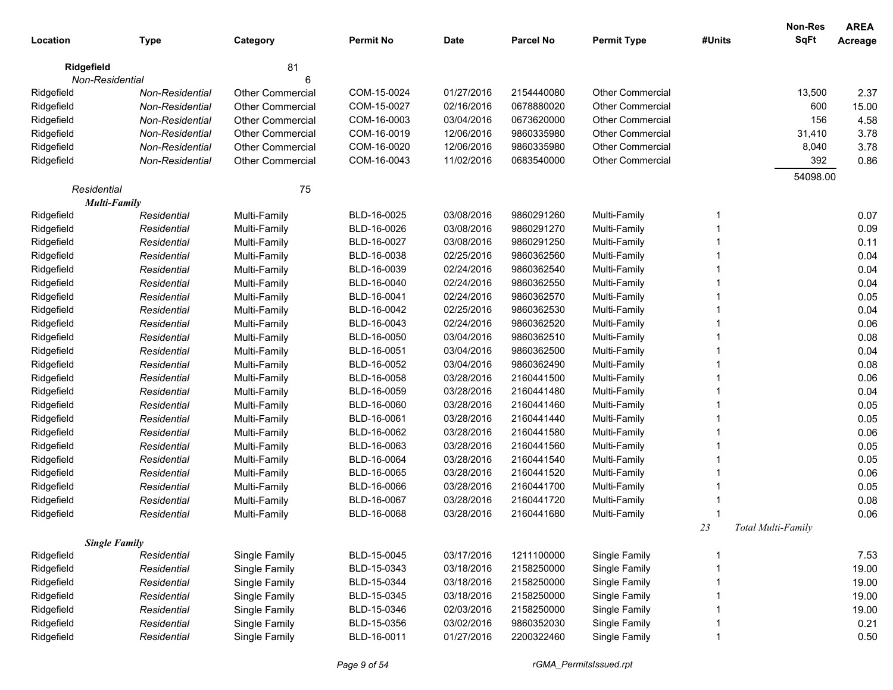|            |                                    |                         |                  |            |                  |                         |             | Non-Res            | <b>AREA</b> |
|------------|------------------------------------|-------------------------|------------------|------------|------------------|-------------------------|-------------|--------------------|-------------|
| Location   | Type                               | Category                | <b>Permit No</b> | Date       | <b>Parcel No</b> | <b>Permit Type</b>      | #Units      | <b>SqFt</b>        | Acreage     |
| Ridgefield |                                    | 81                      |                  |            |                  |                         |             |                    |             |
|            | Non-Residential                    | 6                       |                  |            |                  |                         |             |                    |             |
| Ridgefield | Non-Residential                    | <b>Other Commercial</b> | COM-15-0024      | 01/27/2016 | 2154440080       | <b>Other Commercial</b> |             | 13,500             | 2.37        |
| Ridgefield | Non-Residential                    | Other Commercial        | COM-15-0027      | 02/16/2016 | 0678880020       | <b>Other Commercial</b> |             | 600                | 15.00       |
| Ridgefield | Non-Residential                    | Other Commercial        | COM-16-0003      | 03/04/2016 | 0673620000       | Other Commercial        |             | 156                | 4.58        |
| Ridgefield | Non-Residential                    | Other Commercial        | COM-16-0019      | 12/06/2016 | 9860335980       | Other Commercial        |             | 31,410             | 3.78        |
| Ridgefield | Non-Residential                    | <b>Other Commercial</b> | COM-16-0020      | 12/06/2016 | 9860335980       | Other Commercial        |             | 8,040              | 3.78        |
| Ridgefield | Non-Residential                    | Other Commercial        | COM-16-0043      | 11/02/2016 | 0683540000       | Other Commercial        |             | 392                | 0.86        |
|            |                                    |                         |                  |            |                  |                         |             | 54098.00           |             |
|            | Residential<br><b>Multi-Family</b> | 75                      |                  |            |                  |                         |             |                    |             |
| Ridgefield | Residential                        | Multi-Family            | BLD-16-0025      | 03/08/2016 | 9860291260       | Multi-Family            | 1           |                    | 0.07        |
| Ridgefield | Residential                        | Multi-Family            | BLD-16-0026      | 03/08/2016 | 9860291270       | Multi-Family            | -1          |                    | 0.09        |
| Ridgefield | Residential                        | Multi-Family            | BLD-16-0027      | 03/08/2016 | 9860291250       | Multi-Family            | -1          |                    | 0.11        |
| Ridgefield | Residential                        | Multi-Family            | BLD-16-0038      | 02/25/2016 | 9860362560       | Multi-Family            | -1          |                    | 0.04        |
| Ridgefield | Residential                        | Multi-Family            | BLD-16-0039      | 02/24/2016 | 9860362540       | Multi-Family            | 1           |                    | 0.04        |
| Ridgefield | Residential                        | Multi-Family            | BLD-16-0040      | 02/24/2016 | 9860362550       | Multi-Family            | 1           |                    | 0.04        |
| Ridgefield | Residential                        | Multi-Family            | BLD-16-0041      | 02/24/2016 | 9860362570       | Multi-Family            | 1           |                    | 0.05        |
| Ridgefield | Residential                        | Multi-Family            | BLD-16-0042      | 02/25/2016 | 9860362530       | Multi-Family            | 1           |                    | 0.04        |
| Ridgefield | Residential                        | Multi-Family            | BLD-16-0043      | 02/24/2016 | 9860362520       | Multi-Family            | 1           |                    | 0.06        |
| Ridgefield | Residential                        | Multi-Family            | BLD-16-0050      | 03/04/2016 | 9860362510       | Multi-Family            |             |                    | 0.08        |
| Ridgefield | Residential                        | Multi-Family            | BLD-16-0051      | 03/04/2016 | 9860362500       | Multi-Family            |             |                    | 0.04        |
| Ridgefield | Residential                        | Multi-Family            | BLD-16-0052      | 03/04/2016 | 9860362490       | Multi-Family            |             |                    | 0.08        |
| Ridgefield | Residential                        | Multi-Family            | BLD-16-0058      | 03/28/2016 | 2160441500       | Multi-Family            |             |                    | 0.06        |
| Ridgefield | Residential                        | Multi-Family            | BLD-16-0059      | 03/28/2016 | 2160441480       | Multi-Family            |             |                    | 0.04        |
| Ridgefield | Residential                        | Multi-Family            | BLD-16-0060      | 03/28/2016 | 2160441460       | Multi-Family            |             |                    | 0.05        |
| Ridgefield | Residential                        | Multi-Family            | BLD-16-0061      | 03/28/2016 | 2160441440       | Multi-Family            |             |                    | 0.05        |
| Ridgefield | Residential                        | Multi-Family            | BLD-16-0062      | 03/28/2016 | 2160441580       | Multi-Family            |             |                    | 0.06        |
| Ridgefield | Residential                        | Multi-Family            | BLD-16-0063      | 03/28/2016 | 2160441560       | Multi-Family            |             |                    | 0.05        |
| Ridgefield | Residential                        | Multi-Family            | BLD-16-0064      | 03/28/2016 | 2160441540       | Multi-Family            |             |                    | 0.05        |
| Ridgefield | Residential                        | Multi-Family            | BLD-16-0065      | 03/28/2016 | 2160441520       | Multi-Family            |             |                    | 0.06        |
| Ridgefield | Residential                        | Multi-Family            | BLD-16-0066      | 03/28/2016 | 2160441700       | Multi-Family            |             |                    | 0.05        |
| Ridgefield | Residential                        | Multi-Family            | BLD-16-0067      | 03/28/2016 | 2160441720       | Multi-Family            |             |                    | 0.08        |
| Ridgefield | Residential                        | Multi-Family            | BLD-16-0068      | 03/28/2016 | 2160441680       | Multi-Family            | -1          |                    | 0.06        |
|            |                                    |                         |                  |            |                  |                         | 23          | Total Multi-Family |             |
|            | <b>Single Family</b>               |                         |                  |            |                  |                         |             |                    |             |
| Ridgefield | Residential                        | Single Family           | BLD-15-0045      | 03/17/2016 | 1211100000       | Single Family           | -1          |                    | 7.53        |
| Ridgefield | Residential                        | Single Family           | BLD-15-0343      | 03/18/2016 | 2158250000       | Single Family           |             |                    | 19.00       |
| Ridgefield | Residential                        | Single Family           | BLD-15-0344      | 03/18/2016 | 2158250000       | Single Family           |             |                    | 19.00       |
| Ridgefield | Residential                        | Single Family           | BLD-15-0345      | 03/18/2016 | 2158250000       | Single Family           |             |                    | 19.00       |
| Ridgefield | Residential                        | Single Family           | BLD-15-0346      | 02/03/2016 | 2158250000       | Single Family           |             |                    | 19.00       |
| Ridgefield | Residential                        | Single Family           | BLD-15-0356      | 03/02/2016 | 9860352030       | Single Family           |             |                    | 0.21        |
| Ridgefield | Residential                        | Single Family           | BLD-16-0011      | 01/27/2016 | 2200322460       | Single Family           | $\mathbf 1$ |                    | 0.50        |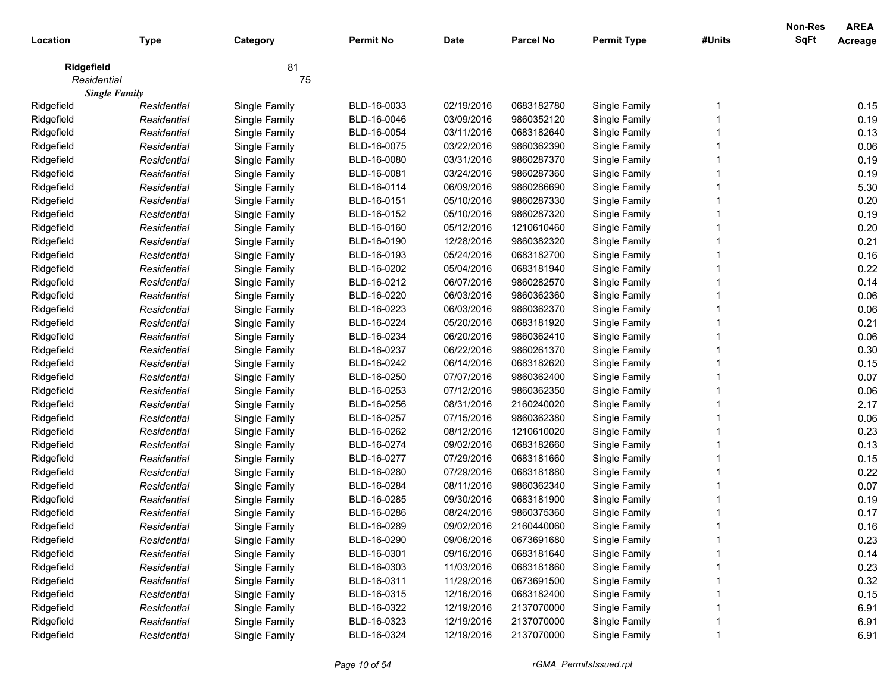| 81<br>Ridgefield<br>75<br>Residential<br><b>Single Family</b><br>0.15<br>BLD-16-0033<br>02/19/2016<br>0683182780<br>Single Family<br>Ridgefield<br>Single Family<br>Residential<br>0.19<br>03/09/2016<br>Ridgefield<br>Single Family<br>BLD-16-0046<br>9860352120<br>Single Family<br>Residential<br>03/11/2016<br>0.13<br>Ridgefield<br>Single Family<br>BLD-16-0054<br>0683182640<br>Single Family<br>Residential<br>0.06<br>Ridgefield<br>BLD-16-0075<br>03/22/2016<br>Single Family<br>Residential<br>Single Family<br>9860362390<br>0.19<br>Ridgefield<br>BLD-16-0080<br>03/31/2016<br>9860287370<br>Residential<br>Single Family<br>Single Family<br>0.19<br>Ridgefield<br>BLD-16-0081<br>03/24/2016<br>Residential<br>Single Family<br>9860287360<br>Single Family<br>5.30<br>Ridgefield<br>BLD-16-0114<br>06/09/2016<br>Residential<br>Single Family<br>9860286690<br>Single Family<br>0.20<br>Ridgefield<br>BLD-16-0151<br>05/10/2016<br>9860287330<br>Residential<br>Single Family<br>Single Family<br>0.19<br>Ridgefield<br>BLD-16-0152<br>05/10/2016<br>9860287320<br>Residential<br>Single Family<br>Single Family<br>Ridgefield<br>BLD-16-0160<br>05/12/2016<br>0.20<br>1210610460<br>Single Family<br>Residential<br>Single Family<br>BLD-16-0190<br>12/28/2016<br>0.21<br>Ridgefield<br>9860382320<br>Single Family<br>Residential<br>Single Family<br>0.16<br>Ridgefield<br>BLD-16-0193<br>05/24/2016<br>Single Family<br>Residential<br>Single Family<br>0683182700<br>0.22<br>Ridgefield<br>BLD-16-0202<br>05/04/2016<br>Single Family<br>Residential<br>Single Family<br>0683181940<br>Ridgefield<br>BLD-16-0212<br>06/07/2016<br>9860282570<br>Single Family<br>Residential<br>Single Family<br>0.06<br>Ridgefield<br>BLD-16-0220<br>06/03/2016<br>Single Family<br>Residential<br>Single Family<br>9860362360<br>0.06<br>Ridgefield<br>BLD-16-0223<br>06/03/2016<br>Single Family<br>Residential<br>Single Family<br>9860362370<br>Ridgefield<br>BLD-16-0224<br>05/20/2016<br>Single Family<br>0.21<br>Residential<br>Single Family<br>0683181920<br>06/20/2016<br>0.06<br>Ridgefield<br>Single Family<br>BLD-16-0234<br>9860362410<br>Single Family<br>Residential<br>0.30<br>Ridgefield<br>Single Family<br>BLD-16-0237<br>06/22/2016<br>9860261370<br>Single Family<br>Residential<br>0.15<br>Ridgefield<br>BLD-16-0242<br>06/14/2016<br>0683182620<br>Single Family<br>Residential<br>Single Family<br>0.07<br>Ridgefield<br>BLD-16-0250<br>07/07/2016<br>9860362400<br>Single Family<br>Residential<br>Single Family<br>0.06<br>Ridgefield<br>BLD-16-0253<br>07/12/2016<br>Single Family<br>Residential<br>Single Family<br>9860362350<br>2.17<br>Ridgefield<br>08/31/2016<br>Single Family<br>Residential<br>Single Family<br>BLD-16-0256<br>2160240020<br>0.06<br>Ridgefield<br>BLD-16-0257<br>07/15/2016<br>Single Family<br>Residential<br>Single Family<br>9860362380<br>Ridgefield<br>BLD-16-0262<br>0.23<br>Residential<br>Single Family<br>08/12/2016<br>1210610020<br>Single Family<br>Ridgefield<br>BLD-16-0274<br>0.13<br>09/02/2016<br>0683182660<br>Single Family<br>Residential<br>Single Family<br>Ridgefield<br>BLD-16-0277<br>07/29/2016<br>0683181660<br>Single Family<br>0.15<br>Residential<br>Single Family<br>0.22<br>Ridgefield<br>BLD-16-0280<br>07/29/2016<br>0683181880<br>Residential<br>Single Family<br>Single Family<br>0.07<br>Ridgefield<br>BLD-16-0284<br>08/11/2016<br>9860362340<br>Residential<br>Single Family<br>Single Family<br>0.19<br>Ridgefield<br>09/30/2016<br>Residential<br>Single Family<br>BLD-16-0285<br>0683181900<br>Single Family<br>Ridgefield<br>BLD-16-0286<br>08/24/2016<br>9860375360<br>0.17<br>Residential<br>Single Family<br>Single Family<br>09/02/2016<br>0.16<br>Ridgefield<br>Single Family<br>BLD-16-0289<br>2160440060<br>Single Family<br>Residential<br>09/06/2016<br>Ridgefield<br>BLD-16-0290<br>0673691680<br>Single Family<br>0.23<br>Single Family<br>Residential<br>0.14<br>Ridgefield<br>Single Family<br>BLD-16-0301<br>09/16/2016<br>0683181640<br>Single Family<br>Residential<br>Ridgefield<br>Single Family<br>BLD-16-0303<br>11/03/2016<br>Single Family<br>0.23<br>Residential<br>0683181860<br>Ridgefield<br>11/29/2016<br>Single Family<br>0.32<br>Residential<br>Single Family<br>BLD-16-0311<br>0673691500<br>Ridgefield<br>Single Family<br>BLD-16-0315<br>12/16/2016<br>0683182400<br>Single Family<br>0.15<br>Residential<br>Ridgefield<br>Single Family<br>12/19/2016<br>2137070000<br>Single Family<br>6.91<br>Residential<br>BLD-16-0322<br>Ridgefield<br>Single Family<br>BLD-16-0323<br>12/19/2016<br>2137070000<br>Single Family<br>6.91<br>Residential<br>Ridgefield<br>BLD-16-0324<br>12/19/2016<br>2137070000<br>Single Family<br>Single Family<br>6.91<br>Residential |          |             |          |                  |             |                  |                    |        | Non-Res     | <b>AREA</b> |
|-------------------------------------------------------------------------------------------------------------------------------------------------------------------------------------------------------------------------------------------------------------------------------------------------------------------------------------------------------------------------------------------------------------------------------------------------------------------------------------------------------------------------------------------------------------------------------------------------------------------------------------------------------------------------------------------------------------------------------------------------------------------------------------------------------------------------------------------------------------------------------------------------------------------------------------------------------------------------------------------------------------------------------------------------------------------------------------------------------------------------------------------------------------------------------------------------------------------------------------------------------------------------------------------------------------------------------------------------------------------------------------------------------------------------------------------------------------------------------------------------------------------------------------------------------------------------------------------------------------------------------------------------------------------------------------------------------------------------------------------------------------------------------------------------------------------------------------------------------------------------------------------------------------------------------------------------------------------------------------------------------------------------------------------------------------------------------------------------------------------------------------------------------------------------------------------------------------------------------------------------------------------------------------------------------------------------------------------------------------------------------------------------------------------------------------------------------------------------------------------------------------------------------------------------------------------------------------------------------------------------------------------------------------------------------------------------------------------------------------------------------------------------------------------------------------------------------------------------------------------------------------------------------------------------------------------------------------------------------------------------------------------------------------------------------------------------------------------------------------------------------------------------------------------------------------------------------------------------------------------------------------------------------------------------------------------------------------------------------------------------------------------------------------------------------------------------------------------------------------------------------------------------------------------------------------------------------------------------------------------------------------------------------------------------------------------------------------------------------------------------------------------------------------------------------------------------------------------------------------------------------------------------------------------------------------------------------------------------------------------------------------------------------------------------------------------------------------------------------------------------------------------------------------------------------------------------------------------------------------------------------------------------------------------------------------------------------------------------------------------------------------------------------------------------------------------------------------------------------------------------------------------------------------------------------------------------------------------------------------------------------------------------------------------------------------------------------------------------------------------------------------------------------------------------------|----------|-------------|----------|------------------|-------------|------------------|--------------------|--------|-------------|-------------|
|                                                                                                                                                                                                                                                                                                                                                                                                                                                                                                                                                                                                                                                                                                                                                                                                                                                                                                                                                                                                                                                                                                                                                                                                                                                                                                                                                                                                                                                                                                                                                                                                                                                                                                                                                                                                                                                                                                                                                                                                                                                                                                                                                                                                                                                                                                                                                                                                                                                                                                                                                                                                                                                                                                                                                                                                                                                                                                                                                                                                                                                                                                                                                                                                                                                                                                                                                                                                                                                                                                                                                                                                                                                                                                                                                                                                                                                                                                                                                                                                                                                                                                                                                                                                                                                                                                                                                                                                                                                                                                                                                                                                                                                                                                                                                                                                       | Location | <b>Type</b> | Category | <b>Permit No</b> | <b>Date</b> | <b>Parcel No</b> | <b>Permit Type</b> | #Units | <b>SqFt</b> | Acreage     |
|                                                                                                                                                                                                                                                                                                                                                                                                                                                                                                                                                                                                                                                                                                                                                                                                                                                                                                                                                                                                                                                                                                                                                                                                                                                                                                                                                                                                                                                                                                                                                                                                                                                                                                                                                                                                                                                                                                                                                                                                                                                                                                                                                                                                                                                                                                                                                                                                                                                                                                                                                                                                                                                                                                                                                                                                                                                                                                                                                                                                                                                                                                                                                                                                                                                                                                                                                                                                                                                                                                                                                                                                                                                                                                                                                                                                                                                                                                                                                                                                                                                                                                                                                                                                                                                                                                                                                                                                                                                                                                                                                                                                                                                                                                                                                                                                       |          |             |          |                  |             |                  |                    |        |             |             |
|                                                                                                                                                                                                                                                                                                                                                                                                                                                                                                                                                                                                                                                                                                                                                                                                                                                                                                                                                                                                                                                                                                                                                                                                                                                                                                                                                                                                                                                                                                                                                                                                                                                                                                                                                                                                                                                                                                                                                                                                                                                                                                                                                                                                                                                                                                                                                                                                                                                                                                                                                                                                                                                                                                                                                                                                                                                                                                                                                                                                                                                                                                                                                                                                                                                                                                                                                                                                                                                                                                                                                                                                                                                                                                                                                                                                                                                                                                                                                                                                                                                                                                                                                                                                                                                                                                                                                                                                                                                                                                                                                                                                                                                                                                                                                                                                       |          |             |          |                  |             |                  |                    |        |             |             |
|                                                                                                                                                                                                                                                                                                                                                                                                                                                                                                                                                                                                                                                                                                                                                                                                                                                                                                                                                                                                                                                                                                                                                                                                                                                                                                                                                                                                                                                                                                                                                                                                                                                                                                                                                                                                                                                                                                                                                                                                                                                                                                                                                                                                                                                                                                                                                                                                                                                                                                                                                                                                                                                                                                                                                                                                                                                                                                                                                                                                                                                                                                                                                                                                                                                                                                                                                                                                                                                                                                                                                                                                                                                                                                                                                                                                                                                                                                                                                                                                                                                                                                                                                                                                                                                                                                                                                                                                                                                                                                                                                                                                                                                                                                                                                                                                       |          |             |          |                  |             |                  |                    |        |             |             |
|                                                                                                                                                                                                                                                                                                                                                                                                                                                                                                                                                                                                                                                                                                                                                                                                                                                                                                                                                                                                                                                                                                                                                                                                                                                                                                                                                                                                                                                                                                                                                                                                                                                                                                                                                                                                                                                                                                                                                                                                                                                                                                                                                                                                                                                                                                                                                                                                                                                                                                                                                                                                                                                                                                                                                                                                                                                                                                                                                                                                                                                                                                                                                                                                                                                                                                                                                                                                                                                                                                                                                                                                                                                                                                                                                                                                                                                                                                                                                                                                                                                                                                                                                                                                                                                                                                                                                                                                                                                                                                                                                                                                                                                                                                                                                                                                       |          |             |          |                  |             |                  |                    |        |             |             |
|                                                                                                                                                                                                                                                                                                                                                                                                                                                                                                                                                                                                                                                                                                                                                                                                                                                                                                                                                                                                                                                                                                                                                                                                                                                                                                                                                                                                                                                                                                                                                                                                                                                                                                                                                                                                                                                                                                                                                                                                                                                                                                                                                                                                                                                                                                                                                                                                                                                                                                                                                                                                                                                                                                                                                                                                                                                                                                                                                                                                                                                                                                                                                                                                                                                                                                                                                                                                                                                                                                                                                                                                                                                                                                                                                                                                                                                                                                                                                                                                                                                                                                                                                                                                                                                                                                                                                                                                                                                                                                                                                                                                                                                                                                                                                                                                       |          |             |          |                  |             |                  |                    |        |             |             |
|                                                                                                                                                                                                                                                                                                                                                                                                                                                                                                                                                                                                                                                                                                                                                                                                                                                                                                                                                                                                                                                                                                                                                                                                                                                                                                                                                                                                                                                                                                                                                                                                                                                                                                                                                                                                                                                                                                                                                                                                                                                                                                                                                                                                                                                                                                                                                                                                                                                                                                                                                                                                                                                                                                                                                                                                                                                                                                                                                                                                                                                                                                                                                                                                                                                                                                                                                                                                                                                                                                                                                                                                                                                                                                                                                                                                                                                                                                                                                                                                                                                                                                                                                                                                                                                                                                                                                                                                                                                                                                                                                                                                                                                                                                                                                                                                       |          |             |          |                  |             |                  |                    |        |             |             |
|                                                                                                                                                                                                                                                                                                                                                                                                                                                                                                                                                                                                                                                                                                                                                                                                                                                                                                                                                                                                                                                                                                                                                                                                                                                                                                                                                                                                                                                                                                                                                                                                                                                                                                                                                                                                                                                                                                                                                                                                                                                                                                                                                                                                                                                                                                                                                                                                                                                                                                                                                                                                                                                                                                                                                                                                                                                                                                                                                                                                                                                                                                                                                                                                                                                                                                                                                                                                                                                                                                                                                                                                                                                                                                                                                                                                                                                                                                                                                                                                                                                                                                                                                                                                                                                                                                                                                                                                                                                                                                                                                                                                                                                                                                                                                                                                       |          |             |          |                  |             |                  |                    |        |             |             |
|                                                                                                                                                                                                                                                                                                                                                                                                                                                                                                                                                                                                                                                                                                                                                                                                                                                                                                                                                                                                                                                                                                                                                                                                                                                                                                                                                                                                                                                                                                                                                                                                                                                                                                                                                                                                                                                                                                                                                                                                                                                                                                                                                                                                                                                                                                                                                                                                                                                                                                                                                                                                                                                                                                                                                                                                                                                                                                                                                                                                                                                                                                                                                                                                                                                                                                                                                                                                                                                                                                                                                                                                                                                                                                                                                                                                                                                                                                                                                                                                                                                                                                                                                                                                                                                                                                                                                                                                                                                                                                                                                                                                                                                                                                                                                                                                       |          |             |          |                  |             |                  |                    |        |             |             |
|                                                                                                                                                                                                                                                                                                                                                                                                                                                                                                                                                                                                                                                                                                                                                                                                                                                                                                                                                                                                                                                                                                                                                                                                                                                                                                                                                                                                                                                                                                                                                                                                                                                                                                                                                                                                                                                                                                                                                                                                                                                                                                                                                                                                                                                                                                                                                                                                                                                                                                                                                                                                                                                                                                                                                                                                                                                                                                                                                                                                                                                                                                                                                                                                                                                                                                                                                                                                                                                                                                                                                                                                                                                                                                                                                                                                                                                                                                                                                                                                                                                                                                                                                                                                                                                                                                                                                                                                                                                                                                                                                                                                                                                                                                                                                                                                       |          |             |          |                  |             |                  |                    |        |             |             |
|                                                                                                                                                                                                                                                                                                                                                                                                                                                                                                                                                                                                                                                                                                                                                                                                                                                                                                                                                                                                                                                                                                                                                                                                                                                                                                                                                                                                                                                                                                                                                                                                                                                                                                                                                                                                                                                                                                                                                                                                                                                                                                                                                                                                                                                                                                                                                                                                                                                                                                                                                                                                                                                                                                                                                                                                                                                                                                                                                                                                                                                                                                                                                                                                                                                                                                                                                                                                                                                                                                                                                                                                                                                                                                                                                                                                                                                                                                                                                                                                                                                                                                                                                                                                                                                                                                                                                                                                                                                                                                                                                                                                                                                                                                                                                                                                       |          |             |          |                  |             |                  |                    |        |             |             |
|                                                                                                                                                                                                                                                                                                                                                                                                                                                                                                                                                                                                                                                                                                                                                                                                                                                                                                                                                                                                                                                                                                                                                                                                                                                                                                                                                                                                                                                                                                                                                                                                                                                                                                                                                                                                                                                                                                                                                                                                                                                                                                                                                                                                                                                                                                                                                                                                                                                                                                                                                                                                                                                                                                                                                                                                                                                                                                                                                                                                                                                                                                                                                                                                                                                                                                                                                                                                                                                                                                                                                                                                                                                                                                                                                                                                                                                                                                                                                                                                                                                                                                                                                                                                                                                                                                                                                                                                                                                                                                                                                                                                                                                                                                                                                                                                       |          |             |          |                  |             |                  |                    |        |             |             |
|                                                                                                                                                                                                                                                                                                                                                                                                                                                                                                                                                                                                                                                                                                                                                                                                                                                                                                                                                                                                                                                                                                                                                                                                                                                                                                                                                                                                                                                                                                                                                                                                                                                                                                                                                                                                                                                                                                                                                                                                                                                                                                                                                                                                                                                                                                                                                                                                                                                                                                                                                                                                                                                                                                                                                                                                                                                                                                                                                                                                                                                                                                                                                                                                                                                                                                                                                                                                                                                                                                                                                                                                                                                                                                                                                                                                                                                                                                                                                                                                                                                                                                                                                                                                                                                                                                                                                                                                                                                                                                                                                                                                                                                                                                                                                                                                       |          |             |          |                  |             |                  |                    |        |             |             |
|                                                                                                                                                                                                                                                                                                                                                                                                                                                                                                                                                                                                                                                                                                                                                                                                                                                                                                                                                                                                                                                                                                                                                                                                                                                                                                                                                                                                                                                                                                                                                                                                                                                                                                                                                                                                                                                                                                                                                                                                                                                                                                                                                                                                                                                                                                                                                                                                                                                                                                                                                                                                                                                                                                                                                                                                                                                                                                                                                                                                                                                                                                                                                                                                                                                                                                                                                                                                                                                                                                                                                                                                                                                                                                                                                                                                                                                                                                                                                                                                                                                                                                                                                                                                                                                                                                                                                                                                                                                                                                                                                                                                                                                                                                                                                                                                       |          |             |          |                  |             |                  |                    |        |             |             |
|                                                                                                                                                                                                                                                                                                                                                                                                                                                                                                                                                                                                                                                                                                                                                                                                                                                                                                                                                                                                                                                                                                                                                                                                                                                                                                                                                                                                                                                                                                                                                                                                                                                                                                                                                                                                                                                                                                                                                                                                                                                                                                                                                                                                                                                                                                                                                                                                                                                                                                                                                                                                                                                                                                                                                                                                                                                                                                                                                                                                                                                                                                                                                                                                                                                                                                                                                                                                                                                                                                                                                                                                                                                                                                                                                                                                                                                                                                                                                                                                                                                                                                                                                                                                                                                                                                                                                                                                                                                                                                                                                                                                                                                                                                                                                                                                       |          |             |          |                  |             |                  |                    |        |             |             |
|                                                                                                                                                                                                                                                                                                                                                                                                                                                                                                                                                                                                                                                                                                                                                                                                                                                                                                                                                                                                                                                                                                                                                                                                                                                                                                                                                                                                                                                                                                                                                                                                                                                                                                                                                                                                                                                                                                                                                                                                                                                                                                                                                                                                                                                                                                                                                                                                                                                                                                                                                                                                                                                                                                                                                                                                                                                                                                                                                                                                                                                                                                                                                                                                                                                                                                                                                                                                                                                                                                                                                                                                                                                                                                                                                                                                                                                                                                                                                                                                                                                                                                                                                                                                                                                                                                                                                                                                                                                                                                                                                                                                                                                                                                                                                                                                       |          |             |          |                  |             |                  |                    |        |             |             |
|                                                                                                                                                                                                                                                                                                                                                                                                                                                                                                                                                                                                                                                                                                                                                                                                                                                                                                                                                                                                                                                                                                                                                                                                                                                                                                                                                                                                                                                                                                                                                                                                                                                                                                                                                                                                                                                                                                                                                                                                                                                                                                                                                                                                                                                                                                                                                                                                                                                                                                                                                                                                                                                                                                                                                                                                                                                                                                                                                                                                                                                                                                                                                                                                                                                                                                                                                                                                                                                                                                                                                                                                                                                                                                                                                                                                                                                                                                                                                                                                                                                                                                                                                                                                                                                                                                                                                                                                                                                                                                                                                                                                                                                                                                                                                                                                       |          |             |          |                  |             |                  |                    |        |             |             |
|                                                                                                                                                                                                                                                                                                                                                                                                                                                                                                                                                                                                                                                                                                                                                                                                                                                                                                                                                                                                                                                                                                                                                                                                                                                                                                                                                                                                                                                                                                                                                                                                                                                                                                                                                                                                                                                                                                                                                                                                                                                                                                                                                                                                                                                                                                                                                                                                                                                                                                                                                                                                                                                                                                                                                                                                                                                                                                                                                                                                                                                                                                                                                                                                                                                                                                                                                                                                                                                                                                                                                                                                                                                                                                                                                                                                                                                                                                                                                                                                                                                                                                                                                                                                                                                                                                                                                                                                                                                                                                                                                                                                                                                                                                                                                                                                       |          |             |          |                  |             |                  |                    |        |             | 0.14        |
|                                                                                                                                                                                                                                                                                                                                                                                                                                                                                                                                                                                                                                                                                                                                                                                                                                                                                                                                                                                                                                                                                                                                                                                                                                                                                                                                                                                                                                                                                                                                                                                                                                                                                                                                                                                                                                                                                                                                                                                                                                                                                                                                                                                                                                                                                                                                                                                                                                                                                                                                                                                                                                                                                                                                                                                                                                                                                                                                                                                                                                                                                                                                                                                                                                                                                                                                                                                                                                                                                                                                                                                                                                                                                                                                                                                                                                                                                                                                                                                                                                                                                                                                                                                                                                                                                                                                                                                                                                                                                                                                                                                                                                                                                                                                                                                                       |          |             |          |                  |             |                  |                    |        |             |             |
|                                                                                                                                                                                                                                                                                                                                                                                                                                                                                                                                                                                                                                                                                                                                                                                                                                                                                                                                                                                                                                                                                                                                                                                                                                                                                                                                                                                                                                                                                                                                                                                                                                                                                                                                                                                                                                                                                                                                                                                                                                                                                                                                                                                                                                                                                                                                                                                                                                                                                                                                                                                                                                                                                                                                                                                                                                                                                                                                                                                                                                                                                                                                                                                                                                                                                                                                                                                                                                                                                                                                                                                                                                                                                                                                                                                                                                                                                                                                                                                                                                                                                                                                                                                                                                                                                                                                                                                                                                                                                                                                                                                                                                                                                                                                                                                                       |          |             |          |                  |             |                  |                    |        |             |             |
|                                                                                                                                                                                                                                                                                                                                                                                                                                                                                                                                                                                                                                                                                                                                                                                                                                                                                                                                                                                                                                                                                                                                                                                                                                                                                                                                                                                                                                                                                                                                                                                                                                                                                                                                                                                                                                                                                                                                                                                                                                                                                                                                                                                                                                                                                                                                                                                                                                                                                                                                                                                                                                                                                                                                                                                                                                                                                                                                                                                                                                                                                                                                                                                                                                                                                                                                                                                                                                                                                                                                                                                                                                                                                                                                                                                                                                                                                                                                                                                                                                                                                                                                                                                                                                                                                                                                                                                                                                                                                                                                                                                                                                                                                                                                                                                                       |          |             |          |                  |             |                  |                    |        |             |             |
|                                                                                                                                                                                                                                                                                                                                                                                                                                                                                                                                                                                                                                                                                                                                                                                                                                                                                                                                                                                                                                                                                                                                                                                                                                                                                                                                                                                                                                                                                                                                                                                                                                                                                                                                                                                                                                                                                                                                                                                                                                                                                                                                                                                                                                                                                                                                                                                                                                                                                                                                                                                                                                                                                                                                                                                                                                                                                                                                                                                                                                                                                                                                                                                                                                                                                                                                                                                                                                                                                                                                                                                                                                                                                                                                                                                                                                                                                                                                                                                                                                                                                                                                                                                                                                                                                                                                                                                                                                                                                                                                                                                                                                                                                                                                                                                                       |          |             |          |                  |             |                  |                    |        |             |             |
|                                                                                                                                                                                                                                                                                                                                                                                                                                                                                                                                                                                                                                                                                                                                                                                                                                                                                                                                                                                                                                                                                                                                                                                                                                                                                                                                                                                                                                                                                                                                                                                                                                                                                                                                                                                                                                                                                                                                                                                                                                                                                                                                                                                                                                                                                                                                                                                                                                                                                                                                                                                                                                                                                                                                                                                                                                                                                                                                                                                                                                                                                                                                                                                                                                                                                                                                                                                                                                                                                                                                                                                                                                                                                                                                                                                                                                                                                                                                                                                                                                                                                                                                                                                                                                                                                                                                                                                                                                                                                                                                                                                                                                                                                                                                                                                                       |          |             |          |                  |             |                  |                    |        |             |             |
|                                                                                                                                                                                                                                                                                                                                                                                                                                                                                                                                                                                                                                                                                                                                                                                                                                                                                                                                                                                                                                                                                                                                                                                                                                                                                                                                                                                                                                                                                                                                                                                                                                                                                                                                                                                                                                                                                                                                                                                                                                                                                                                                                                                                                                                                                                                                                                                                                                                                                                                                                                                                                                                                                                                                                                                                                                                                                                                                                                                                                                                                                                                                                                                                                                                                                                                                                                                                                                                                                                                                                                                                                                                                                                                                                                                                                                                                                                                                                                                                                                                                                                                                                                                                                                                                                                                                                                                                                                                                                                                                                                                                                                                                                                                                                                                                       |          |             |          |                  |             |                  |                    |        |             |             |
|                                                                                                                                                                                                                                                                                                                                                                                                                                                                                                                                                                                                                                                                                                                                                                                                                                                                                                                                                                                                                                                                                                                                                                                                                                                                                                                                                                                                                                                                                                                                                                                                                                                                                                                                                                                                                                                                                                                                                                                                                                                                                                                                                                                                                                                                                                                                                                                                                                                                                                                                                                                                                                                                                                                                                                                                                                                                                                                                                                                                                                                                                                                                                                                                                                                                                                                                                                                                                                                                                                                                                                                                                                                                                                                                                                                                                                                                                                                                                                                                                                                                                                                                                                                                                                                                                                                                                                                                                                                                                                                                                                                                                                                                                                                                                                                                       |          |             |          |                  |             |                  |                    |        |             |             |
|                                                                                                                                                                                                                                                                                                                                                                                                                                                                                                                                                                                                                                                                                                                                                                                                                                                                                                                                                                                                                                                                                                                                                                                                                                                                                                                                                                                                                                                                                                                                                                                                                                                                                                                                                                                                                                                                                                                                                                                                                                                                                                                                                                                                                                                                                                                                                                                                                                                                                                                                                                                                                                                                                                                                                                                                                                                                                                                                                                                                                                                                                                                                                                                                                                                                                                                                                                                                                                                                                                                                                                                                                                                                                                                                                                                                                                                                                                                                                                                                                                                                                                                                                                                                                                                                                                                                                                                                                                                                                                                                                                                                                                                                                                                                                                                                       |          |             |          |                  |             |                  |                    |        |             |             |
|                                                                                                                                                                                                                                                                                                                                                                                                                                                                                                                                                                                                                                                                                                                                                                                                                                                                                                                                                                                                                                                                                                                                                                                                                                                                                                                                                                                                                                                                                                                                                                                                                                                                                                                                                                                                                                                                                                                                                                                                                                                                                                                                                                                                                                                                                                                                                                                                                                                                                                                                                                                                                                                                                                                                                                                                                                                                                                                                                                                                                                                                                                                                                                                                                                                                                                                                                                                                                                                                                                                                                                                                                                                                                                                                                                                                                                                                                                                                                                                                                                                                                                                                                                                                                                                                                                                                                                                                                                                                                                                                                                                                                                                                                                                                                                                                       |          |             |          |                  |             |                  |                    |        |             |             |
|                                                                                                                                                                                                                                                                                                                                                                                                                                                                                                                                                                                                                                                                                                                                                                                                                                                                                                                                                                                                                                                                                                                                                                                                                                                                                                                                                                                                                                                                                                                                                                                                                                                                                                                                                                                                                                                                                                                                                                                                                                                                                                                                                                                                                                                                                                                                                                                                                                                                                                                                                                                                                                                                                                                                                                                                                                                                                                                                                                                                                                                                                                                                                                                                                                                                                                                                                                                                                                                                                                                                                                                                                                                                                                                                                                                                                                                                                                                                                                                                                                                                                                                                                                                                                                                                                                                                                                                                                                                                                                                                                                                                                                                                                                                                                                                                       |          |             |          |                  |             |                  |                    |        |             |             |
|                                                                                                                                                                                                                                                                                                                                                                                                                                                                                                                                                                                                                                                                                                                                                                                                                                                                                                                                                                                                                                                                                                                                                                                                                                                                                                                                                                                                                                                                                                                                                                                                                                                                                                                                                                                                                                                                                                                                                                                                                                                                                                                                                                                                                                                                                                                                                                                                                                                                                                                                                                                                                                                                                                                                                                                                                                                                                                                                                                                                                                                                                                                                                                                                                                                                                                                                                                                                                                                                                                                                                                                                                                                                                                                                                                                                                                                                                                                                                                                                                                                                                                                                                                                                                                                                                                                                                                                                                                                                                                                                                                                                                                                                                                                                                                                                       |          |             |          |                  |             |                  |                    |        |             |             |
|                                                                                                                                                                                                                                                                                                                                                                                                                                                                                                                                                                                                                                                                                                                                                                                                                                                                                                                                                                                                                                                                                                                                                                                                                                                                                                                                                                                                                                                                                                                                                                                                                                                                                                                                                                                                                                                                                                                                                                                                                                                                                                                                                                                                                                                                                                                                                                                                                                                                                                                                                                                                                                                                                                                                                                                                                                                                                                                                                                                                                                                                                                                                                                                                                                                                                                                                                                                                                                                                                                                                                                                                                                                                                                                                                                                                                                                                                                                                                                                                                                                                                                                                                                                                                                                                                                                                                                                                                                                                                                                                                                                                                                                                                                                                                                                                       |          |             |          |                  |             |                  |                    |        |             |             |
|                                                                                                                                                                                                                                                                                                                                                                                                                                                                                                                                                                                                                                                                                                                                                                                                                                                                                                                                                                                                                                                                                                                                                                                                                                                                                                                                                                                                                                                                                                                                                                                                                                                                                                                                                                                                                                                                                                                                                                                                                                                                                                                                                                                                                                                                                                                                                                                                                                                                                                                                                                                                                                                                                                                                                                                                                                                                                                                                                                                                                                                                                                                                                                                                                                                                                                                                                                                                                                                                                                                                                                                                                                                                                                                                                                                                                                                                                                                                                                                                                                                                                                                                                                                                                                                                                                                                                                                                                                                                                                                                                                                                                                                                                                                                                                                                       |          |             |          |                  |             |                  |                    |        |             |             |
|                                                                                                                                                                                                                                                                                                                                                                                                                                                                                                                                                                                                                                                                                                                                                                                                                                                                                                                                                                                                                                                                                                                                                                                                                                                                                                                                                                                                                                                                                                                                                                                                                                                                                                                                                                                                                                                                                                                                                                                                                                                                                                                                                                                                                                                                                                                                                                                                                                                                                                                                                                                                                                                                                                                                                                                                                                                                                                                                                                                                                                                                                                                                                                                                                                                                                                                                                                                                                                                                                                                                                                                                                                                                                                                                                                                                                                                                                                                                                                                                                                                                                                                                                                                                                                                                                                                                                                                                                                                                                                                                                                                                                                                                                                                                                                                                       |          |             |          |                  |             |                  |                    |        |             |             |
|                                                                                                                                                                                                                                                                                                                                                                                                                                                                                                                                                                                                                                                                                                                                                                                                                                                                                                                                                                                                                                                                                                                                                                                                                                                                                                                                                                                                                                                                                                                                                                                                                                                                                                                                                                                                                                                                                                                                                                                                                                                                                                                                                                                                                                                                                                                                                                                                                                                                                                                                                                                                                                                                                                                                                                                                                                                                                                                                                                                                                                                                                                                                                                                                                                                                                                                                                                                                                                                                                                                                                                                                                                                                                                                                                                                                                                                                                                                                                                                                                                                                                                                                                                                                                                                                                                                                                                                                                                                                                                                                                                                                                                                                                                                                                                                                       |          |             |          |                  |             |                  |                    |        |             |             |
|                                                                                                                                                                                                                                                                                                                                                                                                                                                                                                                                                                                                                                                                                                                                                                                                                                                                                                                                                                                                                                                                                                                                                                                                                                                                                                                                                                                                                                                                                                                                                                                                                                                                                                                                                                                                                                                                                                                                                                                                                                                                                                                                                                                                                                                                                                                                                                                                                                                                                                                                                                                                                                                                                                                                                                                                                                                                                                                                                                                                                                                                                                                                                                                                                                                                                                                                                                                                                                                                                                                                                                                                                                                                                                                                                                                                                                                                                                                                                                                                                                                                                                                                                                                                                                                                                                                                                                                                                                                                                                                                                                                                                                                                                                                                                                                                       |          |             |          |                  |             |                  |                    |        |             |             |
|                                                                                                                                                                                                                                                                                                                                                                                                                                                                                                                                                                                                                                                                                                                                                                                                                                                                                                                                                                                                                                                                                                                                                                                                                                                                                                                                                                                                                                                                                                                                                                                                                                                                                                                                                                                                                                                                                                                                                                                                                                                                                                                                                                                                                                                                                                                                                                                                                                                                                                                                                                                                                                                                                                                                                                                                                                                                                                                                                                                                                                                                                                                                                                                                                                                                                                                                                                                                                                                                                                                                                                                                                                                                                                                                                                                                                                                                                                                                                                                                                                                                                                                                                                                                                                                                                                                                                                                                                                                                                                                                                                                                                                                                                                                                                                                                       |          |             |          |                  |             |                  |                    |        |             |             |
|                                                                                                                                                                                                                                                                                                                                                                                                                                                                                                                                                                                                                                                                                                                                                                                                                                                                                                                                                                                                                                                                                                                                                                                                                                                                                                                                                                                                                                                                                                                                                                                                                                                                                                                                                                                                                                                                                                                                                                                                                                                                                                                                                                                                                                                                                                                                                                                                                                                                                                                                                                                                                                                                                                                                                                                                                                                                                                                                                                                                                                                                                                                                                                                                                                                                                                                                                                                                                                                                                                                                                                                                                                                                                                                                                                                                                                                                                                                                                                                                                                                                                                                                                                                                                                                                                                                                                                                                                                                                                                                                                                                                                                                                                                                                                                                                       |          |             |          |                  |             |                  |                    |        |             |             |
|                                                                                                                                                                                                                                                                                                                                                                                                                                                                                                                                                                                                                                                                                                                                                                                                                                                                                                                                                                                                                                                                                                                                                                                                                                                                                                                                                                                                                                                                                                                                                                                                                                                                                                                                                                                                                                                                                                                                                                                                                                                                                                                                                                                                                                                                                                                                                                                                                                                                                                                                                                                                                                                                                                                                                                                                                                                                                                                                                                                                                                                                                                                                                                                                                                                                                                                                                                                                                                                                                                                                                                                                                                                                                                                                                                                                                                                                                                                                                                                                                                                                                                                                                                                                                                                                                                                                                                                                                                                                                                                                                                                                                                                                                                                                                                                                       |          |             |          |                  |             |                  |                    |        |             |             |
|                                                                                                                                                                                                                                                                                                                                                                                                                                                                                                                                                                                                                                                                                                                                                                                                                                                                                                                                                                                                                                                                                                                                                                                                                                                                                                                                                                                                                                                                                                                                                                                                                                                                                                                                                                                                                                                                                                                                                                                                                                                                                                                                                                                                                                                                                                                                                                                                                                                                                                                                                                                                                                                                                                                                                                                                                                                                                                                                                                                                                                                                                                                                                                                                                                                                                                                                                                                                                                                                                                                                                                                                                                                                                                                                                                                                                                                                                                                                                                                                                                                                                                                                                                                                                                                                                                                                                                                                                                                                                                                                                                                                                                                                                                                                                                                                       |          |             |          |                  |             |                  |                    |        |             |             |
|                                                                                                                                                                                                                                                                                                                                                                                                                                                                                                                                                                                                                                                                                                                                                                                                                                                                                                                                                                                                                                                                                                                                                                                                                                                                                                                                                                                                                                                                                                                                                                                                                                                                                                                                                                                                                                                                                                                                                                                                                                                                                                                                                                                                                                                                                                                                                                                                                                                                                                                                                                                                                                                                                                                                                                                                                                                                                                                                                                                                                                                                                                                                                                                                                                                                                                                                                                                                                                                                                                                                                                                                                                                                                                                                                                                                                                                                                                                                                                                                                                                                                                                                                                                                                                                                                                                                                                                                                                                                                                                                                                                                                                                                                                                                                                                                       |          |             |          |                  |             |                  |                    |        |             |             |
|                                                                                                                                                                                                                                                                                                                                                                                                                                                                                                                                                                                                                                                                                                                                                                                                                                                                                                                                                                                                                                                                                                                                                                                                                                                                                                                                                                                                                                                                                                                                                                                                                                                                                                                                                                                                                                                                                                                                                                                                                                                                                                                                                                                                                                                                                                                                                                                                                                                                                                                                                                                                                                                                                                                                                                                                                                                                                                                                                                                                                                                                                                                                                                                                                                                                                                                                                                                                                                                                                                                                                                                                                                                                                                                                                                                                                                                                                                                                                                                                                                                                                                                                                                                                                                                                                                                                                                                                                                                                                                                                                                                                                                                                                                                                                                                                       |          |             |          |                  |             |                  |                    |        |             |             |
|                                                                                                                                                                                                                                                                                                                                                                                                                                                                                                                                                                                                                                                                                                                                                                                                                                                                                                                                                                                                                                                                                                                                                                                                                                                                                                                                                                                                                                                                                                                                                                                                                                                                                                                                                                                                                                                                                                                                                                                                                                                                                                                                                                                                                                                                                                                                                                                                                                                                                                                                                                                                                                                                                                                                                                                                                                                                                                                                                                                                                                                                                                                                                                                                                                                                                                                                                                                                                                                                                                                                                                                                                                                                                                                                                                                                                                                                                                                                                                                                                                                                                                                                                                                                                                                                                                                                                                                                                                                                                                                                                                                                                                                                                                                                                                                                       |          |             |          |                  |             |                  |                    |        |             |             |
|                                                                                                                                                                                                                                                                                                                                                                                                                                                                                                                                                                                                                                                                                                                                                                                                                                                                                                                                                                                                                                                                                                                                                                                                                                                                                                                                                                                                                                                                                                                                                                                                                                                                                                                                                                                                                                                                                                                                                                                                                                                                                                                                                                                                                                                                                                                                                                                                                                                                                                                                                                                                                                                                                                                                                                                                                                                                                                                                                                                                                                                                                                                                                                                                                                                                                                                                                                                                                                                                                                                                                                                                                                                                                                                                                                                                                                                                                                                                                                                                                                                                                                                                                                                                                                                                                                                                                                                                                                                                                                                                                                                                                                                                                                                                                                                                       |          |             |          |                  |             |                  |                    |        |             |             |
|                                                                                                                                                                                                                                                                                                                                                                                                                                                                                                                                                                                                                                                                                                                                                                                                                                                                                                                                                                                                                                                                                                                                                                                                                                                                                                                                                                                                                                                                                                                                                                                                                                                                                                                                                                                                                                                                                                                                                                                                                                                                                                                                                                                                                                                                                                                                                                                                                                                                                                                                                                                                                                                                                                                                                                                                                                                                                                                                                                                                                                                                                                                                                                                                                                                                                                                                                                                                                                                                                                                                                                                                                                                                                                                                                                                                                                                                                                                                                                                                                                                                                                                                                                                                                                                                                                                                                                                                                                                                                                                                                                                                                                                                                                                                                                                                       |          |             |          |                  |             |                  |                    |        |             |             |
|                                                                                                                                                                                                                                                                                                                                                                                                                                                                                                                                                                                                                                                                                                                                                                                                                                                                                                                                                                                                                                                                                                                                                                                                                                                                                                                                                                                                                                                                                                                                                                                                                                                                                                                                                                                                                                                                                                                                                                                                                                                                                                                                                                                                                                                                                                                                                                                                                                                                                                                                                                                                                                                                                                                                                                                                                                                                                                                                                                                                                                                                                                                                                                                                                                                                                                                                                                                                                                                                                                                                                                                                                                                                                                                                                                                                                                                                                                                                                                                                                                                                                                                                                                                                                                                                                                                                                                                                                                                                                                                                                                                                                                                                                                                                                                                                       |          |             |          |                  |             |                  |                    |        |             |             |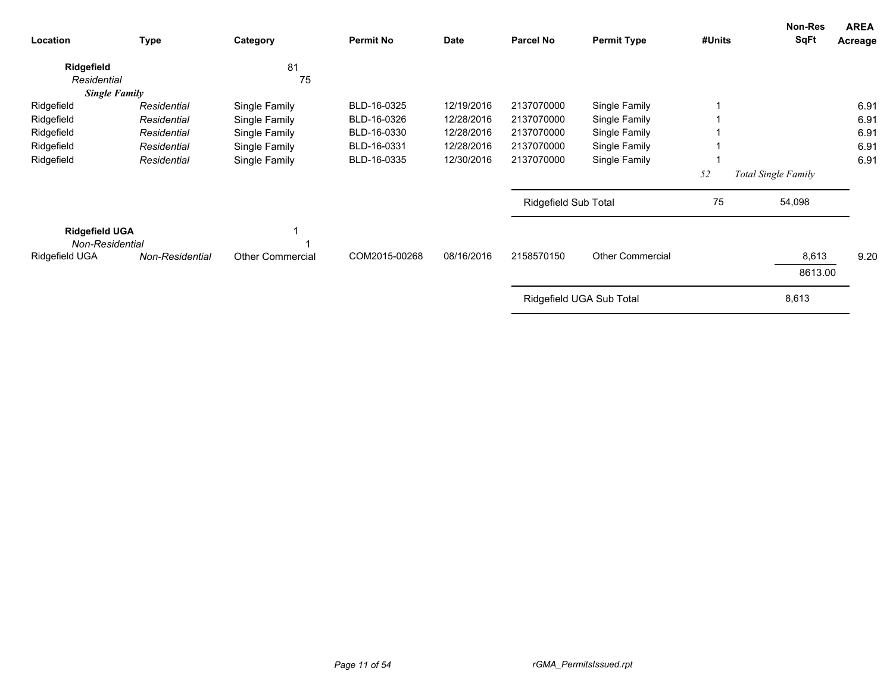| Location                                                   | Type            | Category                | <b>Permit No</b> | <b>Date</b> | <b>Parcel No</b>     | <b>Permit Type</b>       | #Units | Non-Res<br>SqFt     | <b>AREA</b><br>Acreage |
|------------------------------------------------------------|-----------------|-------------------------|------------------|-------------|----------------------|--------------------------|--------|---------------------|------------------------|
| Ridgefield<br>Residential                                  |                 | 81<br>75                |                  |             |                      |                          |        |                     |                        |
| <b>Single Family</b>                                       |                 |                         |                  |             |                      |                          |        |                     |                        |
| Ridgefield                                                 | Residential     | Single Family           | BLD-16-0325      | 12/19/2016  | 2137070000           | Single Family            |        |                     | 6.91                   |
| Ridgefield                                                 | Residential     | Single Family           | BLD-16-0326      | 12/28/2016  | 2137070000           | Single Family            |        |                     | 6.91                   |
| Ridgefield                                                 | Residential     | Single Family           | BLD-16-0330      | 12/28/2016  | 2137070000           | Single Family            |        |                     | 6.91                   |
| Ridgefield                                                 | Residential     | Single Family           | BLD-16-0331      | 12/28/2016  | 2137070000           | Single Family            |        |                     | 6.91                   |
| Ridgefield                                                 | Residential     | Single Family           | BLD-16-0335      | 12/30/2016  | 2137070000           | Single Family            |        |                     | 6.91                   |
|                                                            |                 |                         |                  |             |                      |                          | 52     | Total Single Family |                        |
|                                                            |                 |                         |                  |             | Ridgefield Sub Total |                          | 75     | 54,098              |                        |
| <b>Ridgefield UGA</b><br>Non-Residential<br>Ridgefield UGA | Non-Residential | <b>Other Commercial</b> | COM2015-00268    | 08/16/2016  | 2158570150           | <b>Other Commercial</b>  |        | 8,613               | 9.20                   |
|                                                            |                 |                         |                  |             |                      |                          |        | 8613.00             |                        |
|                                                            |                 |                         |                  |             |                      | Ridgefield UGA Sub Total |        | 8,613               |                        |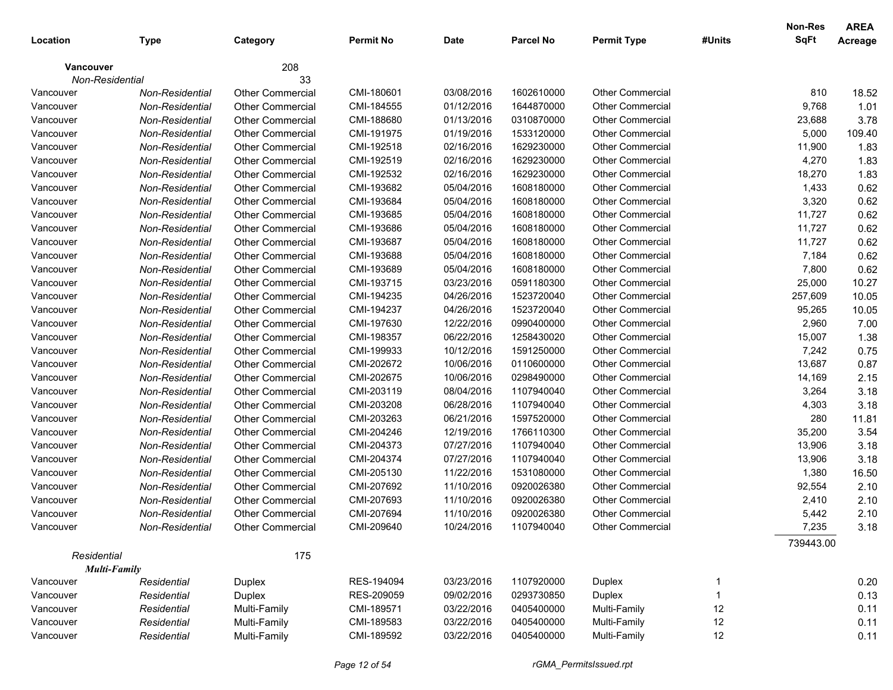|           |                                    |                         |                  |             |                  |                         |        | Non-Res   | <b>AREA</b> |
|-----------|------------------------------------|-------------------------|------------------|-------------|------------------|-------------------------|--------|-----------|-------------|
| Location  | <b>Type</b>                        | Category                | <b>Permit No</b> | <b>Date</b> | <b>Parcel No</b> | <b>Permit Type</b>      | #Units | SqFt      | Acreage     |
|           | <b>Vancouver</b>                   | 208                     |                  |             |                  |                         |        |           |             |
|           | Non-Residential                    | 33                      |                  |             |                  |                         |        |           |             |
| Vancouver | Non-Residential                    | <b>Other Commercial</b> | CMI-180601       | 03/08/2016  | 1602610000       | <b>Other Commercial</b> |        | 810       | 18.52       |
| Vancouver | Non-Residential                    | <b>Other Commercial</b> | CMI-184555       | 01/12/2016  | 1644870000       | Other Commercial        |        | 9,768     | 1.01        |
| Vancouver | Non-Residential                    | <b>Other Commercial</b> | CMI-188680       | 01/13/2016  | 0310870000       | Other Commercial        |        | 23,688    | 3.78        |
| Vancouver | Non-Residential                    | <b>Other Commercial</b> | CMI-191975       | 01/19/2016  | 1533120000       | Other Commercial        |        | 5,000     | 109.40      |
| Vancouver | Non-Residential                    | <b>Other Commercial</b> | CMI-192518       | 02/16/2016  | 1629230000       | Other Commercial        |        | 11,900    | 1.83        |
| Vancouver | Non-Residential                    | <b>Other Commercial</b> | CMI-192519       | 02/16/2016  | 1629230000       | Other Commercial        |        | 4,270     | 1.83        |
| Vancouver | Non-Residential                    | <b>Other Commercial</b> | CMI-192532       | 02/16/2016  | 1629230000       | Other Commercial        |        | 18,270    | 1.83        |
| Vancouver | Non-Residential                    | <b>Other Commercial</b> | CMI-193682       | 05/04/2016  | 1608180000       | <b>Other Commercial</b> |        | 1,433     | 0.62        |
| Vancouver | Non-Residential                    | <b>Other Commercial</b> | CMI-193684       | 05/04/2016  | 1608180000       | Other Commercial        |        | 3,320     | 0.62        |
| Vancouver | Non-Residential                    | <b>Other Commercial</b> | CMI-193685       | 05/04/2016  | 1608180000       | <b>Other Commercial</b> |        | 11,727    | 0.62        |
| Vancouver | Non-Residential                    | <b>Other Commercial</b> | CMI-193686       | 05/04/2016  | 1608180000       | <b>Other Commercial</b> |        | 11,727    | 0.62        |
| Vancouver | Non-Residential                    | <b>Other Commercial</b> | CMI-193687       | 05/04/2016  | 1608180000       | <b>Other Commercial</b> |        | 11,727    | 0.62        |
| Vancouver | Non-Residential                    | <b>Other Commercial</b> | CMI-193688       | 05/04/2016  | 1608180000       | <b>Other Commercial</b> |        | 7,184     | 0.62        |
| Vancouver | Non-Residential                    | <b>Other Commercial</b> | CMI-193689       | 05/04/2016  | 1608180000       | <b>Other Commercial</b> |        | 7,800     | 0.62        |
| Vancouver | Non-Residential                    | <b>Other Commercial</b> | CMI-193715       | 03/23/2016  | 0591180300       | <b>Other Commercial</b> |        | 25,000    | 10.27       |
| Vancouver | Non-Residential                    | <b>Other Commercial</b> | CMI-194235       | 04/26/2016  | 1523720040       | <b>Other Commercial</b> |        | 257,609   | 10.05       |
| Vancouver | Non-Residential                    | <b>Other Commercial</b> | CMI-194237       | 04/26/2016  | 1523720040       | Other Commercial        |        | 95,265    | 10.05       |
| Vancouver | Non-Residential                    | <b>Other Commercial</b> | CMI-197630       | 12/22/2016  | 0990400000       | Other Commercial        |        | 2,960     | 7.00        |
| Vancouver | Non-Residential                    | <b>Other Commercial</b> | CMI-198357       | 06/22/2016  | 1258430020       | Other Commercial        |        | 15,007    | 1.38        |
| Vancouver | Non-Residential                    | <b>Other Commercial</b> | CMI-199933       | 10/12/2016  | 1591250000       | Other Commercial        |        | 7,242     | 0.75        |
| Vancouver | Non-Residential                    | <b>Other Commercial</b> | CMI-202672       | 10/06/2016  | 0110600000       | Other Commercial        |        | 13,687    | 0.87        |
| Vancouver | Non-Residential                    | <b>Other Commercial</b> | CMI-202675       | 10/06/2016  | 0298490000       | <b>Other Commercial</b> |        | 14,169    | 2.15        |
| Vancouver | Non-Residential                    | <b>Other Commercial</b> | CMI-203119       | 08/04/2016  | 1107940040       | <b>Other Commercial</b> |        | 3,264     | 3.18        |
| Vancouver | Non-Residential                    | <b>Other Commercial</b> | CMI-203208       | 06/28/2016  | 1107940040       | <b>Other Commercial</b> |        | 4,303     | 3.18        |
| Vancouver | Non-Residential                    | <b>Other Commercial</b> | CMI-203263       | 06/21/2016  | 1597520000       | <b>Other Commercial</b> |        | 280       | 11.81       |
| Vancouver | Non-Residential                    | <b>Other Commercial</b> | CMI-204246       | 12/19/2016  | 1766110300       | <b>Other Commercial</b> |        | 35,200    | 3.54        |
| Vancouver | Non-Residential                    | <b>Other Commercial</b> | CMI-204373       | 07/27/2016  | 1107940040       | Other Commercial        |        | 13,906    | 3.18        |
| Vancouver | Non-Residential                    | <b>Other Commercial</b> | CMI-204374       | 07/27/2016  | 1107940040       | Other Commercial        |        | 13,906    | 3.18        |
| Vancouver | Non-Residential                    | <b>Other Commercial</b> | CMI-205130       | 11/22/2016  | 1531080000       | Other Commercial        |        | 1,380     | 16.50       |
| Vancouver | Non-Residential                    | Other Commercial        | CMI-207692       | 11/10/2016  | 0920026380       | <b>Other Commercial</b> |        | 92,554    | 2.10        |
| Vancouver | Non-Residential                    | <b>Other Commercial</b> | CMI-207693       | 11/10/2016  | 0920026380       | Other Commercial        |        | 2,410     | 2.10        |
| Vancouver | Non-Residential                    | <b>Other Commercial</b> | CMI-207694       | 11/10/2016  | 0920026380       | <b>Other Commercial</b> |        | 5,442     | 2.10        |
| Vancouver | Non-Residential                    | <b>Other Commercial</b> | CMI-209640       | 10/24/2016  | 1107940040       | Other Commercial        |        | 7,235     | 3.18        |
|           |                                    |                         |                  |             |                  |                         |        | 739443.00 |             |
|           | Residential<br><b>Multi-Family</b> | 175                     |                  |             |                  |                         |        |           |             |
| Vancouver | Residential                        | Duplex                  | RES-194094       | 03/23/2016  | 1107920000       | Duplex                  | 1      |           | 0.20        |
| Vancouver | Residential                        | Duplex                  | RES-209059       | 09/02/2016  | 0293730850       | Duplex                  | 1      |           | 0.13        |
| Vancouver | Residential                        | Multi-Family            | CMI-189571       | 03/22/2016  | 0405400000       | Multi-Family            | 12     |           | 0.11        |
| Vancouver | Residential                        | Multi-Family            | CMI-189583       | 03/22/2016  | 0405400000       | Multi-Family            | 12     |           | 0.11        |
| Vancouver | Residential                        | Multi-Family            | CMI-189592       | 03/22/2016  | 0405400000       | Multi-Family            | 12     |           | 0.11        |
|           |                                    |                         |                  |             |                  |                         |        |           |             |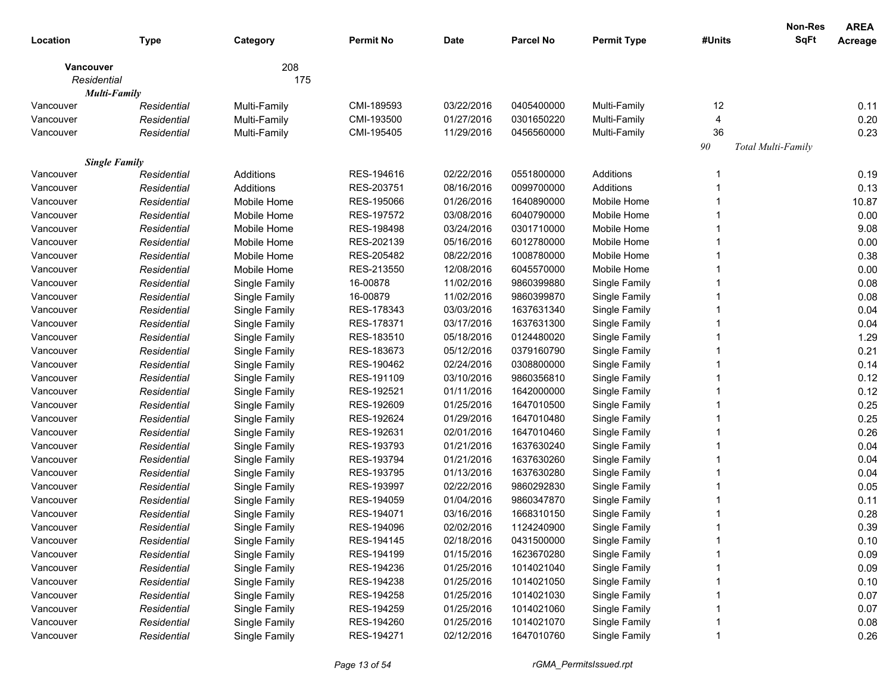|                  |                                     |               |                  |            |                  |                    |        | <b>Non-Res</b>     | <b>AREA</b> |
|------------------|-------------------------------------|---------------|------------------|------------|------------------|--------------------|--------|--------------------|-------------|
| Location         | <b>Type</b>                         | Category      | <b>Permit No</b> | Date       | <b>Parcel No</b> | <b>Permit Type</b> | #Units | SqFt               | Acreage     |
| <b>Vancouver</b> | Residential                         | 208<br>175    |                  |            |                  |                    |        |                    |             |
|                  | <b>Multi-Family</b>                 |               |                  |            |                  |                    |        |                    |             |
| Vancouver        | Residential                         | Multi-Family  | CMI-189593       | 03/22/2016 | 0405400000       | Multi-Family       | 12     |                    | 0.11        |
| Vancouver        | Residential                         | Multi-Family  | CMI-193500       | 01/27/2016 | 0301650220       | Multi-Family       | 4      |                    | 0.20        |
| Vancouver        | Residential                         | Multi-Family  | CMI-195405       | 11/29/2016 | 0456560000       | Multi-Family       | 36     |                    | 0.23        |
|                  |                                     |               |                  |            |                  |                    | 90     | Total Multi-Family |             |
| Vancouver        | <b>Single Family</b><br>Residential | Additions     | RES-194616       | 02/22/2016 | 0551800000       | Additions          | 1      |                    | 0.19        |
| Vancouver        | Residential                         | Additions     | RES-203751       | 08/16/2016 | 0099700000       | Additions          |        |                    | 0.13        |
| Vancouver        | Residential                         | Mobile Home   | RES-195066       | 01/26/2016 | 1640890000       | Mobile Home        |        |                    | 10.87       |
| Vancouver        | Residential                         | Mobile Home   | RES-197572       | 03/08/2016 | 6040790000       | Mobile Home        |        |                    | 0.00        |
| Vancouver        | Residential                         | Mobile Home   | RES-198498       | 03/24/2016 | 0301710000       | Mobile Home        |        |                    | 9.08        |
| Vancouver        | Residential                         | Mobile Home   | RES-202139       | 05/16/2016 | 6012780000       | Mobile Home        |        |                    | 0.00        |
| Vancouver        | Residential                         | Mobile Home   | RES-205482       | 08/22/2016 | 1008780000       | Mobile Home        |        |                    | 0.38        |
| Vancouver        | Residential                         | Mobile Home   | RES-213550       | 12/08/2016 | 6045570000       | Mobile Home        |        |                    | 0.00        |
| Vancouver        | Residential                         | Single Family | 16-00878         | 11/02/2016 | 9860399880       | Single Family      |        |                    | 0.08        |
| Vancouver        | Residential                         |               | 16-00879         | 11/02/2016 | 9860399870       |                    |        |                    | 0.08        |
| Vancouver        | Residential                         | Single Family | RES-178343       | 03/03/2016 | 1637631340       | Single Family      |        |                    | 0.04        |
| Vancouver        | Residential                         | Single Family | RES-178371       | 03/17/2016 | 1637631300       | Single Family      |        |                    | 0.04        |
|                  | Residential                         | Single Family | RES-183510       |            |                  | Single Family      |        |                    | 1.29        |
| Vancouver        |                                     | Single Family |                  | 05/18/2016 | 0124480020       | Single Family      |        |                    |             |
| Vancouver        | Residential                         | Single Family | RES-183673       | 05/12/2016 | 0379160790       | Single Family      |        |                    | 0.21        |
| Vancouver        | Residential                         | Single Family | RES-190462       | 02/24/2016 | 0308800000       | Single Family      |        |                    | 0.14        |
| Vancouver        | Residential                         | Single Family | RES-191109       | 03/10/2016 | 9860356810       | Single Family      |        |                    | 0.12        |
| Vancouver        | Residential                         | Single Family | RES-192521       | 01/11/2016 | 1642000000       | Single Family      |        |                    | 0.12        |
| Vancouver        | Residential                         | Single Family | RES-192609       | 01/25/2016 | 1647010500       | Single Family      |        |                    | 0.25        |
| Vancouver        | Residential                         | Single Family | RES-192624       | 01/29/2016 | 1647010480       | Single Family      |        |                    | 0.25        |
| Vancouver        | Residential                         | Single Family | RES-192631       | 02/01/2016 | 1647010460       | Single Family      |        |                    | 0.26        |
| Vancouver        | Residential                         | Single Family | RES-193793       | 01/21/2016 | 1637630240       | Single Family      |        |                    | 0.04        |
| Vancouver        | Residential                         | Single Family | RES-193794       | 01/21/2016 | 1637630260       | Single Family      |        |                    | 0.04        |
| Vancouver        | Residential                         | Single Family | RES-193795       | 01/13/2016 | 1637630280       | Single Family      |        |                    | 0.04        |
| Vancouver        | Residential                         | Single Family | RES-193997       | 02/22/2016 | 9860292830       | Single Family      |        |                    | 0.05        |
| Vancouver        | Residential                         | Single Family | RES-194059       | 01/04/2016 | 9860347870       | Single Family      |        |                    | 0.11        |
| Vancouver        | Residential                         | Single Family | RES-194071       | 03/16/2016 | 1668310150       | Single Family      |        |                    | 0.28        |
| Vancouver        | Residential                         | Single Family | RES-194096       | 02/02/2016 | 1124240900       | Single Family      |        |                    | 0.39        |
| Vancouver        | Residential                         | Single Family | RES-194145       | 02/18/2016 | 0431500000       | Single Family      |        |                    | 0.10        |
| Vancouver        | Residential                         | Single Family | RES-194199       | 01/15/2016 | 1623670280       | Single Family      |        |                    | 0.09        |
| Vancouver        | Residential                         | Single Family | RES-194236       | 01/25/2016 | 1014021040       | Single Family      |        |                    | 0.09        |
| Vancouver        | Residential                         | Single Family | RES-194238       | 01/25/2016 | 1014021050       | Single Family      |        |                    | 0.10        |
| Vancouver        | Residential                         | Single Family | RES-194258       | 01/25/2016 | 1014021030       | Single Family      |        |                    | 0.07        |
| Vancouver        | Residential                         | Single Family | RES-194259       | 01/25/2016 | 1014021060       | Single Family      |        |                    | 0.07        |
| Vancouver        | Residential                         | Single Family | RES-194260       | 01/25/2016 | 1014021070       | Single Family      |        |                    | 0.08        |
| Vancouver        | Residential                         | Single Family | RES-194271       | 02/12/2016 | 1647010760       | Single Family      |        |                    | 0.26        |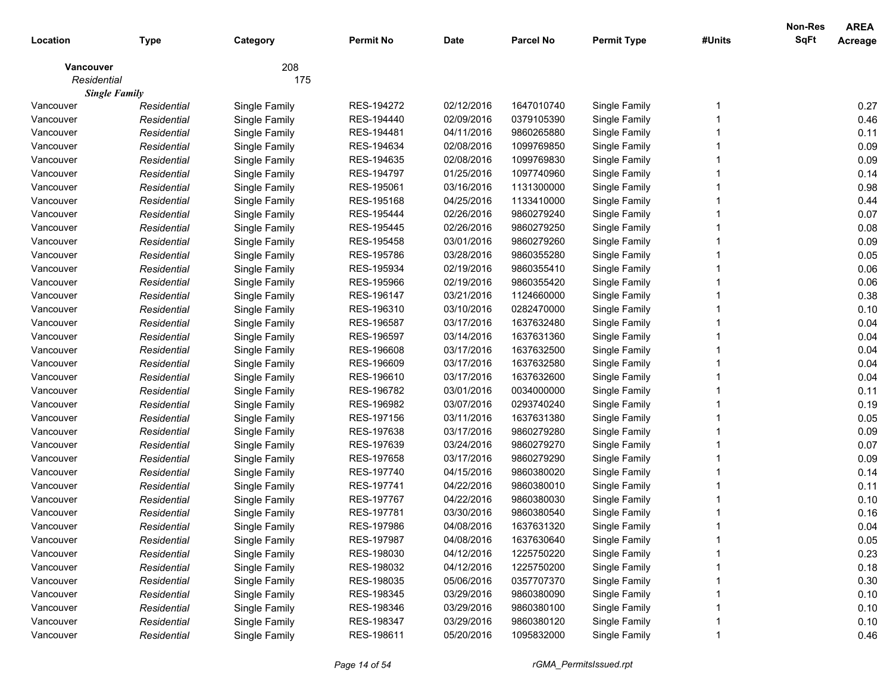|                  |                      |               |                  |             |                  |                    |        | <b>Non-Res</b> | <b>AREA</b>    |
|------------------|----------------------|---------------|------------------|-------------|------------------|--------------------|--------|----------------|----------------|
| Location         | <b>Type</b>          | Category      | <b>Permit No</b> | <b>Date</b> | <b>Parcel No</b> | <b>Permit Type</b> | #Units | <b>SqFt</b>    | <b>Acreage</b> |
| <b>Vancouver</b> |                      | 208           |                  |             |                  |                    |        |                |                |
| Residential      |                      | 175           |                  |             |                  |                    |        |                |                |
|                  | <b>Single Family</b> |               |                  |             |                  |                    |        |                |                |
| Vancouver        | Residential          | Single Family | RES-194272       | 02/12/2016  | 1647010740       | Single Family      |        |                | 0.27           |
| Vancouver        | Residential          | Single Family | RES-194440       | 02/09/2016  | 0379105390       | Single Family      |        |                | 0.46           |
| Vancouver        | Residential          | Single Family | RES-194481       | 04/11/2016  | 9860265880       | Single Family      |        |                | 0.11           |
| Vancouver        | Residential          | Single Family | RES-194634       | 02/08/2016  | 1099769850       | Single Family      |        |                | 0.09           |
| Vancouver        | Residential          | Single Family | RES-194635       | 02/08/2016  | 1099769830       | Single Family      |        |                | 0.09           |
| Vancouver        | Residential          | Single Family | RES-194797       | 01/25/2016  | 1097740960       | Single Family      |        |                | 0.14           |
| Vancouver        | Residential          | Single Family | RES-195061       | 03/16/2016  | 1131300000       | Single Family      |        |                | 0.98           |
| Vancouver        | Residential          | Single Family | RES-195168       | 04/25/2016  | 1133410000       | Single Family      |        |                | 0.44           |
| Vancouver        | Residential          | Single Family | RES-195444       | 02/26/2016  | 9860279240       | Single Family      |        |                | 0.07           |
| Vancouver        | Residential          | Single Family | RES-195445       | 02/26/2016  | 9860279250       | Single Family      |        |                | 0.08           |
| Vancouver        | Residential          | Single Family | RES-195458       | 03/01/2016  | 9860279260       | Single Family      |        |                | 0.09           |
| Vancouver        | Residential          | Single Family | RES-195786       | 03/28/2016  | 9860355280       | Single Family      |        |                | 0.05           |
| Vancouver        | Residential          | Single Family | RES-195934       | 02/19/2016  | 9860355410       | Single Family      |        |                | 0.06           |
| Vancouver        | Residential          | Single Family | RES-195966       | 02/19/2016  | 9860355420       | Single Family      |        |                | 0.06           |
| Vancouver        | Residential          | Single Family | RES-196147       | 03/21/2016  | 1124660000       | Single Family      |        |                | 0.38           |
| Vancouver        | Residential          | Single Family | RES-196310       | 03/10/2016  | 0282470000       | Single Family      |        |                | 0.10           |
| Vancouver        | Residential          | Single Family | RES-196587       | 03/17/2016  | 1637632480       | Single Family      |        |                | 0.04           |
| Vancouver        | Residential          | Single Family | RES-196597       | 03/14/2016  | 1637631360       | Single Family      |        |                | 0.04           |
| Vancouver        | Residential          | Single Family | RES-196608       | 03/17/2016  | 1637632500       | Single Family      |        |                | 0.04           |
| Vancouver        | Residential          | Single Family | RES-196609       | 03/17/2016  | 1637632580       | Single Family      |        |                | 0.04           |
| Vancouver        | Residential          | Single Family | RES-196610       | 03/17/2016  | 1637632600       | Single Family      |        |                | 0.04           |
| Vancouver        | Residential          | Single Family | RES-196782       | 03/01/2016  | 0034000000       | Single Family      |        |                | 0.11           |
| Vancouver        | Residential          | Single Family | RES-196982       | 03/07/2016  | 0293740240       | Single Family      |        |                | 0.19           |
| Vancouver        | Residential          | Single Family | RES-197156       | 03/11/2016  | 1637631380       | Single Family      |        |                | 0.05           |
| Vancouver        | Residential          | Single Family | RES-197638       | 03/17/2016  | 9860279280       | Single Family      |        |                | 0.09           |
| Vancouver        | Residential          | Single Family | RES-197639       | 03/24/2016  | 9860279270       | Single Family      |        |                | 0.07           |
| Vancouver        | Residential          | Single Family | RES-197658       | 03/17/2016  | 9860279290       | Single Family      |        |                | 0.09           |
| Vancouver        | Residential          | Single Family | RES-197740       | 04/15/2016  | 9860380020       | Single Family      |        |                | 0.14           |
| Vancouver        | Residential          | Single Family | RES-197741       | 04/22/2016  | 9860380010       | Single Family      |        |                | 0.11           |
| Vancouver        | Residential          | Single Family | RES-197767       | 04/22/2016  | 9860380030       | Single Family      |        |                | 0.10           |
| Vancouver        | Residential          | Single Family | RES-197781       | 03/30/2016  | 9860380540       | Single Family      |        |                | 0.16           |
| Vancouver        | Residential          | Single Family | RES-197986       | 04/08/2016  | 1637631320       | Single Family      |        |                | 0.04           |
| Vancouver        | Residential          | Single Family | RES-197987       | 04/08/2016  | 1637630640       | Single Family      |        |                | 0.05           |
| Vancouver        | Residential          | Single Family | RES-198030       | 04/12/2016  | 1225750220       | Single Family      |        |                | 0.23           |
| Vancouver        | Residential          | Single Family | RES-198032       | 04/12/2016  | 1225750200       | Single Family      |        |                | 0.18           |
| Vancouver        | Residential          | Single Family | RES-198035       | 05/06/2016  | 0357707370       | Single Family      |        |                | 0.30           |
| Vancouver        | Residential          | Single Family | RES-198345       | 03/29/2016  | 9860380090       | Single Family      |        |                | 0.10           |
| Vancouver        | Residential          | Single Family | RES-198346       | 03/29/2016  | 9860380100       | Single Family      |        |                | 0.10           |
| Vancouver        | Residential          | Single Family | RES-198347       | 03/29/2016  | 9860380120       | Single Family      |        |                | 0.10           |
| Vancouver        | Residential          | Single Family | RES-198611       | 05/20/2016  | 1095832000       | Single Family      |        |                | 0.46           |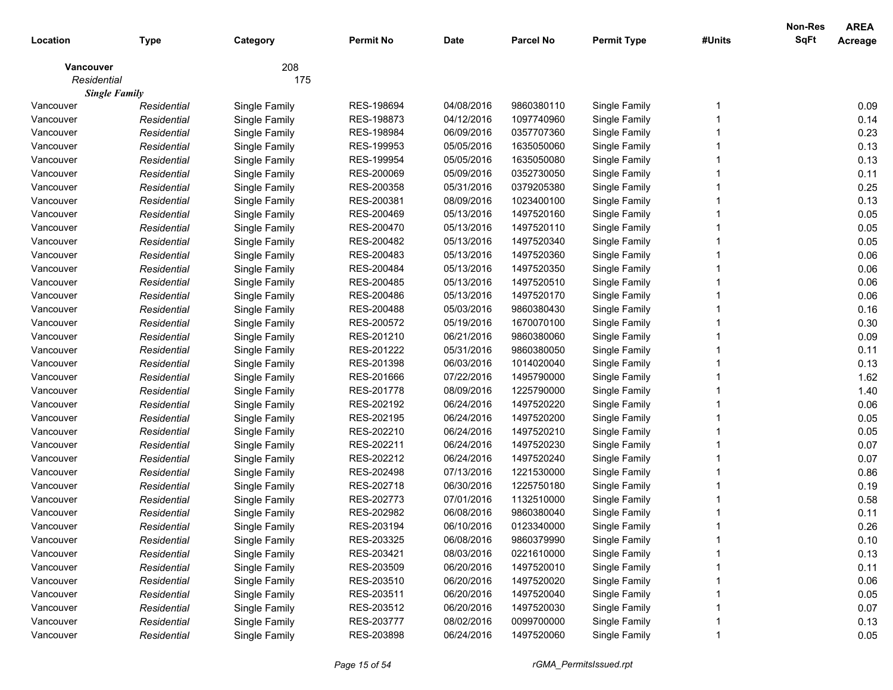|                  |                      |               |                  |             |                  |                    |        | <b>Non-Res</b> | <b>AREA</b>    |
|------------------|----------------------|---------------|------------------|-------------|------------------|--------------------|--------|----------------|----------------|
| Location         | <b>Type</b>          | Category      | <b>Permit No</b> | <b>Date</b> | <b>Parcel No</b> | <b>Permit Type</b> | #Units | <b>SqFt</b>    | <b>Acreage</b> |
| <b>Vancouver</b> |                      | 208           |                  |             |                  |                    |        |                |                |
| Residential      |                      | 175           |                  |             |                  |                    |        |                |                |
|                  | <b>Single Family</b> |               |                  |             |                  |                    |        |                |                |
| Vancouver        | Residential          | Single Family | RES-198694       | 04/08/2016  | 9860380110       | Single Family      |        |                | 0.09           |
| Vancouver        | Residential          | Single Family | RES-198873       | 04/12/2016  | 1097740960       | Single Family      |        |                | 0.14           |
| Vancouver        | Residential          | Single Family | RES-198984       | 06/09/2016  | 0357707360       | Single Family      |        |                | 0.23           |
| Vancouver        | Residential          | Single Family | RES-199953       | 05/05/2016  | 1635050060       | Single Family      |        |                | 0.13           |
| Vancouver        | Residential          | Single Family | RES-199954       | 05/05/2016  | 1635050080       | Single Family      |        |                | 0.13           |
| Vancouver        | Residential          | Single Family | RES-200069       | 05/09/2016  | 0352730050       | Single Family      |        |                | 0.11           |
| Vancouver        | Residential          | Single Family | RES-200358       | 05/31/2016  | 0379205380       | Single Family      |        |                | 0.25           |
| Vancouver        | Residential          | Single Family | RES-200381       | 08/09/2016  | 1023400100       | Single Family      |        |                | 0.13           |
| Vancouver        | Residential          | Single Family | RES-200469       | 05/13/2016  | 1497520160       | Single Family      |        |                | 0.05           |
| Vancouver        | Residential          | Single Family | RES-200470       | 05/13/2016  | 1497520110       | Single Family      |        |                | 0.05           |
| Vancouver        | Residential          | Single Family | RES-200482       | 05/13/2016  | 1497520340       | Single Family      |        |                | 0.05           |
| Vancouver        | Residential          | Single Family | RES-200483       | 05/13/2016  | 1497520360       | Single Family      |        |                | 0.06           |
| Vancouver        | Residential          | Single Family | RES-200484       | 05/13/2016  | 1497520350       | Single Family      |        |                | 0.06           |
| Vancouver        | Residential          | Single Family | RES-200485       | 05/13/2016  | 1497520510       | Single Family      |        |                | 0.06           |
| Vancouver        | Residential          | Single Family | RES-200486       | 05/13/2016  | 1497520170       | Single Family      |        |                | 0.06           |
| Vancouver        | Residential          | Single Family | RES-200488       | 05/03/2016  | 9860380430       | Single Family      |        |                | 0.16           |
| Vancouver        | Residential          | Single Family | RES-200572       | 05/19/2016  | 1670070100       | Single Family      |        |                | 0.30           |
| Vancouver        | Residential          | Single Family | RES-201210       | 06/21/2016  | 9860380060       | Single Family      |        |                | 0.09           |
| Vancouver        | Residential          | Single Family | RES-201222       | 05/31/2016  | 9860380050       | Single Family      |        |                | 0.11           |
| Vancouver        | Residential          | Single Family | RES-201398       | 06/03/2016  | 1014020040       | Single Family      |        |                | 0.13           |
| Vancouver        | Residential          | Single Family | RES-201666       | 07/22/2016  | 1495790000       | Single Family      |        |                | 1.62           |
| Vancouver        | Residential          | Single Family | RES-201778       | 08/09/2016  | 1225790000       | Single Family      |        |                | 1.40           |
| Vancouver        | Residential          | Single Family | RES-202192       | 06/24/2016  | 1497520220       | Single Family      |        |                | 0.06           |
| Vancouver        | Residential          | Single Family | RES-202195       | 06/24/2016  | 1497520200       | Single Family      |        |                | 0.05           |
| Vancouver        | Residential          | Single Family | RES-202210       | 06/24/2016  | 1497520210       | Single Family      |        |                | 0.05           |
| Vancouver        | Residential          | Single Family | RES-202211       | 06/24/2016  | 1497520230       | Single Family      |        |                | 0.07           |
| Vancouver        | Residential          | Single Family | RES-202212       | 06/24/2016  | 1497520240       | Single Family      |        |                | 0.07           |
| Vancouver        | Residential          | Single Family | RES-202498       | 07/13/2016  | 1221530000       | Single Family      |        |                | 0.86           |
| Vancouver        | Residential          | Single Family | RES-202718       | 06/30/2016  | 1225750180       | Single Family      |        |                | 0.19           |
| Vancouver        | Residential          | Single Family | RES-202773       | 07/01/2016  | 1132510000       | Single Family      |        |                | 0.58           |
| Vancouver        | Residential          | Single Family | RES-202982       | 06/08/2016  | 9860380040       | Single Family      |        |                | 0.11           |
| Vancouver        | Residential          | Single Family | RES-203194       | 06/10/2016  | 0123340000       | Single Family      |        |                | 0.26           |
| Vancouver        | Residential          | Single Family | RES-203325       | 06/08/2016  | 9860379990       | Single Family      |        |                | 0.10           |
| Vancouver        | Residential          | Single Family | RES-203421       | 08/03/2016  | 0221610000       | Single Family      |        |                | 0.13           |
| Vancouver        | Residential          | Single Family | RES-203509       | 06/20/2016  | 1497520010       | Single Family      |        |                | 0.11           |
| Vancouver        | Residential          | Single Family | RES-203510       | 06/20/2016  | 1497520020       | Single Family      |        |                | 0.06           |
| Vancouver        | Residential          | Single Family | RES-203511       | 06/20/2016  | 1497520040       | Single Family      |        |                | 0.05           |
| Vancouver        | Residential          | Single Family | RES-203512       | 06/20/2016  | 1497520030       | Single Family      |        |                | 0.07           |
| Vancouver        | Residential          | Single Family | RES-203777       | 08/02/2016  | 0099700000       | Single Family      |        |                | 0.13           |
| Vancouver        |                      |               | RES-203898       | 06/24/2016  | 1497520060       | Single Family      |        |                |                |
|                  | Residential          | Single Family |                  |             |                  |                    |        |                | 0.05           |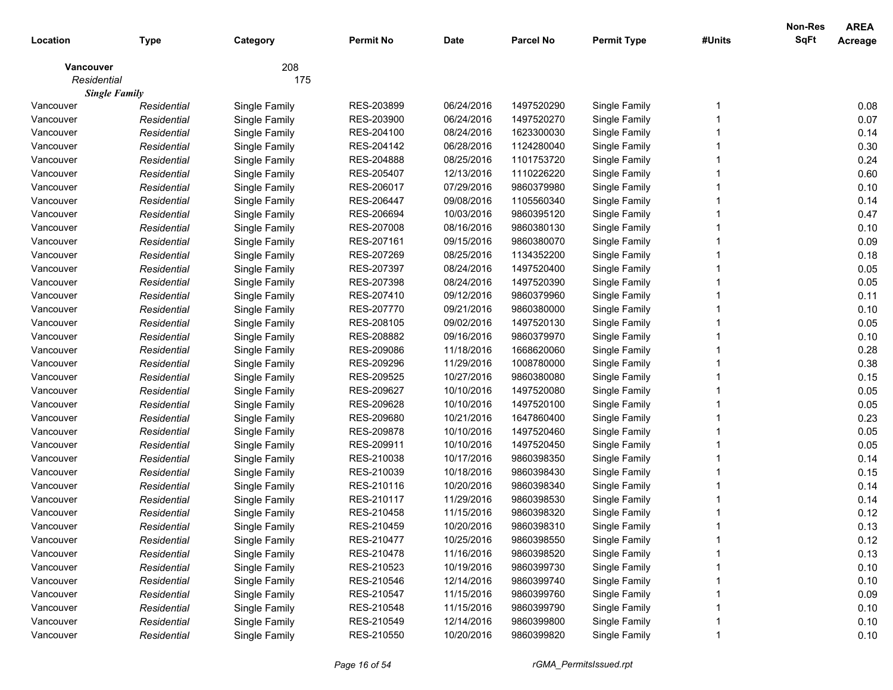| Location    | <b>Type</b>          | Category      | <b>Permit No</b> | <b>Date</b> | <b>Parcel No</b> | <b>Permit Type</b> | #Units | <b>Non-Res</b><br><b>SqFt</b> | <b>AREA</b><br><b>Acreage</b> |
|-------------|----------------------|---------------|------------------|-------------|------------------|--------------------|--------|-------------------------------|-------------------------------|
|             |                      |               |                  |             |                  |                    |        |                               |                               |
| Vancouver   |                      | 208           |                  |             |                  |                    |        |                               |                               |
| Residential |                      | 175           |                  |             |                  |                    |        |                               |                               |
|             | <b>Single Family</b> |               |                  |             |                  |                    |        |                               |                               |
| Vancouver   | Residential          | Single Family | RES-203899       | 06/24/2016  | 1497520290       | Single Family      |        |                               | 0.08                          |
| Vancouver   | Residential          | Single Family | RES-203900       | 06/24/2016  | 1497520270       | Single Family      |        |                               | 0.07                          |
| Vancouver   | Residential          | Single Family | RES-204100       | 08/24/2016  | 1623300030       | Single Family      |        |                               | 0.14                          |
| Vancouver   | Residential          | Single Family | RES-204142       | 06/28/2016  | 1124280040       | Single Family      |        |                               | 0.30                          |
| Vancouver   | Residential          | Single Family | RES-204888       | 08/25/2016  | 1101753720       | Single Family      |        |                               | 0.24                          |
| Vancouver   | Residential          | Single Family | RES-205407       | 12/13/2016  | 1110226220       | Single Family      |        |                               | 0.60                          |
| Vancouver   | Residential          | Single Family | RES-206017       | 07/29/2016  | 9860379980       | Single Family      |        |                               | 0.10                          |
| Vancouver   | Residential          | Single Family | RES-206447       | 09/08/2016  | 1105560340       | Single Family      |        |                               | 0.14                          |
| Vancouver   | Residential          | Single Family | RES-206694       | 10/03/2016  | 9860395120       | Single Family      |        |                               | 0.47                          |
| Vancouver   | Residential          | Single Family | RES-207008       | 08/16/2016  | 9860380130       | Single Family      |        |                               | 0.10                          |
| Vancouver   | Residential          | Single Family | RES-207161       | 09/15/2016  | 9860380070       | Single Family      |        |                               | 0.09                          |
| Vancouver   | Residential          | Single Family | RES-207269       | 08/25/2016  | 1134352200       | Single Family      |        |                               | 0.18                          |
| Vancouver   | Residential          | Single Family | RES-207397       | 08/24/2016  | 1497520400       | Single Family      |        |                               | 0.05                          |
| Vancouver   | Residential          | Single Family | RES-207398       | 08/24/2016  | 1497520390       | Single Family      |        |                               | 0.05                          |
| Vancouver   | Residential          | Single Family | RES-207410       | 09/12/2016  | 9860379960       | Single Family      |        |                               | 0.11                          |
| Vancouver   | Residential          | Single Family | RES-207770       | 09/21/2016  | 9860380000       | Single Family      |        |                               | 0.10                          |
| Vancouver   | Residential          | Single Family | RES-208105       | 09/02/2016  | 1497520130       | Single Family      |        |                               | 0.05                          |
| Vancouver   | Residential          | Single Family | RES-208882       | 09/16/2016  | 9860379970       | Single Family      |        |                               | 0.10                          |
| Vancouver   | Residential          | Single Family | RES-209086       | 11/18/2016  | 1668620060       | Single Family      |        |                               | 0.28                          |
| Vancouver   | Residential          | Single Family | RES-209296       | 11/29/2016  | 1008780000       | Single Family      |        |                               | 0.38                          |
| Vancouver   | Residential          | Single Family | RES-209525       | 10/27/2016  | 9860380080       | Single Family      |        |                               | 0.15                          |
| Vancouver   | Residential          | Single Family | RES-209627       | 10/10/2016  | 1497520080       | Single Family      |        |                               | 0.05                          |
| Vancouver   | Residential          | Single Family | RES-209628       | 10/10/2016  | 1497520100       | Single Family      |        |                               | 0.05                          |
| Vancouver   | Residential          | Single Family | RES-209680       | 10/21/2016  | 1647860400       | Single Family      |        |                               | 0.23                          |
| Vancouver   | Residential          | Single Family | RES-209878       | 10/10/2016  | 1497520460       | Single Family      |        |                               | 0.05                          |
| Vancouver   | Residential          | Single Family | RES-209911       | 10/10/2016  | 1497520450       | Single Family      |        |                               | 0.05                          |
| Vancouver   | Residential          | Single Family | RES-210038       | 10/17/2016  | 9860398350       | Single Family      |        |                               | 0.14                          |
| Vancouver   | Residential          | Single Family | RES-210039       | 10/18/2016  | 9860398430       | Single Family      |        |                               | 0.15                          |
| Vancouver   | Residential          | Single Family | RES-210116       | 10/20/2016  | 9860398340       | Single Family      |        |                               | 0.14                          |
| Vancouver   | Residential          | Single Family | RES-210117       | 11/29/2016  | 9860398530       | Single Family      |        |                               | 0.14                          |
| Vancouver   | Residential          | Single Family | RES-210458       | 11/15/2016  | 9860398320       | Single Family      |        |                               | 0.12                          |
| Vancouver   | Residential          | Single Family | RES-210459       | 10/20/2016  | 9860398310       | Single Family      |        |                               | 0.13                          |
| Vancouver   | Residential          | Single Family | RES-210477       | 10/25/2016  | 9860398550       | Single Family      |        |                               | 0.12                          |
| Vancouver   | Residential          | Single Family | RES-210478       | 11/16/2016  | 9860398520       | Single Family      |        |                               | 0.13                          |
| Vancouver   | Residential          | Single Family | RES-210523       | 10/19/2016  | 9860399730       | Single Family      |        |                               | 0.10                          |
| Vancouver   | Residential          | Single Family | RES-210546       | 12/14/2016  | 9860399740       | Single Family      |        |                               | 0.10                          |
| Vancouver   | Residential          | Single Family | RES-210547       | 11/15/2016  | 9860399760       | Single Family      |        |                               | 0.09                          |
| Vancouver   | Residential          | Single Family | RES-210548       | 11/15/2016  | 9860399790       | Single Family      |        |                               | 0.10                          |
| Vancouver   | Residential          | Single Family | RES-210549       | 12/14/2016  | 9860399800       | Single Family      |        |                               | 0.10                          |
| Vancouver   | Residential          | Single Family | RES-210550       | 10/20/2016  | 9860399820       | Single Family      |        |                               | 0.10                          |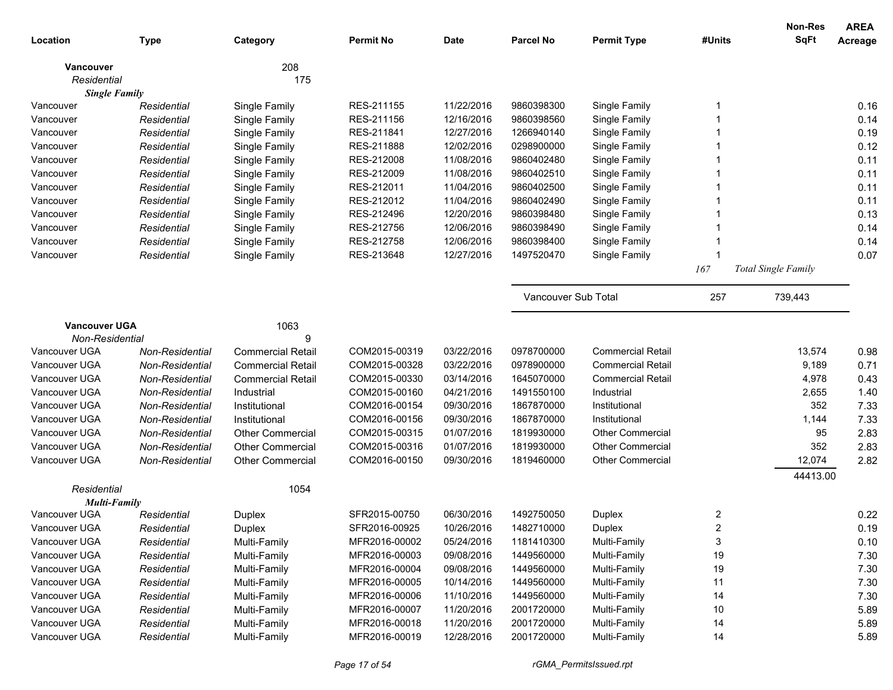|                                |                 |                          |                                |                          |                          |                              |          | <b>Non-Res</b>             | <b>AREA</b> |
|--------------------------------|-----------------|--------------------------|--------------------------------|--------------------------|--------------------------|------------------------------|----------|----------------------------|-------------|
| Location                       | <b>Type</b>     | Category                 | <b>Permit No</b>               | <b>Date</b>              | <b>Parcel No</b>         | <b>Permit Type</b>           | #Units   | <b>SqFt</b>                | Acreage     |
| <b>Vancouver</b>               |                 | 208                      |                                |                          |                          |                              |          |                            |             |
| Residential                    |                 | 175                      |                                |                          |                          |                              |          |                            |             |
| <b>Single Family</b>           |                 |                          |                                |                          |                          |                              |          |                            |             |
| Vancouver                      | Residential     | Single Family            | RES-211155                     | 11/22/2016               | 9860398300               | Single Family                |          |                            | 0.16        |
| Vancouver                      | Residential     | Single Family            | RES-211156                     | 12/16/2016               | 9860398560               | Single Family                |          |                            | 0.14        |
| Vancouver                      | Residential     | Single Family            | RES-211841                     | 12/27/2016               | 1266940140               | Single Family                |          |                            | 0.19        |
| Vancouver                      | Residential     | Single Family            | RES-211888                     | 12/02/2016               | 0298900000               | Single Family                |          |                            | 0.12        |
| Vancouver                      | Residential     | Single Family            | RES-212008                     | 11/08/2016               | 9860402480               | Single Family                |          |                            | 0.11        |
| Vancouver                      | Residential     | Single Family            | RES-212009                     | 11/08/2016               | 9860402510               | Single Family                |          |                            | 0.11        |
| Vancouver                      | Residential     | Single Family            | RES-212011                     | 11/04/2016               | 9860402500               | Single Family                |          |                            | 0.11        |
| Vancouver                      | Residential     | Single Family            | RES-212012                     | 11/04/2016               | 9860402490               | Single Family                |          |                            | 0.11        |
| Vancouver                      | Residential     | Single Family            | RES-212496                     | 12/20/2016               | 9860398480               | Single Family                |          |                            | 0.13        |
| Vancouver                      | Residential     | Single Family            | RES-212756                     | 12/06/2016               | 9860398490               | Single Family                |          |                            | 0.14        |
| Vancouver                      | Residential     | Single Family            | RES-212758                     | 12/06/2016               | 9860398400               | Single Family                |          |                            | 0.14        |
| Vancouver                      | Residential     | Single Family            | RES-213648                     | 12/27/2016               | 1497520470               | Single Family                |          |                            | 0.07        |
|                                |                 |                          |                                |                          |                          |                              | 167      | <b>Total Single Family</b> |             |
|                                |                 |                          |                                |                          | Vancouver Sub Total      |                              | 257      | 739,443                    |             |
| <b>Vancouver UGA</b>           |                 | 1063                     |                                |                          |                          |                              |          |                            |             |
| Non-Residential                |                 | 9                        |                                |                          |                          |                              |          |                            |             |
| Vancouver UGA                  | Non-Residential | <b>Commercial Retail</b> | COM2015-00319                  | 03/22/2016               | 0978700000               | <b>Commercial Retail</b>     |          | 13,574                     | 0.98        |
| Vancouver UGA                  | Non-Residential | <b>Commercial Retail</b> | COM2015-00328                  | 03/22/2016               | 0978900000               | <b>Commercial Retail</b>     |          | 9,189                      | 0.71        |
| Vancouver UGA                  | Non-Residential | <b>Commercial Retail</b> | COM2015-00330                  | 03/14/2016               | 1645070000               | <b>Commercial Retail</b>     |          | 4,978                      | 0.43        |
| Vancouver UGA                  | Non-Residential | Industrial               | COM2015-00160                  | 04/21/2016               | 1491550100               | Industrial                   |          | 2,655                      | 1.40        |
| Vancouver UGA                  | Non-Residential | Institutional            | COM2016-00154                  | 09/30/2016               | 1867870000               | Institutional                |          | 352                        | 7.33        |
| Vancouver UGA                  | Non-Residential | Institutional            | COM2016-00156                  | 09/30/2016               | 1867870000               | Institutional                |          | 1,144                      | 7.33        |
| Vancouver UGA                  | Non-Residential | <b>Other Commercial</b>  | COM2015-00315                  | 01/07/2016               | 1819930000               | <b>Other Commercial</b>      |          | 95                         | 2.83        |
| Vancouver UGA                  | Non-Residential | Other Commercial         | COM2015-00316                  | 01/07/2016               | 1819930000               | <b>Other Commercial</b>      |          | 352                        | 2.83        |
| Vancouver UGA                  | Non-Residential | <b>Other Commercial</b>  | COM2016-00150                  | 09/30/2016               | 1819460000               | <b>Other Commercial</b>      |          | 12,074                     | 2.82        |
|                                |                 |                          |                                |                          |                          |                              |          | 44413.00                   |             |
| Residential                    |                 | 1054                     |                                |                          |                          |                              |          |                            |             |
| <b>Multi-Family</b>            |                 |                          |                                |                          |                          |                              |          |                            |             |
| Vancouver UGA                  | Residential     | Duplex                   | SFR2015-00750                  | 06/30/2016               | 1492750050               | Duplex                       | 2<br>っ   |                            | 0.22        |
| Vancouver UGA                  | Residential     | Duplex                   | SFR2016-00925                  | 10/26/2016               | 1482710000               | Duplex                       |          |                            | 0.19        |
| Vancouver UGA                  | Residential     | Multi-Family             | MFR2016-00002                  | 05/24/2016               | 1181410300               | Multi-Family                 | 3        |                            | 0.10        |
| Vancouver UGA                  | Residential     | Multi-Family             | MFR2016-00003                  | 09/08/2016               | 1449560000               | Multi-Family                 | 19       |                            | 7.30        |
| Vancouver UGA                  | Residential     | Multi-Family             | MFR2016-00004                  | 09/08/2016               | 1449560000               | Multi-Family                 | 19       |                            | 7.30        |
| Vancouver UGA                  | Residential     | Multi-Family             | MFR2016-00005                  | 10/14/2016               | 1449560000               | Multi-Family                 | 11       |                            | 7.30        |
| Vancouver UGA                  | Residential     | Multi-Family             | MFR2016-00006                  | 11/10/2016               | 1449560000               | Multi-Family                 | 14       |                            | 7.30        |
| Vancouver UGA<br>Vancouver UGA | Residential     | Multi-Family             | MFR2016-00007<br>MFR2016-00018 | 11/20/2016<br>11/20/2016 | 2001720000               | Multi-Family<br>Multi-Family | 10<br>14 |                            | 5.89        |
| Vancouver UGA                  | Residential     | Multi-Family             | MFR2016-00019                  | 12/28/2016               | 2001720000<br>2001720000 | Multi-Family                 | 14       |                            | 5.89        |
|                                | Residential     | Multi-Family             |                                |                          |                          |                              |          |                            | 5.89        |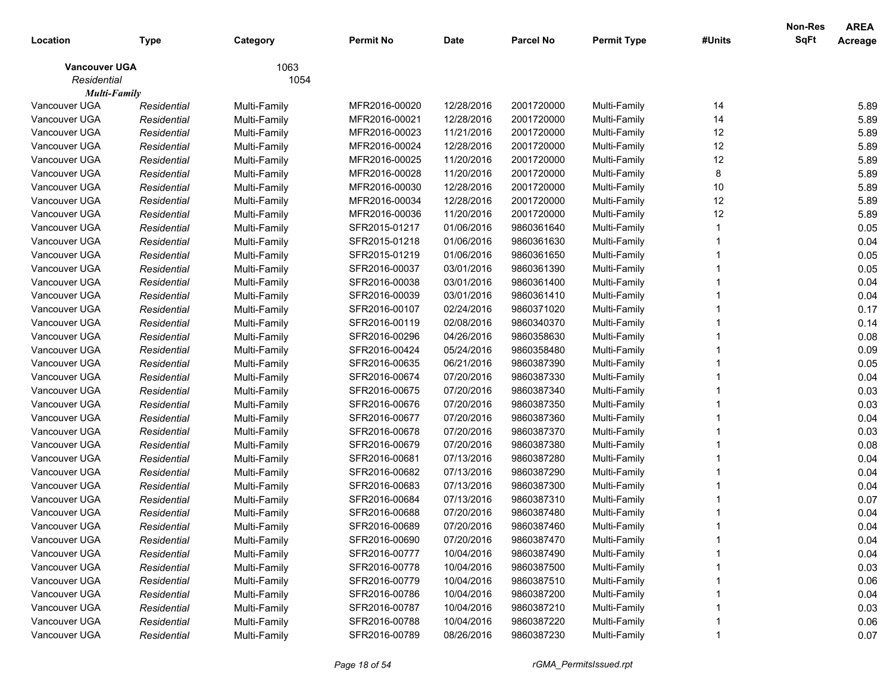|                      |             |              |                  |             |                  |                    |        | <b>Non-Res</b> | <b>AREA</b> |
|----------------------|-------------|--------------|------------------|-------------|------------------|--------------------|--------|----------------|-------------|
| Location             | <b>Type</b> | Category     | <b>Permit No</b> | <b>Date</b> | <b>Parcel No</b> | <b>Permit Type</b> | #Units | SqFt           | Acreage     |
| <b>Vancouver UGA</b> |             | 1063         |                  |             |                  |                    |        |                |             |
| Residential          |             | 1054         |                  |             |                  |                    |        |                |             |
| <b>Multi-Family</b>  |             |              |                  |             |                  |                    |        |                |             |
| Vancouver UGA        | Residential | Multi-Family | MFR2016-00020    | 12/28/2016  | 2001720000       | Multi-Family       | 14     |                | 5.89        |
| Vancouver UGA        | Residential | Multi-Family | MFR2016-00021    | 12/28/2016  | 2001720000       | Multi-Family       | 14     |                | 5.89        |
| Vancouver UGA        | Residential | Multi-Family | MFR2016-00023    | 11/21/2016  | 2001720000       | Multi-Family       | 12     |                | 5.89        |
| Vancouver UGA        | Residential | Multi-Family | MFR2016-00024    | 12/28/2016  | 2001720000       | Multi-Family       | 12     |                | 5.89        |
| Vancouver UGA        | Residential | Multi-Family | MFR2016-00025    | 11/20/2016  | 2001720000       | Multi-Family       | 12     |                | 5.89        |
| Vancouver UGA        | Residential | Multi-Family | MFR2016-00028    | 11/20/2016  | 2001720000       | Multi-Family       | 8      |                | 5.89        |
| Vancouver UGA        | Residential | Multi-Family | MFR2016-00030    | 12/28/2016  | 2001720000       | Multi-Family       | 10     |                | 5.89        |
| Vancouver UGA        | Residential | Multi-Family | MFR2016-00034    | 12/28/2016  | 2001720000       | Multi-Family       | 12     |                | 5.89        |
| Vancouver UGA        | Residential | Multi-Family | MFR2016-00036    | 11/20/2016  | 2001720000       | Multi-Family       | 12     |                | 5.89        |
| Vancouver UGA        | Residential | Multi-Family | SFR2015-01217    | 01/06/2016  | 9860361640       | Multi-Family       |        |                | 0.05        |
| Vancouver UGA        | Residential | Multi-Family | SFR2015-01218    | 01/06/2016  | 9860361630       | Multi-Family       |        |                | 0.04        |
| Vancouver UGA        | Residential | Multi-Family | SFR2015-01219    | 01/06/2016  | 9860361650       | Multi-Family       |        |                | 0.05        |
| Vancouver UGA        | Residential | Multi-Family | SFR2016-00037    | 03/01/2016  | 9860361390       | Multi-Family       |        |                | 0.05        |
| Vancouver UGA        | Residential | Multi-Family | SFR2016-00038    | 03/01/2016  | 9860361400       | Multi-Family       |        |                | 0.04        |
| Vancouver UGA        | Residential | Multi-Family | SFR2016-00039    | 03/01/2016  | 9860361410       | Multi-Family       |        |                | 0.04        |
| Vancouver UGA        | Residential | Multi-Family | SFR2016-00107    | 02/24/2016  | 9860371020       | Multi-Family       |        |                | 0.17        |
| Vancouver UGA        | Residential | Multi-Family | SFR2016-00119    | 02/08/2016  | 9860340370       | Multi-Family       |        |                | 0.14        |
| Vancouver UGA        | Residential | Multi-Family | SFR2016-00296    | 04/26/2016  | 9860358630       | Multi-Family       |        |                | 0.08        |
| Vancouver UGA        | Residential | Multi-Family | SFR2016-00424    | 05/24/2016  | 9860358480       | Multi-Family       |        |                | 0.09        |
| Vancouver UGA        | Residential | Multi-Family | SFR2016-00635    | 06/21/2016  | 9860387390       | Multi-Family       |        |                | 0.05        |
| Vancouver UGA        | Residential | Multi-Family | SFR2016-00674    | 07/20/2016  | 9860387330       | Multi-Family       |        |                | 0.04        |
| Vancouver UGA        | Residential | Multi-Family | SFR2016-00675    | 07/20/2016  | 9860387340       | Multi-Family       |        |                | 0.03        |
| Vancouver UGA        | Residential | Multi-Family | SFR2016-00676    | 07/20/2016  | 9860387350       | Multi-Family       |        |                | 0.03        |
| Vancouver UGA        | Residential | Multi-Family | SFR2016-00677    | 07/20/2016  | 9860387360       | Multi-Family       |        |                | 0.04        |
| Vancouver UGA        | Residential | Multi-Family | SFR2016-00678    | 07/20/2016  | 9860387370       | Multi-Family       |        |                | 0.03        |
| Vancouver UGA        | Residential | Multi-Family | SFR2016-00679    | 07/20/2016  | 9860387380       | Multi-Family       |        |                | 0.08        |
| Vancouver UGA        | Residential | Multi-Family | SFR2016-00681    | 07/13/2016  | 9860387280       | Multi-Family       |        |                | 0.04        |
| Vancouver UGA        | Residential | Multi-Family | SFR2016-00682    | 07/13/2016  | 9860387290       | Multi-Family       |        |                | 0.04        |
| Vancouver UGA        | Residential | Multi-Family | SFR2016-00683    | 07/13/2016  | 9860387300       | Multi-Family       |        |                | 0.04        |
| Vancouver UGA        | Residential | Multi-Family | SFR2016-00684    | 07/13/2016  | 9860387310       | Multi-Family       |        |                | 0.07        |
| Vancouver UGA        | Residential | Multi-Family | SFR2016-00688    | 07/20/2016  | 9860387480       | Multi-Family       |        |                | 0.04        |
| Vancouver UGA        | Residential | Multi-Family | SFR2016-00689    | 07/20/2016  | 9860387460       | Multi-Family       |        |                | 0.04        |
| Vancouver UGA        | Residential | Multi-Family | SFR2016-00690    | 07/20/2016  | 9860387470       | Multi-Family       |        |                | 0.04        |
| Vancouver UGA        | Residential | Multi-Family | SFR2016-00777    | 10/04/2016  | 9860387490       | Multi-Family       |        |                | 0.04        |
| Vancouver UGA        | Residential | Multi-Family | SFR2016-00778    | 10/04/2016  | 9860387500       | Multi-Family       |        |                | 0.03        |
| Vancouver UGA        | Residential | Multi-Family | SFR2016-00779    | 10/04/2016  | 9860387510       | Multi-Family       |        |                | 0.06        |
| Vancouver UGA        | Residential | Multi-Family | SFR2016-00786    | 10/04/2016  | 9860387200       | Multi-Family       |        |                | 0.04        |
| Vancouver UGA        | Residential | Multi-Family | SFR2016-00787    | 10/04/2016  | 9860387210       | Multi-Family       |        |                | 0.03        |
| Vancouver UGA        | Residential | Multi-Family | SFR2016-00788    | 10/04/2016  | 9860387220       | Multi-Family       |        |                | 0.06        |
| Vancouver UGA        | Residential | Multi-Family | SFR2016-00789    | 08/26/2016  | 9860387230       | Multi-Family       |        |                | 0.07        |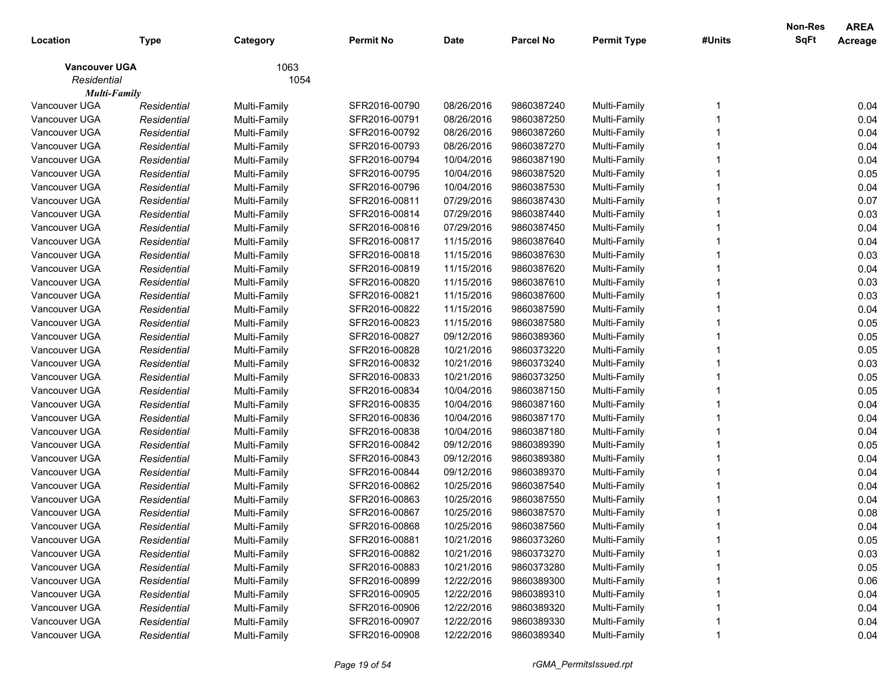|                      |             |              |                  |             |                  |                    |        | <b>Non-Res</b> | <b>AREA</b> |
|----------------------|-------------|--------------|------------------|-------------|------------------|--------------------|--------|----------------|-------------|
| Location             | <b>Type</b> | Category     | <b>Permit No</b> | <b>Date</b> | <b>Parcel No</b> | <b>Permit Type</b> | #Units | <b>SqFt</b>    | Acreage     |
| <b>Vancouver UGA</b> |             | 1063         |                  |             |                  |                    |        |                |             |
| Residential          |             | 1054         |                  |             |                  |                    |        |                |             |
| <b>Multi-Family</b>  |             |              |                  |             |                  |                    |        |                |             |
| Vancouver UGA        | Residential | Multi-Family | SFR2016-00790    | 08/26/2016  | 9860387240       | Multi-Family       |        |                | 0.04        |
| Vancouver UGA        | Residential | Multi-Family | SFR2016-00791    | 08/26/2016  | 9860387250       | Multi-Family       |        |                | 0.04        |
| Vancouver UGA        | Residential | Multi-Family | SFR2016-00792    | 08/26/2016  | 9860387260       | Multi-Family       |        |                | 0.04        |
| Vancouver UGA        | Residential | Multi-Family | SFR2016-00793    | 08/26/2016  | 9860387270       | Multi-Family       |        |                | 0.04        |
| Vancouver UGA        | Residential | Multi-Family | SFR2016-00794    | 10/04/2016  | 9860387190       | Multi-Family       |        |                | 0.04        |
| Vancouver UGA        | Residential | Multi-Family | SFR2016-00795    | 10/04/2016  | 9860387520       | Multi-Family       |        |                | 0.05        |
| Vancouver UGA        | Residential | Multi-Family | SFR2016-00796    | 10/04/2016  | 9860387530       | Multi-Family       |        |                | 0.04        |
| Vancouver UGA        | Residential | Multi-Family | SFR2016-00811    | 07/29/2016  | 9860387430       | Multi-Family       |        |                | 0.07        |
| Vancouver UGA        | Residential | Multi-Family | SFR2016-00814    | 07/29/2016  | 9860387440       | Multi-Family       |        |                | 0.03        |
| Vancouver UGA        | Residential | Multi-Family | SFR2016-00816    | 07/29/2016  | 9860387450       | Multi-Family       |        |                | 0.04        |
| Vancouver UGA        | Residential | Multi-Family | SFR2016-00817    | 11/15/2016  | 9860387640       | Multi-Family       |        |                | 0.04        |
| Vancouver UGA        | Residential | Multi-Family | SFR2016-00818    | 11/15/2016  | 9860387630       | Multi-Family       |        |                | 0.03        |
| Vancouver UGA        | Residential | Multi-Family | SFR2016-00819    | 11/15/2016  | 9860387620       | Multi-Family       |        |                | 0.04        |
| Vancouver UGA        | Residential | Multi-Family | SFR2016-00820    | 11/15/2016  | 9860387610       | Multi-Family       |        |                | 0.03        |
| Vancouver UGA        | Residential | Multi-Family | SFR2016-00821    | 11/15/2016  | 9860387600       | Multi-Family       |        |                | 0.03        |
| Vancouver UGA        | Residential | Multi-Family | SFR2016-00822    | 11/15/2016  | 9860387590       | Multi-Family       |        |                | 0.04        |
| Vancouver UGA        | Residential | Multi-Family | SFR2016-00823    | 11/15/2016  | 9860387580       | Multi-Family       |        |                | 0.05        |
| Vancouver UGA        | Residential | Multi-Family | SFR2016-00827    | 09/12/2016  | 9860389360       | Multi-Family       |        |                | 0.05        |
| Vancouver UGA        | Residential | Multi-Family | SFR2016-00828    | 10/21/2016  | 9860373220       | Multi-Family       |        |                | 0.05        |
| Vancouver UGA        | Residential | Multi-Family | SFR2016-00832    | 10/21/2016  | 9860373240       | Multi-Family       |        |                | 0.03        |
| Vancouver UGA        | Residential | Multi-Family | SFR2016-00833    | 10/21/2016  | 9860373250       | Multi-Family       |        |                | 0.05        |
| Vancouver UGA        | Residential | Multi-Family | SFR2016-00834    | 10/04/2016  | 9860387150       | Multi-Family       |        |                | 0.05        |
| Vancouver UGA        | Residential | Multi-Family | SFR2016-00835    | 10/04/2016  | 9860387160       | Multi-Family       |        |                | 0.04        |
| Vancouver UGA        | Residential | Multi-Family | SFR2016-00836    | 10/04/2016  | 9860387170       | Multi-Family       |        |                | 0.04        |
| Vancouver UGA        | Residential | Multi-Family | SFR2016-00838    | 10/04/2016  | 9860387180       | Multi-Family       |        |                | 0.04        |
| Vancouver UGA        | Residential | Multi-Family | SFR2016-00842    | 09/12/2016  | 9860389390       | Multi-Family       |        |                | 0.05        |
| Vancouver UGA        | Residential | Multi-Family | SFR2016-00843    | 09/12/2016  | 9860389380       | Multi-Family       |        |                | 0.04        |
| Vancouver UGA        | Residential | Multi-Family | SFR2016-00844    | 09/12/2016  | 9860389370       | Multi-Family       |        |                | 0.04        |
| Vancouver UGA        | Residential | Multi-Family | SFR2016-00862    | 10/25/2016  | 9860387540       | Multi-Family       |        |                | 0.04        |
| Vancouver UGA        | Residential | Multi-Family | SFR2016-00863    | 10/25/2016  | 9860387550       | Multi-Family       |        |                | 0.04        |
| Vancouver UGA        | Residential | Multi-Family | SFR2016-00867    | 10/25/2016  | 9860387570       | Multi-Family       |        |                | 0.08        |
| Vancouver UGA        | Residential | Multi-Family | SFR2016-00868    | 10/25/2016  | 9860387560       | Multi-Family       |        |                | 0.04        |
| Vancouver UGA        | Residential | Multi-Family | SFR2016-00881    | 10/21/2016  | 9860373260       | Multi-Family       |        |                | 0.05        |
| Vancouver UGA        | Residential | Multi-Family | SFR2016-00882    | 10/21/2016  | 9860373270       | Multi-Family       |        |                | 0.03        |
| Vancouver UGA        | Residential | Multi-Family | SFR2016-00883    | 10/21/2016  | 9860373280       | Multi-Family       |        |                | 0.05        |
| Vancouver UGA        | Residential | Multi-Family | SFR2016-00899    | 12/22/2016  | 9860389300       | Multi-Family       |        |                | 0.06        |
| Vancouver UGA        | Residential | Multi-Family | SFR2016-00905    | 12/22/2016  | 9860389310       | Multi-Family       |        |                | 0.04        |
| Vancouver UGA        | Residential | Multi-Family | SFR2016-00906    | 12/22/2016  | 9860389320       | Multi-Family       |        |                | 0.04        |
| Vancouver UGA        | Residential | Multi-Family | SFR2016-00907    | 12/22/2016  | 9860389330       | Multi-Family       |        |                | 0.04        |
| Vancouver UGA        | Residential | Multi-Family | SFR2016-00908    | 12/22/2016  | 9860389340       | Multi-Family       |        |                | 0.04        |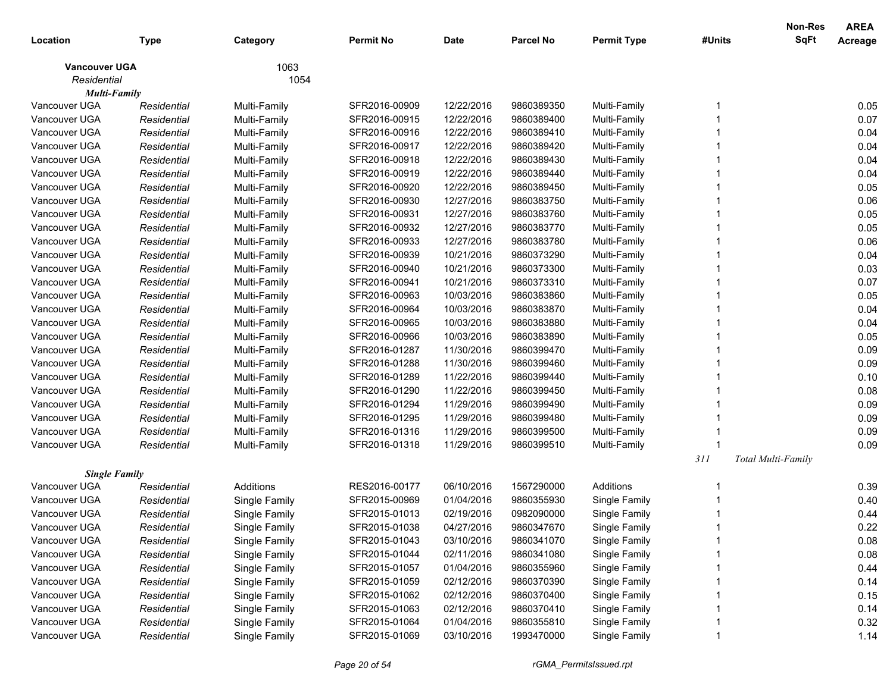| Location                              | <b>Type</b> | Category      | <b>Permit No</b> | Date       | <b>Parcel No</b> | <b>Permit Type</b> | #Units | Non-Res<br><b>SqFt</b> | <b>AREA</b><br>Acreage |
|---------------------------------------|-------------|---------------|------------------|------------|------------------|--------------------|--------|------------------------|------------------------|
| <b>Vancouver UGA</b>                  |             | 1063          |                  |            |                  |                    |        |                        |                        |
| Residential                           |             | 1054          |                  |            |                  |                    |        |                        |                        |
| <b>Multi-Family</b>                   |             |               |                  |            |                  |                    |        |                        |                        |
| Vancouver UGA                         | Residential | Multi-Family  | SFR2016-00909    | 12/22/2016 | 9860389350       | Multi-Family       | -1     |                        | 0.05                   |
| Vancouver UGA                         | Residential | Multi-Family  | SFR2016-00915    | 12/22/2016 | 9860389400       | Multi-Family       |        |                        | 0.07                   |
| Vancouver UGA                         | Residential | Multi-Family  | SFR2016-00916    | 12/22/2016 | 9860389410       | Multi-Family       |        |                        | 0.04                   |
| Vancouver UGA                         | Residential | Multi-Family  | SFR2016-00917    | 12/22/2016 | 9860389420       | Multi-Family       |        |                        | 0.04                   |
| Vancouver UGA                         | Residential | Multi-Family  | SFR2016-00918    | 12/22/2016 | 9860389430       | Multi-Family       |        |                        | 0.04                   |
| Vancouver UGA                         | Residential | Multi-Family  | SFR2016-00919    | 12/22/2016 | 9860389440       | Multi-Family       |        |                        | 0.04                   |
| Vancouver UGA                         | Residential | Multi-Family  | SFR2016-00920    | 12/22/2016 | 9860389450       | Multi-Family       |        |                        | 0.05                   |
| Vancouver UGA                         | Residential | Multi-Family  | SFR2016-00930    | 12/27/2016 | 9860383750       | Multi-Family       |        |                        | 0.06                   |
| Vancouver UGA                         | Residential | Multi-Family  | SFR2016-00931    | 12/27/2016 | 9860383760       | Multi-Family       |        |                        | 0.05                   |
| Vancouver UGA                         | Residential | Multi-Family  | SFR2016-00932    | 12/27/2016 | 9860383770       | Multi-Family       |        |                        | 0.05                   |
| Vancouver UGA                         | Residential | Multi-Family  | SFR2016-00933    | 12/27/2016 | 9860383780       | Multi-Family       |        |                        | 0.06                   |
| Vancouver UGA                         | Residential | Multi-Family  | SFR2016-00939    | 10/21/2016 | 9860373290       | Multi-Family       |        |                        | 0.04                   |
| Vancouver UGA                         | Residential | Multi-Family  | SFR2016-00940    | 10/21/2016 | 9860373300       | Multi-Family       |        |                        | 0.03                   |
| Vancouver UGA                         | Residential | Multi-Family  | SFR2016-00941    | 10/21/2016 | 9860373310       | Multi-Family       |        |                        | 0.07                   |
| Vancouver UGA                         | Residential | Multi-Family  | SFR2016-00963    | 10/03/2016 | 9860383860       | Multi-Family       |        |                        | 0.05                   |
| Vancouver UGA                         | Residential | Multi-Family  | SFR2016-00964    | 10/03/2016 | 9860383870       | Multi-Family       |        |                        | 0.04                   |
| Vancouver UGA                         | Residential | Multi-Family  | SFR2016-00965    | 10/03/2016 | 9860383880       | Multi-Family       |        |                        | 0.04                   |
| Vancouver UGA                         | Residential | Multi-Family  | SFR2016-00966    | 10/03/2016 | 9860383890       | Multi-Family       |        |                        | 0.05                   |
| Vancouver UGA                         | Residential | Multi-Family  | SFR2016-01287    | 11/30/2016 | 9860399470       | Multi-Family       |        |                        | 0.09                   |
| Vancouver UGA                         | Residential | Multi-Family  | SFR2016-01288    | 11/30/2016 | 9860399460       | Multi-Family       |        |                        | 0.09                   |
| Vancouver UGA                         | Residential | Multi-Family  | SFR2016-01289    | 11/22/2016 | 9860399440       | Multi-Family       |        |                        | 0.10                   |
| Vancouver UGA                         | Residential | Multi-Family  | SFR2016-01290    | 11/22/2016 | 9860399450       | Multi-Family       |        |                        | 0.08                   |
| Vancouver UGA                         | Residential | Multi-Family  | SFR2016-01294    | 11/29/2016 | 9860399490       | Multi-Family       |        |                        | 0.09                   |
| Vancouver UGA                         | Residential | Multi-Family  | SFR2016-01295    | 11/29/2016 | 9860399480       | Multi-Family       |        |                        | 0.09                   |
| Vancouver UGA                         | Residential | Multi-Family  | SFR2016-01316    | 11/29/2016 | 9860399500       | Multi-Family       |        |                        | 0.09                   |
| Vancouver UGA                         | Residential | Multi-Family  | SFR2016-01318    | 11/29/2016 | 9860399510       | Multi-Family       |        |                        | 0.09                   |
|                                       |             |               |                  |            |                  |                    | 311    | Total Multi-Family     |                        |
| <b>Single Family</b><br>Vancouver UGA | Residential | Additions     | RES2016-00177    | 06/10/2016 | 1567290000       | Additions          |        |                        | 0.39                   |
| Vancouver UGA                         | Residential |               | SFR2015-00969    | 01/04/2016 | 9860355930       |                    |        |                        | 0.40                   |
|                                       |             | Single Family |                  | 02/19/2016 |                  | Single Family      | -1     |                        |                        |
| Vancouver UGA                         | Residential | Single Family | SFR2015-01013    |            | 0982090000       | Single Family      |        |                        | 0.44                   |
| Vancouver UGA                         | Residential | Single Family | SFR2015-01038    | 04/27/2016 | 9860347670       | Single Family      |        |                        | 0.22                   |
| Vancouver UGA                         | Residential | Single Family | SFR2015-01043    | 03/10/2016 | 9860341070       | Single Family      |        |                        | 0.08                   |
| Vancouver UGA                         | Residential | Single Family | SFR2015-01044    | 02/11/2016 | 9860341080       | Single Family      |        |                        | 0.08                   |
| Vancouver UGA                         | Residential | Single Family | SFR2015-01057    | 01/04/2016 | 9860355960       | Single Family      |        |                        | 0.44                   |
| Vancouver UGA                         | Residential | Single Family | SFR2015-01059    | 02/12/2016 | 9860370390       | Single Family      |        |                        | 0.14                   |
| Vancouver UGA                         | Residential | Single Family | SFR2015-01062    | 02/12/2016 | 9860370400       | Single Family      |        |                        | 0.15                   |
| Vancouver UGA                         | Residential | Single Family | SFR2015-01063    | 02/12/2016 | 9860370410       | Single Family      |        |                        | 0.14                   |
| Vancouver UGA                         | Residential | Single Family | SFR2015-01064    | 01/04/2016 | 9860355810       | Single Family      |        |                        | 0.32                   |
| Vancouver UGA                         | Residential | Single Family | SFR2015-01069    | 03/10/2016 | 1993470000       | Single Family      |        |                        | 1.14                   |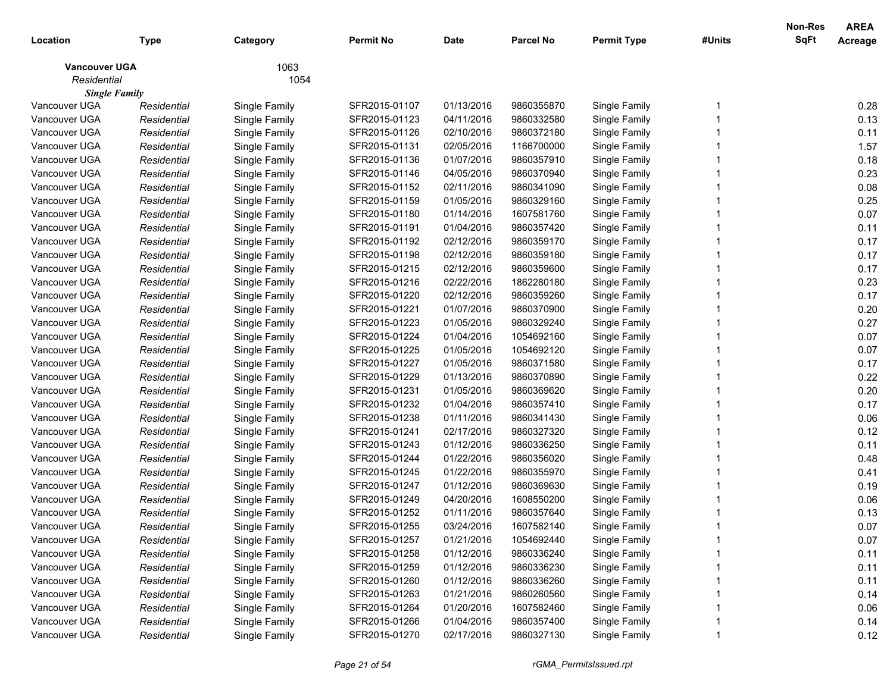| 1063<br><b>Vancouver UGA</b><br>Residential<br>1054<br><b>Single Family</b><br>Vancouver UGA<br>SFR2015-01107<br>01/13/2016<br>9860355870<br>Single Family<br>Single Family<br>Residential<br>Vancouver UGA<br>Residential<br>Single Family<br>SFR2015-01123<br>04/11/2016<br>9860332580<br>Single Family<br>Vancouver UGA<br>SFR2015-01126<br>02/10/2016<br>9860372180<br>Single Family<br>Residential<br>Single Family<br>Vancouver UGA<br>02/05/2016<br>Residential<br>Single Family<br>SFR2015-01131<br>1166700000<br>Single Family<br>Vancouver UGA<br>Residential<br>Single Family<br>SFR2015-01136<br>01/07/2016<br>9860357910<br>Single Family<br>Vancouver UGA<br>Residential<br>Single Family<br>SFR2015-01146<br>04/05/2016<br>9860370940<br>Single Family<br>Vancouver UGA<br>Residential<br>Single Family<br>SFR2015-01152<br>02/11/2016<br>9860341090<br>Single Family<br>Vancouver UGA<br>Residential<br>Single Family<br>SFR2015-01159<br>01/05/2016<br>9860329160<br>Single Family<br>Vancouver UGA<br>Residential<br>Single Family<br>SFR2015-01180<br>01/14/2016<br>1607581760<br>Single Family<br>Vancouver UGA<br>SFR2015-01191<br>01/04/2016<br>9860357420<br>Single Family<br>Residential<br>Single Family<br>Vancouver UGA<br>SFR2015-01192<br>02/12/2016<br>9860359170<br>Single Family<br>Residential<br>Single Family<br>Vancouver UGA<br>Residential<br>Single Family<br>SFR2015-01198<br>02/12/2016<br>9860359180<br>Single Family<br>Vancouver UGA<br>Residential<br>Single Family<br>SFR2015-01215<br>02/12/2016<br>9860359600<br>Single Family<br>Vancouver UGA<br>Residential<br>Single Family<br>SFR2015-01216<br>02/22/2016<br>1862280180<br>Single Family<br>Vancouver UGA<br>Residential<br>Single Family<br>SFR2015-01220<br>02/12/2016<br>9860359260<br>Single Family<br>Vancouver UGA<br>Residential<br>Single Family<br>SFR2015-01221<br>01/07/2016<br>9860370900<br>Single Family<br>Vancouver UGA<br>Residential<br>Single Family<br>SFR2015-01223<br>01/05/2016<br>9860329240<br>Single Family<br>Vancouver UGA<br>SFR2015-01224<br>01/04/2016<br>1054692160<br>Single Family<br>Residential<br>Single Family<br>Vancouver UGA<br>Residential<br>Single Family<br>SFR2015-01225<br>01/05/2016<br>1054692120<br>Single Family<br>Vancouver UGA<br>Residential<br>Single Family<br>SFR2015-01227<br>01/05/2016<br>9860371580<br>Single Family | Location | <b>Type</b> | Category | <b>Permit No</b> | <b>Date</b> | <b>Parcel No</b> | <b>Permit Type</b> | #Units | Non-Res<br>SqFt | <b>AREA</b><br>Acreage |
|-----------------------------------------------------------------------------------------------------------------------------------------------------------------------------------------------------------------------------------------------------------------------------------------------------------------------------------------------------------------------------------------------------------------------------------------------------------------------------------------------------------------------------------------------------------------------------------------------------------------------------------------------------------------------------------------------------------------------------------------------------------------------------------------------------------------------------------------------------------------------------------------------------------------------------------------------------------------------------------------------------------------------------------------------------------------------------------------------------------------------------------------------------------------------------------------------------------------------------------------------------------------------------------------------------------------------------------------------------------------------------------------------------------------------------------------------------------------------------------------------------------------------------------------------------------------------------------------------------------------------------------------------------------------------------------------------------------------------------------------------------------------------------------------------------------------------------------------------------------------------------------------------------------------------------------------------------------------------------------------------------------------------------------------------------------------------------------------------------------------------------------------------------------------------------------------------------------------------------------------------------------------------------------------------------------------------------------------------------------------------------------------|----------|-------------|----------|------------------|-------------|------------------|--------------------|--------|-----------------|------------------------|
|                                                                                                                                                                                                                                                                                                                                                                                                                                                                                                                                                                                                                                                                                                                                                                                                                                                                                                                                                                                                                                                                                                                                                                                                                                                                                                                                                                                                                                                                                                                                                                                                                                                                                                                                                                                                                                                                                                                                                                                                                                                                                                                                                                                                                                                                                                                                                                                         |          |             |          |                  |             |                  |                    |        |                 |                        |
|                                                                                                                                                                                                                                                                                                                                                                                                                                                                                                                                                                                                                                                                                                                                                                                                                                                                                                                                                                                                                                                                                                                                                                                                                                                                                                                                                                                                                                                                                                                                                                                                                                                                                                                                                                                                                                                                                                                                                                                                                                                                                                                                                                                                                                                                                                                                                                                         |          |             |          |                  |             |                  |                    |        |                 |                        |
|                                                                                                                                                                                                                                                                                                                                                                                                                                                                                                                                                                                                                                                                                                                                                                                                                                                                                                                                                                                                                                                                                                                                                                                                                                                                                                                                                                                                                                                                                                                                                                                                                                                                                                                                                                                                                                                                                                                                                                                                                                                                                                                                                                                                                                                                                                                                                                                         |          |             |          |                  |             |                  |                    |        |                 |                        |
|                                                                                                                                                                                                                                                                                                                                                                                                                                                                                                                                                                                                                                                                                                                                                                                                                                                                                                                                                                                                                                                                                                                                                                                                                                                                                                                                                                                                                                                                                                                                                                                                                                                                                                                                                                                                                                                                                                                                                                                                                                                                                                                                                                                                                                                                                                                                                                                         |          |             |          |                  |             |                  |                    |        |                 | 0.28                   |
|                                                                                                                                                                                                                                                                                                                                                                                                                                                                                                                                                                                                                                                                                                                                                                                                                                                                                                                                                                                                                                                                                                                                                                                                                                                                                                                                                                                                                                                                                                                                                                                                                                                                                                                                                                                                                                                                                                                                                                                                                                                                                                                                                                                                                                                                                                                                                                                         |          |             |          |                  |             |                  |                    |        |                 | 0.13                   |
|                                                                                                                                                                                                                                                                                                                                                                                                                                                                                                                                                                                                                                                                                                                                                                                                                                                                                                                                                                                                                                                                                                                                                                                                                                                                                                                                                                                                                                                                                                                                                                                                                                                                                                                                                                                                                                                                                                                                                                                                                                                                                                                                                                                                                                                                                                                                                                                         |          |             |          |                  |             |                  |                    |        |                 | 0.11                   |
|                                                                                                                                                                                                                                                                                                                                                                                                                                                                                                                                                                                                                                                                                                                                                                                                                                                                                                                                                                                                                                                                                                                                                                                                                                                                                                                                                                                                                                                                                                                                                                                                                                                                                                                                                                                                                                                                                                                                                                                                                                                                                                                                                                                                                                                                                                                                                                                         |          |             |          |                  |             |                  |                    |        |                 | 1.57                   |
|                                                                                                                                                                                                                                                                                                                                                                                                                                                                                                                                                                                                                                                                                                                                                                                                                                                                                                                                                                                                                                                                                                                                                                                                                                                                                                                                                                                                                                                                                                                                                                                                                                                                                                                                                                                                                                                                                                                                                                                                                                                                                                                                                                                                                                                                                                                                                                                         |          |             |          |                  |             |                  |                    |        |                 | 0.18                   |
|                                                                                                                                                                                                                                                                                                                                                                                                                                                                                                                                                                                                                                                                                                                                                                                                                                                                                                                                                                                                                                                                                                                                                                                                                                                                                                                                                                                                                                                                                                                                                                                                                                                                                                                                                                                                                                                                                                                                                                                                                                                                                                                                                                                                                                                                                                                                                                                         |          |             |          |                  |             |                  |                    |        |                 | 0.23                   |
|                                                                                                                                                                                                                                                                                                                                                                                                                                                                                                                                                                                                                                                                                                                                                                                                                                                                                                                                                                                                                                                                                                                                                                                                                                                                                                                                                                                                                                                                                                                                                                                                                                                                                                                                                                                                                                                                                                                                                                                                                                                                                                                                                                                                                                                                                                                                                                                         |          |             |          |                  |             |                  |                    |        |                 | 0.08                   |
|                                                                                                                                                                                                                                                                                                                                                                                                                                                                                                                                                                                                                                                                                                                                                                                                                                                                                                                                                                                                                                                                                                                                                                                                                                                                                                                                                                                                                                                                                                                                                                                                                                                                                                                                                                                                                                                                                                                                                                                                                                                                                                                                                                                                                                                                                                                                                                                         |          |             |          |                  |             |                  |                    |        |                 | 0.25                   |
|                                                                                                                                                                                                                                                                                                                                                                                                                                                                                                                                                                                                                                                                                                                                                                                                                                                                                                                                                                                                                                                                                                                                                                                                                                                                                                                                                                                                                                                                                                                                                                                                                                                                                                                                                                                                                                                                                                                                                                                                                                                                                                                                                                                                                                                                                                                                                                                         |          |             |          |                  |             |                  |                    |        |                 | 0.07                   |
|                                                                                                                                                                                                                                                                                                                                                                                                                                                                                                                                                                                                                                                                                                                                                                                                                                                                                                                                                                                                                                                                                                                                                                                                                                                                                                                                                                                                                                                                                                                                                                                                                                                                                                                                                                                                                                                                                                                                                                                                                                                                                                                                                                                                                                                                                                                                                                                         |          |             |          |                  |             |                  |                    |        |                 | 0.11                   |
|                                                                                                                                                                                                                                                                                                                                                                                                                                                                                                                                                                                                                                                                                                                                                                                                                                                                                                                                                                                                                                                                                                                                                                                                                                                                                                                                                                                                                                                                                                                                                                                                                                                                                                                                                                                                                                                                                                                                                                                                                                                                                                                                                                                                                                                                                                                                                                                         |          |             |          |                  |             |                  |                    |        |                 | 0.17                   |
|                                                                                                                                                                                                                                                                                                                                                                                                                                                                                                                                                                                                                                                                                                                                                                                                                                                                                                                                                                                                                                                                                                                                                                                                                                                                                                                                                                                                                                                                                                                                                                                                                                                                                                                                                                                                                                                                                                                                                                                                                                                                                                                                                                                                                                                                                                                                                                                         |          |             |          |                  |             |                  |                    |        |                 | 0.17                   |
|                                                                                                                                                                                                                                                                                                                                                                                                                                                                                                                                                                                                                                                                                                                                                                                                                                                                                                                                                                                                                                                                                                                                                                                                                                                                                                                                                                                                                                                                                                                                                                                                                                                                                                                                                                                                                                                                                                                                                                                                                                                                                                                                                                                                                                                                                                                                                                                         |          |             |          |                  |             |                  |                    |        |                 | 0.17                   |
|                                                                                                                                                                                                                                                                                                                                                                                                                                                                                                                                                                                                                                                                                                                                                                                                                                                                                                                                                                                                                                                                                                                                                                                                                                                                                                                                                                                                                                                                                                                                                                                                                                                                                                                                                                                                                                                                                                                                                                                                                                                                                                                                                                                                                                                                                                                                                                                         |          |             |          |                  |             |                  |                    |        |                 | 0.23                   |
|                                                                                                                                                                                                                                                                                                                                                                                                                                                                                                                                                                                                                                                                                                                                                                                                                                                                                                                                                                                                                                                                                                                                                                                                                                                                                                                                                                                                                                                                                                                                                                                                                                                                                                                                                                                                                                                                                                                                                                                                                                                                                                                                                                                                                                                                                                                                                                                         |          |             |          |                  |             |                  |                    |        |                 | 0.17                   |
|                                                                                                                                                                                                                                                                                                                                                                                                                                                                                                                                                                                                                                                                                                                                                                                                                                                                                                                                                                                                                                                                                                                                                                                                                                                                                                                                                                                                                                                                                                                                                                                                                                                                                                                                                                                                                                                                                                                                                                                                                                                                                                                                                                                                                                                                                                                                                                                         |          |             |          |                  |             |                  |                    |        |                 | 0.20                   |
|                                                                                                                                                                                                                                                                                                                                                                                                                                                                                                                                                                                                                                                                                                                                                                                                                                                                                                                                                                                                                                                                                                                                                                                                                                                                                                                                                                                                                                                                                                                                                                                                                                                                                                                                                                                                                                                                                                                                                                                                                                                                                                                                                                                                                                                                                                                                                                                         |          |             |          |                  |             |                  |                    |        |                 | 0.27                   |
|                                                                                                                                                                                                                                                                                                                                                                                                                                                                                                                                                                                                                                                                                                                                                                                                                                                                                                                                                                                                                                                                                                                                                                                                                                                                                                                                                                                                                                                                                                                                                                                                                                                                                                                                                                                                                                                                                                                                                                                                                                                                                                                                                                                                                                                                                                                                                                                         |          |             |          |                  |             |                  |                    |        |                 | 0.07                   |
|                                                                                                                                                                                                                                                                                                                                                                                                                                                                                                                                                                                                                                                                                                                                                                                                                                                                                                                                                                                                                                                                                                                                                                                                                                                                                                                                                                                                                                                                                                                                                                                                                                                                                                                                                                                                                                                                                                                                                                                                                                                                                                                                                                                                                                                                                                                                                                                         |          |             |          |                  |             |                  |                    |        |                 | 0.07                   |
|                                                                                                                                                                                                                                                                                                                                                                                                                                                                                                                                                                                                                                                                                                                                                                                                                                                                                                                                                                                                                                                                                                                                                                                                                                                                                                                                                                                                                                                                                                                                                                                                                                                                                                                                                                                                                                                                                                                                                                                                                                                                                                                                                                                                                                                                                                                                                                                         |          |             |          |                  |             |                  |                    |        |                 | 0.17                   |
| Vancouver UGA<br>Residential<br>Single Family<br>SFR2015-01229<br>01/13/2016<br>9860370890<br>Single Family                                                                                                                                                                                                                                                                                                                                                                                                                                                                                                                                                                                                                                                                                                                                                                                                                                                                                                                                                                                                                                                                                                                                                                                                                                                                                                                                                                                                                                                                                                                                                                                                                                                                                                                                                                                                                                                                                                                                                                                                                                                                                                                                                                                                                                                                             |          |             |          |                  |             |                  |                    |        |                 | 0.22                   |
| Vancouver UGA<br>Residential<br>Single Family<br>SFR2015-01231<br>01/05/2016<br>9860369620<br>Single Family                                                                                                                                                                                                                                                                                                                                                                                                                                                                                                                                                                                                                                                                                                                                                                                                                                                                                                                                                                                                                                                                                                                                                                                                                                                                                                                                                                                                                                                                                                                                                                                                                                                                                                                                                                                                                                                                                                                                                                                                                                                                                                                                                                                                                                                                             |          |             |          |                  |             |                  |                    |        |                 | 0.20                   |
| Vancouver UGA<br>Residential<br>Single Family<br>SFR2015-01232<br>01/04/2016<br>9860357410<br>Single Family                                                                                                                                                                                                                                                                                                                                                                                                                                                                                                                                                                                                                                                                                                                                                                                                                                                                                                                                                                                                                                                                                                                                                                                                                                                                                                                                                                                                                                                                                                                                                                                                                                                                                                                                                                                                                                                                                                                                                                                                                                                                                                                                                                                                                                                                             |          |             |          |                  |             |                  |                    |        |                 | 0.17                   |
| Vancouver UGA<br>Residential<br>Single Family<br>SFR2015-01238<br>01/11/2016<br>9860341430<br>Single Family                                                                                                                                                                                                                                                                                                                                                                                                                                                                                                                                                                                                                                                                                                                                                                                                                                                                                                                                                                                                                                                                                                                                                                                                                                                                                                                                                                                                                                                                                                                                                                                                                                                                                                                                                                                                                                                                                                                                                                                                                                                                                                                                                                                                                                                                             |          |             |          |                  |             |                  |                    |        |                 | 0.06                   |
| Vancouver UGA<br>SFR2015-01241<br>02/17/2016<br>9860327320<br>Single Family<br>Residential<br>Single Family                                                                                                                                                                                                                                                                                                                                                                                                                                                                                                                                                                                                                                                                                                                                                                                                                                                                                                                                                                                                                                                                                                                                                                                                                                                                                                                                                                                                                                                                                                                                                                                                                                                                                                                                                                                                                                                                                                                                                                                                                                                                                                                                                                                                                                                                             |          |             |          |                  |             |                  |                    |        |                 | 0.12                   |
| Vancouver UGA<br>SFR2015-01243<br>01/12/2016<br>9860336250<br>Single Family<br>Residential<br>Single Family                                                                                                                                                                                                                                                                                                                                                                                                                                                                                                                                                                                                                                                                                                                                                                                                                                                                                                                                                                                                                                                                                                                                                                                                                                                                                                                                                                                                                                                                                                                                                                                                                                                                                                                                                                                                                                                                                                                                                                                                                                                                                                                                                                                                                                                                             |          |             |          |                  |             |                  |                    |        |                 | 0.11                   |
| Vancouver UGA<br>Residential<br>Single Family<br>SFR2015-01244<br>01/22/2016<br>9860356020<br>Single Family                                                                                                                                                                                                                                                                                                                                                                                                                                                                                                                                                                                                                                                                                                                                                                                                                                                                                                                                                                                                                                                                                                                                                                                                                                                                                                                                                                                                                                                                                                                                                                                                                                                                                                                                                                                                                                                                                                                                                                                                                                                                                                                                                                                                                                                                             |          |             |          |                  |             |                  |                    |        |                 | 0.48                   |
| Vancouver UGA<br>01/22/2016<br>Residential<br>Single Family<br>SFR2015-01245<br>9860355970<br>Single Family                                                                                                                                                                                                                                                                                                                                                                                                                                                                                                                                                                                                                                                                                                                                                                                                                                                                                                                                                                                                                                                                                                                                                                                                                                                                                                                                                                                                                                                                                                                                                                                                                                                                                                                                                                                                                                                                                                                                                                                                                                                                                                                                                                                                                                                                             |          |             |          |                  |             |                  |                    |        |                 | 0.41                   |
| 01/12/2016<br>Vancouver UGA<br>Residential<br>Single Family<br>SFR2015-01247<br>9860369630<br>Single Family                                                                                                                                                                                                                                                                                                                                                                                                                                                                                                                                                                                                                                                                                                                                                                                                                                                                                                                                                                                                                                                                                                                                                                                                                                                                                                                                                                                                                                                                                                                                                                                                                                                                                                                                                                                                                                                                                                                                                                                                                                                                                                                                                                                                                                                                             |          |             |          |                  |             |                  |                    |        |                 | 0.19                   |
| Vancouver UGA<br>Residential<br>Single Family<br>SFR2015-01249<br>04/20/2016<br>1608550200<br>Single Family                                                                                                                                                                                                                                                                                                                                                                                                                                                                                                                                                                                                                                                                                                                                                                                                                                                                                                                                                                                                                                                                                                                                                                                                                                                                                                                                                                                                                                                                                                                                                                                                                                                                                                                                                                                                                                                                                                                                                                                                                                                                                                                                                                                                                                                                             |          |             |          |                  |             |                  |                    |        |                 | 0.06                   |
| Vancouver UGA<br>Single Family<br>SFR2015-01252<br>01/11/2016<br>9860357640<br>Single Family<br>Residential                                                                                                                                                                                                                                                                                                                                                                                                                                                                                                                                                                                                                                                                                                                                                                                                                                                                                                                                                                                                                                                                                                                                                                                                                                                                                                                                                                                                                                                                                                                                                                                                                                                                                                                                                                                                                                                                                                                                                                                                                                                                                                                                                                                                                                                                             |          |             |          |                  |             |                  |                    |        |                 | 0.13                   |
| Vancouver UGA<br>Single Family<br>Residential<br>SFR2015-01255<br>03/24/2016<br>1607582140<br>Single Family                                                                                                                                                                                                                                                                                                                                                                                                                                                                                                                                                                                                                                                                                                                                                                                                                                                                                                                                                                                                                                                                                                                                                                                                                                                                                                                                                                                                                                                                                                                                                                                                                                                                                                                                                                                                                                                                                                                                                                                                                                                                                                                                                                                                                                                                             |          |             |          |                  |             |                  |                    |        |                 | 0.07                   |
| 01/21/2016<br>Single Family<br>Vancouver UGA<br>SFR2015-01257<br>1054692440<br>Residential<br>Single Family                                                                                                                                                                                                                                                                                                                                                                                                                                                                                                                                                                                                                                                                                                                                                                                                                                                                                                                                                                                                                                                                                                                                                                                                                                                                                                                                                                                                                                                                                                                                                                                                                                                                                                                                                                                                                                                                                                                                                                                                                                                                                                                                                                                                                                                                             |          |             |          |                  |             |                  |                    |        |                 | 0.07                   |
| Vancouver UGA<br>Single Family<br>01/12/2016<br>9860336240<br>Single Family<br>Residential<br>SFR2015-01258                                                                                                                                                                                                                                                                                                                                                                                                                                                                                                                                                                                                                                                                                                                                                                                                                                                                                                                                                                                                                                                                                                                                                                                                                                                                                                                                                                                                                                                                                                                                                                                                                                                                                                                                                                                                                                                                                                                                                                                                                                                                                                                                                                                                                                                                             |          |             |          |                  |             |                  |                    |        |                 | 0.11                   |
| Vancouver UGA<br>Single Family<br>01/12/2016<br>Single Family<br>Residential<br>SFR2015-01259<br>9860336230                                                                                                                                                                                                                                                                                                                                                                                                                                                                                                                                                                                                                                                                                                                                                                                                                                                                                                                                                                                                                                                                                                                                                                                                                                                                                                                                                                                                                                                                                                                                                                                                                                                                                                                                                                                                                                                                                                                                                                                                                                                                                                                                                                                                                                                                             |          |             |          |                  |             |                  |                    |        |                 | 0.11                   |
| Vancouver UGA<br>Single Family<br>01/12/2016<br>Single Family<br>Residential<br>SFR2015-01260<br>9860336260                                                                                                                                                                                                                                                                                                                                                                                                                                                                                                                                                                                                                                                                                                                                                                                                                                                                                                                                                                                                                                                                                                                                                                                                                                                                                                                                                                                                                                                                                                                                                                                                                                                                                                                                                                                                                                                                                                                                                                                                                                                                                                                                                                                                                                                                             |          |             |          |                  |             |                  |                    |        |                 | 0.11                   |
| Vancouver UGA<br>Single Family<br>01/21/2016<br>Single Family<br>Residential<br>SFR2015-01263<br>9860260560                                                                                                                                                                                                                                                                                                                                                                                                                                                                                                                                                                                                                                                                                                                                                                                                                                                                                                                                                                                                                                                                                                                                                                                                                                                                                                                                                                                                                                                                                                                                                                                                                                                                                                                                                                                                                                                                                                                                                                                                                                                                                                                                                                                                                                                                             |          |             |          |                  |             |                  |                    |        |                 | 0.14                   |
| Vancouver UGA<br>Single Family<br>01/20/2016<br>Single Family<br>Residential<br>SFR2015-01264<br>1607582460                                                                                                                                                                                                                                                                                                                                                                                                                                                                                                                                                                                                                                                                                                                                                                                                                                                                                                                                                                                                                                                                                                                                                                                                                                                                                                                                                                                                                                                                                                                                                                                                                                                                                                                                                                                                                                                                                                                                                                                                                                                                                                                                                                                                                                                                             |          |             |          |                  |             |                  |                    |        |                 | 0.06                   |
| Vancouver UGA<br>Single Family<br>01/04/2016<br>Single Family<br>Residential<br>SFR2015-01266<br>9860357400                                                                                                                                                                                                                                                                                                                                                                                                                                                                                                                                                                                                                                                                                                                                                                                                                                                                                                                                                                                                                                                                                                                                                                                                                                                                                                                                                                                                                                                                                                                                                                                                                                                                                                                                                                                                                                                                                                                                                                                                                                                                                                                                                                                                                                                                             |          |             |          |                  |             |                  |                    |        |                 | 0.14                   |
| Vancouver UGA<br>02/17/2016<br>9860327130<br>Single Family<br>Single Family<br>SFR2015-01270<br>Residential                                                                                                                                                                                                                                                                                                                                                                                                                                                                                                                                                                                                                                                                                                                                                                                                                                                                                                                                                                                                                                                                                                                                                                                                                                                                                                                                                                                                                                                                                                                                                                                                                                                                                                                                                                                                                                                                                                                                                                                                                                                                                                                                                                                                                                                                             |          |             |          |                  |             |                  |                    |        |                 | 0.12                   |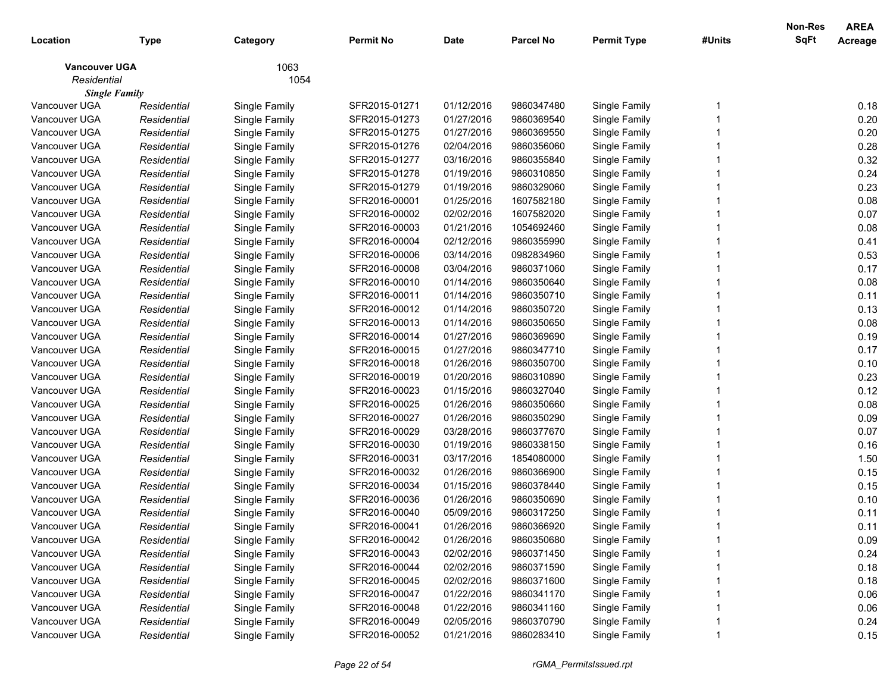| 1063<br><b>Vancouver UGA</b><br>Residential<br>1054<br><b>Single Family</b><br>Vancouver UGA<br>SFR2015-01271<br>01/12/2016<br>9860347480<br>Single Family<br>Single Family<br>Residential<br>Vancouver UGA<br>Residential<br>Single Family<br>SFR2015-01273<br>01/27/2016<br>9860369540<br>Single Family<br>Vancouver UGA<br>SFR2015-01275<br>01/27/2016<br>9860369550<br>Single Family<br>Residential<br>Single Family<br>Vancouver UGA<br>Residential<br>Single Family<br>SFR2015-01276<br>02/04/2016<br>9860356060<br>Single Family<br>Vancouver UGA<br>Residential<br>Single Family<br>SFR2015-01277<br>03/16/2016<br>9860355840<br>Single Family<br>Vancouver UGA<br>Residential<br>Single Family<br>SFR2015-01278<br>01/19/2016<br>9860310850<br>Single Family<br>Vancouver UGA<br>Residential<br>Single Family<br>SFR2015-01279<br>01/19/2016<br>9860329060<br>Single Family<br>Vancouver UGA<br>01/25/2016<br>Residential<br>Single Family<br>SFR2016-00001<br>1607582180<br>Single Family<br>Vancouver UGA<br>Residential<br>Single Family<br>SFR2016-00002<br>02/02/2016<br>1607582020<br>Single Family<br>Vancouver UGA<br>SFR2016-00003<br>01/21/2016<br>1054692460<br>Single Family<br>Residential<br>Single Family<br>Vancouver UGA<br>SFR2016-00004<br>02/12/2016<br>9860355990<br>Single Family<br>Residential<br>Single Family<br>Vancouver UGA<br>Residential<br>Single Family<br>SFR2016-00006<br>03/14/2016<br>0982834960<br>Single Family<br>Vancouver UGA<br>Residential<br>Single Family<br>SFR2016-00008<br>03/04/2016<br>9860371060<br>Single Family<br>Vancouver UGA<br>Residential<br>Single Family<br>SFR2016-00010<br>01/14/2016<br>9860350640<br>Single Family<br>Vancouver UGA<br>Residential<br>Single Family<br>SFR2016-00011<br>01/14/2016<br>9860350710<br>Single Family<br>Vancouver UGA<br>Residential<br>Single Family<br>SFR2016-00012<br>01/14/2016<br>9860350720<br>Single Family<br>Vancouver UGA<br>Residential<br>Single Family<br>SFR2016-00013<br>01/14/2016<br>9860350650<br>Single Family<br>Vancouver UGA<br>SFR2016-00014<br>01/27/2016<br>9860369690<br>Single Family<br>Residential<br>Single Family<br>Vancouver UGA<br>Residential<br>Single Family<br>SFR2016-00015<br>01/27/2016<br>9860347710<br>Single Family<br>Vancouver UGA<br>Residential<br>Single Family<br>SFR2016-00018<br>01/26/2016<br>9860350700<br>Single Family<br>Vancouver UGA<br>Residential<br>Single Family<br>SFR2016-00019<br>01/20/2016<br>9860310890<br>Single Family<br>Vancouver UGA<br>Residential<br>Single Family<br>SFR2016-00023<br>01/15/2016<br>9860327040<br>Single Family<br>Vancouver UGA<br>Residential<br>Single Family<br>SFR2016-00025<br>01/26/2016<br>9860350660<br>Single Family<br>Vancouver UGA<br>Residential<br>Single Family<br>SFR2016-00027<br>01/26/2016<br>9860350290<br>Single Family<br>Vancouver UGA<br>SFR2016-00029<br>03/28/2016<br>9860377670<br>Single Family<br>Residential<br>Single Family<br>Vancouver UGA<br>SFR2016-00030<br>01/19/2016<br>9860338150<br>Single Family<br>Residential<br>Single Family<br>Vancouver UGA<br>03/17/2016<br>Residential<br>Single Family<br>SFR2016-00031<br>1854080000<br>Single Family<br>Vancouver UGA<br>Residential<br>Single Family<br>SFR2016-00032<br>01/26/2016<br>9860366900<br>Single Family<br>Vancouver UGA<br>Residential<br>Single Family<br>SFR2016-00034<br>01/15/2016<br>9860378440<br>Single Family<br>Vancouver UGA<br>Residential<br>Single Family<br>SFR2016-00036<br>01/26/2016<br>9860350690<br>Single Family<br>Vancouver UGA<br>Single Family<br>SFR2016-00040<br>05/09/2016<br>9860317250<br>Single Family<br>Residential<br>Vancouver UGA<br>01/26/2016<br>Single Family<br>Residential<br>SFR2016-00041<br>9860366920<br>Single Family<br>01/26/2016<br>9860350680<br>Single Family<br>Vancouver UGA<br>SFR2016-00042<br>Residential<br>Single Family | Location      | <b>Type</b> | Category      | <b>Permit No</b> | <b>Date</b> | <b>Parcel No</b> | <b>Permit Type</b> | #Units | Non-Res<br>SqFt | <b>AREA</b><br>Acreage |
|--------------------------------------------------------------------------------------------------------------------------------------------------------------------------------------------------------------------------------------------------------------------------------------------------------------------------------------------------------------------------------------------------------------------------------------------------------------------------------------------------------------------------------------------------------------------------------------------------------------------------------------------------------------------------------------------------------------------------------------------------------------------------------------------------------------------------------------------------------------------------------------------------------------------------------------------------------------------------------------------------------------------------------------------------------------------------------------------------------------------------------------------------------------------------------------------------------------------------------------------------------------------------------------------------------------------------------------------------------------------------------------------------------------------------------------------------------------------------------------------------------------------------------------------------------------------------------------------------------------------------------------------------------------------------------------------------------------------------------------------------------------------------------------------------------------------------------------------------------------------------------------------------------------------------------------------------------------------------------------------------------------------------------------------------------------------------------------------------------------------------------------------------------------------------------------------------------------------------------------------------------------------------------------------------------------------------------------------------------------------------------------------------------------------------------------------------------------------------------------------------------------------------------------------------------------------------------------------------------------------------------------------------------------------------------------------------------------------------------------------------------------------------------------------------------------------------------------------------------------------------------------------------------------------------------------------------------------------------------------------------------------------------------------------------------------------------------------------------------------------------------------------------------------------------------------------------------------------------------------------------------------------------------------------------------------------------------------------------------------------------------------------------------------------------------------------------------------------------------------------------------------------------------------------------------------------------------------------------------------------------------------------------------------------------------------------------------------------------------------------------------------------------------------------------------------------------------------------------------------------------------------------|---------------|-------------|---------------|------------------|-------------|------------------|--------------------|--------|-----------------|------------------------|
|                                                                                                                                                                                                                                                                                                                                                                                                                                                                                                                                                                                                                                                                                                                                                                                                                                                                                                                                                                                                                                                                                                                                                                                                                                                                                                                                                                                                                                                                                                                                                                                                                                                                                                                                                                                                                                                                                                                                                                                                                                                                                                                                                                                                                                                                                                                                                                                                                                                                                                                                                                                                                                                                                                                                                                                                                                                                                                                                                                                                                                                                                                                                                                                                                                                                                                                                                                                                                                                                                                                                                                                                                                                                                                                                                                                                                                                                                            |               |             |               |                  |             |                  |                    |        |                 |                        |
|                                                                                                                                                                                                                                                                                                                                                                                                                                                                                                                                                                                                                                                                                                                                                                                                                                                                                                                                                                                                                                                                                                                                                                                                                                                                                                                                                                                                                                                                                                                                                                                                                                                                                                                                                                                                                                                                                                                                                                                                                                                                                                                                                                                                                                                                                                                                                                                                                                                                                                                                                                                                                                                                                                                                                                                                                                                                                                                                                                                                                                                                                                                                                                                                                                                                                                                                                                                                                                                                                                                                                                                                                                                                                                                                                                                                                                                                                            |               |             |               |                  |             |                  |                    |        |                 |                        |
|                                                                                                                                                                                                                                                                                                                                                                                                                                                                                                                                                                                                                                                                                                                                                                                                                                                                                                                                                                                                                                                                                                                                                                                                                                                                                                                                                                                                                                                                                                                                                                                                                                                                                                                                                                                                                                                                                                                                                                                                                                                                                                                                                                                                                                                                                                                                                                                                                                                                                                                                                                                                                                                                                                                                                                                                                                                                                                                                                                                                                                                                                                                                                                                                                                                                                                                                                                                                                                                                                                                                                                                                                                                                                                                                                                                                                                                                                            |               |             |               |                  |             |                  |                    |        |                 |                        |
|                                                                                                                                                                                                                                                                                                                                                                                                                                                                                                                                                                                                                                                                                                                                                                                                                                                                                                                                                                                                                                                                                                                                                                                                                                                                                                                                                                                                                                                                                                                                                                                                                                                                                                                                                                                                                                                                                                                                                                                                                                                                                                                                                                                                                                                                                                                                                                                                                                                                                                                                                                                                                                                                                                                                                                                                                                                                                                                                                                                                                                                                                                                                                                                                                                                                                                                                                                                                                                                                                                                                                                                                                                                                                                                                                                                                                                                                                            |               |             |               |                  |             |                  |                    |        |                 | 0.18                   |
|                                                                                                                                                                                                                                                                                                                                                                                                                                                                                                                                                                                                                                                                                                                                                                                                                                                                                                                                                                                                                                                                                                                                                                                                                                                                                                                                                                                                                                                                                                                                                                                                                                                                                                                                                                                                                                                                                                                                                                                                                                                                                                                                                                                                                                                                                                                                                                                                                                                                                                                                                                                                                                                                                                                                                                                                                                                                                                                                                                                                                                                                                                                                                                                                                                                                                                                                                                                                                                                                                                                                                                                                                                                                                                                                                                                                                                                                                            |               |             |               |                  |             |                  |                    |        |                 | 0.20                   |
|                                                                                                                                                                                                                                                                                                                                                                                                                                                                                                                                                                                                                                                                                                                                                                                                                                                                                                                                                                                                                                                                                                                                                                                                                                                                                                                                                                                                                                                                                                                                                                                                                                                                                                                                                                                                                                                                                                                                                                                                                                                                                                                                                                                                                                                                                                                                                                                                                                                                                                                                                                                                                                                                                                                                                                                                                                                                                                                                                                                                                                                                                                                                                                                                                                                                                                                                                                                                                                                                                                                                                                                                                                                                                                                                                                                                                                                                                            |               |             |               |                  |             |                  |                    |        |                 | 0.20                   |
|                                                                                                                                                                                                                                                                                                                                                                                                                                                                                                                                                                                                                                                                                                                                                                                                                                                                                                                                                                                                                                                                                                                                                                                                                                                                                                                                                                                                                                                                                                                                                                                                                                                                                                                                                                                                                                                                                                                                                                                                                                                                                                                                                                                                                                                                                                                                                                                                                                                                                                                                                                                                                                                                                                                                                                                                                                                                                                                                                                                                                                                                                                                                                                                                                                                                                                                                                                                                                                                                                                                                                                                                                                                                                                                                                                                                                                                                                            |               |             |               |                  |             |                  |                    |        |                 | 0.28                   |
|                                                                                                                                                                                                                                                                                                                                                                                                                                                                                                                                                                                                                                                                                                                                                                                                                                                                                                                                                                                                                                                                                                                                                                                                                                                                                                                                                                                                                                                                                                                                                                                                                                                                                                                                                                                                                                                                                                                                                                                                                                                                                                                                                                                                                                                                                                                                                                                                                                                                                                                                                                                                                                                                                                                                                                                                                                                                                                                                                                                                                                                                                                                                                                                                                                                                                                                                                                                                                                                                                                                                                                                                                                                                                                                                                                                                                                                                                            |               |             |               |                  |             |                  |                    |        |                 | 0.32                   |
|                                                                                                                                                                                                                                                                                                                                                                                                                                                                                                                                                                                                                                                                                                                                                                                                                                                                                                                                                                                                                                                                                                                                                                                                                                                                                                                                                                                                                                                                                                                                                                                                                                                                                                                                                                                                                                                                                                                                                                                                                                                                                                                                                                                                                                                                                                                                                                                                                                                                                                                                                                                                                                                                                                                                                                                                                                                                                                                                                                                                                                                                                                                                                                                                                                                                                                                                                                                                                                                                                                                                                                                                                                                                                                                                                                                                                                                                                            |               |             |               |                  |             |                  |                    |        |                 | 0.24                   |
|                                                                                                                                                                                                                                                                                                                                                                                                                                                                                                                                                                                                                                                                                                                                                                                                                                                                                                                                                                                                                                                                                                                                                                                                                                                                                                                                                                                                                                                                                                                                                                                                                                                                                                                                                                                                                                                                                                                                                                                                                                                                                                                                                                                                                                                                                                                                                                                                                                                                                                                                                                                                                                                                                                                                                                                                                                                                                                                                                                                                                                                                                                                                                                                                                                                                                                                                                                                                                                                                                                                                                                                                                                                                                                                                                                                                                                                                                            |               |             |               |                  |             |                  |                    |        |                 | 0.23                   |
|                                                                                                                                                                                                                                                                                                                                                                                                                                                                                                                                                                                                                                                                                                                                                                                                                                                                                                                                                                                                                                                                                                                                                                                                                                                                                                                                                                                                                                                                                                                                                                                                                                                                                                                                                                                                                                                                                                                                                                                                                                                                                                                                                                                                                                                                                                                                                                                                                                                                                                                                                                                                                                                                                                                                                                                                                                                                                                                                                                                                                                                                                                                                                                                                                                                                                                                                                                                                                                                                                                                                                                                                                                                                                                                                                                                                                                                                                            |               |             |               |                  |             |                  |                    |        |                 | 0.08                   |
|                                                                                                                                                                                                                                                                                                                                                                                                                                                                                                                                                                                                                                                                                                                                                                                                                                                                                                                                                                                                                                                                                                                                                                                                                                                                                                                                                                                                                                                                                                                                                                                                                                                                                                                                                                                                                                                                                                                                                                                                                                                                                                                                                                                                                                                                                                                                                                                                                                                                                                                                                                                                                                                                                                                                                                                                                                                                                                                                                                                                                                                                                                                                                                                                                                                                                                                                                                                                                                                                                                                                                                                                                                                                                                                                                                                                                                                                                            |               |             |               |                  |             |                  |                    |        |                 | 0.07                   |
|                                                                                                                                                                                                                                                                                                                                                                                                                                                                                                                                                                                                                                                                                                                                                                                                                                                                                                                                                                                                                                                                                                                                                                                                                                                                                                                                                                                                                                                                                                                                                                                                                                                                                                                                                                                                                                                                                                                                                                                                                                                                                                                                                                                                                                                                                                                                                                                                                                                                                                                                                                                                                                                                                                                                                                                                                                                                                                                                                                                                                                                                                                                                                                                                                                                                                                                                                                                                                                                                                                                                                                                                                                                                                                                                                                                                                                                                                            |               |             |               |                  |             |                  |                    |        |                 | 0.08                   |
|                                                                                                                                                                                                                                                                                                                                                                                                                                                                                                                                                                                                                                                                                                                                                                                                                                                                                                                                                                                                                                                                                                                                                                                                                                                                                                                                                                                                                                                                                                                                                                                                                                                                                                                                                                                                                                                                                                                                                                                                                                                                                                                                                                                                                                                                                                                                                                                                                                                                                                                                                                                                                                                                                                                                                                                                                                                                                                                                                                                                                                                                                                                                                                                                                                                                                                                                                                                                                                                                                                                                                                                                                                                                                                                                                                                                                                                                                            |               |             |               |                  |             |                  |                    |        |                 | 0.41                   |
|                                                                                                                                                                                                                                                                                                                                                                                                                                                                                                                                                                                                                                                                                                                                                                                                                                                                                                                                                                                                                                                                                                                                                                                                                                                                                                                                                                                                                                                                                                                                                                                                                                                                                                                                                                                                                                                                                                                                                                                                                                                                                                                                                                                                                                                                                                                                                                                                                                                                                                                                                                                                                                                                                                                                                                                                                                                                                                                                                                                                                                                                                                                                                                                                                                                                                                                                                                                                                                                                                                                                                                                                                                                                                                                                                                                                                                                                                            |               |             |               |                  |             |                  |                    |        |                 | 0.53                   |
|                                                                                                                                                                                                                                                                                                                                                                                                                                                                                                                                                                                                                                                                                                                                                                                                                                                                                                                                                                                                                                                                                                                                                                                                                                                                                                                                                                                                                                                                                                                                                                                                                                                                                                                                                                                                                                                                                                                                                                                                                                                                                                                                                                                                                                                                                                                                                                                                                                                                                                                                                                                                                                                                                                                                                                                                                                                                                                                                                                                                                                                                                                                                                                                                                                                                                                                                                                                                                                                                                                                                                                                                                                                                                                                                                                                                                                                                                            |               |             |               |                  |             |                  |                    |        |                 | 0.17                   |
|                                                                                                                                                                                                                                                                                                                                                                                                                                                                                                                                                                                                                                                                                                                                                                                                                                                                                                                                                                                                                                                                                                                                                                                                                                                                                                                                                                                                                                                                                                                                                                                                                                                                                                                                                                                                                                                                                                                                                                                                                                                                                                                                                                                                                                                                                                                                                                                                                                                                                                                                                                                                                                                                                                                                                                                                                                                                                                                                                                                                                                                                                                                                                                                                                                                                                                                                                                                                                                                                                                                                                                                                                                                                                                                                                                                                                                                                                            |               |             |               |                  |             |                  |                    |        |                 | 0.08                   |
|                                                                                                                                                                                                                                                                                                                                                                                                                                                                                                                                                                                                                                                                                                                                                                                                                                                                                                                                                                                                                                                                                                                                                                                                                                                                                                                                                                                                                                                                                                                                                                                                                                                                                                                                                                                                                                                                                                                                                                                                                                                                                                                                                                                                                                                                                                                                                                                                                                                                                                                                                                                                                                                                                                                                                                                                                                                                                                                                                                                                                                                                                                                                                                                                                                                                                                                                                                                                                                                                                                                                                                                                                                                                                                                                                                                                                                                                                            |               |             |               |                  |             |                  |                    |        |                 | 0.11                   |
|                                                                                                                                                                                                                                                                                                                                                                                                                                                                                                                                                                                                                                                                                                                                                                                                                                                                                                                                                                                                                                                                                                                                                                                                                                                                                                                                                                                                                                                                                                                                                                                                                                                                                                                                                                                                                                                                                                                                                                                                                                                                                                                                                                                                                                                                                                                                                                                                                                                                                                                                                                                                                                                                                                                                                                                                                                                                                                                                                                                                                                                                                                                                                                                                                                                                                                                                                                                                                                                                                                                                                                                                                                                                                                                                                                                                                                                                                            |               |             |               |                  |             |                  |                    |        |                 | 0.13                   |
|                                                                                                                                                                                                                                                                                                                                                                                                                                                                                                                                                                                                                                                                                                                                                                                                                                                                                                                                                                                                                                                                                                                                                                                                                                                                                                                                                                                                                                                                                                                                                                                                                                                                                                                                                                                                                                                                                                                                                                                                                                                                                                                                                                                                                                                                                                                                                                                                                                                                                                                                                                                                                                                                                                                                                                                                                                                                                                                                                                                                                                                                                                                                                                                                                                                                                                                                                                                                                                                                                                                                                                                                                                                                                                                                                                                                                                                                                            |               |             |               |                  |             |                  |                    |        |                 | 0.08                   |
|                                                                                                                                                                                                                                                                                                                                                                                                                                                                                                                                                                                                                                                                                                                                                                                                                                                                                                                                                                                                                                                                                                                                                                                                                                                                                                                                                                                                                                                                                                                                                                                                                                                                                                                                                                                                                                                                                                                                                                                                                                                                                                                                                                                                                                                                                                                                                                                                                                                                                                                                                                                                                                                                                                                                                                                                                                                                                                                                                                                                                                                                                                                                                                                                                                                                                                                                                                                                                                                                                                                                                                                                                                                                                                                                                                                                                                                                                            |               |             |               |                  |             |                  |                    |        |                 | 0.19                   |
|                                                                                                                                                                                                                                                                                                                                                                                                                                                                                                                                                                                                                                                                                                                                                                                                                                                                                                                                                                                                                                                                                                                                                                                                                                                                                                                                                                                                                                                                                                                                                                                                                                                                                                                                                                                                                                                                                                                                                                                                                                                                                                                                                                                                                                                                                                                                                                                                                                                                                                                                                                                                                                                                                                                                                                                                                                                                                                                                                                                                                                                                                                                                                                                                                                                                                                                                                                                                                                                                                                                                                                                                                                                                                                                                                                                                                                                                                            |               |             |               |                  |             |                  |                    |        |                 | 0.17                   |
|                                                                                                                                                                                                                                                                                                                                                                                                                                                                                                                                                                                                                                                                                                                                                                                                                                                                                                                                                                                                                                                                                                                                                                                                                                                                                                                                                                                                                                                                                                                                                                                                                                                                                                                                                                                                                                                                                                                                                                                                                                                                                                                                                                                                                                                                                                                                                                                                                                                                                                                                                                                                                                                                                                                                                                                                                                                                                                                                                                                                                                                                                                                                                                                                                                                                                                                                                                                                                                                                                                                                                                                                                                                                                                                                                                                                                                                                                            |               |             |               |                  |             |                  |                    |        |                 | 0.10                   |
|                                                                                                                                                                                                                                                                                                                                                                                                                                                                                                                                                                                                                                                                                                                                                                                                                                                                                                                                                                                                                                                                                                                                                                                                                                                                                                                                                                                                                                                                                                                                                                                                                                                                                                                                                                                                                                                                                                                                                                                                                                                                                                                                                                                                                                                                                                                                                                                                                                                                                                                                                                                                                                                                                                                                                                                                                                                                                                                                                                                                                                                                                                                                                                                                                                                                                                                                                                                                                                                                                                                                                                                                                                                                                                                                                                                                                                                                                            |               |             |               |                  |             |                  |                    |        |                 | 0.23                   |
|                                                                                                                                                                                                                                                                                                                                                                                                                                                                                                                                                                                                                                                                                                                                                                                                                                                                                                                                                                                                                                                                                                                                                                                                                                                                                                                                                                                                                                                                                                                                                                                                                                                                                                                                                                                                                                                                                                                                                                                                                                                                                                                                                                                                                                                                                                                                                                                                                                                                                                                                                                                                                                                                                                                                                                                                                                                                                                                                                                                                                                                                                                                                                                                                                                                                                                                                                                                                                                                                                                                                                                                                                                                                                                                                                                                                                                                                                            |               |             |               |                  |             |                  |                    |        |                 | 0.12                   |
|                                                                                                                                                                                                                                                                                                                                                                                                                                                                                                                                                                                                                                                                                                                                                                                                                                                                                                                                                                                                                                                                                                                                                                                                                                                                                                                                                                                                                                                                                                                                                                                                                                                                                                                                                                                                                                                                                                                                                                                                                                                                                                                                                                                                                                                                                                                                                                                                                                                                                                                                                                                                                                                                                                                                                                                                                                                                                                                                                                                                                                                                                                                                                                                                                                                                                                                                                                                                                                                                                                                                                                                                                                                                                                                                                                                                                                                                                            |               |             |               |                  |             |                  |                    |        |                 | 0.08                   |
|                                                                                                                                                                                                                                                                                                                                                                                                                                                                                                                                                                                                                                                                                                                                                                                                                                                                                                                                                                                                                                                                                                                                                                                                                                                                                                                                                                                                                                                                                                                                                                                                                                                                                                                                                                                                                                                                                                                                                                                                                                                                                                                                                                                                                                                                                                                                                                                                                                                                                                                                                                                                                                                                                                                                                                                                                                                                                                                                                                                                                                                                                                                                                                                                                                                                                                                                                                                                                                                                                                                                                                                                                                                                                                                                                                                                                                                                                            |               |             |               |                  |             |                  |                    |        |                 | 0.09                   |
|                                                                                                                                                                                                                                                                                                                                                                                                                                                                                                                                                                                                                                                                                                                                                                                                                                                                                                                                                                                                                                                                                                                                                                                                                                                                                                                                                                                                                                                                                                                                                                                                                                                                                                                                                                                                                                                                                                                                                                                                                                                                                                                                                                                                                                                                                                                                                                                                                                                                                                                                                                                                                                                                                                                                                                                                                                                                                                                                                                                                                                                                                                                                                                                                                                                                                                                                                                                                                                                                                                                                                                                                                                                                                                                                                                                                                                                                                            |               |             |               |                  |             |                  |                    |        |                 | 0.07                   |
|                                                                                                                                                                                                                                                                                                                                                                                                                                                                                                                                                                                                                                                                                                                                                                                                                                                                                                                                                                                                                                                                                                                                                                                                                                                                                                                                                                                                                                                                                                                                                                                                                                                                                                                                                                                                                                                                                                                                                                                                                                                                                                                                                                                                                                                                                                                                                                                                                                                                                                                                                                                                                                                                                                                                                                                                                                                                                                                                                                                                                                                                                                                                                                                                                                                                                                                                                                                                                                                                                                                                                                                                                                                                                                                                                                                                                                                                                            |               |             |               |                  |             |                  |                    |        |                 | 0.16                   |
|                                                                                                                                                                                                                                                                                                                                                                                                                                                                                                                                                                                                                                                                                                                                                                                                                                                                                                                                                                                                                                                                                                                                                                                                                                                                                                                                                                                                                                                                                                                                                                                                                                                                                                                                                                                                                                                                                                                                                                                                                                                                                                                                                                                                                                                                                                                                                                                                                                                                                                                                                                                                                                                                                                                                                                                                                                                                                                                                                                                                                                                                                                                                                                                                                                                                                                                                                                                                                                                                                                                                                                                                                                                                                                                                                                                                                                                                                            |               |             |               |                  |             |                  |                    |        |                 | 1.50                   |
|                                                                                                                                                                                                                                                                                                                                                                                                                                                                                                                                                                                                                                                                                                                                                                                                                                                                                                                                                                                                                                                                                                                                                                                                                                                                                                                                                                                                                                                                                                                                                                                                                                                                                                                                                                                                                                                                                                                                                                                                                                                                                                                                                                                                                                                                                                                                                                                                                                                                                                                                                                                                                                                                                                                                                                                                                                                                                                                                                                                                                                                                                                                                                                                                                                                                                                                                                                                                                                                                                                                                                                                                                                                                                                                                                                                                                                                                                            |               |             |               |                  |             |                  |                    |        |                 | 0.15                   |
|                                                                                                                                                                                                                                                                                                                                                                                                                                                                                                                                                                                                                                                                                                                                                                                                                                                                                                                                                                                                                                                                                                                                                                                                                                                                                                                                                                                                                                                                                                                                                                                                                                                                                                                                                                                                                                                                                                                                                                                                                                                                                                                                                                                                                                                                                                                                                                                                                                                                                                                                                                                                                                                                                                                                                                                                                                                                                                                                                                                                                                                                                                                                                                                                                                                                                                                                                                                                                                                                                                                                                                                                                                                                                                                                                                                                                                                                                            |               |             |               |                  |             |                  |                    |        |                 | 0.15                   |
|                                                                                                                                                                                                                                                                                                                                                                                                                                                                                                                                                                                                                                                                                                                                                                                                                                                                                                                                                                                                                                                                                                                                                                                                                                                                                                                                                                                                                                                                                                                                                                                                                                                                                                                                                                                                                                                                                                                                                                                                                                                                                                                                                                                                                                                                                                                                                                                                                                                                                                                                                                                                                                                                                                                                                                                                                                                                                                                                                                                                                                                                                                                                                                                                                                                                                                                                                                                                                                                                                                                                                                                                                                                                                                                                                                                                                                                                                            |               |             |               |                  |             |                  |                    |        |                 | 0.10                   |
|                                                                                                                                                                                                                                                                                                                                                                                                                                                                                                                                                                                                                                                                                                                                                                                                                                                                                                                                                                                                                                                                                                                                                                                                                                                                                                                                                                                                                                                                                                                                                                                                                                                                                                                                                                                                                                                                                                                                                                                                                                                                                                                                                                                                                                                                                                                                                                                                                                                                                                                                                                                                                                                                                                                                                                                                                                                                                                                                                                                                                                                                                                                                                                                                                                                                                                                                                                                                                                                                                                                                                                                                                                                                                                                                                                                                                                                                                            |               |             |               |                  |             |                  |                    |        |                 | 0.11                   |
|                                                                                                                                                                                                                                                                                                                                                                                                                                                                                                                                                                                                                                                                                                                                                                                                                                                                                                                                                                                                                                                                                                                                                                                                                                                                                                                                                                                                                                                                                                                                                                                                                                                                                                                                                                                                                                                                                                                                                                                                                                                                                                                                                                                                                                                                                                                                                                                                                                                                                                                                                                                                                                                                                                                                                                                                                                                                                                                                                                                                                                                                                                                                                                                                                                                                                                                                                                                                                                                                                                                                                                                                                                                                                                                                                                                                                                                                                            |               |             |               |                  |             |                  |                    |        |                 | 0.11                   |
|                                                                                                                                                                                                                                                                                                                                                                                                                                                                                                                                                                                                                                                                                                                                                                                                                                                                                                                                                                                                                                                                                                                                                                                                                                                                                                                                                                                                                                                                                                                                                                                                                                                                                                                                                                                                                                                                                                                                                                                                                                                                                                                                                                                                                                                                                                                                                                                                                                                                                                                                                                                                                                                                                                                                                                                                                                                                                                                                                                                                                                                                                                                                                                                                                                                                                                                                                                                                                                                                                                                                                                                                                                                                                                                                                                                                                                                                                            |               |             |               |                  |             |                  |                    |        |                 | 0.09                   |
|                                                                                                                                                                                                                                                                                                                                                                                                                                                                                                                                                                                                                                                                                                                                                                                                                                                                                                                                                                                                                                                                                                                                                                                                                                                                                                                                                                                                                                                                                                                                                                                                                                                                                                                                                                                                                                                                                                                                                                                                                                                                                                                                                                                                                                                                                                                                                                                                                                                                                                                                                                                                                                                                                                                                                                                                                                                                                                                                                                                                                                                                                                                                                                                                                                                                                                                                                                                                                                                                                                                                                                                                                                                                                                                                                                                                                                                                                            | Vancouver UGA | Residential | Single Family | SFR2016-00043    | 02/02/2016  | 9860371450       | Single Family      |        |                 | 0.24                   |
| Vancouver UGA<br>Single Family<br>02/02/2016<br>Single Family<br>Residential<br>SFR2016-00044<br>9860371590                                                                                                                                                                                                                                                                                                                                                                                                                                                                                                                                                                                                                                                                                                                                                                                                                                                                                                                                                                                                                                                                                                                                                                                                                                                                                                                                                                                                                                                                                                                                                                                                                                                                                                                                                                                                                                                                                                                                                                                                                                                                                                                                                                                                                                                                                                                                                                                                                                                                                                                                                                                                                                                                                                                                                                                                                                                                                                                                                                                                                                                                                                                                                                                                                                                                                                                                                                                                                                                                                                                                                                                                                                                                                                                                                                                |               |             |               |                  |             |                  |                    |        |                 | 0.18                   |
| Vancouver UGA<br>Single Family<br>02/02/2016<br>Single Family<br>Residential<br>SFR2016-00045<br>9860371600                                                                                                                                                                                                                                                                                                                                                                                                                                                                                                                                                                                                                                                                                                                                                                                                                                                                                                                                                                                                                                                                                                                                                                                                                                                                                                                                                                                                                                                                                                                                                                                                                                                                                                                                                                                                                                                                                                                                                                                                                                                                                                                                                                                                                                                                                                                                                                                                                                                                                                                                                                                                                                                                                                                                                                                                                                                                                                                                                                                                                                                                                                                                                                                                                                                                                                                                                                                                                                                                                                                                                                                                                                                                                                                                                                                |               |             |               |                  |             |                  |                    |        |                 | 0.18                   |
| Vancouver UGA<br>Single Family<br>01/22/2016<br>9860341170<br>Single Family<br>Residential<br>SFR2016-00047                                                                                                                                                                                                                                                                                                                                                                                                                                                                                                                                                                                                                                                                                                                                                                                                                                                                                                                                                                                                                                                                                                                                                                                                                                                                                                                                                                                                                                                                                                                                                                                                                                                                                                                                                                                                                                                                                                                                                                                                                                                                                                                                                                                                                                                                                                                                                                                                                                                                                                                                                                                                                                                                                                                                                                                                                                                                                                                                                                                                                                                                                                                                                                                                                                                                                                                                                                                                                                                                                                                                                                                                                                                                                                                                                                                |               |             |               |                  |             |                  |                    |        |                 | 0.06                   |
| Vancouver UGA<br>Single Family<br>01/22/2016<br>Single Family<br>Residential<br>SFR2016-00048<br>9860341160                                                                                                                                                                                                                                                                                                                                                                                                                                                                                                                                                                                                                                                                                                                                                                                                                                                                                                                                                                                                                                                                                                                                                                                                                                                                                                                                                                                                                                                                                                                                                                                                                                                                                                                                                                                                                                                                                                                                                                                                                                                                                                                                                                                                                                                                                                                                                                                                                                                                                                                                                                                                                                                                                                                                                                                                                                                                                                                                                                                                                                                                                                                                                                                                                                                                                                                                                                                                                                                                                                                                                                                                                                                                                                                                                                                |               |             |               |                  |             |                  |                    |        |                 | 0.06                   |
| Vancouver UGA<br>Single Family<br>02/05/2016<br>9860370790<br>Single Family<br>Residential<br>SFR2016-00049                                                                                                                                                                                                                                                                                                                                                                                                                                                                                                                                                                                                                                                                                                                                                                                                                                                                                                                                                                                                                                                                                                                                                                                                                                                                                                                                                                                                                                                                                                                                                                                                                                                                                                                                                                                                                                                                                                                                                                                                                                                                                                                                                                                                                                                                                                                                                                                                                                                                                                                                                                                                                                                                                                                                                                                                                                                                                                                                                                                                                                                                                                                                                                                                                                                                                                                                                                                                                                                                                                                                                                                                                                                                                                                                                                                |               |             |               |                  |             |                  |                    |        |                 | 0.24                   |
| Vancouver UGA<br>01/21/2016<br>9860283410<br>Single Family<br>Single Family<br>SFR2016-00052<br>Residential                                                                                                                                                                                                                                                                                                                                                                                                                                                                                                                                                                                                                                                                                                                                                                                                                                                                                                                                                                                                                                                                                                                                                                                                                                                                                                                                                                                                                                                                                                                                                                                                                                                                                                                                                                                                                                                                                                                                                                                                                                                                                                                                                                                                                                                                                                                                                                                                                                                                                                                                                                                                                                                                                                                                                                                                                                                                                                                                                                                                                                                                                                                                                                                                                                                                                                                                                                                                                                                                                                                                                                                                                                                                                                                                                                                |               |             |               |                  |             |                  |                    |        |                 | 0.15                   |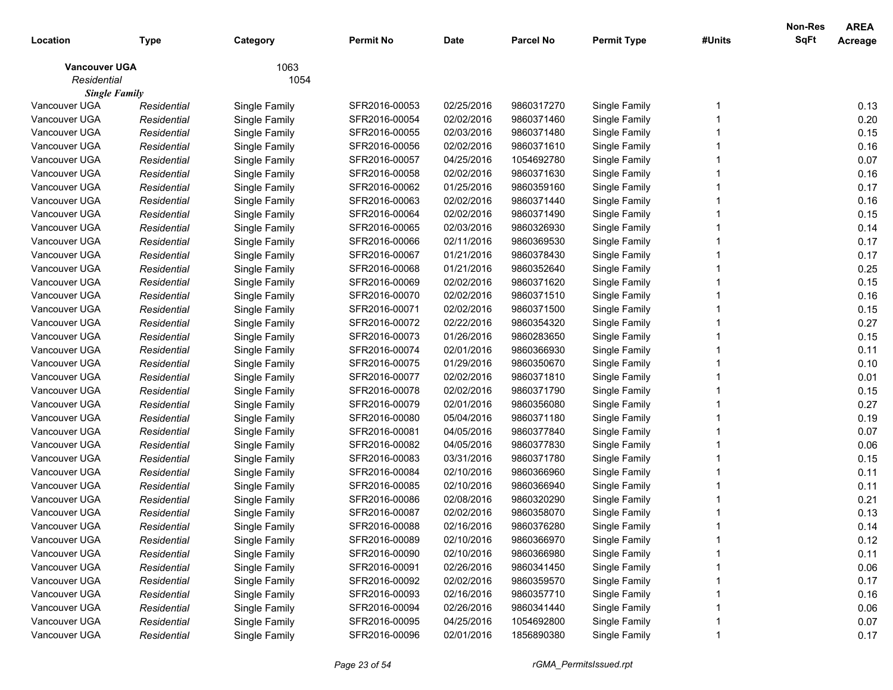| 1063<br><b>Vancouver UGA</b><br>Residential<br>1054<br><b>Single Family</b><br>Vancouver UGA<br>SFR2016-00053<br>02/25/2016<br>9860317270<br>0.13<br>Single Family<br>Single Family<br>Residential<br>0.20<br>Vancouver UGA<br>Residential<br>Single Family<br>SFR2016-00054<br>02/02/2016<br>9860371460<br>Single Family<br>0.15<br>Vancouver UGA<br>SFR2016-00055<br>02/03/2016<br>9860371480<br>Single Family<br>Residential<br>Single Family<br>0.16<br>Vancouver UGA<br>Residential<br>Single Family<br>SFR2016-00056<br>02/02/2016<br>9860371610<br>Single Family<br>0.07<br>Vancouver UGA<br>Residential<br>Single Family<br>SFR2016-00057<br>04/25/2016<br>1054692780<br>Single Family<br>0.16<br>Vancouver UGA<br>Residential<br>Single Family<br>SFR2016-00058<br>02/02/2016<br>9860371630<br>Single Family<br>0.17<br>Vancouver UGA<br>01/25/2016<br>Residential<br>Single Family<br>SFR2016-00062<br>9860359160<br>Single Family<br>0.16<br>Vancouver UGA<br>Residential<br>Single Family<br>SFR2016-00063<br>02/02/2016<br>9860371440<br>Single Family<br>0.15<br>Vancouver UGA<br>Residential<br>Single Family<br>SFR2016-00064<br>02/02/2016<br>9860371490<br>Single Family<br>0.14<br>Vancouver UGA<br>SFR2016-00065<br>02/03/2016<br>9860326930<br>Single Family<br>Residential<br>Single Family<br>Vancouver UGA<br>SFR2016-00066<br>02/11/2016<br>9860369530<br>Single Family<br>0.17<br>Residential<br>Single Family<br>Vancouver UGA<br>0.17<br>Residential<br>Single Family<br>SFR2016-00067<br>01/21/2016<br>9860378430<br>Single Family<br>0.25<br>Vancouver UGA<br>Residential<br>Single Family<br>SFR2016-00068<br>01/21/2016<br>9860352640<br>Single Family<br>0.15<br>Vancouver UGA<br>Residential<br>Single Family<br>SFR2016-00069<br>02/02/2016<br>9860371620<br>Single Family<br>0.16<br>Vancouver UGA<br>Residential<br>Single Family<br>SFR2016-00070<br>02/02/2016<br>9860371510<br>Single Family<br>0.15<br>Vancouver UGA<br>Residential<br>Single Family<br>SFR2016-00071<br>02/02/2016<br>9860371500<br>Single Family<br>0.27<br>Vancouver UGA<br>Residential<br>Single Family<br>SFR2016-00072<br>02/22/2016<br>9860354320<br>Single Family<br>0.15<br>Vancouver UGA<br>SFR2016-00073<br>01/26/2016<br>9860283650<br>Single Family<br>Residential<br>Single Family<br>Vancouver UGA<br>0.11<br>Residential<br>Single Family<br>SFR2016-00074<br>02/01/2016<br>9860366930<br>Single Family<br>0.10<br>Vancouver UGA<br>Residential<br>Single Family<br>SFR2016-00075<br>01/29/2016<br>9860350670<br>Single Family<br>Vancouver UGA<br>0.01<br>Residential<br>Single Family<br>SFR2016-00077<br>02/02/2016<br>9860371810<br>Single Family<br>0.15<br>Vancouver UGA<br>Residential<br>Single Family<br>SFR2016-00078<br>02/02/2016<br>9860371790<br>Single Family<br>0.27<br>Vancouver UGA<br>Residential<br>Single Family<br>SFR2016-00079<br>02/01/2016<br>9860356080<br>Single Family<br>0.19<br>Vancouver UGA<br>Residential<br>Single Family<br>SFR2016-00080<br>05/04/2016<br>9860371180<br>Single Family<br>Vancouver UGA<br>SFR2016-00081<br>04/05/2016<br>9860377840<br>Single Family<br>0.07<br>Residential<br>Single Family<br>0.06<br>Vancouver UGA<br>SFR2016-00082<br>04/05/2016<br>9860377830<br>Single Family<br>Residential<br>Single Family<br>0.15<br>Vancouver UGA<br>03/31/2016<br>Residential<br>Single Family<br>SFR2016-00083<br>9860371780<br>Single Family<br>Vancouver UGA<br>9860366960<br>0.11<br>Residential<br>Single Family<br>SFR2016-00084<br>02/10/2016<br>Single Family<br>0.11<br>Vancouver UGA<br>Residential<br>Single Family<br>SFR2016-00085<br>02/10/2016<br>9860366940<br>Single Family<br>0.21<br>Vancouver UGA<br>Residential<br>Single Family<br>SFR2016-00086<br>02/08/2016<br>9860320290<br>Single Family<br>0.13<br>Vancouver UGA<br>Single Family<br>SFR2016-00087<br>02/02/2016<br>9860358070<br>Single Family<br>Residential<br>Vancouver UGA<br>Single Family<br>Residential<br>SFR2016-00088<br>02/16/2016<br>9860376280<br>Single Family<br>0.14<br>02/10/2016<br>9860366970<br>0.12<br>Vancouver UGA<br>SFR2016-00089<br>Single Family<br>Residential<br>Single Family<br>0.11<br>Vancouver UGA<br>Single Family<br>02/10/2016<br>Single Family<br>Residential<br>SFR2016-00090<br>9860366980<br>0.06<br>Vancouver UGA<br>Single Family<br>02/26/2016<br>Single Family<br>Residential<br>SFR2016-00091<br>9860341450<br>0.17<br>Vancouver UGA<br>Single Family<br>02/02/2016<br>Single Family<br>Residential<br>SFR2016-00092<br>9860359570<br>0.16<br>Vancouver UGA<br>Single Family<br>02/16/2016<br>Single Family<br>Residential<br>SFR2016-00093<br>9860357710<br>0.06<br>Vancouver UGA<br>Single Family<br>02/26/2016<br>Single Family<br>Residential<br>SFR2016-00094<br>9860341440<br>Vancouver UGA<br>Single Family<br>04/25/2016<br>Single Family<br>0.07<br>Residential<br>SFR2016-00095<br>1054692800 | Location      | <b>Type</b> | Category      | <b>Permit No</b> | <b>Date</b> | <b>Parcel No</b> | <b>Permit Type</b> | #Units | <b>Non-Res</b><br>SqFt | <b>AREA</b><br>Acreage |
|--------------------------------------------------------------------------------------------------------------------------------------------------------------------------------------------------------------------------------------------------------------------------------------------------------------------------------------------------------------------------------------------------------------------------------------------------------------------------------------------------------------------------------------------------------------------------------------------------------------------------------------------------------------------------------------------------------------------------------------------------------------------------------------------------------------------------------------------------------------------------------------------------------------------------------------------------------------------------------------------------------------------------------------------------------------------------------------------------------------------------------------------------------------------------------------------------------------------------------------------------------------------------------------------------------------------------------------------------------------------------------------------------------------------------------------------------------------------------------------------------------------------------------------------------------------------------------------------------------------------------------------------------------------------------------------------------------------------------------------------------------------------------------------------------------------------------------------------------------------------------------------------------------------------------------------------------------------------------------------------------------------------------------------------------------------------------------------------------------------------------------------------------------------------------------------------------------------------------------------------------------------------------------------------------------------------------------------------------------------------------------------------------------------------------------------------------------------------------------------------------------------------------------------------------------------------------------------------------------------------------------------------------------------------------------------------------------------------------------------------------------------------------------------------------------------------------------------------------------------------------------------------------------------------------------------------------------------------------------------------------------------------------------------------------------------------------------------------------------------------------------------------------------------------------------------------------------------------------------------------------------------------------------------------------------------------------------------------------------------------------------------------------------------------------------------------------------------------------------------------------------------------------------------------------------------------------------------------------------------------------------------------------------------------------------------------------------------------------------------------------------------------------------------------------------------------------------------------------------------------------------------------------------------------------------------------------------------------------------------------------------------------------------------------------------------------------------------------------------------------------------------------------------------------------------------------------------------------------------------------------------------------------------------------------------------------------------------------------------------------------------------------------------------------------------------------------------------------------------------------------------------------------------------------------------------------------------------------------------------------------------------------------------------------------------------------------------------------------------------------------------------------------------------------------------------------------------------------------------------------------------------------------------------|---------------|-------------|---------------|------------------|-------------|------------------|--------------------|--------|------------------------|------------------------|
|                                                                                                                                                                                                                                                                                                                                                                                                                                                                                                                                                                                                                                                                                                                                                                                                                                                                                                                                                                                                                                                                                                                                                                                                                                                                                                                                                                                                                                                                                                                                                                                                                                                                                                                                                                                                                                                                                                                                                                                                                                                                                                                                                                                                                                                                                                                                                                                                                                                                                                                                                                                                                                                                                                                                                                                                                                                                                                                                                                                                                                                                                                                                                                                                                                                                                                                                                                                                                                                                                                                                                                                                                                                                                                                                                                                                                                                                                                                                                                                                                                                                                                                                                                                                                                                                                                                                                                                                                                                                                                                                                                                                                                                                                                                                                                                                                                                                                                              |               |             |               |                  |             |                  |                    |        |                        |                        |
|                                                                                                                                                                                                                                                                                                                                                                                                                                                                                                                                                                                                                                                                                                                                                                                                                                                                                                                                                                                                                                                                                                                                                                                                                                                                                                                                                                                                                                                                                                                                                                                                                                                                                                                                                                                                                                                                                                                                                                                                                                                                                                                                                                                                                                                                                                                                                                                                                                                                                                                                                                                                                                                                                                                                                                                                                                                                                                                                                                                                                                                                                                                                                                                                                                                                                                                                                                                                                                                                                                                                                                                                                                                                                                                                                                                                                                                                                                                                                                                                                                                                                                                                                                                                                                                                                                                                                                                                                                                                                                                                                                                                                                                                                                                                                                                                                                                                                                              |               |             |               |                  |             |                  |                    |        |                        |                        |
|                                                                                                                                                                                                                                                                                                                                                                                                                                                                                                                                                                                                                                                                                                                                                                                                                                                                                                                                                                                                                                                                                                                                                                                                                                                                                                                                                                                                                                                                                                                                                                                                                                                                                                                                                                                                                                                                                                                                                                                                                                                                                                                                                                                                                                                                                                                                                                                                                                                                                                                                                                                                                                                                                                                                                                                                                                                                                                                                                                                                                                                                                                                                                                                                                                                                                                                                                                                                                                                                                                                                                                                                                                                                                                                                                                                                                                                                                                                                                                                                                                                                                                                                                                                                                                                                                                                                                                                                                                                                                                                                                                                                                                                                                                                                                                                                                                                                                                              |               |             |               |                  |             |                  |                    |        |                        |                        |
|                                                                                                                                                                                                                                                                                                                                                                                                                                                                                                                                                                                                                                                                                                                                                                                                                                                                                                                                                                                                                                                                                                                                                                                                                                                                                                                                                                                                                                                                                                                                                                                                                                                                                                                                                                                                                                                                                                                                                                                                                                                                                                                                                                                                                                                                                                                                                                                                                                                                                                                                                                                                                                                                                                                                                                                                                                                                                                                                                                                                                                                                                                                                                                                                                                                                                                                                                                                                                                                                                                                                                                                                                                                                                                                                                                                                                                                                                                                                                                                                                                                                                                                                                                                                                                                                                                                                                                                                                                                                                                                                                                                                                                                                                                                                                                                                                                                                                                              |               |             |               |                  |             |                  |                    |        |                        |                        |
|                                                                                                                                                                                                                                                                                                                                                                                                                                                                                                                                                                                                                                                                                                                                                                                                                                                                                                                                                                                                                                                                                                                                                                                                                                                                                                                                                                                                                                                                                                                                                                                                                                                                                                                                                                                                                                                                                                                                                                                                                                                                                                                                                                                                                                                                                                                                                                                                                                                                                                                                                                                                                                                                                                                                                                                                                                                                                                                                                                                                                                                                                                                                                                                                                                                                                                                                                                                                                                                                                                                                                                                                                                                                                                                                                                                                                                                                                                                                                                                                                                                                                                                                                                                                                                                                                                                                                                                                                                                                                                                                                                                                                                                                                                                                                                                                                                                                                                              |               |             |               |                  |             |                  |                    |        |                        |                        |
|                                                                                                                                                                                                                                                                                                                                                                                                                                                                                                                                                                                                                                                                                                                                                                                                                                                                                                                                                                                                                                                                                                                                                                                                                                                                                                                                                                                                                                                                                                                                                                                                                                                                                                                                                                                                                                                                                                                                                                                                                                                                                                                                                                                                                                                                                                                                                                                                                                                                                                                                                                                                                                                                                                                                                                                                                                                                                                                                                                                                                                                                                                                                                                                                                                                                                                                                                                                                                                                                                                                                                                                                                                                                                                                                                                                                                                                                                                                                                                                                                                                                                                                                                                                                                                                                                                                                                                                                                                                                                                                                                                                                                                                                                                                                                                                                                                                                                                              |               |             |               |                  |             |                  |                    |        |                        |                        |
|                                                                                                                                                                                                                                                                                                                                                                                                                                                                                                                                                                                                                                                                                                                                                                                                                                                                                                                                                                                                                                                                                                                                                                                                                                                                                                                                                                                                                                                                                                                                                                                                                                                                                                                                                                                                                                                                                                                                                                                                                                                                                                                                                                                                                                                                                                                                                                                                                                                                                                                                                                                                                                                                                                                                                                                                                                                                                                                                                                                                                                                                                                                                                                                                                                                                                                                                                                                                                                                                                                                                                                                                                                                                                                                                                                                                                                                                                                                                                                                                                                                                                                                                                                                                                                                                                                                                                                                                                                                                                                                                                                                                                                                                                                                                                                                                                                                                                                              |               |             |               |                  |             |                  |                    |        |                        |                        |
|                                                                                                                                                                                                                                                                                                                                                                                                                                                                                                                                                                                                                                                                                                                                                                                                                                                                                                                                                                                                                                                                                                                                                                                                                                                                                                                                                                                                                                                                                                                                                                                                                                                                                                                                                                                                                                                                                                                                                                                                                                                                                                                                                                                                                                                                                                                                                                                                                                                                                                                                                                                                                                                                                                                                                                                                                                                                                                                                                                                                                                                                                                                                                                                                                                                                                                                                                                                                                                                                                                                                                                                                                                                                                                                                                                                                                                                                                                                                                                                                                                                                                                                                                                                                                                                                                                                                                                                                                                                                                                                                                                                                                                                                                                                                                                                                                                                                                                              |               |             |               |                  |             |                  |                    |        |                        |                        |
|                                                                                                                                                                                                                                                                                                                                                                                                                                                                                                                                                                                                                                                                                                                                                                                                                                                                                                                                                                                                                                                                                                                                                                                                                                                                                                                                                                                                                                                                                                                                                                                                                                                                                                                                                                                                                                                                                                                                                                                                                                                                                                                                                                                                                                                                                                                                                                                                                                                                                                                                                                                                                                                                                                                                                                                                                                                                                                                                                                                                                                                                                                                                                                                                                                                                                                                                                                                                                                                                                                                                                                                                                                                                                                                                                                                                                                                                                                                                                                                                                                                                                                                                                                                                                                                                                                                                                                                                                                                                                                                                                                                                                                                                                                                                                                                                                                                                                                              |               |             |               |                  |             |                  |                    |        |                        |                        |
|                                                                                                                                                                                                                                                                                                                                                                                                                                                                                                                                                                                                                                                                                                                                                                                                                                                                                                                                                                                                                                                                                                                                                                                                                                                                                                                                                                                                                                                                                                                                                                                                                                                                                                                                                                                                                                                                                                                                                                                                                                                                                                                                                                                                                                                                                                                                                                                                                                                                                                                                                                                                                                                                                                                                                                                                                                                                                                                                                                                                                                                                                                                                                                                                                                                                                                                                                                                                                                                                                                                                                                                                                                                                                                                                                                                                                                                                                                                                                                                                                                                                                                                                                                                                                                                                                                                                                                                                                                                                                                                                                                                                                                                                                                                                                                                                                                                                                                              |               |             |               |                  |             |                  |                    |        |                        |                        |
|                                                                                                                                                                                                                                                                                                                                                                                                                                                                                                                                                                                                                                                                                                                                                                                                                                                                                                                                                                                                                                                                                                                                                                                                                                                                                                                                                                                                                                                                                                                                                                                                                                                                                                                                                                                                                                                                                                                                                                                                                                                                                                                                                                                                                                                                                                                                                                                                                                                                                                                                                                                                                                                                                                                                                                                                                                                                                                                                                                                                                                                                                                                                                                                                                                                                                                                                                                                                                                                                                                                                                                                                                                                                                                                                                                                                                                                                                                                                                                                                                                                                                                                                                                                                                                                                                                                                                                                                                                                                                                                                                                                                                                                                                                                                                                                                                                                                                                              |               |             |               |                  |             |                  |                    |        |                        |                        |
|                                                                                                                                                                                                                                                                                                                                                                                                                                                                                                                                                                                                                                                                                                                                                                                                                                                                                                                                                                                                                                                                                                                                                                                                                                                                                                                                                                                                                                                                                                                                                                                                                                                                                                                                                                                                                                                                                                                                                                                                                                                                                                                                                                                                                                                                                                                                                                                                                                                                                                                                                                                                                                                                                                                                                                                                                                                                                                                                                                                                                                                                                                                                                                                                                                                                                                                                                                                                                                                                                                                                                                                                                                                                                                                                                                                                                                                                                                                                                                                                                                                                                                                                                                                                                                                                                                                                                                                                                                                                                                                                                                                                                                                                                                                                                                                                                                                                                                              |               |             |               |                  |             |                  |                    |        |                        |                        |
|                                                                                                                                                                                                                                                                                                                                                                                                                                                                                                                                                                                                                                                                                                                                                                                                                                                                                                                                                                                                                                                                                                                                                                                                                                                                                                                                                                                                                                                                                                                                                                                                                                                                                                                                                                                                                                                                                                                                                                                                                                                                                                                                                                                                                                                                                                                                                                                                                                                                                                                                                                                                                                                                                                                                                                                                                                                                                                                                                                                                                                                                                                                                                                                                                                                                                                                                                                                                                                                                                                                                                                                                                                                                                                                                                                                                                                                                                                                                                                                                                                                                                                                                                                                                                                                                                                                                                                                                                                                                                                                                                                                                                                                                                                                                                                                                                                                                                                              |               |             |               |                  |             |                  |                    |        |                        |                        |
|                                                                                                                                                                                                                                                                                                                                                                                                                                                                                                                                                                                                                                                                                                                                                                                                                                                                                                                                                                                                                                                                                                                                                                                                                                                                                                                                                                                                                                                                                                                                                                                                                                                                                                                                                                                                                                                                                                                                                                                                                                                                                                                                                                                                                                                                                                                                                                                                                                                                                                                                                                                                                                                                                                                                                                                                                                                                                                                                                                                                                                                                                                                                                                                                                                                                                                                                                                                                                                                                                                                                                                                                                                                                                                                                                                                                                                                                                                                                                                                                                                                                                                                                                                                                                                                                                                                                                                                                                                                                                                                                                                                                                                                                                                                                                                                                                                                                                                              |               |             |               |                  |             |                  |                    |        |                        |                        |
|                                                                                                                                                                                                                                                                                                                                                                                                                                                                                                                                                                                                                                                                                                                                                                                                                                                                                                                                                                                                                                                                                                                                                                                                                                                                                                                                                                                                                                                                                                                                                                                                                                                                                                                                                                                                                                                                                                                                                                                                                                                                                                                                                                                                                                                                                                                                                                                                                                                                                                                                                                                                                                                                                                                                                                                                                                                                                                                                                                                                                                                                                                                                                                                                                                                                                                                                                                                                                                                                                                                                                                                                                                                                                                                                                                                                                                                                                                                                                                                                                                                                                                                                                                                                                                                                                                                                                                                                                                                                                                                                                                                                                                                                                                                                                                                                                                                                                                              |               |             |               |                  |             |                  |                    |        |                        |                        |
|                                                                                                                                                                                                                                                                                                                                                                                                                                                                                                                                                                                                                                                                                                                                                                                                                                                                                                                                                                                                                                                                                                                                                                                                                                                                                                                                                                                                                                                                                                                                                                                                                                                                                                                                                                                                                                                                                                                                                                                                                                                                                                                                                                                                                                                                                                                                                                                                                                                                                                                                                                                                                                                                                                                                                                                                                                                                                                                                                                                                                                                                                                                                                                                                                                                                                                                                                                                                                                                                                                                                                                                                                                                                                                                                                                                                                                                                                                                                                                                                                                                                                                                                                                                                                                                                                                                                                                                                                                                                                                                                                                                                                                                                                                                                                                                                                                                                                                              |               |             |               |                  |             |                  |                    |        |                        |                        |
|                                                                                                                                                                                                                                                                                                                                                                                                                                                                                                                                                                                                                                                                                                                                                                                                                                                                                                                                                                                                                                                                                                                                                                                                                                                                                                                                                                                                                                                                                                                                                                                                                                                                                                                                                                                                                                                                                                                                                                                                                                                                                                                                                                                                                                                                                                                                                                                                                                                                                                                                                                                                                                                                                                                                                                                                                                                                                                                                                                                                                                                                                                                                                                                                                                                                                                                                                                                                                                                                                                                                                                                                                                                                                                                                                                                                                                                                                                                                                                                                                                                                                                                                                                                                                                                                                                                                                                                                                                                                                                                                                                                                                                                                                                                                                                                                                                                                                                              |               |             |               |                  |             |                  |                    |        |                        |                        |
|                                                                                                                                                                                                                                                                                                                                                                                                                                                                                                                                                                                                                                                                                                                                                                                                                                                                                                                                                                                                                                                                                                                                                                                                                                                                                                                                                                                                                                                                                                                                                                                                                                                                                                                                                                                                                                                                                                                                                                                                                                                                                                                                                                                                                                                                                                                                                                                                                                                                                                                                                                                                                                                                                                                                                                                                                                                                                                                                                                                                                                                                                                                                                                                                                                                                                                                                                                                                                                                                                                                                                                                                                                                                                                                                                                                                                                                                                                                                                                                                                                                                                                                                                                                                                                                                                                                                                                                                                                                                                                                                                                                                                                                                                                                                                                                                                                                                                                              |               |             |               |                  |             |                  |                    |        |                        |                        |
|                                                                                                                                                                                                                                                                                                                                                                                                                                                                                                                                                                                                                                                                                                                                                                                                                                                                                                                                                                                                                                                                                                                                                                                                                                                                                                                                                                                                                                                                                                                                                                                                                                                                                                                                                                                                                                                                                                                                                                                                                                                                                                                                                                                                                                                                                                                                                                                                                                                                                                                                                                                                                                                                                                                                                                                                                                                                                                                                                                                                                                                                                                                                                                                                                                                                                                                                                                                                                                                                                                                                                                                                                                                                                                                                                                                                                                                                                                                                                                                                                                                                                                                                                                                                                                                                                                                                                                                                                                                                                                                                                                                                                                                                                                                                                                                                                                                                                                              |               |             |               |                  |             |                  |                    |        |                        |                        |
|                                                                                                                                                                                                                                                                                                                                                                                                                                                                                                                                                                                                                                                                                                                                                                                                                                                                                                                                                                                                                                                                                                                                                                                                                                                                                                                                                                                                                                                                                                                                                                                                                                                                                                                                                                                                                                                                                                                                                                                                                                                                                                                                                                                                                                                                                                                                                                                                                                                                                                                                                                                                                                                                                                                                                                                                                                                                                                                                                                                                                                                                                                                                                                                                                                                                                                                                                                                                                                                                                                                                                                                                                                                                                                                                                                                                                                                                                                                                                                                                                                                                                                                                                                                                                                                                                                                                                                                                                                                                                                                                                                                                                                                                                                                                                                                                                                                                                                              |               |             |               |                  |             |                  |                    |        |                        |                        |
|                                                                                                                                                                                                                                                                                                                                                                                                                                                                                                                                                                                                                                                                                                                                                                                                                                                                                                                                                                                                                                                                                                                                                                                                                                                                                                                                                                                                                                                                                                                                                                                                                                                                                                                                                                                                                                                                                                                                                                                                                                                                                                                                                                                                                                                                                                                                                                                                                                                                                                                                                                                                                                                                                                                                                                                                                                                                                                                                                                                                                                                                                                                                                                                                                                                                                                                                                                                                                                                                                                                                                                                                                                                                                                                                                                                                                                                                                                                                                                                                                                                                                                                                                                                                                                                                                                                                                                                                                                                                                                                                                                                                                                                                                                                                                                                                                                                                                                              |               |             |               |                  |             |                  |                    |        |                        |                        |
|                                                                                                                                                                                                                                                                                                                                                                                                                                                                                                                                                                                                                                                                                                                                                                                                                                                                                                                                                                                                                                                                                                                                                                                                                                                                                                                                                                                                                                                                                                                                                                                                                                                                                                                                                                                                                                                                                                                                                                                                                                                                                                                                                                                                                                                                                                                                                                                                                                                                                                                                                                                                                                                                                                                                                                                                                                                                                                                                                                                                                                                                                                                                                                                                                                                                                                                                                                                                                                                                                                                                                                                                                                                                                                                                                                                                                                                                                                                                                                                                                                                                                                                                                                                                                                                                                                                                                                                                                                                                                                                                                                                                                                                                                                                                                                                                                                                                                                              |               |             |               |                  |             |                  |                    |        |                        |                        |
|                                                                                                                                                                                                                                                                                                                                                                                                                                                                                                                                                                                                                                                                                                                                                                                                                                                                                                                                                                                                                                                                                                                                                                                                                                                                                                                                                                                                                                                                                                                                                                                                                                                                                                                                                                                                                                                                                                                                                                                                                                                                                                                                                                                                                                                                                                                                                                                                                                                                                                                                                                                                                                                                                                                                                                                                                                                                                                                                                                                                                                                                                                                                                                                                                                                                                                                                                                                                                                                                                                                                                                                                                                                                                                                                                                                                                                                                                                                                                                                                                                                                                                                                                                                                                                                                                                                                                                                                                                                                                                                                                                                                                                                                                                                                                                                                                                                                                                              |               |             |               |                  |             |                  |                    |        |                        |                        |
|                                                                                                                                                                                                                                                                                                                                                                                                                                                                                                                                                                                                                                                                                                                                                                                                                                                                                                                                                                                                                                                                                                                                                                                                                                                                                                                                                                                                                                                                                                                                                                                                                                                                                                                                                                                                                                                                                                                                                                                                                                                                                                                                                                                                                                                                                                                                                                                                                                                                                                                                                                                                                                                                                                                                                                                                                                                                                                                                                                                                                                                                                                                                                                                                                                                                                                                                                                                                                                                                                                                                                                                                                                                                                                                                                                                                                                                                                                                                                                                                                                                                                                                                                                                                                                                                                                                                                                                                                                                                                                                                                                                                                                                                                                                                                                                                                                                                                                              |               |             |               |                  |             |                  |                    |        |                        |                        |
|                                                                                                                                                                                                                                                                                                                                                                                                                                                                                                                                                                                                                                                                                                                                                                                                                                                                                                                                                                                                                                                                                                                                                                                                                                                                                                                                                                                                                                                                                                                                                                                                                                                                                                                                                                                                                                                                                                                                                                                                                                                                                                                                                                                                                                                                                                                                                                                                                                                                                                                                                                                                                                                                                                                                                                                                                                                                                                                                                                                                                                                                                                                                                                                                                                                                                                                                                                                                                                                                                                                                                                                                                                                                                                                                                                                                                                                                                                                                                                                                                                                                                                                                                                                                                                                                                                                                                                                                                                                                                                                                                                                                                                                                                                                                                                                                                                                                                                              |               |             |               |                  |             |                  |                    |        |                        |                        |
|                                                                                                                                                                                                                                                                                                                                                                                                                                                                                                                                                                                                                                                                                                                                                                                                                                                                                                                                                                                                                                                                                                                                                                                                                                                                                                                                                                                                                                                                                                                                                                                                                                                                                                                                                                                                                                                                                                                                                                                                                                                                                                                                                                                                                                                                                                                                                                                                                                                                                                                                                                                                                                                                                                                                                                                                                                                                                                                                                                                                                                                                                                                                                                                                                                                                                                                                                                                                                                                                                                                                                                                                                                                                                                                                                                                                                                                                                                                                                                                                                                                                                                                                                                                                                                                                                                                                                                                                                                                                                                                                                                                                                                                                                                                                                                                                                                                                                                              |               |             |               |                  |             |                  |                    |        |                        |                        |
|                                                                                                                                                                                                                                                                                                                                                                                                                                                                                                                                                                                                                                                                                                                                                                                                                                                                                                                                                                                                                                                                                                                                                                                                                                                                                                                                                                                                                                                                                                                                                                                                                                                                                                                                                                                                                                                                                                                                                                                                                                                                                                                                                                                                                                                                                                                                                                                                                                                                                                                                                                                                                                                                                                                                                                                                                                                                                                                                                                                                                                                                                                                                                                                                                                                                                                                                                                                                                                                                                                                                                                                                                                                                                                                                                                                                                                                                                                                                                                                                                                                                                                                                                                                                                                                                                                                                                                                                                                                                                                                                                                                                                                                                                                                                                                                                                                                                                                              |               |             |               |                  |             |                  |                    |        |                        |                        |
|                                                                                                                                                                                                                                                                                                                                                                                                                                                                                                                                                                                                                                                                                                                                                                                                                                                                                                                                                                                                                                                                                                                                                                                                                                                                                                                                                                                                                                                                                                                                                                                                                                                                                                                                                                                                                                                                                                                                                                                                                                                                                                                                                                                                                                                                                                                                                                                                                                                                                                                                                                                                                                                                                                                                                                                                                                                                                                                                                                                                                                                                                                                                                                                                                                                                                                                                                                                                                                                                                                                                                                                                                                                                                                                                                                                                                                                                                                                                                                                                                                                                                                                                                                                                                                                                                                                                                                                                                                                                                                                                                                                                                                                                                                                                                                                                                                                                                                              |               |             |               |                  |             |                  |                    |        |                        |                        |
|                                                                                                                                                                                                                                                                                                                                                                                                                                                                                                                                                                                                                                                                                                                                                                                                                                                                                                                                                                                                                                                                                                                                                                                                                                                                                                                                                                                                                                                                                                                                                                                                                                                                                                                                                                                                                                                                                                                                                                                                                                                                                                                                                                                                                                                                                                                                                                                                                                                                                                                                                                                                                                                                                                                                                                                                                                                                                                                                                                                                                                                                                                                                                                                                                                                                                                                                                                                                                                                                                                                                                                                                                                                                                                                                                                                                                                                                                                                                                                                                                                                                                                                                                                                                                                                                                                                                                                                                                                                                                                                                                                                                                                                                                                                                                                                                                                                                                                              |               |             |               |                  |             |                  |                    |        |                        |                        |
|                                                                                                                                                                                                                                                                                                                                                                                                                                                                                                                                                                                                                                                                                                                                                                                                                                                                                                                                                                                                                                                                                                                                                                                                                                                                                                                                                                                                                                                                                                                                                                                                                                                                                                                                                                                                                                                                                                                                                                                                                                                                                                                                                                                                                                                                                                                                                                                                                                                                                                                                                                                                                                                                                                                                                                                                                                                                                                                                                                                                                                                                                                                                                                                                                                                                                                                                                                                                                                                                                                                                                                                                                                                                                                                                                                                                                                                                                                                                                                                                                                                                                                                                                                                                                                                                                                                                                                                                                                                                                                                                                                                                                                                                                                                                                                                                                                                                                                              |               |             |               |                  |             |                  |                    |        |                        |                        |
|                                                                                                                                                                                                                                                                                                                                                                                                                                                                                                                                                                                                                                                                                                                                                                                                                                                                                                                                                                                                                                                                                                                                                                                                                                                                                                                                                                                                                                                                                                                                                                                                                                                                                                                                                                                                                                                                                                                                                                                                                                                                                                                                                                                                                                                                                                                                                                                                                                                                                                                                                                                                                                                                                                                                                                                                                                                                                                                                                                                                                                                                                                                                                                                                                                                                                                                                                                                                                                                                                                                                                                                                                                                                                                                                                                                                                                                                                                                                                                                                                                                                                                                                                                                                                                                                                                                                                                                                                                                                                                                                                                                                                                                                                                                                                                                                                                                                                                              |               |             |               |                  |             |                  |                    |        |                        |                        |
|                                                                                                                                                                                                                                                                                                                                                                                                                                                                                                                                                                                                                                                                                                                                                                                                                                                                                                                                                                                                                                                                                                                                                                                                                                                                                                                                                                                                                                                                                                                                                                                                                                                                                                                                                                                                                                                                                                                                                                                                                                                                                                                                                                                                                                                                                                                                                                                                                                                                                                                                                                                                                                                                                                                                                                                                                                                                                                                                                                                                                                                                                                                                                                                                                                                                                                                                                                                                                                                                                                                                                                                                                                                                                                                                                                                                                                                                                                                                                                                                                                                                                                                                                                                                                                                                                                                                                                                                                                                                                                                                                                                                                                                                                                                                                                                                                                                                                                              |               |             |               |                  |             |                  |                    |        |                        |                        |
|                                                                                                                                                                                                                                                                                                                                                                                                                                                                                                                                                                                                                                                                                                                                                                                                                                                                                                                                                                                                                                                                                                                                                                                                                                                                                                                                                                                                                                                                                                                                                                                                                                                                                                                                                                                                                                                                                                                                                                                                                                                                                                                                                                                                                                                                                                                                                                                                                                                                                                                                                                                                                                                                                                                                                                                                                                                                                                                                                                                                                                                                                                                                                                                                                                                                                                                                                                                                                                                                                                                                                                                                                                                                                                                                                                                                                                                                                                                                                                                                                                                                                                                                                                                                                                                                                                                                                                                                                                                                                                                                                                                                                                                                                                                                                                                                                                                                                                              |               |             |               |                  |             |                  |                    |        |                        |                        |
|                                                                                                                                                                                                                                                                                                                                                                                                                                                                                                                                                                                                                                                                                                                                                                                                                                                                                                                                                                                                                                                                                                                                                                                                                                                                                                                                                                                                                                                                                                                                                                                                                                                                                                                                                                                                                                                                                                                                                                                                                                                                                                                                                                                                                                                                                                                                                                                                                                                                                                                                                                                                                                                                                                                                                                                                                                                                                                                                                                                                                                                                                                                                                                                                                                                                                                                                                                                                                                                                                                                                                                                                                                                                                                                                                                                                                                                                                                                                                                                                                                                                                                                                                                                                                                                                                                                                                                                                                                                                                                                                                                                                                                                                                                                                                                                                                                                                                                              |               |             |               |                  |             |                  |                    |        |                        |                        |
|                                                                                                                                                                                                                                                                                                                                                                                                                                                                                                                                                                                                                                                                                                                                                                                                                                                                                                                                                                                                                                                                                                                                                                                                                                                                                                                                                                                                                                                                                                                                                                                                                                                                                                                                                                                                                                                                                                                                                                                                                                                                                                                                                                                                                                                                                                                                                                                                                                                                                                                                                                                                                                                                                                                                                                                                                                                                                                                                                                                                                                                                                                                                                                                                                                                                                                                                                                                                                                                                                                                                                                                                                                                                                                                                                                                                                                                                                                                                                                                                                                                                                                                                                                                                                                                                                                                                                                                                                                                                                                                                                                                                                                                                                                                                                                                                                                                                                                              |               |             |               |                  |             |                  |                    |        |                        |                        |
|                                                                                                                                                                                                                                                                                                                                                                                                                                                                                                                                                                                                                                                                                                                                                                                                                                                                                                                                                                                                                                                                                                                                                                                                                                                                                                                                                                                                                                                                                                                                                                                                                                                                                                                                                                                                                                                                                                                                                                                                                                                                                                                                                                                                                                                                                                                                                                                                                                                                                                                                                                                                                                                                                                                                                                                                                                                                                                                                                                                                                                                                                                                                                                                                                                                                                                                                                                                                                                                                                                                                                                                                                                                                                                                                                                                                                                                                                                                                                                                                                                                                                                                                                                                                                                                                                                                                                                                                                                                                                                                                                                                                                                                                                                                                                                                                                                                                                                              |               |             |               |                  |             |                  |                    |        |                        |                        |
|                                                                                                                                                                                                                                                                                                                                                                                                                                                                                                                                                                                                                                                                                                                                                                                                                                                                                                                                                                                                                                                                                                                                                                                                                                                                                                                                                                                                                                                                                                                                                                                                                                                                                                                                                                                                                                                                                                                                                                                                                                                                                                                                                                                                                                                                                                                                                                                                                                                                                                                                                                                                                                                                                                                                                                                                                                                                                                                                                                                                                                                                                                                                                                                                                                                                                                                                                                                                                                                                                                                                                                                                                                                                                                                                                                                                                                                                                                                                                                                                                                                                                                                                                                                                                                                                                                                                                                                                                                                                                                                                                                                                                                                                                                                                                                                                                                                                                                              |               |             |               |                  |             |                  |                    |        |                        |                        |
|                                                                                                                                                                                                                                                                                                                                                                                                                                                                                                                                                                                                                                                                                                                                                                                                                                                                                                                                                                                                                                                                                                                                                                                                                                                                                                                                                                                                                                                                                                                                                                                                                                                                                                                                                                                                                                                                                                                                                                                                                                                                                                                                                                                                                                                                                                                                                                                                                                                                                                                                                                                                                                                                                                                                                                                                                                                                                                                                                                                                                                                                                                                                                                                                                                                                                                                                                                                                                                                                                                                                                                                                                                                                                                                                                                                                                                                                                                                                                                                                                                                                                                                                                                                                                                                                                                                                                                                                                                                                                                                                                                                                                                                                                                                                                                                                                                                                                                              |               |             |               |                  |             |                  |                    |        |                        |                        |
|                                                                                                                                                                                                                                                                                                                                                                                                                                                                                                                                                                                                                                                                                                                                                                                                                                                                                                                                                                                                                                                                                                                                                                                                                                                                                                                                                                                                                                                                                                                                                                                                                                                                                                                                                                                                                                                                                                                                                                                                                                                                                                                                                                                                                                                                                                                                                                                                                                                                                                                                                                                                                                                                                                                                                                                                                                                                                                                                                                                                                                                                                                                                                                                                                                                                                                                                                                                                                                                                                                                                                                                                                                                                                                                                                                                                                                                                                                                                                                                                                                                                                                                                                                                                                                                                                                                                                                                                                                                                                                                                                                                                                                                                                                                                                                                                                                                                                                              |               |             |               |                  |             |                  |                    |        |                        |                        |
|                                                                                                                                                                                                                                                                                                                                                                                                                                                                                                                                                                                                                                                                                                                                                                                                                                                                                                                                                                                                                                                                                                                                                                                                                                                                                                                                                                                                                                                                                                                                                                                                                                                                                                                                                                                                                                                                                                                                                                                                                                                                                                                                                                                                                                                                                                                                                                                                                                                                                                                                                                                                                                                                                                                                                                                                                                                                                                                                                                                                                                                                                                                                                                                                                                                                                                                                                                                                                                                                                                                                                                                                                                                                                                                                                                                                                                                                                                                                                                                                                                                                                                                                                                                                                                                                                                                                                                                                                                                                                                                                                                                                                                                                                                                                                                                                                                                                                                              |               |             |               |                  |             |                  |                    |        |                        |                        |
|                                                                                                                                                                                                                                                                                                                                                                                                                                                                                                                                                                                                                                                                                                                                                                                                                                                                                                                                                                                                                                                                                                                                                                                                                                                                                                                                                                                                                                                                                                                                                                                                                                                                                                                                                                                                                                                                                                                                                                                                                                                                                                                                                                                                                                                                                                                                                                                                                                                                                                                                                                                                                                                                                                                                                                                                                                                                                                                                                                                                                                                                                                                                                                                                                                                                                                                                                                                                                                                                                                                                                                                                                                                                                                                                                                                                                                                                                                                                                                                                                                                                                                                                                                                                                                                                                                                                                                                                                                                                                                                                                                                                                                                                                                                                                                                                                                                                                                              |               |             |               |                  |             |                  |                    |        |                        |                        |
|                                                                                                                                                                                                                                                                                                                                                                                                                                                                                                                                                                                                                                                                                                                                                                                                                                                                                                                                                                                                                                                                                                                                                                                                                                                                                                                                                                                                                                                                                                                                                                                                                                                                                                                                                                                                                                                                                                                                                                                                                                                                                                                                                                                                                                                                                                                                                                                                                                                                                                                                                                                                                                                                                                                                                                                                                                                                                                                                                                                                                                                                                                                                                                                                                                                                                                                                                                                                                                                                                                                                                                                                                                                                                                                                                                                                                                                                                                                                                                                                                                                                                                                                                                                                                                                                                                                                                                                                                                                                                                                                                                                                                                                                                                                                                                                                                                                                                                              |               |             |               |                  |             |                  |                    |        |                        |                        |
|                                                                                                                                                                                                                                                                                                                                                                                                                                                                                                                                                                                                                                                                                                                                                                                                                                                                                                                                                                                                                                                                                                                                                                                                                                                                                                                                                                                                                                                                                                                                                                                                                                                                                                                                                                                                                                                                                                                                                                                                                                                                                                                                                                                                                                                                                                                                                                                                                                                                                                                                                                                                                                                                                                                                                                                                                                                                                                                                                                                                                                                                                                                                                                                                                                                                                                                                                                                                                                                                                                                                                                                                                                                                                                                                                                                                                                                                                                                                                                                                                                                                                                                                                                                                                                                                                                                                                                                                                                                                                                                                                                                                                                                                                                                                                                                                                                                                                                              | Vancouver UGA | Residential | Single Family | SFR2016-00096    | 02/01/2016  | 1856890380       | Single Family      |        |                        | 0.17                   |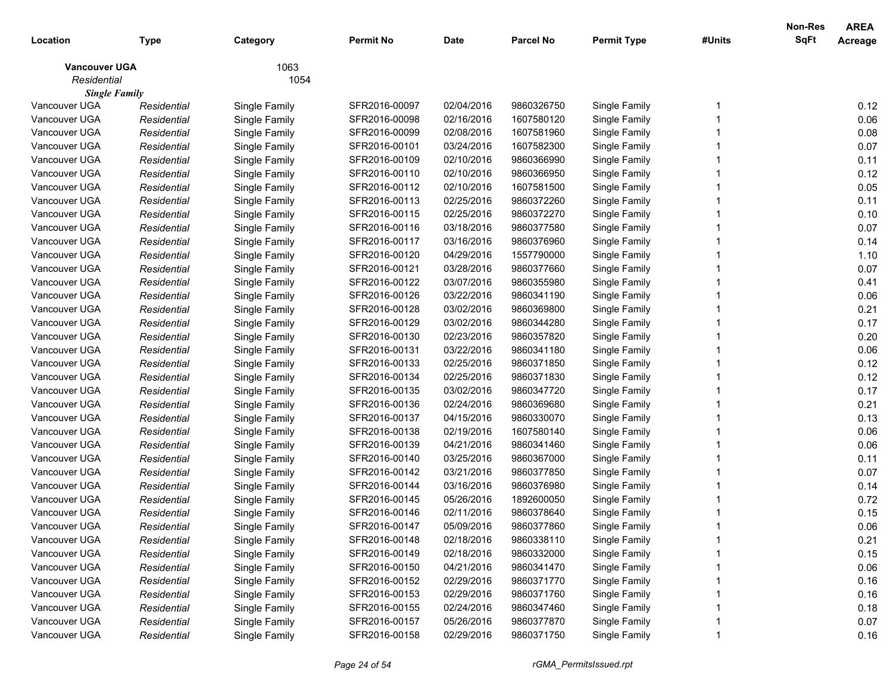| Location             | <b>Type</b> | Category      | <b>Permit No</b> | <b>Date</b> | <b>Parcel No</b> | <b>Permit Type</b> | #Units | Non-Res<br>SqFt | <b>AREA</b><br>Acreage |
|----------------------|-------------|---------------|------------------|-------------|------------------|--------------------|--------|-----------------|------------------------|
| <b>Vancouver UGA</b> |             | 1063          |                  |             |                  |                    |        |                 |                        |
| Residential          |             | 1054          |                  |             |                  |                    |        |                 |                        |
| <b>Single Family</b> |             |               |                  |             |                  |                    |        |                 |                        |
| Vancouver UGA        | Residential | Single Family | SFR2016-00097    | 02/04/2016  | 9860326750       | Single Family      |        |                 | 0.12                   |
| Vancouver UGA        | Residential | Single Family | SFR2016-00098    | 02/16/2016  | 1607580120       | Single Family      |        |                 | 0.06                   |
| Vancouver UGA        | Residential | Single Family | SFR2016-00099    | 02/08/2016  | 1607581960       | Single Family      |        |                 | 0.08                   |
| Vancouver UGA        | Residential | Single Family | SFR2016-00101    | 03/24/2016  | 1607582300       | Single Family      |        |                 | 0.07                   |
| Vancouver UGA        | Residential | Single Family | SFR2016-00109    | 02/10/2016  | 9860366990       | Single Family      |        |                 | 0.11                   |
| Vancouver UGA        | Residential | Single Family | SFR2016-00110    | 02/10/2016  | 9860366950       | Single Family      |        |                 | 0.12                   |
| Vancouver UGA        | Residential | Single Family | SFR2016-00112    | 02/10/2016  | 1607581500       | Single Family      |        |                 | 0.05                   |
| Vancouver UGA        | Residential | Single Family | SFR2016-00113    | 02/25/2016  | 9860372260       | Single Family      |        |                 | 0.11                   |
| Vancouver UGA        | Residential | Single Family | SFR2016-00115    | 02/25/2016  | 9860372270       | Single Family      |        |                 | 0.10                   |
| Vancouver UGA        | Residential | Single Family | SFR2016-00116    | 03/18/2016  | 9860377580       | Single Family      |        |                 | 0.07                   |
| Vancouver UGA        | Residential | Single Family | SFR2016-00117    | 03/16/2016  | 9860376960       | Single Family      |        |                 | 0.14                   |
| Vancouver UGA        | Residential | Single Family | SFR2016-00120    | 04/29/2016  | 1557790000       | Single Family      |        |                 | 1.10                   |
| Vancouver UGA        | Residential | Single Family | SFR2016-00121    | 03/28/2016  | 9860377660       | Single Family      |        |                 | 0.07                   |
| Vancouver UGA        | Residential | Single Family | SFR2016-00122    | 03/07/2016  | 9860355980       | Single Family      |        |                 | 0.41                   |
| Vancouver UGA        | Residential | Single Family | SFR2016-00126    | 03/22/2016  | 9860341190       | Single Family      |        |                 | 0.06                   |
| Vancouver UGA        | Residential | Single Family | SFR2016-00128    | 03/02/2016  | 9860369800       | Single Family      |        |                 | 0.21                   |
| Vancouver UGA        | Residential | Single Family | SFR2016-00129    | 03/02/2016  | 9860344280       | Single Family      |        |                 | 0.17                   |
| Vancouver UGA        | Residential | Single Family | SFR2016-00130    | 02/23/2016  | 9860357820       | Single Family      |        |                 | 0.20                   |
| Vancouver UGA        | Residential | Single Family | SFR2016-00131    | 03/22/2016  | 9860341180       | Single Family      |        |                 | 0.06                   |
| Vancouver UGA        | Residential | Single Family | SFR2016-00133    | 02/25/2016  | 9860371850       | Single Family      |        |                 | 0.12                   |
| Vancouver UGA        | Residential | Single Family | SFR2016-00134    | 02/25/2016  | 9860371830       | Single Family      |        |                 | 0.12                   |
| Vancouver UGA        | Residential | Single Family | SFR2016-00135    | 03/02/2016  | 9860347720       | Single Family      |        |                 | 0.17                   |
| Vancouver UGA        | Residential | Single Family | SFR2016-00136    | 02/24/2016  | 9860369680       | Single Family      |        |                 | 0.21                   |
| Vancouver UGA        | Residential | Single Family | SFR2016-00137    | 04/15/2016  | 9860330070       | Single Family      |        |                 | 0.13                   |
| Vancouver UGA        | Residential | Single Family | SFR2016-00138    | 02/19/2016  | 1607580140       | Single Family      |        |                 | 0.06                   |
| Vancouver UGA        | Residential | Single Family | SFR2016-00139    | 04/21/2016  | 9860341460       | Single Family      |        |                 | 0.06                   |
| Vancouver UGA        | Residential | Single Family | SFR2016-00140    | 03/25/2016  | 9860367000       | Single Family      |        |                 | 0.11                   |
| Vancouver UGA        | Residential | Single Family | SFR2016-00142    | 03/21/2016  | 9860377850       | Single Family      |        |                 | 0.07                   |
| Vancouver UGA        | Residential | Single Family | SFR2016-00144    | 03/16/2016  | 9860376980       | Single Family      |        |                 | 0.14                   |
| Vancouver UGA        | Residential | Single Family | SFR2016-00145    | 05/26/2016  | 1892600050       | Single Family      |        |                 | 0.72                   |
| Vancouver UGA        | Residential | Single Family | SFR2016-00146    | 02/11/2016  | 9860378640       | Single Family      |        |                 | 0.15                   |
| Vancouver UGA        | Residential | Single Family | SFR2016-00147    | 05/09/2016  | 9860377860       | Single Family      |        |                 | 0.06                   |
| Vancouver UGA        | Residential | Single Family | SFR2016-00148    | 02/18/2016  | 9860338110       | Single Family      |        |                 | 0.21                   |
| Vancouver UGA        | Residential | Single Family | SFR2016-00149    | 02/18/2016  | 9860332000       | Single Family      |        |                 | 0.15                   |
| Vancouver UGA        | Residential | Single Family | SFR2016-00150    | 04/21/2016  | 9860341470       | Single Family      |        |                 | 0.06                   |
| Vancouver UGA        | Residential | Single Family | SFR2016-00152    | 02/29/2016  | 9860371770       | Single Family      |        |                 | 0.16                   |
| Vancouver UGA        | Residential | Single Family | SFR2016-00153    | 02/29/2016  | 9860371760       | Single Family      |        |                 | 0.16                   |
| Vancouver UGA        | Residential | Single Family | SFR2016-00155    | 02/24/2016  | 9860347460       | Single Family      |        |                 | 0.18                   |
| Vancouver UGA        | Residential | Single Family | SFR2016-00157    | 05/26/2016  | 9860377870       | Single Family      |        |                 | 0.07                   |
| Vancouver UGA        | Residential | Single Family | SFR2016-00158    | 02/29/2016  | 9860371750       | Single Family      |        |                 | 0.16                   |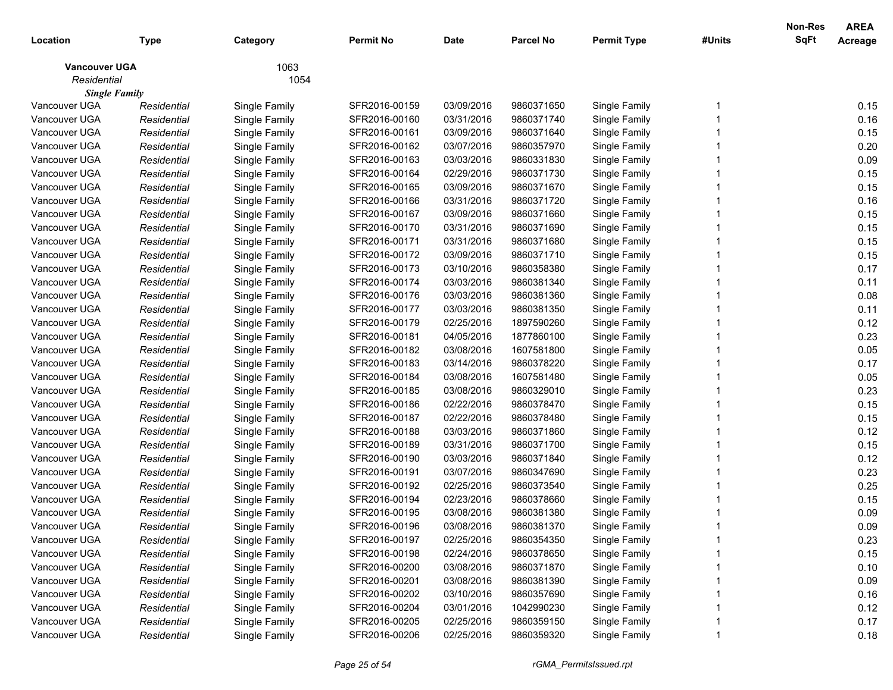| Location             | <b>Type</b> | Category      | <b>Permit No</b> | <b>Date</b> | <b>Parcel No</b> | <b>Permit Type</b> | #Units | Non-Res<br>SqFt | <b>AREA</b><br>Acreage |
|----------------------|-------------|---------------|------------------|-------------|------------------|--------------------|--------|-----------------|------------------------|
| <b>Vancouver UGA</b> |             | 1063          |                  |             |                  |                    |        |                 |                        |
| Residential          |             | 1054          |                  |             |                  |                    |        |                 |                        |
| <b>Single Family</b> |             |               |                  |             |                  |                    |        |                 |                        |
| Vancouver UGA        | Residential | Single Family | SFR2016-00159    | 03/09/2016  | 9860371650       | Single Family      |        |                 | 0.15                   |
| Vancouver UGA        | Residential | Single Family | SFR2016-00160    | 03/31/2016  | 9860371740       | Single Family      |        |                 | 0.16                   |
| Vancouver UGA        | Residential | Single Family | SFR2016-00161    | 03/09/2016  | 9860371640       | Single Family      |        |                 | 0.15                   |
| Vancouver UGA        | Residential | Single Family | SFR2016-00162    | 03/07/2016  | 9860357970       | Single Family      |        |                 | 0.20                   |
| Vancouver UGA        | Residential | Single Family | SFR2016-00163    | 03/03/2016  | 9860331830       | Single Family      |        |                 | 0.09                   |
| Vancouver UGA        | Residential | Single Family | SFR2016-00164    | 02/29/2016  | 9860371730       | Single Family      |        |                 | 0.15                   |
| Vancouver UGA        | Residential | Single Family | SFR2016-00165    | 03/09/2016  | 9860371670       | Single Family      |        |                 | 0.15                   |
| Vancouver UGA        | Residential | Single Family | SFR2016-00166    | 03/31/2016  | 9860371720       | Single Family      |        |                 | 0.16                   |
| Vancouver UGA        | Residential | Single Family | SFR2016-00167    | 03/09/2016  | 9860371660       | Single Family      |        |                 | 0.15                   |
| Vancouver UGA        | Residential | Single Family | SFR2016-00170    | 03/31/2016  | 9860371690       | Single Family      |        |                 | 0.15                   |
| Vancouver UGA        | Residential | Single Family | SFR2016-00171    | 03/31/2016  | 9860371680       | Single Family      |        |                 | 0.15                   |
| Vancouver UGA        | Residential | Single Family | SFR2016-00172    | 03/09/2016  | 9860371710       | Single Family      |        |                 | 0.15                   |
| Vancouver UGA        | Residential | Single Family | SFR2016-00173    | 03/10/2016  | 9860358380       | Single Family      |        |                 | 0.17                   |
| Vancouver UGA        | Residential | Single Family | SFR2016-00174    | 03/03/2016  | 9860381340       | Single Family      |        |                 | 0.11                   |
| Vancouver UGA        | Residential | Single Family | SFR2016-00176    | 03/03/2016  | 9860381360       | Single Family      |        |                 | 0.08                   |
| Vancouver UGA        | Residential | Single Family | SFR2016-00177    | 03/03/2016  | 9860381350       | Single Family      |        |                 | 0.11                   |
| Vancouver UGA        | Residential | Single Family | SFR2016-00179    | 02/25/2016  | 1897590260       | Single Family      |        |                 | 0.12                   |
| Vancouver UGA        | Residential | Single Family | SFR2016-00181    | 04/05/2016  | 1877860100       | Single Family      |        |                 | 0.23                   |
| Vancouver UGA        | Residential | Single Family | SFR2016-00182    | 03/08/2016  | 1607581800       | Single Family      |        |                 | 0.05                   |
| Vancouver UGA        | Residential | Single Family | SFR2016-00183    | 03/14/2016  | 9860378220       | Single Family      |        |                 | 0.17                   |
| Vancouver UGA        | Residential | Single Family | SFR2016-00184    | 03/08/2016  | 1607581480       | Single Family      |        |                 | 0.05                   |
| Vancouver UGA        | Residential | Single Family | SFR2016-00185    | 03/08/2016  | 9860329010       | Single Family      |        |                 | 0.23                   |
| Vancouver UGA        | Residential | Single Family | SFR2016-00186    | 02/22/2016  | 9860378470       | Single Family      |        |                 | 0.15                   |
| Vancouver UGA        | Residential | Single Family | SFR2016-00187    | 02/22/2016  | 9860378480       | Single Family      |        |                 | 0.15                   |
| Vancouver UGA        | Residential | Single Family | SFR2016-00188    | 03/03/2016  | 9860371860       | Single Family      |        |                 | 0.12                   |
| Vancouver UGA        | Residential | Single Family | SFR2016-00189    | 03/31/2016  | 9860371700       | Single Family      |        |                 | 0.15                   |
| Vancouver UGA        | Residential | Single Family | SFR2016-00190    | 03/03/2016  | 9860371840       | Single Family      |        |                 | 0.12                   |
| Vancouver UGA        | Residential | Single Family | SFR2016-00191    | 03/07/2016  | 9860347690       | Single Family      |        |                 | 0.23                   |
| Vancouver UGA        | Residential | Single Family | SFR2016-00192    | 02/25/2016  | 9860373540       | Single Family      |        |                 | 0.25                   |
| Vancouver UGA        | Residential | Single Family | SFR2016-00194    | 02/23/2016  | 9860378660       | Single Family      |        |                 | 0.15                   |
| Vancouver UGA        | Residential | Single Family | SFR2016-00195    | 03/08/2016  | 9860381380       | Single Family      |        |                 | 0.09                   |
| Vancouver UGA        | Residential | Single Family | SFR2016-00196    | 03/08/2016  | 9860381370       | Single Family      |        |                 | 0.09                   |
| Vancouver UGA        | Residential | Single Family | SFR2016-00197    | 02/25/2016  | 9860354350       | Single Family      |        |                 | 0.23                   |
| Vancouver UGA        | Residential | Single Family | SFR2016-00198    | 02/24/2016  | 9860378650       | Single Family      |        |                 | 0.15                   |
| Vancouver UGA        | Residential | Single Family | SFR2016-00200    | 03/08/2016  | 9860371870       | Single Family      |        |                 | 0.10                   |
| Vancouver UGA        | Residential | Single Family | SFR2016-00201    | 03/08/2016  | 9860381390       | Single Family      |        |                 | 0.09                   |
| Vancouver UGA        | Residential | Single Family | SFR2016-00202    | 03/10/2016  | 9860357690       | Single Family      |        |                 | 0.16                   |
| Vancouver UGA        | Residential | Single Family | SFR2016-00204    | 03/01/2016  | 1042990230       | Single Family      |        |                 | 0.12                   |
| Vancouver UGA        | Residential | Single Family | SFR2016-00205    | 02/25/2016  | 9860359150       | Single Family      |        |                 | 0.17                   |
| Vancouver UGA        | Residential | Single Family | SFR2016-00206    | 02/25/2016  | 9860359320       | Single Family      |        |                 | 0.18                   |
|                      |             |               |                  |             |                  |                    |        |                 |                        |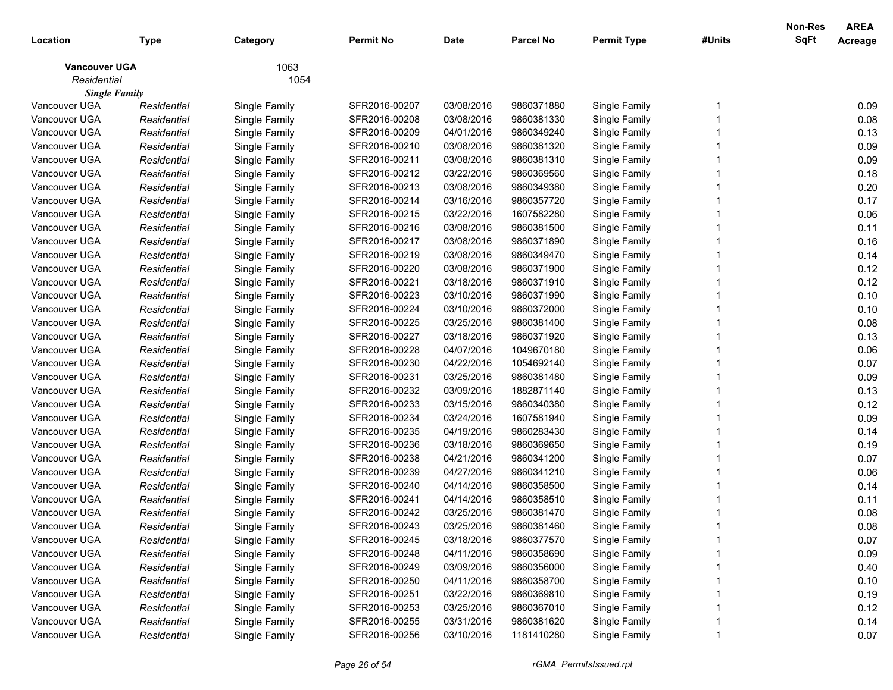| 1063<br><b>Vancouver UGA</b><br>Residential<br>1054<br><b>Single Family</b><br>Vancouver UGA<br>SFR2016-00207<br>03/08/2016<br>9860371880<br>0.09<br>Single Family<br>Single Family<br>Residential<br>0.08<br>Vancouver UGA<br>Residential<br>Single Family<br>SFR2016-00208<br>03/08/2016<br>9860381330<br>Single Family<br>Vancouver UGA<br>SFR2016-00209<br>04/01/2016<br>9860349240<br>Single Family<br>0.13<br>Residential<br>Single Family<br>0.09<br>Vancouver UGA<br>Residential<br>Single Family<br>SFR2016-00210<br>03/08/2016<br>9860381320<br>Single Family<br>0.09<br>Vancouver UGA<br>Residential<br>Single Family<br>SFR2016-00211<br>03/08/2016<br>9860381310<br>Single Family<br>0.18<br>Vancouver UGA<br>03/22/2016<br>Residential<br>Single Family<br>SFR2016-00212<br>9860369560<br>Single Family<br>0.20<br>Vancouver UGA<br>Residential<br>Single Family<br>SFR2016-00213<br>03/08/2016<br>9860349380<br>Single Family<br>0.17<br>Vancouver UGA<br>Residential<br>Single Family<br>SFR2016-00214<br>03/16/2016<br>9860357720<br>Single Family<br>0.06<br>Vancouver UGA<br>03/22/2016<br>Residential<br>Single Family<br>SFR2016-00215<br>1607582280<br>Single Family<br>Vancouver UGA<br>03/08/2016<br>SFR2016-00216<br>9860381500<br>Single Family<br>0.11<br>Residential<br>Single Family<br>0.16<br>Vancouver UGA<br>SFR2016-00217<br>03/08/2016<br>9860371890<br>Single Family<br>Residential<br>Single Family<br>0.14<br>Vancouver UGA<br>Residential<br>Single Family<br>SFR2016-00219<br>03/08/2016<br>9860349470<br>Single Family<br>0.12<br>Vancouver UGA<br>Residential<br>Single Family<br>SFR2016-00220<br>03/08/2016<br>9860371900<br>Single Family<br>0.12<br>Vancouver UGA<br>Residential<br>Single Family<br>SFR2016-00221<br>03/18/2016<br>9860371910<br>Single Family<br>0.10<br>Vancouver UGA<br>Residential<br>Single Family<br>SFR2016-00223<br>03/10/2016<br>9860371990<br>Single Family<br>0.10<br>Vancouver UGA<br>Residential<br>Single Family<br>SFR2016-00224<br>03/10/2016<br>9860372000<br>Single Family<br>0.08<br>Vancouver UGA<br>Residential<br>Single Family<br>SFR2016-00225<br>03/25/2016<br>9860381400<br>Single Family<br>0.13<br>Vancouver UGA<br>SFR2016-00227<br>03/18/2016<br>9860371920<br>Single Family<br>Residential<br>Single Family<br>0.06<br>Vancouver UGA<br>Residential<br>Single Family<br>SFR2016-00228<br>04/07/2016<br>1049670180<br>Single Family<br>0.07<br>Vancouver UGA<br>Residential<br>Single Family<br>SFR2016-00230<br>04/22/2016<br>1054692140<br>Single Family<br>0.09<br>Vancouver UGA<br>Residential<br>Single Family<br>SFR2016-00231<br>03/25/2016<br>9860381480<br>Single Family<br>0.13<br>Vancouver UGA<br>Residential<br>Single Family<br>SFR2016-00232<br>03/09/2016<br>1882871140<br>Single Family<br>0.12<br>Vancouver UGA<br>Residential<br>Single Family<br>SFR2016-00233<br>03/15/2016<br>9860340380<br>Single Family<br>0.09<br>Vancouver UGA<br>Residential<br>Single Family<br>SFR2016-00234<br>03/24/2016<br>1607581940<br>Single Family<br>0.14<br>Vancouver UGA<br>SFR2016-00235<br>04/19/2016<br>9860283430<br>Single Family<br>Residential<br>Single Family<br>0.19<br>Vancouver UGA<br>SFR2016-00236<br>03/18/2016<br>9860369650<br>Single Family<br>Residential<br>Single Family<br>0.07<br>Vancouver UGA<br>04/21/2016<br>9860341200<br>Residential<br>Single Family<br>SFR2016-00238<br>Single Family<br>0.06<br>Vancouver UGA<br>04/27/2016<br>9860341210<br>Residential<br>Single Family<br>SFR2016-00239<br>Single Family<br>0.14<br>04/14/2016<br>Vancouver UGA<br>Residential<br>Single Family<br>SFR2016-00240<br>9860358500<br>Single Family<br>04/14/2016<br>0.11<br>Vancouver UGA<br>Residential<br>Single Family<br>SFR2016-00241<br>9860358510<br>Single Family<br>0.08<br>Vancouver UGA<br>Single Family<br>SFR2016-00242<br>03/25/2016<br>9860381470<br>Single Family<br>Residential<br>Vancouver UGA<br>03/25/2016<br>Single Family<br>Residential<br>SFR2016-00243<br>9860381460<br>0.08<br>Single Family<br>SFR2016-00245<br>03/18/2016<br>9860377570<br>Vancouver UGA<br>Single Family<br>0.07<br>Residential<br>Single Family<br>0.09<br>Vancouver UGA<br>Single Family<br>04/11/2016<br>9860358690<br>Single Family<br>Residential<br>SFR2016-00248<br>0.40<br>Vancouver UGA<br>Single Family<br>03/09/2016<br>Single Family<br>Residential<br>SFR2016-00249<br>9860356000<br>0.10<br>Vancouver UGA<br>Single Family<br>04/11/2016<br>9860358700<br>Single Family<br>Residential<br>SFR2016-00250<br>0.19<br>Vancouver UGA<br>Single Family<br>03/22/2016<br>Single Family<br>Residential<br>SFR2016-00251<br>9860369810<br>0.12<br>Vancouver UGA<br>Single Family<br>03/25/2016<br>9860367010<br>Single Family<br>Residential<br>SFR2016-00253<br>Vancouver UGA<br>Single Family<br>03/31/2016<br>9860381620<br>Single Family<br>0.14<br>Residential<br>SFR2016-00255 | Location      | <b>Type</b> | Category      | <b>Permit No</b> | <b>Date</b> | <b>Parcel No</b> | <b>Permit Type</b> | #Units | Non-Res<br><b>SqFt</b> | <b>AREA</b><br>Acreage |
|--------------------------------------------------------------------------------------------------------------------------------------------------------------------------------------------------------------------------------------------------------------------------------------------------------------------------------------------------------------------------------------------------------------------------------------------------------------------------------------------------------------------------------------------------------------------------------------------------------------------------------------------------------------------------------------------------------------------------------------------------------------------------------------------------------------------------------------------------------------------------------------------------------------------------------------------------------------------------------------------------------------------------------------------------------------------------------------------------------------------------------------------------------------------------------------------------------------------------------------------------------------------------------------------------------------------------------------------------------------------------------------------------------------------------------------------------------------------------------------------------------------------------------------------------------------------------------------------------------------------------------------------------------------------------------------------------------------------------------------------------------------------------------------------------------------------------------------------------------------------------------------------------------------------------------------------------------------------------------------------------------------------------------------------------------------------------------------------------------------------------------------------------------------------------------------------------------------------------------------------------------------------------------------------------------------------------------------------------------------------------------------------------------------------------------------------------------------------------------------------------------------------------------------------------------------------------------------------------------------------------------------------------------------------------------------------------------------------------------------------------------------------------------------------------------------------------------------------------------------------------------------------------------------------------------------------------------------------------------------------------------------------------------------------------------------------------------------------------------------------------------------------------------------------------------------------------------------------------------------------------------------------------------------------------------------------------------------------------------------------------------------------------------------------------------------------------------------------------------------------------------------------------------------------------------------------------------------------------------------------------------------------------------------------------------------------------------------------------------------------------------------------------------------------------------------------------------------------------------------------------------------------------------------------------------------------------------------------------------------------------------------------------------------------------------------------------------------------------------------------------------------------------------------------------------------------------------------------------------------------------------------------------------------------------------------------------------------------------------------------------------------------------------------------------------------------------------------------------------------------------------------------------------------------------------------------------------------------------------------------------------------------------------------------------------------------------------------------------------------------------------------------------------------------------------------------------------------------------------------------------------------------------------------|---------------|-------------|---------------|------------------|-------------|------------------|--------------------|--------|------------------------|------------------------|
|                                                                                                                                                                                                                                                                                                                                                                                                                                                                                                                                                                                                                                                                                                                                                                                                                                                                                                                                                                                                                                                                                                                                                                                                                                                                                                                                                                                                                                                                                                                                                                                                                                                                                                                                                                                                                                                                                                                                                                                                                                                                                                                                                                                                                                                                                                                                                                                                                                                                                                                                                                                                                                                                                                                                                                                                                                                                                                                                                                                                                                                                                                                                                                                                                                                                                                                                                                                                                                                                                                                                                                                                                                                                                                                                                                                                                                                                                                                                                                                                                                                                                                                                                                                                                                                                                                                                                                                                                                                                                                                                                                                                                                                                                                                                                                                                                                                                                                              |               |             |               |                  |             |                  |                    |        |                        |                        |
|                                                                                                                                                                                                                                                                                                                                                                                                                                                                                                                                                                                                                                                                                                                                                                                                                                                                                                                                                                                                                                                                                                                                                                                                                                                                                                                                                                                                                                                                                                                                                                                                                                                                                                                                                                                                                                                                                                                                                                                                                                                                                                                                                                                                                                                                                                                                                                                                                                                                                                                                                                                                                                                                                                                                                                                                                                                                                                                                                                                                                                                                                                                                                                                                                                                                                                                                                                                                                                                                                                                                                                                                                                                                                                                                                                                                                                                                                                                                                                                                                                                                                                                                                                                                                                                                                                                                                                                                                                                                                                                                                                                                                                                                                                                                                                                                                                                                                                              |               |             |               |                  |             |                  |                    |        |                        |                        |
|                                                                                                                                                                                                                                                                                                                                                                                                                                                                                                                                                                                                                                                                                                                                                                                                                                                                                                                                                                                                                                                                                                                                                                                                                                                                                                                                                                                                                                                                                                                                                                                                                                                                                                                                                                                                                                                                                                                                                                                                                                                                                                                                                                                                                                                                                                                                                                                                                                                                                                                                                                                                                                                                                                                                                                                                                                                                                                                                                                                                                                                                                                                                                                                                                                                                                                                                                                                                                                                                                                                                                                                                                                                                                                                                                                                                                                                                                                                                                                                                                                                                                                                                                                                                                                                                                                                                                                                                                                                                                                                                                                                                                                                                                                                                                                                                                                                                                                              |               |             |               |                  |             |                  |                    |        |                        |                        |
|                                                                                                                                                                                                                                                                                                                                                                                                                                                                                                                                                                                                                                                                                                                                                                                                                                                                                                                                                                                                                                                                                                                                                                                                                                                                                                                                                                                                                                                                                                                                                                                                                                                                                                                                                                                                                                                                                                                                                                                                                                                                                                                                                                                                                                                                                                                                                                                                                                                                                                                                                                                                                                                                                                                                                                                                                                                                                                                                                                                                                                                                                                                                                                                                                                                                                                                                                                                                                                                                                                                                                                                                                                                                                                                                                                                                                                                                                                                                                                                                                                                                                                                                                                                                                                                                                                                                                                                                                                                                                                                                                                                                                                                                                                                                                                                                                                                                                                              |               |             |               |                  |             |                  |                    |        |                        |                        |
|                                                                                                                                                                                                                                                                                                                                                                                                                                                                                                                                                                                                                                                                                                                                                                                                                                                                                                                                                                                                                                                                                                                                                                                                                                                                                                                                                                                                                                                                                                                                                                                                                                                                                                                                                                                                                                                                                                                                                                                                                                                                                                                                                                                                                                                                                                                                                                                                                                                                                                                                                                                                                                                                                                                                                                                                                                                                                                                                                                                                                                                                                                                                                                                                                                                                                                                                                                                                                                                                                                                                                                                                                                                                                                                                                                                                                                                                                                                                                                                                                                                                                                                                                                                                                                                                                                                                                                                                                                                                                                                                                                                                                                                                                                                                                                                                                                                                                                              |               |             |               |                  |             |                  |                    |        |                        |                        |
|                                                                                                                                                                                                                                                                                                                                                                                                                                                                                                                                                                                                                                                                                                                                                                                                                                                                                                                                                                                                                                                                                                                                                                                                                                                                                                                                                                                                                                                                                                                                                                                                                                                                                                                                                                                                                                                                                                                                                                                                                                                                                                                                                                                                                                                                                                                                                                                                                                                                                                                                                                                                                                                                                                                                                                                                                                                                                                                                                                                                                                                                                                                                                                                                                                                                                                                                                                                                                                                                                                                                                                                                                                                                                                                                                                                                                                                                                                                                                                                                                                                                                                                                                                                                                                                                                                                                                                                                                                                                                                                                                                                                                                                                                                                                                                                                                                                                                                              |               |             |               |                  |             |                  |                    |        |                        |                        |
|                                                                                                                                                                                                                                                                                                                                                                                                                                                                                                                                                                                                                                                                                                                                                                                                                                                                                                                                                                                                                                                                                                                                                                                                                                                                                                                                                                                                                                                                                                                                                                                                                                                                                                                                                                                                                                                                                                                                                                                                                                                                                                                                                                                                                                                                                                                                                                                                                                                                                                                                                                                                                                                                                                                                                                                                                                                                                                                                                                                                                                                                                                                                                                                                                                                                                                                                                                                                                                                                                                                                                                                                                                                                                                                                                                                                                                                                                                                                                                                                                                                                                                                                                                                                                                                                                                                                                                                                                                                                                                                                                                                                                                                                                                                                                                                                                                                                                                              |               |             |               |                  |             |                  |                    |        |                        |                        |
|                                                                                                                                                                                                                                                                                                                                                                                                                                                                                                                                                                                                                                                                                                                                                                                                                                                                                                                                                                                                                                                                                                                                                                                                                                                                                                                                                                                                                                                                                                                                                                                                                                                                                                                                                                                                                                                                                                                                                                                                                                                                                                                                                                                                                                                                                                                                                                                                                                                                                                                                                                                                                                                                                                                                                                                                                                                                                                                                                                                                                                                                                                                                                                                                                                                                                                                                                                                                                                                                                                                                                                                                                                                                                                                                                                                                                                                                                                                                                                                                                                                                                                                                                                                                                                                                                                                                                                                                                                                                                                                                                                                                                                                                                                                                                                                                                                                                                                              |               |             |               |                  |             |                  |                    |        |                        |                        |
|                                                                                                                                                                                                                                                                                                                                                                                                                                                                                                                                                                                                                                                                                                                                                                                                                                                                                                                                                                                                                                                                                                                                                                                                                                                                                                                                                                                                                                                                                                                                                                                                                                                                                                                                                                                                                                                                                                                                                                                                                                                                                                                                                                                                                                                                                                                                                                                                                                                                                                                                                                                                                                                                                                                                                                                                                                                                                                                                                                                                                                                                                                                                                                                                                                                                                                                                                                                                                                                                                                                                                                                                                                                                                                                                                                                                                                                                                                                                                                                                                                                                                                                                                                                                                                                                                                                                                                                                                                                                                                                                                                                                                                                                                                                                                                                                                                                                                                              |               |             |               |                  |             |                  |                    |        |                        |                        |
|                                                                                                                                                                                                                                                                                                                                                                                                                                                                                                                                                                                                                                                                                                                                                                                                                                                                                                                                                                                                                                                                                                                                                                                                                                                                                                                                                                                                                                                                                                                                                                                                                                                                                                                                                                                                                                                                                                                                                                                                                                                                                                                                                                                                                                                                                                                                                                                                                                                                                                                                                                                                                                                                                                                                                                                                                                                                                                                                                                                                                                                                                                                                                                                                                                                                                                                                                                                                                                                                                                                                                                                                                                                                                                                                                                                                                                                                                                                                                                                                                                                                                                                                                                                                                                                                                                                                                                                                                                                                                                                                                                                                                                                                                                                                                                                                                                                                                                              |               |             |               |                  |             |                  |                    |        |                        |                        |
|                                                                                                                                                                                                                                                                                                                                                                                                                                                                                                                                                                                                                                                                                                                                                                                                                                                                                                                                                                                                                                                                                                                                                                                                                                                                                                                                                                                                                                                                                                                                                                                                                                                                                                                                                                                                                                                                                                                                                                                                                                                                                                                                                                                                                                                                                                                                                                                                                                                                                                                                                                                                                                                                                                                                                                                                                                                                                                                                                                                                                                                                                                                                                                                                                                                                                                                                                                                                                                                                                                                                                                                                                                                                                                                                                                                                                                                                                                                                                                                                                                                                                                                                                                                                                                                                                                                                                                                                                                                                                                                                                                                                                                                                                                                                                                                                                                                                                                              |               |             |               |                  |             |                  |                    |        |                        |                        |
|                                                                                                                                                                                                                                                                                                                                                                                                                                                                                                                                                                                                                                                                                                                                                                                                                                                                                                                                                                                                                                                                                                                                                                                                                                                                                                                                                                                                                                                                                                                                                                                                                                                                                                                                                                                                                                                                                                                                                                                                                                                                                                                                                                                                                                                                                                                                                                                                                                                                                                                                                                                                                                                                                                                                                                                                                                                                                                                                                                                                                                                                                                                                                                                                                                                                                                                                                                                                                                                                                                                                                                                                                                                                                                                                                                                                                                                                                                                                                                                                                                                                                                                                                                                                                                                                                                                                                                                                                                                                                                                                                                                                                                                                                                                                                                                                                                                                                                              |               |             |               |                  |             |                  |                    |        |                        |                        |
|                                                                                                                                                                                                                                                                                                                                                                                                                                                                                                                                                                                                                                                                                                                                                                                                                                                                                                                                                                                                                                                                                                                                                                                                                                                                                                                                                                                                                                                                                                                                                                                                                                                                                                                                                                                                                                                                                                                                                                                                                                                                                                                                                                                                                                                                                                                                                                                                                                                                                                                                                                                                                                                                                                                                                                                                                                                                                                                                                                                                                                                                                                                                                                                                                                                                                                                                                                                                                                                                                                                                                                                                                                                                                                                                                                                                                                                                                                                                                                                                                                                                                                                                                                                                                                                                                                                                                                                                                                                                                                                                                                                                                                                                                                                                                                                                                                                                                                              |               |             |               |                  |             |                  |                    |        |                        |                        |
|                                                                                                                                                                                                                                                                                                                                                                                                                                                                                                                                                                                                                                                                                                                                                                                                                                                                                                                                                                                                                                                                                                                                                                                                                                                                                                                                                                                                                                                                                                                                                                                                                                                                                                                                                                                                                                                                                                                                                                                                                                                                                                                                                                                                                                                                                                                                                                                                                                                                                                                                                                                                                                                                                                                                                                                                                                                                                                                                                                                                                                                                                                                                                                                                                                                                                                                                                                                                                                                                                                                                                                                                                                                                                                                                                                                                                                                                                                                                                                                                                                                                                                                                                                                                                                                                                                                                                                                                                                                                                                                                                                                                                                                                                                                                                                                                                                                                                                              |               |             |               |                  |             |                  |                    |        |                        |                        |
|                                                                                                                                                                                                                                                                                                                                                                                                                                                                                                                                                                                                                                                                                                                                                                                                                                                                                                                                                                                                                                                                                                                                                                                                                                                                                                                                                                                                                                                                                                                                                                                                                                                                                                                                                                                                                                                                                                                                                                                                                                                                                                                                                                                                                                                                                                                                                                                                                                                                                                                                                                                                                                                                                                                                                                                                                                                                                                                                                                                                                                                                                                                                                                                                                                                                                                                                                                                                                                                                                                                                                                                                                                                                                                                                                                                                                                                                                                                                                                                                                                                                                                                                                                                                                                                                                                                                                                                                                                                                                                                                                                                                                                                                                                                                                                                                                                                                                                              |               |             |               |                  |             |                  |                    |        |                        |                        |
|                                                                                                                                                                                                                                                                                                                                                                                                                                                                                                                                                                                                                                                                                                                                                                                                                                                                                                                                                                                                                                                                                                                                                                                                                                                                                                                                                                                                                                                                                                                                                                                                                                                                                                                                                                                                                                                                                                                                                                                                                                                                                                                                                                                                                                                                                                                                                                                                                                                                                                                                                                                                                                                                                                                                                                                                                                                                                                                                                                                                                                                                                                                                                                                                                                                                                                                                                                                                                                                                                                                                                                                                                                                                                                                                                                                                                                                                                                                                                                                                                                                                                                                                                                                                                                                                                                                                                                                                                                                                                                                                                                                                                                                                                                                                                                                                                                                                                                              |               |             |               |                  |             |                  |                    |        |                        |                        |
|                                                                                                                                                                                                                                                                                                                                                                                                                                                                                                                                                                                                                                                                                                                                                                                                                                                                                                                                                                                                                                                                                                                                                                                                                                                                                                                                                                                                                                                                                                                                                                                                                                                                                                                                                                                                                                                                                                                                                                                                                                                                                                                                                                                                                                                                                                                                                                                                                                                                                                                                                                                                                                                                                                                                                                                                                                                                                                                                                                                                                                                                                                                                                                                                                                                                                                                                                                                                                                                                                                                                                                                                                                                                                                                                                                                                                                                                                                                                                                                                                                                                                                                                                                                                                                                                                                                                                                                                                                                                                                                                                                                                                                                                                                                                                                                                                                                                                                              |               |             |               |                  |             |                  |                    |        |                        |                        |
|                                                                                                                                                                                                                                                                                                                                                                                                                                                                                                                                                                                                                                                                                                                                                                                                                                                                                                                                                                                                                                                                                                                                                                                                                                                                                                                                                                                                                                                                                                                                                                                                                                                                                                                                                                                                                                                                                                                                                                                                                                                                                                                                                                                                                                                                                                                                                                                                                                                                                                                                                                                                                                                                                                                                                                                                                                                                                                                                                                                                                                                                                                                                                                                                                                                                                                                                                                                                                                                                                                                                                                                                                                                                                                                                                                                                                                                                                                                                                                                                                                                                                                                                                                                                                                                                                                                                                                                                                                                                                                                                                                                                                                                                                                                                                                                                                                                                                                              |               |             |               |                  |             |                  |                    |        |                        |                        |
|                                                                                                                                                                                                                                                                                                                                                                                                                                                                                                                                                                                                                                                                                                                                                                                                                                                                                                                                                                                                                                                                                                                                                                                                                                                                                                                                                                                                                                                                                                                                                                                                                                                                                                                                                                                                                                                                                                                                                                                                                                                                                                                                                                                                                                                                                                                                                                                                                                                                                                                                                                                                                                                                                                                                                                                                                                                                                                                                                                                                                                                                                                                                                                                                                                                                                                                                                                                                                                                                                                                                                                                                                                                                                                                                                                                                                                                                                                                                                                                                                                                                                                                                                                                                                                                                                                                                                                                                                                                                                                                                                                                                                                                                                                                                                                                                                                                                                                              |               |             |               |                  |             |                  |                    |        |                        |                        |
|                                                                                                                                                                                                                                                                                                                                                                                                                                                                                                                                                                                                                                                                                                                                                                                                                                                                                                                                                                                                                                                                                                                                                                                                                                                                                                                                                                                                                                                                                                                                                                                                                                                                                                                                                                                                                                                                                                                                                                                                                                                                                                                                                                                                                                                                                                                                                                                                                                                                                                                                                                                                                                                                                                                                                                                                                                                                                                                                                                                                                                                                                                                                                                                                                                                                                                                                                                                                                                                                                                                                                                                                                                                                                                                                                                                                                                                                                                                                                                                                                                                                                                                                                                                                                                                                                                                                                                                                                                                                                                                                                                                                                                                                                                                                                                                                                                                                                                              |               |             |               |                  |             |                  |                    |        |                        |                        |
|                                                                                                                                                                                                                                                                                                                                                                                                                                                                                                                                                                                                                                                                                                                                                                                                                                                                                                                                                                                                                                                                                                                                                                                                                                                                                                                                                                                                                                                                                                                                                                                                                                                                                                                                                                                                                                                                                                                                                                                                                                                                                                                                                                                                                                                                                                                                                                                                                                                                                                                                                                                                                                                                                                                                                                                                                                                                                                                                                                                                                                                                                                                                                                                                                                                                                                                                                                                                                                                                                                                                                                                                                                                                                                                                                                                                                                                                                                                                                                                                                                                                                                                                                                                                                                                                                                                                                                                                                                                                                                                                                                                                                                                                                                                                                                                                                                                                                                              |               |             |               |                  |             |                  |                    |        |                        |                        |
|                                                                                                                                                                                                                                                                                                                                                                                                                                                                                                                                                                                                                                                                                                                                                                                                                                                                                                                                                                                                                                                                                                                                                                                                                                                                                                                                                                                                                                                                                                                                                                                                                                                                                                                                                                                                                                                                                                                                                                                                                                                                                                                                                                                                                                                                                                                                                                                                                                                                                                                                                                                                                                                                                                                                                                                                                                                                                                                                                                                                                                                                                                                                                                                                                                                                                                                                                                                                                                                                                                                                                                                                                                                                                                                                                                                                                                                                                                                                                                                                                                                                                                                                                                                                                                                                                                                                                                                                                                                                                                                                                                                                                                                                                                                                                                                                                                                                                                              |               |             |               |                  |             |                  |                    |        |                        |                        |
|                                                                                                                                                                                                                                                                                                                                                                                                                                                                                                                                                                                                                                                                                                                                                                                                                                                                                                                                                                                                                                                                                                                                                                                                                                                                                                                                                                                                                                                                                                                                                                                                                                                                                                                                                                                                                                                                                                                                                                                                                                                                                                                                                                                                                                                                                                                                                                                                                                                                                                                                                                                                                                                                                                                                                                                                                                                                                                                                                                                                                                                                                                                                                                                                                                                                                                                                                                                                                                                                                                                                                                                                                                                                                                                                                                                                                                                                                                                                                                                                                                                                                                                                                                                                                                                                                                                                                                                                                                                                                                                                                                                                                                                                                                                                                                                                                                                                                                              |               |             |               |                  |             |                  |                    |        |                        |                        |
|                                                                                                                                                                                                                                                                                                                                                                                                                                                                                                                                                                                                                                                                                                                                                                                                                                                                                                                                                                                                                                                                                                                                                                                                                                                                                                                                                                                                                                                                                                                                                                                                                                                                                                                                                                                                                                                                                                                                                                                                                                                                                                                                                                                                                                                                                                                                                                                                                                                                                                                                                                                                                                                                                                                                                                                                                                                                                                                                                                                                                                                                                                                                                                                                                                                                                                                                                                                                                                                                                                                                                                                                                                                                                                                                                                                                                                                                                                                                                                                                                                                                                                                                                                                                                                                                                                                                                                                                                                                                                                                                                                                                                                                                                                                                                                                                                                                                                                              |               |             |               |                  |             |                  |                    |        |                        |                        |
|                                                                                                                                                                                                                                                                                                                                                                                                                                                                                                                                                                                                                                                                                                                                                                                                                                                                                                                                                                                                                                                                                                                                                                                                                                                                                                                                                                                                                                                                                                                                                                                                                                                                                                                                                                                                                                                                                                                                                                                                                                                                                                                                                                                                                                                                                                                                                                                                                                                                                                                                                                                                                                                                                                                                                                                                                                                                                                                                                                                                                                                                                                                                                                                                                                                                                                                                                                                                                                                                                                                                                                                                                                                                                                                                                                                                                                                                                                                                                                                                                                                                                                                                                                                                                                                                                                                                                                                                                                                                                                                                                                                                                                                                                                                                                                                                                                                                                                              |               |             |               |                  |             |                  |                    |        |                        |                        |
|                                                                                                                                                                                                                                                                                                                                                                                                                                                                                                                                                                                                                                                                                                                                                                                                                                                                                                                                                                                                                                                                                                                                                                                                                                                                                                                                                                                                                                                                                                                                                                                                                                                                                                                                                                                                                                                                                                                                                                                                                                                                                                                                                                                                                                                                                                                                                                                                                                                                                                                                                                                                                                                                                                                                                                                                                                                                                                                                                                                                                                                                                                                                                                                                                                                                                                                                                                                                                                                                                                                                                                                                                                                                                                                                                                                                                                                                                                                                                                                                                                                                                                                                                                                                                                                                                                                                                                                                                                                                                                                                                                                                                                                                                                                                                                                                                                                                                                              |               |             |               |                  |             |                  |                    |        |                        |                        |
|                                                                                                                                                                                                                                                                                                                                                                                                                                                                                                                                                                                                                                                                                                                                                                                                                                                                                                                                                                                                                                                                                                                                                                                                                                                                                                                                                                                                                                                                                                                                                                                                                                                                                                                                                                                                                                                                                                                                                                                                                                                                                                                                                                                                                                                                                                                                                                                                                                                                                                                                                                                                                                                                                                                                                                                                                                                                                                                                                                                                                                                                                                                                                                                                                                                                                                                                                                                                                                                                                                                                                                                                                                                                                                                                                                                                                                                                                                                                                                                                                                                                                                                                                                                                                                                                                                                                                                                                                                                                                                                                                                                                                                                                                                                                                                                                                                                                                                              |               |             |               |                  |             |                  |                    |        |                        |                        |
|                                                                                                                                                                                                                                                                                                                                                                                                                                                                                                                                                                                                                                                                                                                                                                                                                                                                                                                                                                                                                                                                                                                                                                                                                                                                                                                                                                                                                                                                                                                                                                                                                                                                                                                                                                                                                                                                                                                                                                                                                                                                                                                                                                                                                                                                                                                                                                                                                                                                                                                                                                                                                                                                                                                                                                                                                                                                                                                                                                                                                                                                                                                                                                                                                                                                                                                                                                                                                                                                                                                                                                                                                                                                                                                                                                                                                                                                                                                                                                                                                                                                                                                                                                                                                                                                                                                                                                                                                                                                                                                                                                                                                                                                                                                                                                                                                                                                                                              |               |             |               |                  |             |                  |                    |        |                        |                        |
|                                                                                                                                                                                                                                                                                                                                                                                                                                                                                                                                                                                                                                                                                                                                                                                                                                                                                                                                                                                                                                                                                                                                                                                                                                                                                                                                                                                                                                                                                                                                                                                                                                                                                                                                                                                                                                                                                                                                                                                                                                                                                                                                                                                                                                                                                                                                                                                                                                                                                                                                                                                                                                                                                                                                                                                                                                                                                                                                                                                                                                                                                                                                                                                                                                                                                                                                                                                                                                                                                                                                                                                                                                                                                                                                                                                                                                                                                                                                                                                                                                                                                                                                                                                                                                                                                                                                                                                                                                                                                                                                                                                                                                                                                                                                                                                                                                                                                                              |               |             |               |                  |             |                  |                    |        |                        |                        |
|                                                                                                                                                                                                                                                                                                                                                                                                                                                                                                                                                                                                                                                                                                                                                                                                                                                                                                                                                                                                                                                                                                                                                                                                                                                                                                                                                                                                                                                                                                                                                                                                                                                                                                                                                                                                                                                                                                                                                                                                                                                                                                                                                                                                                                                                                                                                                                                                                                                                                                                                                                                                                                                                                                                                                                                                                                                                                                                                                                                                                                                                                                                                                                                                                                                                                                                                                                                                                                                                                                                                                                                                                                                                                                                                                                                                                                                                                                                                                                                                                                                                                                                                                                                                                                                                                                                                                                                                                                                                                                                                                                                                                                                                                                                                                                                                                                                                                                              |               |             |               |                  |             |                  |                    |        |                        |                        |
|                                                                                                                                                                                                                                                                                                                                                                                                                                                                                                                                                                                                                                                                                                                                                                                                                                                                                                                                                                                                                                                                                                                                                                                                                                                                                                                                                                                                                                                                                                                                                                                                                                                                                                                                                                                                                                                                                                                                                                                                                                                                                                                                                                                                                                                                                                                                                                                                                                                                                                                                                                                                                                                                                                                                                                                                                                                                                                                                                                                                                                                                                                                                                                                                                                                                                                                                                                                                                                                                                                                                                                                                                                                                                                                                                                                                                                                                                                                                                                                                                                                                                                                                                                                                                                                                                                                                                                                                                                                                                                                                                                                                                                                                                                                                                                                                                                                                                                              |               |             |               |                  |             |                  |                    |        |                        |                        |
|                                                                                                                                                                                                                                                                                                                                                                                                                                                                                                                                                                                                                                                                                                                                                                                                                                                                                                                                                                                                                                                                                                                                                                                                                                                                                                                                                                                                                                                                                                                                                                                                                                                                                                                                                                                                                                                                                                                                                                                                                                                                                                                                                                                                                                                                                                                                                                                                                                                                                                                                                                                                                                                                                                                                                                                                                                                                                                                                                                                                                                                                                                                                                                                                                                                                                                                                                                                                                                                                                                                                                                                                                                                                                                                                                                                                                                                                                                                                                                                                                                                                                                                                                                                                                                                                                                                                                                                                                                                                                                                                                                                                                                                                                                                                                                                                                                                                                                              |               |             |               |                  |             |                  |                    |        |                        |                        |
|                                                                                                                                                                                                                                                                                                                                                                                                                                                                                                                                                                                                                                                                                                                                                                                                                                                                                                                                                                                                                                                                                                                                                                                                                                                                                                                                                                                                                                                                                                                                                                                                                                                                                                                                                                                                                                                                                                                                                                                                                                                                                                                                                                                                                                                                                                                                                                                                                                                                                                                                                                                                                                                                                                                                                                                                                                                                                                                                                                                                                                                                                                                                                                                                                                                                                                                                                                                                                                                                                                                                                                                                                                                                                                                                                                                                                                                                                                                                                                                                                                                                                                                                                                                                                                                                                                                                                                                                                                                                                                                                                                                                                                                                                                                                                                                                                                                                                                              |               |             |               |                  |             |                  |                    |        |                        |                        |
|                                                                                                                                                                                                                                                                                                                                                                                                                                                                                                                                                                                                                                                                                                                                                                                                                                                                                                                                                                                                                                                                                                                                                                                                                                                                                                                                                                                                                                                                                                                                                                                                                                                                                                                                                                                                                                                                                                                                                                                                                                                                                                                                                                                                                                                                                                                                                                                                                                                                                                                                                                                                                                                                                                                                                                                                                                                                                                                                                                                                                                                                                                                                                                                                                                                                                                                                                                                                                                                                                                                                                                                                                                                                                                                                                                                                                                                                                                                                                                                                                                                                                                                                                                                                                                                                                                                                                                                                                                                                                                                                                                                                                                                                                                                                                                                                                                                                                                              |               |             |               |                  |             |                  |                    |        |                        |                        |
|                                                                                                                                                                                                                                                                                                                                                                                                                                                                                                                                                                                                                                                                                                                                                                                                                                                                                                                                                                                                                                                                                                                                                                                                                                                                                                                                                                                                                                                                                                                                                                                                                                                                                                                                                                                                                                                                                                                                                                                                                                                                                                                                                                                                                                                                                                                                                                                                                                                                                                                                                                                                                                                                                                                                                                                                                                                                                                                                                                                                                                                                                                                                                                                                                                                                                                                                                                                                                                                                                                                                                                                                                                                                                                                                                                                                                                                                                                                                                                                                                                                                                                                                                                                                                                                                                                                                                                                                                                                                                                                                                                                                                                                                                                                                                                                                                                                                                                              |               |             |               |                  |             |                  |                    |        |                        |                        |
|                                                                                                                                                                                                                                                                                                                                                                                                                                                                                                                                                                                                                                                                                                                                                                                                                                                                                                                                                                                                                                                                                                                                                                                                                                                                                                                                                                                                                                                                                                                                                                                                                                                                                                                                                                                                                                                                                                                                                                                                                                                                                                                                                                                                                                                                                                                                                                                                                                                                                                                                                                                                                                                                                                                                                                                                                                                                                                                                                                                                                                                                                                                                                                                                                                                                                                                                                                                                                                                                                                                                                                                                                                                                                                                                                                                                                                                                                                                                                                                                                                                                                                                                                                                                                                                                                                                                                                                                                                                                                                                                                                                                                                                                                                                                                                                                                                                                                                              |               |             |               |                  |             |                  |                    |        |                        |                        |
|                                                                                                                                                                                                                                                                                                                                                                                                                                                                                                                                                                                                                                                                                                                                                                                                                                                                                                                                                                                                                                                                                                                                                                                                                                                                                                                                                                                                                                                                                                                                                                                                                                                                                                                                                                                                                                                                                                                                                                                                                                                                                                                                                                                                                                                                                                                                                                                                                                                                                                                                                                                                                                                                                                                                                                                                                                                                                                                                                                                                                                                                                                                                                                                                                                                                                                                                                                                                                                                                                                                                                                                                                                                                                                                                                                                                                                                                                                                                                                                                                                                                                                                                                                                                                                                                                                                                                                                                                                                                                                                                                                                                                                                                                                                                                                                                                                                                                                              |               |             |               |                  |             |                  |                    |        |                        |                        |
|                                                                                                                                                                                                                                                                                                                                                                                                                                                                                                                                                                                                                                                                                                                                                                                                                                                                                                                                                                                                                                                                                                                                                                                                                                                                                                                                                                                                                                                                                                                                                                                                                                                                                                                                                                                                                                                                                                                                                                                                                                                                                                                                                                                                                                                                                                                                                                                                                                                                                                                                                                                                                                                                                                                                                                                                                                                                                                                                                                                                                                                                                                                                                                                                                                                                                                                                                                                                                                                                                                                                                                                                                                                                                                                                                                                                                                                                                                                                                                                                                                                                                                                                                                                                                                                                                                                                                                                                                                                                                                                                                                                                                                                                                                                                                                                                                                                                                                              |               |             |               |                  |             |                  |                    |        |                        |                        |
|                                                                                                                                                                                                                                                                                                                                                                                                                                                                                                                                                                                                                                                                                                                                                                                                                                                                                                                                                                                                                                                                                                                                                                                                                                                                                                                                                                                                                                                                                                                                                                                                                                                                                                                                                                                                                                                                                                                                                                                                                                                                                                                                                                                                                                                                                                                                                                                                                                                                                                                                                                                                                                                                                                                                                                                                                                                                                                                                                                                                                                                                                                                                                                                                                                                                                                                                                                                                                                                                                                                                                                                                                                                                                                                                                                                                                                                                                                                                                                                                                                                                                                                                                                                                                                                                                                                                                                                                                                                                                                                                                                                                                                                                                                                                                                                                                                                                                                              |               |             |               |                  |             |                  |                    |        |                        |                        |
|                                                                                                                                                                                                                                                                                                                                                                                                                                                                                                                                                                                                                                                                                                                                                                                                                                                                                                                                                                                                                                                                                                                                                                                                                                                                                                                                                                                                                                                                                                                                                                                                                                                                                                                                                                                                                                                                                                                                                                                                                                                                                                                                                                                                                                                                                                                                                                                                                                                                                                                                                                                                                                                                                                                                                                                                                                                                                                                                                                                                                                                                                                                                                                                                                                                                                                                                                                                                                                                                                                                                                                                                                                                                                                                                                                                                                                                                                                                                                                                                                                                                                                                                                                                                                                                                                                                                                                                                                                                                                                                                                                                                                                                                                                                                                                                                                                                                                                              |               |             |               |                  |             |                  |                    |        |                        |                        |
|                                                                                                                                                                                                                                                                                                                                                                                                                                                                                                                                                                                                                                                                                                                                                                                                                                                                                                                                                                                                                                                                                                                                                                                                                                                                                                                                                                                                                                                                                                                                                                                                                                                                                                                                                                                                                                                                                                                                                                                                                                                                                                                                                                                                                                                                                                                                                                                                                                                                                                                                                                                                                                                                                                                                                                                                                                                                                                                                                                                                                                                                                                                                                                                                                                                                                                                                                                                                                                                                                                                                                                                                                                                                                                                                                                                                                                                                                                                                                                                                                                                                                                                                                                                                                                                                                                                                                                                                                                                                                                                                                                                                                                                                                                                                                                                                                                                                                                              |               |             |               |                  |             |                  |                    |        |                        |                        |
|                                                                                                                                                                                                                                                                                                                                                                                                                                                                                                                                                                                                                                                                                                                                                                                                                                                                                                                                                                                                                                                                                                                                                                                                                                                                                                                                                                                                                                                                                                                                                                                                                                                                                                                                                                                                                                                                                                                                                                                                                                                                                                                                                                                                                                                                                                                                                                                                                                                                                                                                                                                                                                                                                                                                                                                                                                                                                                                                                                                                                                                                                                                                                                                                                                                                                                                                                                                                                                                                                                                                                                                                                                                                                                                                                                                                                                                                                                                                                                                                                                                                                                                                                                                                                                                                                                                                                                                                                                                                                                                                                                                                                                                                                                                                                                                                                                                                                                              |               |             |               |                  |             |                  |                    |        |                        |                        |
|                                                                                                                                                                                                                                                                                                                                                                                                                                                                                                                                                                                                                                                                                                                                                                                                                                                                                                                                                                                                                                                                                                                                                                                                                                                                                                                                                                                                                                                                                                                                                                                                                                                                                                                                                                                                                                                                                                                                                                                                                                                                                                                                                                                                                                                                                                                                                                                                                                                                                                                                                                                                                                                                                                                                                                                                                                                                                                                                                                                                                                                                                                                                                                                                                                                                                                                                                                                                                                                                                                                                                                                                                                                                                                                                                                                                                                                                                                                                                                                                                                                                                                                                                                                                                                                                                                                                                                                                                                                                                                                                                                                                                                                                                                                                                                                                                                                                                                              | Vancouver UGA | Residential | Single Family | SFR2016-00256    | 03/10/2016  | 1181410280       | Single Family      |        |                        | 0.07                   |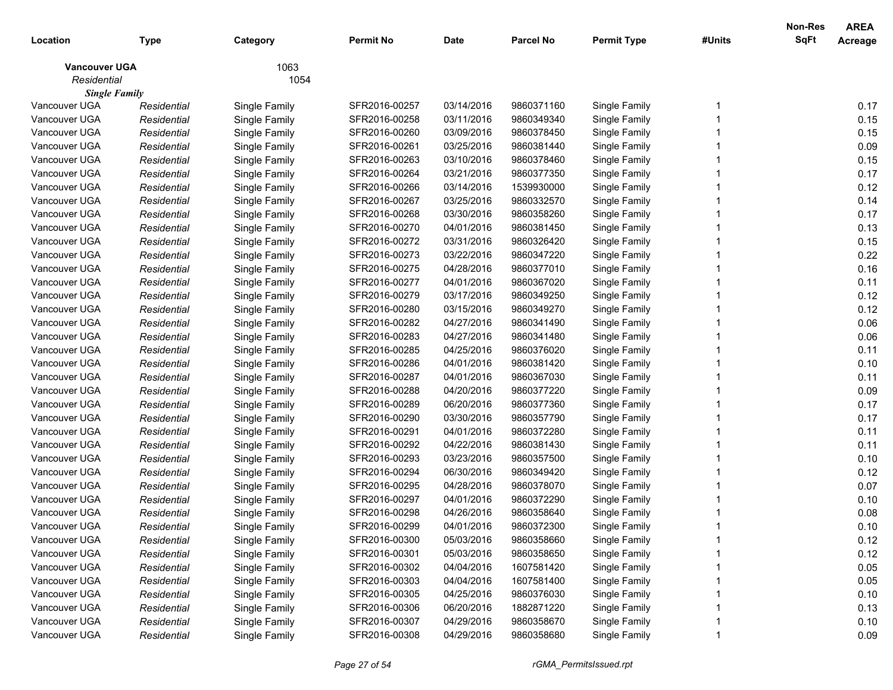|                      |             |               |                  |             |                  |                    |        | <b>Non-Res</b> | <b>AREA</b> |
|----------------------|-------------|---------------|------------------|-------------|------------------|--------------------|--------|----------------|-------------|
| Location             | Type        | Category      | <b>Permit No</b> | <b>Date</b> | <b>Parcel No</b> | <b>Permit Type</b> | #Units | <b>SqFt</b>    | Acreage     |
| <b>Vancouver UGA</b> |             | 1063          |                  |             |                  |                    |        |                |             |
| Residential          |             | 1054          |                  |             |                  |                    |        |                |             |
| <b>Single Family</b> |             |               |                  |             |                  |                    |        |                |             |
| Vancouver UGA        | Residential | Single Family | SFR2016-00257    | 03/14/2016  | 9860371160       | Single Family      |        |                | 0.17        |
| Vancouver UGA        | Residential | Single Family | SFR2016-00258    | 03/11/2016  | 9860349340       | Single Family      |        |                | 0.15        |
| Vancouver UGA        | Residential | Single Family | SFR2016-00260    | 03/09/2016  | 9860378450       | Single Family      |        |                | 0.15        |
| Vancouver UGA        | Residential | Single Family | SFR2016-00261    | 03/25/2016  | 9860381440       | Single Family      |        |                | 0.09        |
| Vancouver UGA        | Residential | Single Family | SFR2016-00263    | 03/10/2016  | 9860378460       | Single Family      |        |                | 0.15        |
| Vancouver UGA        | Residential | Single Family | SFR2016-00264    | 03/21/2016  | 9860377350       | Single Family      |        |                | 0.17        |
| Vancouver UGA        | Residential | Single Family | SFR2016-00266    | 03/14/2016  | 1539930000       | Single Family      |        |                | 0.12        |
| Vancouver UGA        | Residential | Single Family | SFR2016-00267    | 03/25/2016  | 9860332570       | Single Family      |        |                | 0.14        |
| Vancouver UGA        | Residential | Single Family | SFR2016-00268    | 03/30/2016  | 9860358260       | Single Family      |        |                | 0.17        |
| Vancouver UGA        | Residential | Single Family | SFR2016-00270    | 04/01/2016  | 9860381450       | Single Family      |        |                | 0.13        |
| Vancouver UGA        | Residential | Single Family | SFR2016-00272    | 03/31/2016  | 9860326420       | Single Family      |        |                | 0.15        |
| Vancouver UGA        | Residential | Single Family | SFR2016-00273    | 03/22/2016  | 9860347220       | Single Family      |        |                | 0.22        |
| Vancouver UGA        | Residential | Single Family | SFR2016-00275    | 04/28/2016  | 9860377010       | Single Family      |        |                | 0.16        |
| Vancouver UGA        | Residential | Single Family | SFR2016-00277    | 04/01/2016  | 9860367020       | Single Family      |        |                | 0.11        |
| Vancouver UGA        | Residential | Single Family | SFR2016-00279    | 03/17/2016  | 9860349250       | Single Family      |        |                | 0.12        |
| Vancouver UGA        | Residential | Single Family | SFR2016-00280    | 03/15/2016  | 9860349270       | Single Family      |        |                | 0.12        |
| Vancouver UGA        | Residential | Single Family | SFR2016-00282    | 04/27/2016  | 9860341490       | Single Family      |        |                | 0.06        |
| Vancouver UGA        | Residential | Single Family | SFR2016-00283    | 04/27/2016  | 9860341480       | Single Family      |        |                | 0.06        |
| Vancouver UGA        | Residential | Single Family | SFR2016-00285    | 04/25/2016  | 9860376020       | Single Family      |        |                | 0.11        |
| Vancouver UGA        | Residential | Single Family | SFR2016-00286    | 04/01/2016  | 9860381420       | Single Family      |        |                | 0.10        |
| Vancouver UGA        | Residential | Single Family | SFR2016-00287    | 04/01/2016  | 9860367030       | Single Family      |        |                | 0.11        |
| Vancouver UGA        | Residential | Single Family | SFR2016-00288    | 04/20/2016  | 9860377220       | Single Family      |        |                | 0.09        |
| Vancouver UGA        | Residential | Single Family | SFR2016-00289    | 06/20/2016  | 9860377360       | Single Family      |        |                | 0.17        |
| Vancouver UGA        | Residential | Single Family | SFR2016-00290    | 03/30/2016  | 9860357790       | Single Family      |        |                | 0.17        |
| Vancouver UGA        | Residential | Single Family | SFR2016-00291    | 04/01/2016  | 9860372280       | Single Family      |        |                | 0.11        |
| Vancouver UGA        | Residential | Single Family | SFR2016-00292    | 04/22/2016  | 9860381430       | Single Family      |        |                | 0.11        |
| Vancouver UGA        | Residential | Single Family | SFR2016-00293    | 03/23/2016  | 9860357500       | Single Family      |        |                | 0.10        |
| Vancouver UGA        | Residential | Single Family | SFR2016-00294    | 06/30/2016  | 9860349420       | Single Family      |        |                | 0.12        |
| Vancouver UGA        | Residential | Single Family | SFR2016-00295    | 04/28/2016  | 9860378070       | Single Family      |        |                | 0.07        |
| Vancouver UGA        | Residential | Single Family | SFR2016-00297    | 04/01/2016  | 9860372290       | Single Family      |        |                | 0.10        |
| Vancouver UGA        | Residential | Single Family | SFR2016-00298    | 04/26/2016  | 9860358640       | Single Family      |        |                | 0.08        |
| Vancouver UGA        | Residential | Single Family | SFR2016-00299    | 04/01/2016  | 9860372300       | Single Family      |        |                | 0.10        |
| Vancouver UGA        | Residential | Single Family | SFR2016-00300    | 05/03/2016  | 9860358660       | Single Family      |        |                | 0.12        |
| Vancouver UGA        | Residential | Single Family | SFR2016-00301    | 05/03/2016  | 9860358650       | Single Family      |        |                | 0.12        |
| Vancouver UGA        | Residential | Single Family | SFR2016-00302    | 04/04/2016  | 1607581420       | Single Family      |        |                | 0.05        |
| Vancouver UGA        | Residential | Single Family | SFR2016-00303    | 04/04/2016  | 1607581400       | Single Family      |        |                | 0.05        |
| Vancouver UGA        | Residential | Single Family | SFR2016-00305    | 04/25/2016  | 9860376030       | Single Family      |        |                | 0.10        |
| Vancouver UGA        | Residential | Single Family | SFR2016-00306    | 06/20/2016  | 1882871220       | Single Family      |        |                | 0.13        |
| Vancouver UGA        | Residential | Single Family | SFR2016-00307    | 04/29/2016  | 9860358670       | Single Family      |        |                | 0.10        |
| Vancouver UGA        | Residential | Single Family | SFR2016-00308    | 04/29/2016  | 9860358680       | Single Family      |        |                | 0.09        |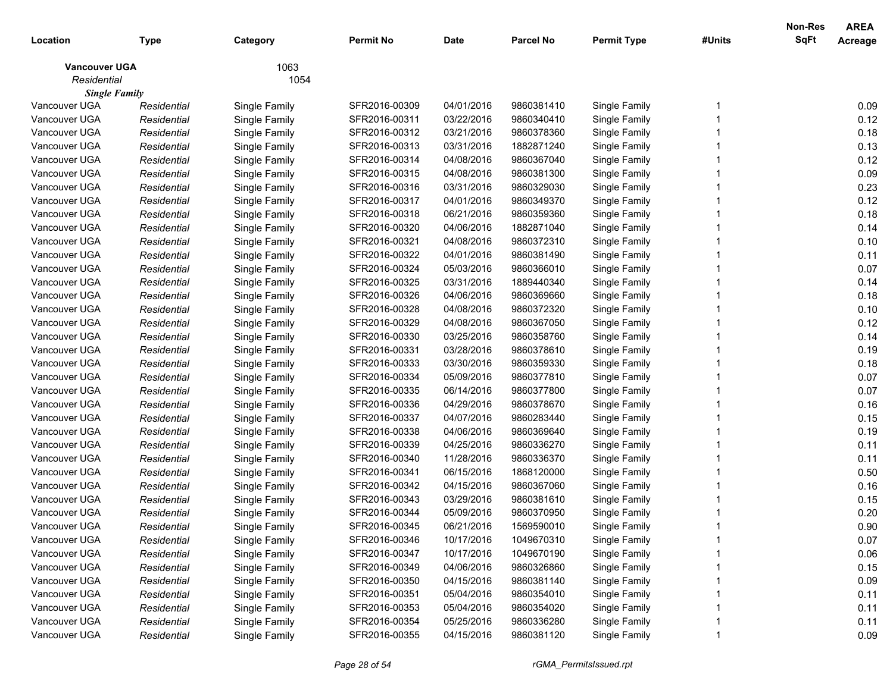| 1063<br><b>Vancouver UGA</b><br>Residential<br>1054<br><b>Single Family</b><br>Vancouver UGA<br>SFR2016-00309<br>04/01/2016<br>9860381410<br>0.09<br>Single Family<br>Single Family<br>Residential<br>0.12<br>Vancouver UGA<br>Residential<br>Single Family<br>SFR2016-00311<br>03/22/2016<br>9860340410<br>Single Family<br>0.18<br>Vancouver UGA<br>SFR2016-00312<br>03/21/2016<br>9860378360<br>Single Family<br>Residential<br>Single Family<br>0.13<br>Vancouver UGA<br>Residential<br>Single Family<br>SFR2016-00313<br>03/31/2016<br>1882871240<br>Single Family<br>0.12<br>Vancouver UGA<br>Residential<br>Single Family<br>SFR2016-00314<br>04/08/2016<br>9860367040<br>Single Family<br>0.09<br>Vancouver UGA<br>Residential<br>Single Family<br>SFR2016-00315<br>04/08/2016<br>9860381300<br>Single Family<br>0.23<br>Vancouver UGA<br>Residential<br>Single Family<br>SFR2016-00316<br>03/31/2016<br>9860329030<br>Single Family<br>0.12<br>Vancouver UGA<br>Residential<br>Single Family<br>SFR2016-00317<br>04/01/2016<br>9860349370<br>Single Family<br>0.18<br>Vancouver UGA<br>Residential<br>Single Family<br>SFR2016-00318<br>06/21/2016<br>9860359360<br>Single Family<br>Vancouver UGA<br>0.14<br>SFR2016-00320<br>04/06/2016<br>1882871040<br>Single Family<br>Residential<br>Single Family<br>0.10<br>Vancouver UGA<br>SFR2016-00321<br>04/08/2016<br>9860372310<br>Single Family<br>Residential<br>Single Family<br>Vancouver UGA<br>0.11<br>Residential<br>Single Family<br>SFR2016-00322<br>04/01/2016<br>9860381490<br>Single Family<br>0.07<br>Vancouver UGA<br>Residential<br>Single Family<br>SFR2016-00324<br>05/03/2016<br>9860366010<br>Single Family<br>0.14<br>Vancouver UGA<br>Residential<br>Single Family<br>SFR2016-00325<br>03/31/2016<br>1889440340<br>Single Family<br>0.18<br>Vancouver UGA<br>Residential<br>Single Family<br>SFR2016-00326<br>04/06/2016<br>9860369660<br>Single Family<br>0.10<br>Vancouver UGA<br>Residential<br>Single Family<br>SFR2016-00328<br>04/08/2016<br>9860372320<br>Single Family<br>0.12<br>Vancouver UGA<br>Residential<br>Single Family<br>SFR2016-00329<br>04/08/2016<br>9860367050<br>Single Family<br>0.14<br>Vancouver UGA<br>SFR2016-00330<br>03/25/2016<br>9860358760<br>Single Family<br>Residential<br>Single Family<br>0.19<br>Vancouver UGA<br>Residential<br>Single Family<br>SFR2016-00331<br>03/28/2016<br>9860378610<br>Single Family<br>0.18<br>Vancouver UGA<br>Residential<br>Single Family<br>SFR2016-00333<br>03/30/2016<br>9860359330<br>Single Family<br>0.07<br>Vancouver UGA<br>Residential<br>Single Family<br>SFR2016-00334<br>05/09/2016<br>9860377810<br>Single Family<br>0.07<br>Vancouver UGA<br>Residential<br>Single Family<br>SFR2016-00335<br>06/14/2016<br>9860377800<br>Single Family<br>0.16<br>Vancouver UGA<br>Residential<br>Single Family<br>SFR2016-00336<br>04/29/2016<br>9860378670<br>Single Family<br>0.15<br>Vancouver UGA<br>Residential<br>Single Family<br>SFR2016-00337<br>04/07/2016<br>9860283440<br>Single Family<br>0.19<br>Vancouver UGA<br>SFR2016-00338<br>04/06/2016<br>9860369640<br>Single Family<br>Residential<br>Single Family<br>Vancouver UGA<br>SFR2016-00339<br>04/25/2016<br>9860336270<br>Single Family<br>0.11<br>Residential<br>Single Family<br>Vancouver UGA<br>11/28/2016<br>9860336370<br>0.11<br>Residential<br>Single Family<br>SFR2016-00340<br>Single Family<br>0.50<br>Vancouver UGA<br>06/15/2016<br>Residential<br>Single Family<br>SFR2016-00341<br>1868120000<br>Single Family<br>0.16<br>04/15/2016<br>Vancouver UGA<br>Residential<br>Single Family<br>SFR2016-00342<br>9860367060<br>Single Family<br>0.15<br>Vancouver UGA<br>Residential<br>Single Family<br>SFR2016-00343<br>03/29/2016<br>9860381610<br>Single Family<br>0.20<br>Vancouver UGA<br>Single Family<br>SFR2016-00344<br>05/09/2016<br>9860370950<br>Single Family<br>Residential<br>Vancouver UGA<br>06/21/2016<br>Single Family<br>Residential<br>SFR2016-00345<br>1569590010<br>0.90<br>Single Family<br>SFR2016-00346<br>10/17/2016<br>1049670310<br>Vancouver UGA<br>Single Family<br>0.07<br>Residential<br>Single Family<br>0.06<br>Vancouver UGA<br>Single Family<br>10/17/2016<br>1049670190<br>Single Family<br>Residential<br>SFR2016-00347<br>0.15<br>Vancouver UGA<br>Single Family<br>04/06/2016<br>9860326860<br>Single Family<br>Residential<br>SFR2016-00349<br>0.09<br>Vancouver UGA<br>Single Family<br>04/15/2016<br>9860381140<br>Single Family<br>Residential<br>SFR2016-00350<br>0.11<br>Vancouver UGA<br>Single Family<br>05/04/2016<br>9860354010<br>Single Family<br>Residential<br>SFR2016-00351<br>Vancouver UGA<br>Single Family<br>05/04/2016<br>Single Family<br>0.11<br>Residential<br>SFR2016-00353<br>9860354020<br>Vancouver UGA<br>Single Family<br>05/25/2016<br>9860336280<br>Single Family<br>0.11<br>Residential<br>SFR2016-00354<br>Vancouver UGA<br>04/15/2016<br>9860381120<br>SFR2016-00355 | Location | <b>Type</b> | Category      | <b>Permit No</b> | <b>Date</b> | <b>Parcel No</b> | <b>Permit Type</b> | #Units | Non-Res<br>SqFt | <b>AREA</b><br>Acreage |
|----------------------------------------------------------------------------------------------------------------------------------------------------------------------------------------------------------------------------------------------------------------------------------------------------------------------------------------------------------------------------------------------------------------------------------------------------------------------------------------------------------------------------------------------------------------------------------------------------------------------------------------------------------------------------------------------------------------------------------------------------------------------------------------------------------------------------------------------------------------------------------------------------------------------------------------------------------------------------------------------------------------------------------------------------------------------------------------------------------------------------------------------------------------------------------------------------------------------------------------------------------------------------------------------------------------------------------------------------------------------------------------------------------------------------------------------------------------------------------------------------------------------------------------------------------------------------------------------------------------------------------------------------------------------------------------------------------------------------------------------------------------------------------------------------------------------------------------------------------------------------------------------------------------------------------------------------------------------------------------------------------------------------------------------------------------------------------------------------------------------------------------------------------------------------------------------------------------------------------------------------------------------------------------------------------------------------------------------------------------------------------------------------------------------------------------------------------------------------------------------------------------------------------------------------------------------------------------------------------------------------------------------------------------------------------------------------------------------------------------------------------------------------------------------------------------------------------------------------------------------------------------------------------------------------------------------------------------------------------------------------------------------------------------------------------------------------------------------------------------------------------------------------------------------------------------------------------------------------------------------------------------------------------------------------------------------------------------------------------------------------------------------------------------------------------------------------------------------------------------------------------------------------------------------------------------------------------------------------------------------------------------------------------------------------------------------------------------------------------------------------------------------------------------------------------------------------------------------------------------------------------------------------------------------------------------------------------------------------------------------------------------------------------------------------------------------------------------------------------------------------------------------------------------------------------------------------------------------------------------------------------------------------------------------------------------------------------------------------------------------------------------------------------------------------------------------------------------------------------------------------------------------------------------------------------------------------------------------------------------------------------------------------------------------------------------------------------------------------------------------------------------------------------------------------------------------------------------------------------------------------------------------------------------------------------------------------------------------------|----------|-------------|---------------|------------------|-------------|------------------|--------------------|--------|-----------------|------------------------|
|                                                                                                                                                                                                                                                                                                                                                                                                                                                                                                                                                                                                                                                                                                                                                                                                                                                                                                                                                                                                                                                                                                                                                                                                                                                                                                                                                                                                                                                                                                                                                                                                                                                                                                                                                                                                                                                                                                                                                                                                                                                                                                                                                                                                                                                                                                                                                                                                                                                                                                                                                                                                                                                                                                                                                                                                                                                                                                                                                                                                                                                                                                                                                                                                                                                                                                                                                                                                                                                                                                                                                                                                                                                                                                                                                                                                                                                                                                                                                                                                                                                                                                                                                                                                                                                                                                                                                                                                                                                                                                                                                                                                                                                                                                                                                                                                                                                                                                                                                                            |          |             |               |                  |             |                  |                    |        |                 |                        |
|                                                                                                                                                                                                                                                                                                                                                                                                                                                                                                                                                                                                                                                                                                                                                                                                                                                                                                                                                                                                                                                                                                                                                                                                                                                                                                                                                                                                                                                                                                                                                                                                                                                                                                                                                                                                                                                                                                                                                                                                                                                                                                                                                                                                                                                                                                                                                                                                                                                                                                                                                                                                                                                                                                                                                                                                                                                                                                                                                                                                                                                                                                                                                                                                                                                                                                                                                                                                                                                                                                                                                                                                                                                                                                                                                                                                                                                                                                                                                                                                                                                                                                                                                                                                                                                                                                                                                                                                                                                                                                                                                                                                                                                                                                                                                                                                                                                                                                                                                                            |          |             |               |                  |             |                  |                    |        |                 |                        |
|                                                                                                                                                                                                                                                                                                                                                                                                                                                                                                                                                                                                                                                                                                                                                                                                                                                                                                                                                                                                                                                                                                                                                                                                                                                                                                                                                                                                                                                                                                                                                                                                                                                                                                                                                                                                                                                                                                                                                                                                                                                                                                                                                                                                                                                                                                                                                                                                                                                                                                                                                                                                                                                                                                                                                                                                                                                                                                                                                                                                                                                                                                                                                                                                                                                                                                                                                                                                                                                                                                                                                                                                                                                                                                                                                                                                                                                                                                                                                                                                                                                                                                                                                                                                                                                                                                                                                                                                                                                                                                                                                                                                                                                                                                                                                                                                                                                                                                                                                                            |          |             |               |                  |             |                  |                    |        |                 |                        |
|                                                                                                                                                                                                                                                                                                                                                                                                                                                                                                                                                                                                                                                                                                                                                                                                                                                                                                                                                                                                                                                                                                                                                                                                                                                                                                                                                                                                                                                                                                                                                                                                                                                                                                                                                                                                                                                                                                                                                                                                                                                                                                                                                                                                                                                                                                                                                                                                                                                                                                                                                                                                                                                                                                                                                                                                                                                                                                                                                                                                                                                                                                                                                                                                                                                                                                                                                                                                                                                                                                                                                                                                                                                                                                                                                                                                                                                                                                                                                                                                                                                                                                                                                                                                                                                                                                                                                                                                                                                                                                                                                                                                                                                                                                                                                                                                                                                                                                                                                                            |          |             |               |                  |             |                  |                    |        |                 |                        |
|                                                                                                                                                                                                                                                                                                                                                                                                                                                                                                                                                                                                                                                                                                                                                                                                                                                                                                                                                                                                                                                                                                                                                                                                                                                                                                                                                                                                                                                                                                                                                                                                                                                                                                                                                                                                                                                                                                                                                                                                                                                                                                                                                                                                                                                                                                                                                                                                                                                                                                                                                                                                                                                                                                                                                                                                                                                                                                                                                                                                                                                                                                                                                                                                                                                                                                                                                                                                                                                                                                                                                                                                                                                                                                                                                                                                                                                                                                                                                                                                                                                                                                                                                                                                                                                                                                                                                                                                                                                                                                                                                                                                                                                                                                                                                                                                                                                                                                                                                                            |          |             |               |                  |             |                  |                    |        |                 |                        |
|                                                                                                                                                                                                                                                                                                                                                                                                                                                                                                                                                                                                                                                                                                                                                                                                                                                                                                                                                                                                                                                                                                                                                                                                                                                                                                                                                                                                                                                                                                                                                                                                                                                                                                                                                                                                                                                                                                                                                                                                                                                                                                                                                                                                                                                                                                                                                                                                                                                                                                                                                                                                                                                                                                                                                                                                                                                                                                                                                                                                                                                                                                                                                                                                                                                                                                                                                                                                                                                                                                                                                                                                                                                                                                                                                                                                                                                                                                                                                                                                                                                                                                                                                                                                                                                                                                                                                                                                                                                                                                                                                                                                                                                                                                                                                                                                                                                                                                                                                                            |          |             |               |                  |             |                  |                    |        |                 |                        |
|                                                                                                                                                                                                                                                                                                                                                                                                                                                                                                                                                                                                                                                                                                                                                                                                                                                                                                                                                                                                                                                                                                                                                                                                                                                                                                                                                                                                                                                                                                                                                                                                                                                                                                                                                                                                                                                                                                                                                                                                                                                                                                                                                                                                                                                                                                                                                                                                                                                                                                                                                                                                                                                                                                                                                                                                                                                                                                                                                                                                                                                                                                                                                                                                                                                                                                                                                                                                                                                                                                                                                                                                                                                                                                                                                                                                                                                                                                                                                                                                                                                                                                                                                                                                                                                                                                                                                                                                                                                                                                                                                                                                                                                                                                                                                                                                                                                                                                                                                                            |          |             |               |                  |             |                  |                    |        |                 |                        |
|                                                                                                                                                                                                                                                                                                                                                                                                                                                                                                                                                                                                                                                                                                                                                                                                                                                                                                                                                                                                                                                                                                                                                                                                                                                                                                                                                                                                                                                                                                                                                                                                                                                                                                                                                                                                                                                                                                                                                                                                                                                                                                                                                                                                                                                                                                                                                                                                                                                                                                                                                                                                                                                                                                                                                                                                                                                                                                                                                                                                                                                                                                                                                                                                                                                                                                                                                                                                                                                                                                                                                                                                                                                                                                                                                                                                                                                                                                                                                                                                                                                                                                                                                                                                                                                                                                                                                                                                                                                                                                                                                                                                                                                                                                                                                                                                                                                                                                                                                                            |          |             |               |                  |             |                  |                    |        |                 |                        |
|                                                                                                                                                                                                                                                                                                                                                                                                                                                                                                                                                                                                                                                                                                                                                                                                                                                                                                                                                                                                                                                                                                                                                                                                                                                                                                                                                                                                                                                                                                                                                                                                                                                                                                                                                                                                                                                                                                                                                                                                                                                                                                                                                                                                                                                                                                                                                                                                                                                                                                                                                                                                                                                                                                                                                                                                                                                                                                                                                                                                                                                                                                                                                                                                                                                                                                                                                                                                                                                                                                                                                                                                                                                                                                                                                                                                                                                                                                                                                                                                                                                                                                                                                                                                                                                                                                                                                                                                                                                                                                                                                                                                                                                                                                                                                                                                                                                                                                                                                                            |          |             |               |                  |             |                  |                    |        |                 |                        |
|                                                                                                                                                                                                                                                                                                                                                                                                                                                                                                                                                                                                                                                                                                                                                                                                                                                                                                                                                                                                                                                                                                                                                                                                                                                                                                                                                                                                                                                                                                                                                                                                                                                                                                                                                                                                                                                                                                                                                                                                                                                                                                                                                                                                                                                                                                                                                                                                                                                                                                                                                                                                                                                                                                                                                                                                                                                                                                                                                                                                                                                                                                                                                                                                                                                                                                                                                                                                                                                                                                                                                                                                                                                                                                                                                                                                                                                                                                                                                                                                                                                                                                                                                                                                                                                                                                                                                                                                                                                                                                                                                                                                                                                                                                                                                                                                                                                                                                                                                                            |          |             |               |                  |             |                  |                    |        |                 |                        |
|                                                                                                                                                                                                                                                                                                                                                                                                                                                                                                                                                                                                                                                                                                                                                                                                                                                                                                                                                                                                                                                                                                                                                                                                                                                                                                                                                                                                                                                                                                                                                                                                                                                                                                                                                                                                                                                                                                                                                                                                                                                                                                                                                                                                                                                                                                                                                                                                                                                                                                                                                                                                                                                                                                                                                                                                                                                                                                                                                                                                                                                                                                                                                                                                                                                                                                                                                                                                                                                                                                                                                                                                                                                                                                                                                                                                                                                                                                                                                                                                                                                                                                                                                                                                                                                                                                                                                                                                                                                                                                                                                                                                                                                                                                                                                                                                                                                                                                                                                                            |          |             |               |                  |             |                  |                    |        |                 |                        |
|                                                                                                                                                                                                                                                                                                                                                                                                                                                                                                                                                                                                                                                                                                                                                                                                                                                                                                                                                                                                                                                                                                                                                                                                                                                                                                                                                                                                                                                                                                                                                                                                                                                                                                                                                                                                                                                                                                                                                                                                                                                                                                                                                                                                                                                                                                                                                                                                                                                                                                                                                                                                                                                                                                                                                                                                                                                                                                                                                                                                                                                                                                                                                                                                                                                                                                                                                                                                                                                                                                                                                                                                                                                                                                                                                                                                                                                                                                                                                                                                                                                                                                                                                                                                                                                                                                                                                                                                                                                                                                                                                                                                                                                                                                                                                                                                                                                                                                                                                                            |          |             |               |                  |             |                  |                    |        |                 |                        |
|                                                                                                                                                                                                                                                                                                                                                                                                                                                                                                                                                                                                                                                                                                                                                                                                                                                                                                                                                                                                                                                                                                                                                                                                                                                                                                                                                                                                                                                                                                                                                                                                                                                                                                                                                                                                                                                                                                                                                                                                                                                                                                                                                                                                                                                                                                                                                                                                                                                                                                                                                                                                                                                                                                                                                                                                                                                                                                                                                                                                                                                                                                                                                                                                                                                                                                                                                                                                                                                                                                                                                                                                                                                                                                                                                                                                                                                                                                                                                                                                                                                                                                                                                                                                                                                                                                                                                                                                                                                                                                                                                                                                                                                                                                                                                                                                                                                                                                                                                                            |          |             |               |                  |             |                  |                    |        |                 |                        |
|                                                                                                                                                                                                                                                                                                                                                                                                                                                                                                                                                                                                                                                                                                                                                                                                                                                                                                                                                                                                                                                                                                                                                                                                                                                                                                                                                                                                                                                                                                                                                                                                                                                                                                                                                                                                                                                                                                                                                                                                                                                                                                                                                                                                                                                                                                                                                                                                                                                                                                                                                                                                                                                                                                                                                                                                                                                                                                                                                                                                                                                                                                                                                                                                                                                                                                                                                                                                                                                                                                                                                                                                                                                                                                                                                                                                                                                                                                                                                                                                                                                                                                                                                                                                                                                                                                                                                                                                                                                                                                                                                                                                                                                                                                                                                                                                                                                                                                                                                                            |          |             |               |                  |             |                  |                    |        |                 |                        |
|                                                                                                                                                                                                                                                                                                                                                                                                                                                                                                                                                                                                                                                                                                                                                                                                                                                                                                                                                                                                                                                                                                                                                                                                                                                                                                                                                                                                                                                                                                                                                                                                                                                                                                                                                                                                                                                                                                                                                                                                                                                                                                                                                                                                                                                                                                                                                                                                                                                                                                                                                                                                                                                                                                                                                                                                                                                                                                                                                                                                                                                                                                                                                                                                                                                                                                                                                                                                                                                                                                                                                                                                                                                                                                                                                                                                                                                                                                                                                                                                                                                                                                                                                                                                                                                                                                                                                                                                                                                                                                                                                                                                                                                                                                                                                                                                                                                                                                                                                                            |          |             |               |                  |             |                  |                    |        |                 |                        |
|                                                                                                                                                                                                                                                                                                                                                                                                                                                                                                                                                                                                                                                                                                                                                                                                                                                                                                                                                                                                                                                                                                                                                                                                                                                                                                                                                                                                                                                                                                                                                                                                                                                                                                                                                                                                                                                                                                                                                                                                                                                                                                                                                                                                                                                                                                                                                                                                                                                                                                                                                                                                                                                                                                                                                                                                                                                                                                                                                                                                                                                                                                                                                                                                                                                                                                                                                                                                                                                                                                                                                                                                                                                                                                                                                                                                                                                                                                                                                                                                                                                                                                                                                                                                                                                                                                                                                                                                                                                                                                                                                                                                                                                                                                                                                                                                                                                                                                                                                                            |          |             |               |                  |             |                  |                    |        |                 |                        |
|                                                                                                                                                                                                                                                                                                                                                                                                                                                                                                                                                                                                                                                                                                                                                                                                                                                                                                                                                                                                                                                                                                                                                                                                                                                                                                                                                                                                                                                                                                                                                                                                                                                                                                                                                                                                                                                                                                                                                                                                                                                                                                                                                                                                                                                                                                                                                                                                                                                                                                                                                                                                                                                                                                                                                                                                                                                                                                                                                                                                                                                                                                                                                                                                                                                                                                                                                                                                                                                                                                                                                                                                                                                                                                                                                                                                                                                                                                                                                                                                                                                                                                                                                                                                                                                                                                                                                                                                                                                                                                                                                                                                                                                                                                                                                                                                                                                                                                                                                                            |          |             |               |                  |             |                  |                    |        |                 |                        |
|                                                                                                                                                                                                                                                                                                                                                                                                                                                                                                                                                                                                                                                                                                                                                                                                                                                                                                                                                                                                                                                                                                                                                                                                                                                                                                                                                                                                                                                                                                                                                                                                                                                                                                                                                                                                                                                                                                                                                                                                                                                                                                                                                                                                                                                                                                                                                                                                                                                                                                                                                                                                                                                                                                                                                                                                                                                                                                                                                                                                                                                                                                                                                                                                                                                                                                                                                                                                                                                                                                                                                                                                                                                                                                                                                                                                                                                                                                                                                                                                                                                                                                                                                                                                                                                                                                                                                                                                                                                                                                                                                                                                                                                                                                                                                                                                                                                                                                                                                                            |          |             |               |                  |             |                  |                    |        |                 |                        |
|                                                                                                                                                                                                                                                                                                                                                                                                                                                                                                                                                                                                                                                                                                                                                                                                                                                                                                                                                                                                                                                                                                                                                                                                                                                                                                                                                                                                                                                                                                                                                                                                                                                                                                                                                                                                                                                                                                                                                                                                                                                                                                                                                                                                                                                                                                                                                                                                                                                                                                                                                                                                                                                                                                                                                                                                                                                                                                                                                                                                                                                                                                                                                                                                                                                                                                                                                                                                                                                                                                                                                                                                                                                                                                                                                                                                                                                                                                                                                                                                                                                                                                                                                                                                                                                                                                                                                                                                                                                                                                                                                                                                                                                                                                                                                                                                                                                                                                                                                                            |          |             |               |                  |             |                  |                    |        |                 |                        |
|                                                                                                                                                                                                                                                                                                                                                                                                                                                                                                                                                                                                                                                                                                                                                                                                                                                                                                                                                                                                                                                                                                                                                                                                                                                                                                                                                                                                                                                                                                                                                                                                                                                                                                                                                                                                                                                                                                                                                                                                                                                                                                                                                                                                                                                                                                                                                                                                                                                                                                                                                                                                                                                                                                                                                                                                                                                                                                                                                                                                                                                                                                                                                                                                                                                                                                                                                                                                                                                                                                                                                                                                                                                                                                                                                                                                                                                                                                                                                                                                                                                                                                                                                                                                                                                                                                                                                                                                                                                                                                                                                                                                                                                                                                                                                                                                                                                                                                                                                                            |          |             |               |                  |             |                  |                    |        |                 |                        |
|                                                                                                                                                                                                                                                                                                                                                                                                                                                                                                                                                                                                                                                                                                                                                                                                                                                                                                                                                                                                                                                                                                                                                                                                                                                                                                                                                                                                                                                                                                                                                                                                                                                                                                                                                                                                                                                                                                                                                                                                                                                                                                                                                                                                                                                                                                                                                                                                                                                                                                                                                                                                                                                                                                                                                                                                                                                                                                                                                                                                                                                                                                                                                                                                                                                                                                                                                                                                                                                                                                                                                                                                                                                                                                                                                                                                                                                                                                                                                                                                                                                                                                                                                                                                                                                                                                                                                                                                                                                                                                                                                                                                                                                                                                                                                                                                                                                                                                                                                                            |          |             |               |                  |             |                  |                    |        |                 |                        |
|                                                                                                                                                                                                                                                                                                                                                                                                                                                                                                                                                                                                                                                                                                                                                                                                                                                                                                                                                                                                                                                                                                                                                                                                                                                                                                                                                                                                                                                                                                                                                                                                                                                                                                                                                                                                                                                                                                                                                                                                                                                                                                                                                                                                                                                                                                                                                                                                                                                                                                                                                                                                                                                                                                                                                                                                                                                                                                                                                                                                                                                                                                                                                                                                                                                                                                                                                                                                                                                                                                                                                                                                                                                                                                                                                                                                                                                                                                                                                                                                                                                                                                                                                                                                                                                                                                                                                                                                                                                                                                                                                                                                                                                                                                                                                                                                                                                                                                                                                                            |          |             |               |                  |             |                  |                    |        |                 |                        |
|                                                                                                                                                                                                                                                                                                                                                                                                                                                                                                                                                                                                                                                                                                                                                                                                                                                                                                                                                                                                                                                                                                                                                                                                                                                                                                                                                                                                                                                                                                                                                                                                                                                                                                                                                                                                                                                                                                                                                                                                                                                                                                                                                                                                                                                                                                                                                                                                                                                                                                                                                                                                                                                                                                                                                                                                                                                                                                                                                                                                                                                                                                                                                                                                                                                                                                                                                                                                                                                                                                                                                                                                                                                                                                                                                                                                                                                                                                                                                                                                                                                                                                                                                                                                                                                                                                                                                                                                                                                                                                                                                                                                                                                                                                                                                                                                                                                                                                                                                                            |          |             |               |                  |             |                  |                    |        |                 |                        |
|                                                                                                                                                                                                                                                                                                                                                                                                                                                                                                                                                                                                                                                                                                                                                                                                                                                                                                                                                                                                                                                                                                                                                                                                                                                                                                                                                                                                                                                                                                                                                                                                                                                                                                                                                                                                                                                                                                                                                                                                                                                                                                                                                                                                                                                                                                                                                                                                                                                                                                                                                                                                                                                                                                                                                                                                                                                                                                                                                                                                                                                                                                                                                                                                                                                                                                                                                                                                                                                                                                                                                                                                                                                                                                                                                                                                                                                                                                                                                                                                                                                                                                                                                                                                                                                                                                                                                                                                                                                                                                                                                                                                                                                                                                                                                                                                                                                                                                                                                                            |          |             |               |                  |             |                  |                    |        |                 |                        |
|                                                                                                                                                                                                                                                                                                                                                                                                                                                                                                                                                                                                                                                                                                                                                                                                                                                                                                                                                                                                                                                                                                                                                                                                                                                                                                                                                                                                                                                                                                                                                                                                                                                                                                                                                                                                                                                                                                                                                                                                                                                                                                                                                                                                                                                                                                                                                                                                                                                                                                                                                                                                                                                                                                                                                                                                                                                                                                                                                                                                                                                                                                                                                                                                                                                                                                                                                                                                                                                                                                                                                                                                                                                                                                                                                                                                                                                                                                                                                                                                                                                                                                                                                                                                                                                                                                                                                                                                                                                                                                                                                                                                                                                                                                                                                                                                                                                                                                                                                                            |          |             |               |                  |             |                  |                    |        |                 |                        |
|                                                                                                                                                                                                                                                                                                                                                                                                                                                                                                                                                                                                                                                                                                                                                                                                                                                                                                                                                                                                                                                                                                                                                                                                                                                                                                                                                                                                                                                                                                                                                                                                                                                                                                                                                                                                                                                                                                                                                                                                                                                                                                                                                                                                                                                                                                                                                                                                                                                                                                                                                                                                                                                                                                                                                                                                                                                                                                                                                                                                                                                                                                                                                                                                                                                                                                                                                                                                                                                                                                                                                                                                                                                                                                                                                                                                                                                                                                                                                                                                                                                                                                                                                                                                                                                                                                                                                                                                                                                                                                                                                                                                                                                                                                                                                                                                                                                                                                                                                                            |          |             |               |                  |             |                  |                    |        |                 |                        |
|                                                                                                                                                                                                                                                                                                                                                                                                                                                                                                                                                                                                                                                                                                                                                                                                                                                                                                                                                                                                                                                                                                                                                                                                                                                                                                                                                                                                                                                                                                                                                                                                                                                                                                                                                                                                                                                                                                                                                                                                                                                                                                                                                                                                                                                                                                                                                                                                                                                                                                                                                                                                                                                                                                                                                                                                                                                                                                                                                                                                                                                                                                                                                                                                                                                                                                                                                                                                                                                                                                                                                                                                                                                                                                                                                                                                                                                                                                                                                                                                                                                                                                                                                                                                                                                                                                                                                                                                                                                                                                                                                                                                                                                                                                                                                                                                                                                                                                                                                                            |          |             |               |                  |             |                  |                    |        |                 |                        |
|                                                                                                                                                                                                                                                                                                                                                                                                                                                                                                                                                                                                                                                                                                                                                                                                                                                                                                                                                                                                                                                                                                                                                                                                                                                                                                                                                                                                                                                                                                                                                                                                                                                                                                                                                                                                                                                                                                                                                                                                                                                                                                                                                                                                                                                                                                                                                                                                                                                                                                                                                                                                                                                                                                                                                                                                                                                                                                                                                                                                                                                                                                                                                                                                                                                                                                                                                                                                                                                                                                                                                                                                                                                                                                                                                                                                                                                                                                                                                                                                                                                                                                                                                                                                                                                                                                                                                                                                                                                                                                                                                                                                                                                                                                                                                                                                                                                                                                                                                                            |          |             |               |                  |             |                  |                    |        |                 |                        |
|                                                                                                                                                                                                                                                                                                                                                                                                                                                                                                                                                                                                                                                                                                                                                                                                                                                                                                                                                                                                                                                                                                                                                                                                                                                                                                                                                                                                                                                                                                                                                                                                                                                                                                                                                                                                                                                                                                                                                                                                                                                                                                                                                                                                                                                                                                                                                                                                                                                                                                                                                                                                                                                                                                                                                                                                                                                                                                                                                                                                                                                                                                                                                                                                                                                                                                                                                                                                                                                                                                                                                                                                                                                                                                                                                                                                                                                                                                                                                                                                                                                                                                                                                                                                                                                                                                                                                                                                                                                                                                                                                                                                                                                                                                                                                                                                                                                                                                                                                                            |          |             |               |                  |             |                  |                    |        |                 |                        |
|                                                                                                                                                                                                                                                                                                                                                                                                                                                                                                                                                                                                                                                                                                                                                                                                                                                                                                                                                                                                                                                                                                                                                                                                                                                                                                                                                                                                                                                                                                                                                                                                                                                                                                                                                                                                                                                                                                                                                                                                                                                                                                                                                                                                                                                                                                                                                                                                                                                                                                                                                                                                                                                                                                                                                                                                                                                                                                                                                                                                                                                                                                                                                                                                                                                                                                                                                                                                                                                                                                                                                                                                                                                                                                                                                                                                                                                                                                                                                                                                                                                                                                                                                                                                                                                                                                                                                                                                                                                                                                                                                                                                                                                                                                                                                                                                                                                                                                                                                                            |          |             |               |                  |             |                  |                    |        |                 |                        |
|                                                                                                                                                                                                                                                                                                                                                                                                                                                                                                                                                                                                                                                                                                                                                                                                                                                                                                                                                                                                                                                                                                                                                                                                                                                                                                                                                                                                                                                                                                                                                                                                                                                                                                                                                                                                                                                                                                                                                                                                                                                                                                                                                                                                                                                                                                                                                                                                                                                                                                                                                                                                                                                                                                                                                                                                                                                                                                                                                                                                                                                                                                                                                                                                                                                                                                                                                                                                                                                                                                                                                                                                                                                                                                                                                                                                                                                                                                                                                                                                                                                                                                                                                                                                                                                                                                                                                                                                                                                                                                                                                                                                                                                                                                                                                                                                                                                                                                                                                                            |          |             |               |                  |             |                  |                    |        |                 |                        |
|                                                                                                                                                                                                                                                                                                                                                                                                                                                                                                                                                                                                                                                                                                                                                                                                                                                                                                                                                                                                                                                                                                                                                                                                                                                                                                                                                                                                                                                                                                                                                                                                                                                                                                                                                                                                                                                                                                                                                                                                                                                                                                                                                                                                                                                                                                                                                                                                                                                                                                                                                                                                                                                                                                                                                                                                                                                                                                                                                                                                                                                                                                                                                                                                                                                                                                                                                                                                                                                                                                                                                                                                                                                                                                                                                                                                                                                                                                                                                                                                                                                                                                                                                                                                                                                                                                                                                                                                                                                                                                                                                                                                                                                                                                                                                                                                                                                                                                                                                                            |          |             |               |                  |             |                  |                    |        |                 |                        |
|                                                                                                                                                                                                                                                                                                                                                                                                                                                                                                                                                                                                                                                                                                                                                                                                                                                                                                                                                                                                                                                                                                                                                                                                                                                                                                                                                                                                                                                                                                                                                                                                                                                                                                                                                                                                                                                                                                                                                                                                                                                                                                                                                                                                                                                                                                                                                                                                                                                                                                                                                                                                                                                                                                                                                                                                                                                                                                                                                                                                                                                                                                                                                                                                                                                                                                                                                                                                                                                                                                                                                                                                                                                                                                                                                                                                                                                                                                                                                                                                                                                                                                                                                                                                                                                                                                                                                                                                                                                                                                                                                                                                                                                                                                                                                                                                                                                                                                                                                                            |          |             |               |                  |             |                  |                    |        |                 |                        |
|                                                                                                                                                                                                                                                                                                                                                                                                                                                                                                                                                                                                                                                                                                                                                                                                                                                                                                                                                                                                                                                                                                                                                                                                                                                                                                                                                                                                                                                                                                                                                                                                                                                                                                                                                                                                                                                                                                                                                                                                                                                                                                                                                                                                                                                                                                                                                                                                                                                                                                                                                                                                                                                                                                                                                                                                                                                                                                                                                                                                                                                                                                                                                                                                                                                                                                                                                                                                                                                                                                                                                                                                                                                                                                                                                                                                                                                                                                                                                                                                                                                                                                                                                                                                                                                                                                                                                                                                                                                                                                                                                                                                                                                                                                                                                                                                                                                                                                                                                                            |          |             |               |                  |             |                  |                    |        |                 |                        |
|                                                                                                                                                                                                                                                                                                                                                                                                                                                                                                                                                                                                                                                                                                                                                                                                                                                                                                                                                                                                                                                                                                                                                                                                                                                                                                                                                                                                                                                                                                                                                                                                                                                                                                                                                                                                                                                                                                                                                                                                                                                                                                                                                                                                                                                                                                                                                                                                                                                                                                                                                                                                                                                                                                                                                                                                                                                                                                                                                                                                                                                                                                                                                                                                                                                                                                                                                                                                                                                                                                                                                                                                                                                                                                                                                                                                                                                                                                                                                                                                                                                                                                                                                                                                                                                                                                                                                                                                                                                                                                                                                                                                                                                                                                                                                                                                                                                                                                                                                                            |          |             |               |                  |             |                  |                    |        |                 |                        |
|                                                                                                                                                                                                                                                                                                                                                                                                                                                                                                                                                                                                                                                                                                                                                                                                                                                                                                                                                                                                                                                                                                                                                                                                                                                                                                                                                                                                                                                                                                                                                                                                                                                                                                                                                                                                                                                                                                                                                                                                                                                                                                                                                                                                                                                                                                                                                                                                                                                                                                                                                                                                                                                                                                                                                                                                                                                                                                                                                                                                                                                                                                                                                                                                                                                                                                                                                                                                                                                                                                                                                                                                                                                                                                                                                                                                                                                                                                                                                                                                                                                                                                                                                                                                                                                                                                                                                                                                                                                                                                                                                                                                                                                                                                                                                                                                                                                                                                                                                                            |          |             |               |                  |             |                  |                    |        |                 |                        |
|                                                                                                                                                                                                                                                                                                                                                                                                                                                                                                                                                                                                                                                                                                                                                                                                                                                                                                                                                                                                                                                                                                                                                                                                                                                                                                                                                                                                                                                                                                                                                                                                                                                                                                                                                                                                                                                                                                                                                                                                                                                                                                                                                                                                                                                                                                                                                                                                                                                                                                                                                                                                                                                                                                                                                                                                                                                                                                                                                                                                                                                                                                                                                                                                                                                                                                                                                                                                                                                                                                                                                                                                                                                                                                                                                                                                                                                                                                                                                                                                                                                                                                                                                                                                                                                                                                                                                                                                                                                                                                                                                                                                                                                                                                                                                                                                                                                                                                                                                                            |          |             |               |                  |             |                  |                    |        |                 |                        |
|                                                                                                                                                                                                                                                                                                                                                                                                                                                                                                                                                                                                                                                                                                                                                                                                                                                                                                                                                                                                                                                                                                                                                                                                                                                                                                                                                                                                                                                                                                                                                                                                                                                                                                                                                                                                                                                                                                                                                                                                                                                                                                                                                                                                                                                                                                                                                                                                                                                                                                                                                                                                                                                                                                                                                                                                                                                                                                                                                                                                                                                                                                                                                                                                                                                                                                                                                                                                                                                                                                                                                                                                                                                                                                                                                                                                                                                                                                                                                                                                                                                                                                                                                                                                                                                                                                                                                                                                                                                                                                                                                                                                                                                                                                                                                                                                                                                                                                                                                                            |          |             |               |                  |             |                  |                    |        |                 |                        |
|                                                                                                                                                                                                                                                                                                                                                                                                                                                                                                                                                                                                                                                                                                                                                                                                                                                                                                                                                                                                                                                                                                                                                                                                                                                                                                                                                                                                                                                                                                                                                                                                                                                                                                                                                                                                                                                                                                                                                                                                                                                                                                                                                                                                                                                                                                                                                                                                                                                                                                                                                                                                                                                                                                                                                                                                                                                                                                                                                                                                                                                                                                                                                                                                                                                                                                                                                                                                                                                                                                                                                                                                                                                                                                                                                                                                                                                                                                                                                                                                                                                                                                                                                                                                                                                                                                                                                                                                                                                                                                                                                                                                                                                                                                                                                                                                                                                                                                                                                                            |          |             |               |                  |             |                  |                    |        |                 |                        |
|                                                                                                                                                                                                                                                                                                                                                                                                                                                                                                                                                                                                                                                                                                                                                                                                                                                                                                                                                                                                                                                                                                                                                                                                                                                                                                                                                                                                                                                                                                                                                                                                                                                                                                                                                                                                                                                                                                                                                                                                                                                                                                                                                                                                                                                                                                                                                                                                                                                                                                                                                                                                                                                                                                                                                                                                                                                                                                                                                                                                                                                                                                                                                                                                                                                                                                                                                                                                                                                                                                                                                                                                                                                                                                                                                                                                                                                                                                                                                                                                                                                                                                                                                                                                                                                                                                                                                                                                                                                                                                                                                                                                                                                                                                                                                                                                                                                                                                                                                                            |          |             |               |                  |             |                  |                    |        |                 |                        |
|                                                                                                                                                                                                                                                                                                                                                                                                                                                                                                                                                                                                                                                                                                                                                                                                                                                                                                                                                                                                                                                                                                                                                                                                                                                                                                                                                                                                                                                                                                                                                                                                                                                                                                                                                                                                                                                                                                                                                                                                                                                                                                                                                                                                                                                                                                                                                                                                                                                                                                                                                                                                                                                                                                                                                                                                                                                                                                                                                                                                                                                                                                                                                                                                                                                                                                                                                                                                                                                                                                                                                                                                                                                                                                                                                                                                                                                                                                                                                                                                                                                                                                                                                                                                                                                                                                                                                                                                                                                                                                                                                                                                                                                                                                                                                                                                                                                                                                                                                                            |          |             |               |                  |             |                  |                    |        |                 |                        |
|                                                                                                                                                                                                                                                                                                                                                                                                                                                                                                                                                                                                                                                                                                                                                                                                                                                                                                                                                                                                                                                                                                                                                                                                                                                                                                                                                                                                                                                                                                                                                                                                                                                                                                                                                                                                                                                                                                                                                                                                                                                                                                                                                                                                                                                                                                                                                                                                                                                                                                                                                                                                                                                                                                                                                                                                                                                                                                                                                                                                                                                                                                                                                                                                                                                                                                                                                                                                                                                                                                                                                                                                                                                                                                                                                                                                                                                                                                                                                                                                                                                                                                                                                                                                                                                                                                                                                                                                                                                                                                                                                                                                                                                                                                                                                                                                                                                                                                                                                                            |          |             |               |                  |             |                  |                    |        |                 |                        |
|                                                                                                                                                                                                                                                                                                                                                                                                                                                                                                                                                                                                                                                                                                                                                                                                                                                                                                                                                                                                                                                                                                                                                                                                                                                                                                                                                                                                                                                                                                                                                                                                                                                                                                                                                                                                                                                                                                                                                                                                                                                                                                                                                                                                                                                                                                                                                                                                                                                                                                                                                                                                                                                                                                                                                                                                                                                                                                                                                                                                                                                                                                                                                                                                                                                                                                                                                                                                                                                                                                                                                                                                                                                                                                                                                                                                                                                                                                                                                                                                                                                                                                                                                                                                                                                                                                                                                                                                                                                                                                                                                                                                                                                                                                                                                                                                                                                                                                                                                                            |          | Residential | Single Family |                  |             |                  | Single Family      |        |                 | 0.09                   |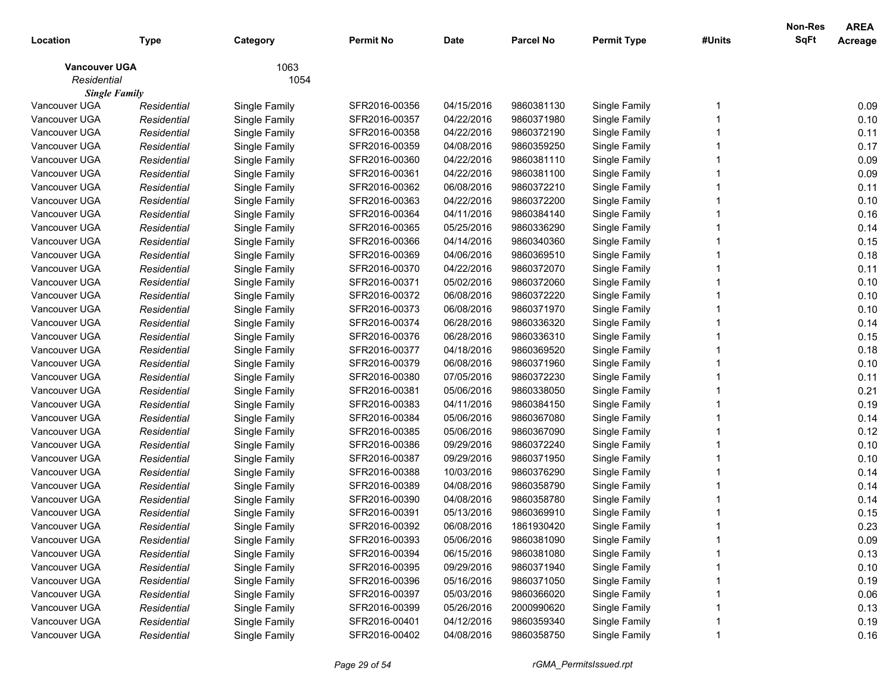| Location             | <b>Type</b> | Category      | <b>Permit No</b> | <b>Date</b> | <b>Parcel No</b> | <b>Permit Type</b> | #Units | Non-Res<br>SqFt | <b>AREA</b><br>Acreage |
|----------------------|-------------|---------------|------------------|-------------|------------------|--------------------|--------|-----------------|------------------------|
| <b>Vancouver UGA</b> |             | 1063          |                  |             |                  |                    |        |                 |                        |
| Residential          |             | 1054          |                  |             |                  |                    |        |                 |                        |
| <b>Single Family</b> |             |               |                  |             |                  |                    |        |                 |                        |
| Vancouver UGA        | Residential | Single Family | SFR2016-00356    | 04/15/2016  | 9860381130       | Single Family      |        |                 | 0.09                   |
| Vancouver UGA        | Residential | Single Family | SFR2016-00357    | 04/22/2016  | 9860371980       | Single Family      |        |                 | 0.10                   |
| Vancouver UGA        | Residential | Single Family | SFR2016-00358    | 04/22/2016  | 9860372190       | Single Family      |        |                 | 0.11                   |
| Vancouver UGA        | Residential | Single Family | SFR2016-00359    | 04/08/2016  | 9860359250       | Single Family      |        |                 | 0.17                   |
| Vancouver UGA        | Residential | Single Family | SFR2016-00360    | 04/22/2016  | 9860381110       | Single Family      |        |                 | 0.09                   |
| Vancouver UGA        | Residential | Single Family | SFR2016-00361    | 04/22/2016  | 9860381100       | Single Family      |        |                 | 0.09                   |
| Vancouver UGA        | Residential | Single Family | SFR2016-00362    | 06/08/2016  | 9860372210       | Single Family      |        |                 | 0.11                   |
| Vancouver UGA        | Residential | Single Family | SFR2016-00363    | 04/22/2016  | 9860372200       | Single Family      |        |                 | 0.10                   |
| Vancouver UGA        | Residential | Single Family | SFR2016-00364    | 04/11/2016  | 9860384140       | Single Family      |        |                 | 0.16                   |
| Vancouver UGA        | Residential | Single Family | SFR2016-00365    | 05/25/2016  | 9860336290       | Single Family      |        |                 | 0.14                   |
| Vancouver UGA        | Residential | Single Family | SFR2016-00366    | 04/14/2016  | 9860340360       | Single Family      |        |                 | 0.15                   |
| Vancouver UGA        | Residential | Single Family | SFR2016-00369    | 04/06/2016  | 9860369510       | Single Family      |        |                 | 0.18                   |
| Vancouver UGA        | Residential | Single Family | SFR2016-00370    | 04/22/2016  | 9860372070       | Single Family      |        |                 | 0.11                   |
| Vancouver UGA        | Residential | Single Family | SFR2016-00371    | 05/02/2016  | 9860372060       | Single Family      |        |                 | 0.10                   |
| Vancouver UGA        | Residential | Single Family | SFR2016-00372    | 06/08/2016  | 9860372220       | Single Family      |        |                 | 0.10                   |
| Vancouver UGA        | Residential | Single Family | SFR2016-00373    | 06/08/2016  | 9860371970       | Single Family      |        |                 | 0.10                   |
| Vancouver UGA        | Residential | Single Family | SFR2016-00374    | 06/28/2016  | 9860336320       | Single Family      |        |                 | 0.14                   |
| Vancouver UGA        | Residential | Single Family | SFR2016-00376    | 06/28/2016  | 9860336310       | Single Family      |        |                 | 0.15                   |
| Vancouver UGA        | Residential | Single Family | SFR2016-00377    | 04/18/2016  | 9860369520       | Single Family      |        |                 | 0.18                   |
| Vancouver UGA        | Residential | Single Family | SFR2016-00379    | 06/08/2016  | 9860371960       | Single Family      |        |                 | 0.10                   |
| Vancouver UGA        | Residential | Single Family | SFR2016-00380    | 07/05/2016  | 9860372230       | Single Family      |        |                 | 0.11                   |
| Vancouver UGA        | Residential | Single Family | SFR2016-00381    | 05/06/2016  | 9860338050       | Single Family      |        |                 | 0.21                   |
| Vancouver UGA        | Residential | Single Family | SFR2016-00383    | 04/11/2016  | 9860384150       | Single Family      |        |                 | 0.19                   |
| Vancouver UGA        | Residential | Single Family | SFR2016-00384    | 05/06/2016  | 9860367080       | Single Family      |        |                 | 0.14                   |
| Vancouver UGA        | Residential | Single Family | SFR2016-00385    | 05/06/2016  | 9860367090       | Single Family      |        |                 | 0.12                   |
| Vancouver UGA        | Residential | Single Family | SFR2016-00386    | 09/29/2016  | 9860372240       | Single Family      |        |                 | 0.10                   |
| Vancouver UGA        | Residential | Single Family | SFR2016-00387    | 09/29/2016  | 9860371950       | Single Family      |        |                 | 0.10                   |
| Vancouver UGA        | Residential | Single Family | SFR2016-00388    | 10/03/2016  | 9860376290       | Single Family      |        |                 | 0.14                   |
| Vancouver UGA        | Residential | Single Family | SFR2016-00389    | 04/08/2016  | 9860358790       | Single Family      |        |                 | 0.14                   |
| Vancouver UGA        | Residential | Single Family | SFR2016-00390    | 04/08/2016  | 9860358780       | Single Family      |        |                 | 0.14                   |
| Vancouver UGA        | Residential | Single Family | SFR2016-00391    | 05/13/2016  | 9860369910       | Single Family      |        |                 | 0.15                   |
| Vancouver UGA        | Residential | Single Family | SFR2016-00392    | 06/08/2016  | 1861930420       | Single Family      |        |                 | 0.23                   |
| Vancouver UGA        | Residential | Single Family | SFR2016-00393    | 05/06/2016  | 9860381090       | Single Family      |        |                 | 0.09                   |
| Vancouver UGA        | Residential | Single Family | SFR2016-00394    | 06/15/2016  | 9860381080       | Single Family      |        |                 | 0.13                   |
| Vancouver UGA        | Residential | Single Family | SFR2016-00395    | 09/29/2016  | 9860371940       | Single Family      |        |                 | 0.10                   |
| Vancouver UGA        | Residential | Single Family | SFR2016-00396    | 05/16/2016  | 9860371050       | Single Family      |        |                 | 0.19                   |
| Vancouver UGA        | Residential | Single Family | SFR2016-00397    | 05/03/2016  | 9860366020       | Single Family      |        |                 | 0.06                   |
| Vancouver UGA        | Residential | Single Family | SFR2016-00399    | 05/26/2016  | 2000990620       | Single Family      |        |                 | 0.13                   |
| Vancouver UGA        | Residential | Single Family | SFR2016-00401    | 04/12/2016  | 9860359340       | Single Family      |        |                 | 0.19                   |
| Vancouver UGA        | Residential | Single Family | SFR2016-00402    | 04/08/2016  | 9860358750       | Single Family      |        |                 | 0.16                   |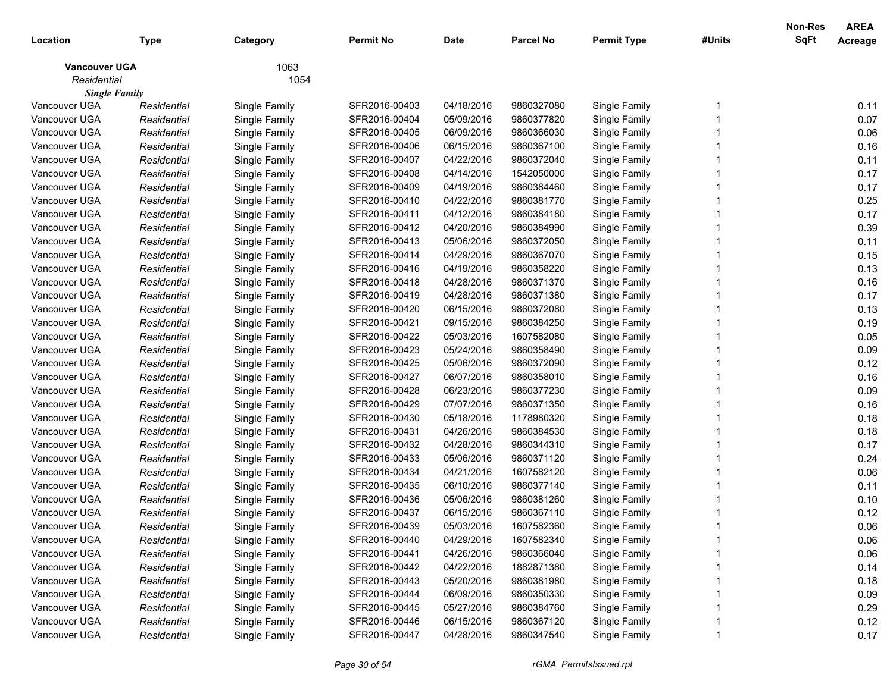| Location             | <b>Type</b> | Category      | <b>Permit No</b> | <b>Date</b> | <b>Parcel No</b> | <b>Permit Type</b> | #Units | Non-Res<br>SqFt | <b>AREA</b><br>Acreage |
|----------------------|-------------|---------------|------------------|-------------|------------------|--------------------|--------|-----------------|------------------------|
| <b>Vancouver UGA</b> |             | 1063          |                  |             |                  |                    |        |                 |                        |
| Residential          |             | 1054          |                  |             |                  |                    |        |                 |                        |
| <b>Single Family</b> |             |               |                  |             |                  |                    |        |                 |                        |
| Vancouver UGA        | Residential | Single Family | SFR2016-00403    | 04/18/2016  | 9860327080       | Single Family      |        |                 | 0.11                   |
| Vancouver UGA        | Residential | Single Family | SFR2016-00404    | 05/09/2016  | 9860377820       | Single Family      |        |                 | 0.07                   |
| Vancouver UGA        | Residential | Single Family | SFR2016-00405    | 06/09/2016  | 9860366030       | Single Family      |        |                 | 0.06                   |
| Vancouver UGA        | Residential | Single Family | SFR2016-00406    | 06/15/2016  | 9860367100       | Single Family      |        |                 | 0.16                   |
| Vancouver UGA        | Residential | Single Family | SFR2016-00407    | 04/22/2016  | 9860372040       | Single Family      |        |                 | 0.11                   |
| Vancouver UGA        | Residential | Single Family | SFR2016-00408    | 04/14/2016  | 1542050000       | Single Family      |        |                 | 0.17                   |
| Vancouver UGA        | Residential | Single Family | SFR2016-00409    | 04/19/2016  | 9860384460       | Single Family      |        |                 | 0.17                   |
| Vancouver UGA        | Residential | Single Family | SFR2016-00410    | 04/22/2016  | 9860381770       | Single Family      |        |                 | 0.25                   |
| Vancouver UGA        | Residential | Single Family | SFR2016-00411    | 04/12/2016  | 9860384180       | Single Family      |        |                 | 0.17                   |
| Vancouver UGA        | Residential | Single Family | SFR2016-00412    | 04/20/2016  | 9860384990       | Single Family      |        |                 | 0.39                   |
| Vancouver UGA        | Residential | Single Family | SFR2016-00413    | 05/06/2016  | 9860372050       | Single Family      |        |                 | 0.11                   |
| Vancouver UGA        | Residential | Single Family | SFR2016-00414    | 04/29/2016  | 9860367070       | Single Family      |        |                 | 0.15                   |
| Vancouver UGA        | Residential | Single Family | SFR2016-00416    | 04/19/2016  | 9860358220       | Single Family      |        |                 | 0.13                   |
| Vancouver UGA        | Residential | Single Family | SFR2016-00418    | 04/28/2016  | 9860371370       | Single Family      |        |                 | 0.16                   |
| Vancouver UGA        | Residential | Single Family | SFR2016-00419    | 04/28/2016  | 9860371380       | Single Family      |        |                 | 0.17                   |
| Vancouver UGA        | Residential | Single Family | SFR2016-00420    | 06/15/2016  | 9860372080       | Single Family      |        |                 | 0.13                   |
| Vancouver UGA        | Residential | Single Family | SFR2016-00421    | 09/15/2016  | 9860384250       | Single Family      |        |                 | 0.19                   |
| Vancouver UGA        | Residential | Single Family | SFR2016-00422    | 05/03/2016  | 1607582080       | Single Family      |        |                 | 0.05                   |
| Vancouver UGA        | Residential | Single Family | SFR2016-00423    | 05/24/2016  | 9860358490       | Single Family      |        |                 | 0.09                   |
| Vancouver UGA        | Residential | Single Family | SFR2016-00425    | 05/06/2016  | 9860372090       | Single Family      |        |                 | 0.12                   |
| Vancouver UGA        | Residential | Single Family | SFR2016-00427    | 06/07/2016  | 9860358010       | Single Family      |        |                 | 0.16                   |
| Vancouver UGA        | Residential | Single Family | SFR2016-00428    | 06/23/2016  | 9860377230       | Single Family      |        |                 | 0.09                   |
| Vancouver UGA        | Residential | Single Family | SFR2016-00429    | 07/07/2016  | 9860371350       | Single Family      |        |                 | 0.16                   |
| Vancouver UGA        | Residential | Single Family | SFR2016-00430    | 05/18/2016  | 1178980320       | Single Family      |        |                 | 0.18                   |
| Vancouver UGA        | Residential | Single Family | SFR2016-00431    | 04/26/2016  | 9860384530       | Single Family      |        |                 | 0.18                   |
| Vancouver UGA        | Residential | Single Family | SFR2016-00432    | 04/28/2016  | 9860344310       | Single Family      |        |                 | 0.17                   |
| Vancouver UGA        | Residential | Single Family | SFR2016-00433    | 05/06/2016  | 9860371120       | Single Family      |        |                 | 0.24                   |
| Vancouver UGA        | Residential | Single Family | SFR2016-00434    | 04/21/2016  | 1607582120       | Single Family      |        |                 | 0.06                   |
| Vancouver UGA        | Residential | Single Family | SFR2016-00435    | 06/10/2016  | 9860377140       | Single Family      |        |                 | 0.11                   |
| Vancouver UGA        | Residential | Single Family | SFR2016-00436    | 05/06/2016  | 9860381260       | Single Family      |        |                 | 0.10                   |
| Vancouver UGA        | Residential | Single Family | SFR2016-00437    | 06/15/2016  | 9860367110       | Single Family      |        |                 | 0.12                   |
| Vancouver UGA        | Residential | Single Family | SFR2016-00439    | 05/03/2016  | 1607582360       | Single Family      |        |                 | 0.06                   |
| Vancouver UGA        | Residential | Single Family | SFR2016-00440    | 04/29/2016  | 1607582340       | Single Family      |        |                 | 0.06                   |
| Vancouver UGA        | Residential | Single Family | SFR2016-00441    | 04/26/2016  | 9860366040       | Single Family      |        |                 | 0.06                   |
| Vancouver UGA        | Residential | Single Family | SFR2016-00442    | 04/22/2016  | 1882871380       | Single Family      |        |                 | 0.14                   |
| Vancouver UGA        | Residential | Single Family | SFR2016-00443    | 05/20/2016  | 9860381980       | Single Family      |        |                 | 0.18                   |
| Vancouver UGA        | Residential | Single Family | SFR2016-00444    | 06/09/2016  | 9860350330       | Single Family      |        |                 | 0.09                   |
| Vancouver UGA        | Residential | Single Family | SFR2016-00445    | 05/27/2016  | 9860384760       | Single Family      |        |                 | 0.29                   |
| Vancouver UGA        | Residential | Single Family | SFR2016-00446    | 06/15/2016  | 9860367120       | Single Family      |        |                 | 0.12                   |
| Vancouver UGA        | Residential | Single Family | SFR2016-00447    | 04/28/2016  | 9860347540       | Single Family      |        |                 | 0.17                   |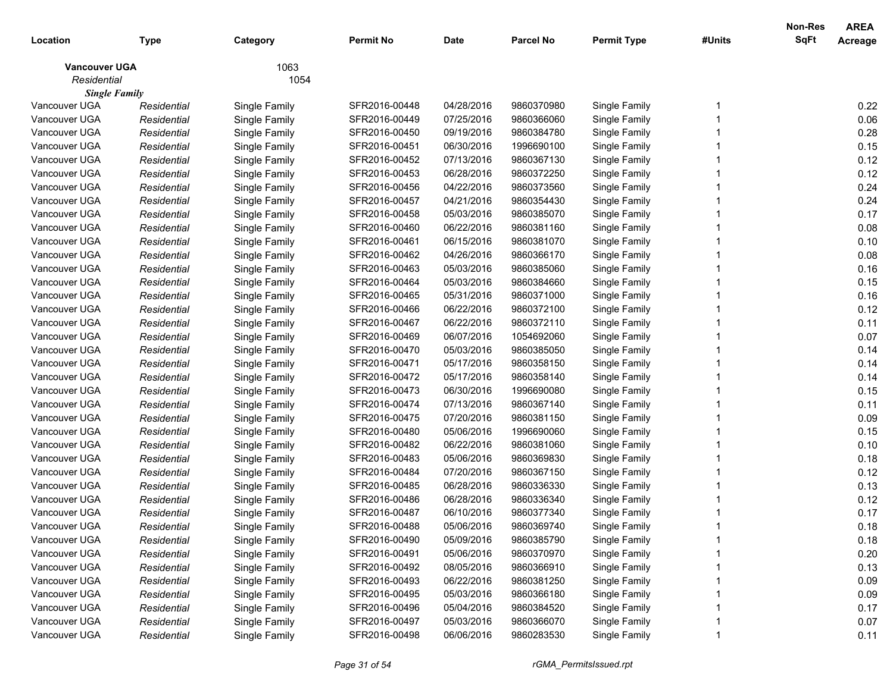| Location             | <b>Type</b> | Category      | <b>Permit No</b> | <b>Date</b> | <b>Parcel No</b> | <b>Permit Type</b> | #Units | <b>Non-Res</b><br>SqFt | <b>AREA</b><br>Acreage |
|----------------------|-------------|---------------|------------------|-------------|------------------|--------------------|--------|------------------------|------------------------|
| <b>Vancouver UGA</b> |             | 1063          |                  |             |                  |                    |        |                        |                        |
| Residential          |             | 1054          |                  |             |                  |                    |        |                        |                        |
| <b>Single Family</b> |             |               |                  |             |                  |                    |        |                        |                        |
| Vancouver UGA        | Residential | Single Family | SFR2016-00448    | 04/28/2016  | 9860370980       | Single Family      |        |                        | 0.22                   |
| Vancouver UGA        | Residential | Single Family | SFR2016-00449    | 07/25/2016  | 9860366060       | Single Family      |        |                        | 0.06                   |
| Vancouver UGA        | Residential | Single Family | SFR2016-00450    | 09/19/2016  | 9860384780       | Single Family      |        |                        | 0.28                   |
| Vancouver UGA        | Residential | Single Family | SFR2016-00451    | 06/30/2016  | 1996690100       | Single Family      |        |                        | 0.15                   |
| Vancouver UGA        | Residential | Single Family | SFR2016-00452    | 07/13/2016  | 9860367130       | Single Family      |        |                        | 0.12                   |
| Vancouver UGA        | Residential | Single Family | SFR2016-00453    | 06/28/2016  | 9860372250       | Single Family      |        |                        | 0.12                   |
| Vancouver UGA        | Residential | Single Family | SFR2016-00456    | 04/22/2016  | 9860373560       | Single Family      |        |                        | 0.24                   |
| Vancouver UGA        | Residential | Single Family | SFR2016-00457    | 04/21/2016  | 9860354430       | Single Family      |        |                        | 0.24                   |
| Vancouver UGA        | Residential | Single Family | SFR2016-00458    | 05/03/2016  | 9860385070       | Single Family      |        |                        | 0.17                   |
| Vancouver UGA        | Residential | Single Family | SFR2016-00460    | 06/22/2016  | 9860381160       | Single Family      |        |                        | 0.08                   |
| Vancouver UGA        | Residential | Single Family | SFR2016-00461    | 06/15/2016  | 9860381070       | Single Family      |        |                        | 0.10                   |
| Vancouver UGA        | Residential | Single Family | SFR2016-00462    | 04/26/2016  | 9860366170       | Single Family      |        |                        | 0.08                   |
| Vancouver UGA        | Residential | Single Family | SFR2016-00463    | 05/03/2016  | 9860385060       | Single Family      |        |                        | 0.16                   |
| Vancouver UGA        | Residential | Single Family | SFR2016-00464    | 05/03/2016  | 9860384660       | Single Family      |        |                        | 0.15                   |
| Vancouver UGA        | Residential | Single Family | SFR2016-00465    | 05/31/2016  | 9860371000       | Single Family      |        |                        | 0.16                   |
| Vancouver UGA        | Residential | Single Family | SFR2016-00466    | 06/22/2016  | 9860372100       | Single Family      |        |                        | 0.12                   |
| Vancouver UGA        | Residential | Single Family | SFR2016-00467    | 06/22/2016  | 9860372110       | Single Family      |        |                        | 0.11                   |
| Vancouver UGA        | Residential | Single Family | SFR2016-00469    | 06/07/2016  | 1054692060       | Single Family      |        |                        | 0.07                   |
| Vancouver UGA        | Residential | Single Family | SFR2016-00470    | 05/03/2016  | 9860385050       | Single Family      |        |                        | 0.14                   |
| Vancouver UGA        | Residential | Single Family | SFR2016-00471    | 05/17/2016  | 9860358150       | Single Family      |        |                        | 0.14                   |
| Vancouver UGA        | Residential | Single Family | SFR2016-00472    | 05/17/2016  | 9860358140       | Single Family      |        |                        | 0.14                   |
| Vancouver UGA        | Residential | Single Family | SFR2016-00473    | 06/30/2016  | 1996690080       | Single Family      |        |                        | 0.15                   |
| Vancouver UGA        | Residential | Single Family | SFR2016-00474    | 07/13/2016  | 9860367140       | Single Family      |        |                        | 0.11                   |
| Vancouver UGA        | Residential | Single Family | SFR2016-00475    | 07/20/2016  | 9860381150       | Single Family      |        |                        | 0.09                   |
| Vancouver UGA        | Residential | Single Family | SFR2016-00480    | 05/06/2016  | 1996690060       | Single Family      |        |                        | 0.15                   |
| Vancouver UGA        | Residential | Single Family | SFR2016-00482    | 06/22/2016  | 9860381060       | Single Family      |        |                        | 0.10                   |
| Vancouver UGA        | Residential | Single Family | SFR2016-00483    | 05/06/2016  | 9860369830       | Single Family      |        |                        | 0.18                   |
| Vancouver UGA        | Residential | Single Family | SFR2016-00484    | 07/20/2016  | 9860367150       | Single Family      |        |                        | 0.12                   |
| Vancouver UGA        | Residential | Single Family | SFR2016-00485    | 06/28/2016  | 9860336330       | Single Family      |        |                        | 0.13                   |
| Vancouver UGA        | Residential | Single Family | SFR2016-00486    | 06/28/2016  | 9860336340       | Single Family      |        |                        | 0.12                   |
| Vancouver UGA        | Residential | Single Family | SFR2016-00487    | 06/10/2016  | 9860377340       | Single Family      |        |                        | 0.17                   |
| Vancouver UGA        | Residential | Single Family | SFR2016-00488    | 05/06/2016  | 9860369740       | Single Family      |        |                        | 0.18                   |
| Vancouver UGA        | Residential | Single Family | SFR2016-00490    | 05/09/2016  | 9860385790       | Single Family      |        |                        | 0.18                   |
| Vancouver UGA        | Residential | Single Family | SFR2016-00491    | 05/06/2016  | 9860370970       | Single Family      |        |                        | 0.20                   |
| Vancouver UGA        | Residential | Single Family | SFR2016-00492    | 08/05/2016  | 9860366910       | Single Family      |        |                        | 0.13                   |
| Vancouver UGA        | Residential | Single Family | SFR2016-00493    | 06/22/2016  | 9860381250       | Single Family      |        |                        | 0.09                   |
| Vancouver UGA        | Residential | Single Family | SFR2016-00495    | 05/03/2016  | 9860366180       | Single Family      |        |                        | 0.09                   |
| Vancouver UGA        | Residential | Single Family | SFR2016-00496    | 05/04/2016  | 9860384520       | Single Family      |        |                        | 0.17                   |
| Vancouver UGA        | Residential | Single Family | SFR2016-00497    | 05/03/2016  | 9860366070       | Single Family      |        |                        | 0.07                   |
| Vancouver UGA        | Residential | Single Family | SFR2016-00498    | 06/06/2016  | 9860283530       | Single Family      |        |                        | 0.11                   |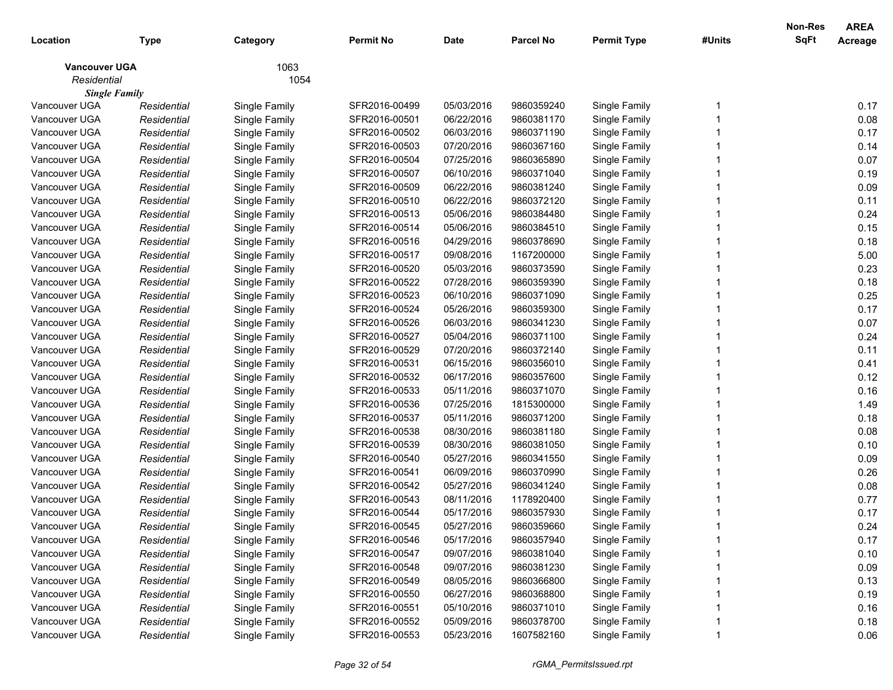| Location             | <b>Type</b> | Category      | <b>Permit No</b> | <b>Date</b> | <b>Parcel No</b> | <b>Permit Type</b> | #Units | Non-Res<br>SqFt | <b>AREA</b><br>Acreage |
|----------------------|-------------|---------------|------------------|-------------|------------------|--------------------|--------|-----------------|------------------------|
| <b>Vancouver UGA</b> |             | 1063          |                  |             |                  |                    |        |                 |                        |
| Residential          |             | 1054          |                  |             |                  |                    |        |                 |                        |
| <b>Single Family</b> |             |               |                  |             |                  |                    |        |                 |                        |
| Vancouver UGA        | Residential | Single Family | SFR2016-00499    | 05/03/2016  | 9860359240       | Single Family      |        |                 | 0.17                   |
| Vancouver UGA        | Residential | Single Family | SFR2016-00501    | 06/22/2016  | 9860381170       | Single Family      |        |                 | 0.08                   |
| Vancouver UGA        | Residential | Single Family | SFR2016-00502    | 06/03/2016  | 9860371190       | Single Family      |        |                 | 0.17                   |
| Vancouver UGA        | Residential | Single Family | SFR2016-00503    | 07/20/2016  | 9860367160       | Single Family      |        |                 | 0.14                   |
| Vancouver UGA        | Residential | Single Family | SFR2016-00504    | 07/25/2016  | 9860365890       | Single Family      |        |                 | 0.07                   |
| Vancouver UGA        | Residential | Single Family | SFR2016-00507    | 06/10/2016  | 9860371040       | Single Family      |        |                 | 0.19                   |
| Vancouver UGA        | Residential | Single Family | SFR2016-00509    | 06/22/2016  | 9860381240       | Single Family      |        |                 | 0.09                   |
| Vancouver UGA        | Residential | Single Family | SFR2016-00510    | 06/22/2016  | 9860372120       | Single Family      |        |                 | 0.11                   |
| Vancouver UGA        | Residential | Single Family | SFR2016-00513    | 05/06/2016  | 9860384480       | Single Family      |        |                 | 0.24                   |
| Vancouver UGA        | Residential | Single Family | SFR2016-00514    | 05/06/2016  | 9860384510       | Single Family      |        |                 | 0.15                   |
| Vancouver UGA        | Residential | Single Family | SFR2016-00516    | 04/29/2016  | 9860378690       | Single Family      |        |                 | 0.18                   |
| Vancouver UGA        | Residential | Single Family | SFR2016-00517    | 09/08/2016  | 1167200000       | Single Family      |        |                 | 5.00                   |
| Vancouver UGA        | Residential | Single Family | SFR2016-00520    | 05/03/2016  | 9860373590       | Single Family      |        |                 | 0.23                   |
| Vancouver UGA        | Residential | Single Family | SFR2016-00522    | 07/28/2016  | 9860359390       | Single Family      |        |                 | 0.18                   |
| Vancouver UGA        | Residential | Single Family | SFR2016-00523    | 06/10/2016  | 9860371090       | Single Family      |        |                 | 0.25                   |
| Vancouver UGA        | Residential | Single Family | SFR2016-00524    | 05/26/2016  | 9860359300       | Single Family      |        |                 | 0.17                   |
| Vancouver UGA        | Residential | Single Family | SFR2016-00526    | 06/03/2016  | 9860341230       | Single Family      |        |                 | 0.07                   |
| Vancouver UGA        | Residential | Single Family | SFR2016-00527    | 05/04/2016  | 9860371100       | Single Family      |        |                 | 0.24                   |
| Vancouver UGA        | Residential | Single Family | SFR2016-00529    | 07/20/2016  | 9860372140       | Single Family      |        |                 | 0.11                   |
| Vancouver UGA        | Residential | Single Family | SFR2016-00531    | 06/15/2016  | 9860356010       | Single Family      |        |                 | 0.41                   |
| Vancouver UGA        | Residential | Single Family | SFR2016-00532    | 06/17/2016  | 9860357600       | Single Family      |        |                 | 0.12                   |
| Vancouver UGA        | Residential | Single Family | SFR2016-00533    | 05/11/2016  | 9860371070       | Single Family      |        |                 | 0.16                   |
| Vancouver UGA        | Residential | Single Family | SFR2016-00536    | 07/25/2016  | 1815300000       | Single Family      |        |                 | 1.49                   |
| Vancouver UGA        | Residential | Single Family | SFR2016-00537    | 05/11/2016  | 9860371200       | Single Family      |        |                 | 0.18                   |
| Vancouver UGA        | Residential | Single Family | SFR2016-00538    | 08/30/2016  | 9860381180       | Single Family      |        |                 | 0.08                   |
| Vancouver UGA        | Residential | Single Family | SFR2016-00539    | 08/30/2016  | 9860381050       | Single Family      |        |                 | 0.10                   |
| Vancouver UGA        | Residential | Single Family | SFR2016-00540    | 05/27/2016  | 9860341550       | Single Family      |        |                 | 0.09                   |
| Vancouver UGA        | Residential | Single Family | SFR2016-00541    | 06/09/2016  | 9860370990       | Single Family      |        |                 | 0.26                   |
| Vancouver UGA        | Residential | Single Family | SFR2016-00542    | 05/27/2016  | 9860341240       | Single Family      |        |                 | 0.08                   |
| Vancouver UGA        | Residential | Single Family | SFR2016-00543    | 08/11/2016  | 1178920400       | Single Family      |        |                 | 0.77                   |
| Vancouver UGA        | Residential | Single Family | SFR2016-00544    | 05/17/2016  | 9860357930       | Single Family      |        |                 | 0.17                   |
| Vancouver UGA        | Residential | Single Family | SFR2016-00545    | 05/27/2016  | 9860359660       | Single Family      |        |                 | 0.24                   |
| Vancouver UGA        | Residential | Single Family | SFR2016-00546    | 05/17/2016  | 9860357940       | Single Family      |        |                 | 0.17                   |
| Vancouver UGA        | Residential | Single Family | SFR2016-00547    | 09/07/2016  | 9860381040       | Single Family      |        |                 | 0.10                   |
| Vancouver UGA        | Residential | Single Family | SFR2016-00548    | 09/07/2016  | 9860381230       | Single Family      |        |                 | 0.09                   |
| Vancouver UGA        | Residential | Single Family | SFR2016-00549    | 08/05/2016  | 9860366800       | Single Family      |        |                 | 0.13                   |
| Vancouver UGA        | Residential | Single Family | SFR2016-00550    | 06/27/2016  | 9860368800       | Single Family      |        |                 | 0.19                   |
| Vancouver UGA        | Residential | Single Family | SFR2016-00551    | 05/10/2016  | 9860371010       | Single Family      |        |                 | 0.16                   |
| Vancouver UGA        | Residential | Single Family | SFR2016-00552    | 05/09/2016  | 9860378700       | Single Family      |        |                 | 0.18                   |
| Vancouver UGA        | Residential | Single Family | SFR2016-00553    | 05/23/2016  | 1607582160       | Single Family      |        |                 | 0.06                   |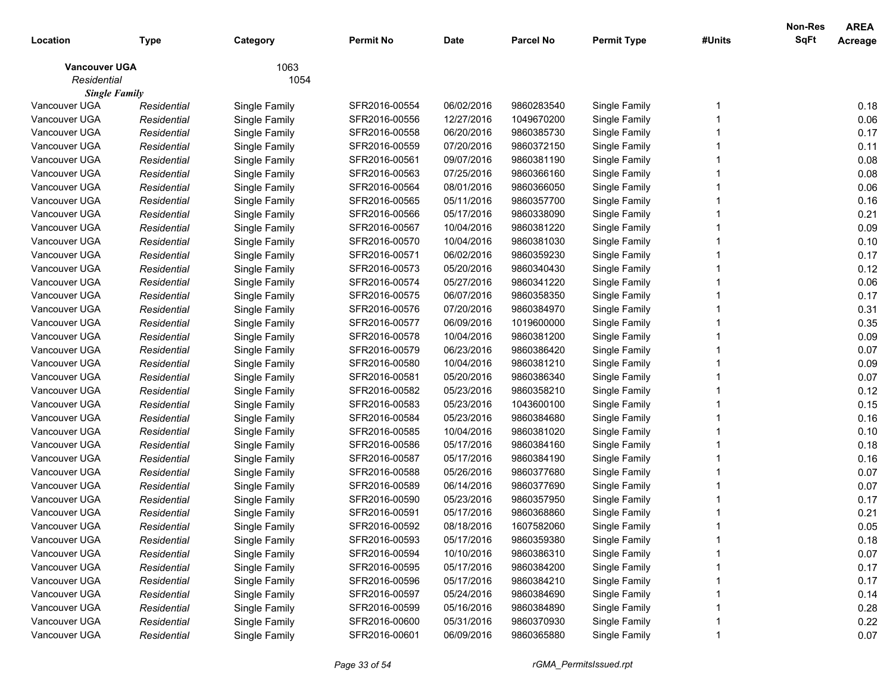| Location             | <b>Type</b> | Category      | <b>Permit No</b> | <b>Date</b> | <b>Parcel No</b> | <b>Permit Type</b> | #Units | Non-Res<br><b>SqFt</b> | <b>AREA</b><br>Acreage |
|----------------------|-------------|---------------|------------------|-------------|------------------|--------------------|--------|------------------------|------------------------|
| <b>Vancouver UGA</b> |             | 1063          |                  |             |                  |                    |        |                        |                        |
| Residential          |             | 1054          |                  |             |                  |                    |        |                        |                        |
| <b>Single Family</b> |             |               |                  |             |                  |                    |        |                        |                        |
| Vancouver UGA        | Residential | Single Family | SFR2016-00554    | 06/02/2016  | 9860283540       | Single Family      |        |                        | 0.18                   |
| Vancouver UGA        | Residential | Single Family | SFR2016-00556    | 12/27/2016  | 1049670200       | Single Family      |        |                        | 0.06                   |
| Vancouver UGA        | Residential | Single Family | SFR2016-00558    | 06/20/2016  | 9860385730       | Single Family      |        |                        | 0.17                   |
| Vancouver UGA        | Residential | Single Family | SFR2016-00559    | 07/20/2016  | 9860372150       | Single Family      |        |                        | 0.11                   |
| Vancouver UGA        | Residential | Single Family | SFR2016-00561    | 09/07/2016  | 9860381190       | Single Family      |        |                        | 0.08                   |
| Vancouver UGA        | Residential | Single Family | SFR2016-00563    | 07/25/2016  | 9860366160       | Single Family      |        |                        | 0.08                   |
| Vancouver UGA        | Residential | Single Family | SFR2016-00564    | 08/01/2016  | 9860366050       | Single Family      |        |                        | 0.06                   |
| Vancouver UGA        | Residential | Single Family | SFR2016-00565    | 05/11/2016  | 9860357700       | Single Family      |        |                        | 0.16                   |
| Vancouver UGA        | Residential | Single Family | SFR2016-00566    | 05/17/2016  | 9860338090       | Single Family      |        |                        | 0.21                   |
| Vancouver UGA        | Residential | Single Family | SFR2016-00567    | 10/04/2016  | 9860381220       | Single Family      |        |                        | 0.09                   |
| Vancouver UGA        | Residential | Single Family | SFR2016-00570    | 10/04/2016  | 9860381030       | Single Family      |        |                        | 0.10                   |
| Vancouver UGA        | Residential | Single Family | SFR2016-00571    | 06/02/2016  | 9860359230       | Single Family      |        |                        | 0.17                   |
| Vancouver UGA        | Residential | Single Family | SFR2016-00573    | 05/20/2016  | 9860340430       | Single Family      |        |                        | 0.12                   |
| Vancouver UGA        | Residential | Single Family | SFR2016-00574    | 05/27/2016  | 9860341220       | Single Family      |        |                        | 0.06                   |
| Vancouver UGA        | Residential | Single Family | SFR2016-00575    | 06/07/2016  | 9860358350       | Single Family      |        |                        | 0.17                   |
| Vancouver UGA        | Residential | Single Family | SFR2016-00576    | 07/20/2016  | 9860384970       | Single Family      |        |                        | 0.31                   |
| Vancouver UGA        | Residential | Single Family | SFR2016-00577    | 06/09/2016  | 1019600000       | Single Family      |        |                        | 0.35                   |
| Vancouver UGA        | Residential | Single Family | SFR2016-00578    | 10/04/2016  | 9860381200       | Single Family      |        |                        | 0.09                   |
| Vancouver UGA        | Residential | Single Family | SFR2016-00579    | 06/23/2016  | 9860386420       | Single Family      |        |                        | 0.07                   |
| Vancouver UGA        | Residential | Single Family | SFR2016-00580    | 10/04/2016  | 9860381210       | Single Family      |        |                        | 0.09                   |
| Vancouver UGA        | Residential | Single Family | SFR2016-00581    | 05/20/2016  | 9860386340       | Single Family      |        |                        | 0.07                   |
| Vancouver UGA        | Residential | Single Family | SFR2016-00582    | 05/23/2016  | 9860358210       | Single Family      |        |                        | 0.12                   |
| Vancouver UGA        | Residential | Single Family | SFR2016-00583    | 05/23/2016  | 1043600100       | Single Family      |        |                        | 0.15                   |
| Vancouver UGA        | Residential | Single Family | SFR2016-00584    | 05/23/2016  | 9860384680       | Single Family      |        |                        | 0.16                   |
| Vancouver UGA        | Residential | Single Family | SFR2016-00585    | 10/04/2016  | 9860381020       | Single Family      |        |                        | 0.10                   |
| Vancouver UGA        | Residential | Single Family | SFR2016-00586    | 05/17/2016  | 9860384160       | Single Family      |        |                        | 0.18                   |
| Vancouver UGA        | Residential | Single Family | SFR2016-00587    | 05/17/2016  | 9860384190       | Single Family      |        |                        | 0.16                   |
| Vancouver UGA        | Residential | Single Family | SFR2016-00588    | 05/26/2016  | 9860377680       | Single Family      |        |                        | 0.07                   |
| Vancouver UGA        | Residential | Single Family | SFR2016-00589    | 06/14/2016  | 9860377690       | Single Family      |        |                        | 0.07                   |
| Vancouver UGA        | Residential | Single Family | SFR2016-00590    | 05/23/2016  | 9860357950       | Single Family      |        |                        | 0.17                   |
| Vancouver UGA        | Residential | Single Family | SFR2016-00591    | 05/17/2016  | 9860368860       | Single Family      |        |                        | 0.21                   |
| Vancouver UGA        | Residential | Single Family | SFR2016-00592    | 08/18/2016  | 1607582060       | Single Family      |        |                        | 0.05                   |
| Vancouver UGA        | Residential | Single Family | SFR2016-00593    | 05/17/2016  | 9860359380       | Single Family      |        |                        | 0.18                   |
| Vancouver UGA        | Residential | Single Family | SFR2016-00594    | 10/10/2016  | 9860386310       | Single Family      |        |                        | 0.07                   |
| Vancouver UGA        | Residential | Single Family | SFR2016-00595    | 05/17/2016  | 9860384200       | Single Family      |        |                        | 0.17                   |
| Vancouver UGA        | Residential | Single Family | SFR2016-00596    | 05/17/2016  | 9860384210       | Single Family      |        |                        | 0.17                   |
| Vancouver UGA        | Residential | Single Family | SFR2016-00597    | 05/24/2016  | 9860384690       | Single Family      |        |                        | 0.14                   |
| Vancouver UGA        | Residential | Single Family | SFR2016-00599    | 05/16/2016  | 9860384890       | Single Family      |        |                        | 0.28                   |
| Vancouver UGA        | Residential | Single Family | SFR2016-00600    | 05/31/2016  | 9860370930       | Single Family      |        |                        | 0.22                   |
| Vancouver UGA        | Residential | Single Family | SFR2016-00601    | 06/09/2016  | 9860365880       | Single Family      |        |                        | 0.07                   |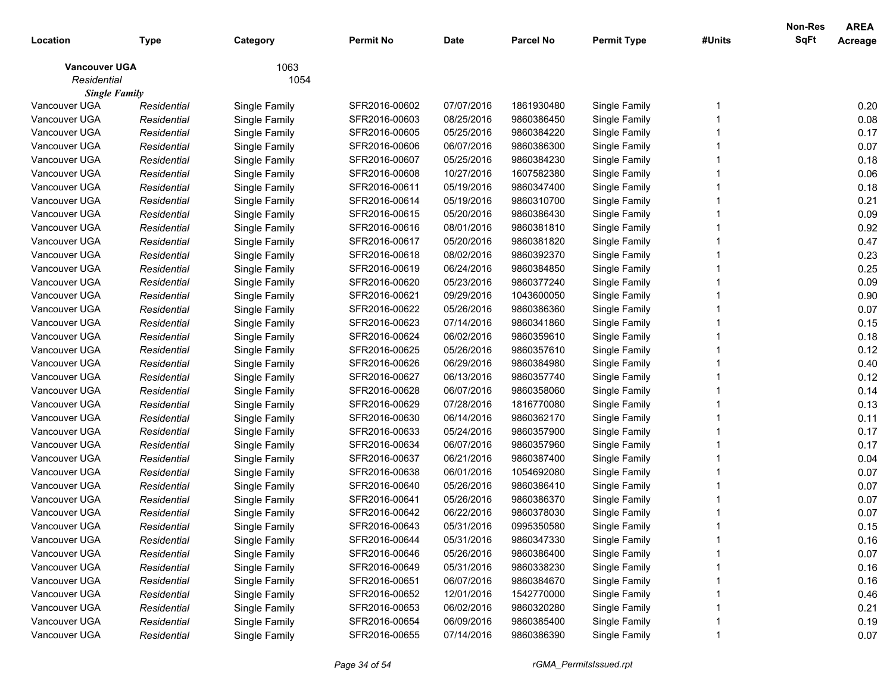| Location             | <b>Type</b> | Category      | <b>Permit No</b> | <b>Date</b> | <b>Parcel No</b> | <b>Permit Type</b> | #Units | Non-Res<br><b>SqFt</b> | <b>AREA</b><br>Acreage |
|----------------------|-------------|---------------|------------------|-------------|------------------|--------------------|--------|------------------------|------------------------|
| <b>Vancouver UGA</b> |             | 1063          |                  |             |                  |                    |        |                        |                        |
| Residential          |             | 1054          |                  |             |                  |                    |        |                        |                        |
| <b>Single Family</b> |             |               |                  |             |                  |                    |        |                        |                        |
| Vancouver UGA        | Residential | Single Family | SFR2016-00602    | 07/07/2016  | 1861930480       | Single Family      |        |                        | 0.20                   |
| Vancouver UGA        | Residential | Single Family | SFR2016-00603    | 08/25/2016  | 9860386450       | Single Family      |        |                        | 0.08                   |
| Vancouver UGA        | Residential | Single Family | SFR2016-00605    | 05/25/2016  | 9860384220       | Single Family      |        |                        | 0.17                   |
| Vancouver UGA        | Residential | Single Family | SFR2016-00606    | 06/07/2016  | 9860386300       | Single Family      |        |                        | 0.07                   |
| Vancouver UGA        | Residential | Single Family | SFR2016-00607    | 05/25/2016  | 9860384230       | Single Family      |        |                        | 0.18                   |
| Vancouver UGA        | Residential | Single Family | SFR2016-00608    | 10/27/2016  | 1607582380       | Single Family      |        |                        | 0.06                   |
| Vancouver UGA        | Residential | Single Family | SFR2016-00611    | 05/19/2016  | 9860347400       | Single Family      |        |                        | 0.18                   |
| Vancouver UGA        | Residential | Single Family | SFR2016-00614    | 05/19/2016  | 9860310700       | Single Family      |        |                        | 0.21                   |
| Vancouver UGA        | Residential | Single Family | SFR2016-00615    | 05/20/2016  | 9860386430       | Single Family      |        |                        | 0.09                   |
| Vancouver UGA        | Residential | Single Family | SFR2016-00616    | 08/01/2016  | 9860381810       | Single Family      |        |                        | 0.92                   |
| Vancouver UGA        | Residential | Single Family | SFR2016-00617    | 05/20/2016  | 9860381820       | Single Family      |        |                        | 0.47                   |
| Vancouver UGA        | Residential | Single Family | SFR2016-00618    | 08/02/2016  | 9860392370       | Single Family      |        |                        | 0.23                   |
| Vancouver UGA        | Residential | Single Family | SFR2016-00619    | 06/24/2016  | 9860384850       | Single Family      |        |                        | 0.25                   |
| Vancouver UGA        | Residential | Single Family | SFR2016-00620    | 05/23/2016  | 9860377240       | Single Family      |        |                        | 0.09                   |
| Vancouver UGA        | Residential | Single Family | SFR2016-00621    | 09/29/2016  | 1043600050       | Single Family      |        |                        | 0.90                   |
| Vancouver UGA        | Residential | Single Family | SFR2016-00622    | 05/26/2016  | 9860386360       | Single Family      |        |                        | 0.07                   |
| Vancouver UGA        | Residential | Single Family | SFR2016-00623    | 07/14/2016  | 9860341860       | Single Family      |        |                        | 0.15                   |
| Vancouver UGA        | Residential | Single Family | SFR2016-00624    | 06/02/2016  | 9860359610       | Single Family      |        |                        | 0.18                   |
| Vancouver UGA        | Residential | Single Family | SFR2016-00625    | 05/26/2016  | 9860357610       | Single Family      |        |                        | 0.12                   |
| Vancouver UGA        | Residential | Single Family | SFR2016-00626    | 06/29/2016  | 9860384980       | Single Family      |        |                        | 0.40                   |
| Vancouver UGA        | Residential | Single Family | SFR2016-00627    | 06/13/2016  | 9860357740       | Single Family      |        |                        | 0.12                   |
| Vancouver UGA        | Residential | Single Family | SFR2016-00628    | 06/07/2016  | 9860358060       | Single Family      |        |                        | 0.14                   |
| Vancouver UGA        | Residential | Single Family | SFR2016-00629    | 07/28/2016  | 1816770080       | Single Family      |        |                        | 0.13                   |
| Vancouver UGA        | Residential | Single Family | SFR2016-00630    | 06/14/2016  | 9860362170       | Single Family      |        |                        | 0.11                   |
| Vancouver UGA        | Residential | Single Family | SFR2016-00633    | 05/24/2016  | 9860357900       | Single Family      |        |                        | 0.17                   |
| Vancouver UGA        | Residential | Single Family | SFR2016-00634    | 06/07/2016  | 9860357960       | Single Family      |        |                        | 0.17                   |
| Vancouver UGA        | Residential | Single Family | SFR2016-00637    | 06/21/2016  | 9860387400       | Single Family      |        |                        | 0.04                   |
| Vancouver UGA        | Residential | Single Family | SFR2016-00638    | 06/01/2016  | 1054692080       | Single Family      |        |                        | 0.07                   |
| Vancouver UGA        | Residential | Single Family | SFR2016-00640    | 05/26/2016  | 9860386410       | Single Family      |        |                        | 0.07                   |
| Vancouver UGA        | Residential | Single Family | SFR2016-00641    | 05/26/2016  | 9860386370       | Single Family      |        |                        | 0.07                   |
| Vancouver UGA        | Residential | Single Family | SFR2016-00642    | 06/22/2016  | 9860378030       | Single Family      |        |                        | 0.07                   |
| Vancouver UGA        | Residential | Single Family | SFR2016-00643    | 05/31/2016  | 0995350580       | Single Family      |        |                        | 0.15                   |
| Vancouver UGA        | Residential | Single Family | SFR2016-00644    | 05/31/2016  | 9860347330       | Single Family      |        |                        | 0.16                   |
| Vancouver UGA        | Residential | Single Family | SFR2016-00646    | 05/26/2016  | 9860386400       | Single Family      |        |                        | 0.07                   |
| Vancouver UGA        | Residential | Single Family | SFR2016-00649    | 05/31/2016  | 9860338230       | Single Family      |        |                        | 0.16                   |
| Vancouver UGA        | Residential | Single Family | SFR2016-00651    | 06/07/2016  | 9860384670       | Single Family      |        |                        | 0.16                   |
| Vancouver UGA        | Residential | Single Family | SFR2016-00652    | 12/01/2016  | 1542770000       | Single Family      |        |                        | 0.46                   |
| Vancouver UGA        | Residential | Single Family | SFR2016-00653    | 06/02/2016  | 9860320280       | Single Family      |        |                        | 0.21                   |
| Vancouver UGA        | Residential | Single Family | SFR2016-00654    | 06/09/2016  | 9860385400       | Single Family      |        |                        | 0.19                   |
| Vancouver UGA        | Residential | Single Family | SFR2016-00655    | 07/14/2016  | 9860386390       | Single Family      |        |                        | 0.07                   |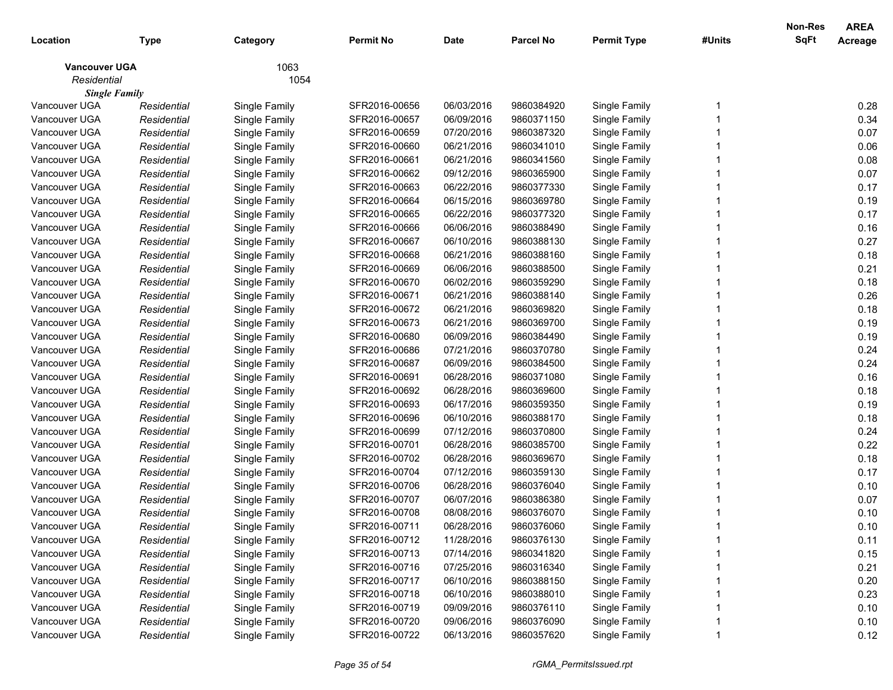| Location             | <b>Type</b> | Category      | <b>Permit No</b> | <b>Date</b> | <b>Parcel No</b> | <b>Permit Type</b> | #Units | Non-Res<br><b>SqFt</b> | <b>AREA</b><br>Acreage |
|----------------------|-------------|---------------|------------------|-------------|------------------|--------------------|--------|------------------------|------------------------|
| <b>Vancouver UGA</b> |             | 1063          |                  |             |                  |                    |        |                        |                        |
| Residential          |             | 1054          |                  |             |                  |                    |        |                        |                        |
| <b>Single Family</b> |             |               |                  |             |                  |                    |        |                        |                        |
| Vancouver UGA        | Residential | Single Family | SFR2016-00656    | 06/03/2016  | 9860384920       | Single Family      |        |                        | 0.28                   |
| Vancouver UGA        | Residential | Single Family | SFR2016-00657    | 06/09/2016  | 9860371150       | Single Family      |        |                        | 0.34                   |
| Vancouver UGA        | Residential | Single Family | SFR2016-00659    | 07/20/2016  | 9860387320       | Single Family      |        |                        | 0.07                   |
| Vancouver UGA        | Residential | Single Family | SFR2016-00660    | 06/21/2016  | 9860341010       | Single Family      |        |                        | 0.06                   |
| Vancouver UGA        | Residential | Single Family | SFR2016-00661    | 06/21/2016  | 9860341560       | Single Family      |        |                        | 0.08                   |
| Vancouver UGA        | Residential | Single Family | SFR2016-00662    | 09/12/2016  | 9860365900       | Single Family      |        |                        | 0.07                   |
| Vancouver UGA        | Residential | Single Family | SFR2016-00663    | 06/22/2016  | 9860377330       | Single Family      |        |                        | 0.17                   |
| Vancouver UGA        | Residential | Single Family | SFR2016-00664    | 06/15/2016  | 9860369780       | Single Family      |        |                        | 0.19                   |
| Vancouver UGA        | Residential | Single Family | SFR2016-00665    | 06/22/2016  | 9860377320       | Single Family      |        |                        | 0.17                   |
| Vancouver UGA        | Residential | Single Family | SFR2016-00666    | 06/06/2016  | 9860388490       | Single Family      |        |                        | 0.16                   |
| Vancouver UGA        | Residential | Single Family | SFR2016-00667    | 06/10/2016  | 9860388130       | Single Family      |        |                        | 0.27                   |
| Vancouver UGA        | Residential | Single Family | SFR2016-00668    | 06/21/2016  | 9860388160       | Single Family      |        |                        | 0.18                   |
| Vancouver UGA        | Residential | Single Family | SFR2016-00669    | 06/06/2016  | 9860388500       | Single Family      |        |                        | 0.21                   |
| Vancouver UGA        | Residential | Single Family | SFR2016-00670    | 06/02/2016  | 9860359290       | Single Family      |        |                        | 0.18                   |
| Vancouver UGA        | Residential | Single Family | SFR2016-00671    | 06/21/2016  | 9860388140       | Single Family      |        |                        | 0.26                   |
| Vancouver UGA        | Residential | Single Family | SFR2016-00672    | 06/21/2016  | 9860369820       | Single Family      |        |                        | 0.18                   |
| Vancouver UGA        | Residential | Single Family | SFR2016-00673    | 06/21/2016  | 9860369700       | Single Family      |        |                        | 0.19                   |
| Vancouver UGA        | Residential | Single Family | SFR2016-00680    | 06/09/2016  | 9860384490       | Single Family      |        |                        | 0.19                   |
| Vancouver UGA        | Residential | Single Family | SFR2016-00686    | 07/21/2016  | 9860370780       | Single Family      |        |                        | 0.24                   |
| Vancouver UGA        | Residential | Single Family | SFR2016-00687    | 06/09/2016  | 9860384500       | Single Family      |        |                        | 0.24                   |
| Vancouver UGA        | Residential | Single Family | SFR2016-00691    | 06/28/2016  | 9860371080       | Single Family      |        |                        | 0.16                   |
| Vancouver UGA        | Residential | Single Family | SFR2016-00692    | 06/28/2016  | 9860369600       | Single Family      |        |                        | 0.18                   |
| Vancouver UGA        | Residential | Single Family | SFR2016-00693    | 06/17/2016  | 9860359350       | Single Family      |        |                        | 0.19                   |
| Vancouver UGA        | Residential | Single Family | SFR2016-00696    | 06/10/2016  | 9860388170       | Single Family      |        |                        | 0.18                   |
| Vancouver UGA        | Residential | Single Family | SFR2016-00699    | 07/12/2016  | 9860370800       | Single Family      |        |                        | 0.24                   |
| Vancouver UGA        | Residential | Single Family | SFR2016-00701    | 06/28/2016  | 9860385700       | Single Family      |        |                        | 0.22                   |
| Vancouver UGA        | Residential | Single Family | SFR2016-00702    | 06/28/2016  | 9860369670       | Single Family      |        |                        | 0.18                   |
| Vancouver UGA        | Residential | Single Family | SFR2016-00704    | 07/12/2016  | 9860359130       | Single Family      |        |                        | 0.17                   |
| Vancouver UGA        | Residential | Single Family | SFR2016-00706    | 06/28/2016  | 9860376040       | Single Family      |        |                        | 0.10                   |
| Vancouver UGA        | Residential | Single Family | SFR2016-00707    | 06/07/2016  | 9860386380       | Single Family      |        |                        | 0.07                   |
| Vancouver UGA        | Residential | Single Family | SFR2016-00708    | 08/08/2016  | 9860376070       | Single Family      |        |                        | 0.10                   |
| Vancouver UGA        | Residential | Single Family | SFR2016-00711    | 06/28/2016  | 9860376060       | Single Family      |        |                        | 0.10                   |
| Vancouver UGA        | Residential | Single Family | SFR2016-00712    | 11/28/2016  | 9860376130       | Single Family      |        |                        | 0.11                   |
| Vancouver UGA        | Residential | Single Family | SFR2016-00713    | 07/14/2016  | 9860341820       | Single Family      |        |                        | 0.15                   |
| Vancouver UGA        | Residential | Single Family | SFR2016-00716    | 07/25/2016  | 9860316340       | Single Family      |        |                        | 0.21                   |
| Vancouver UGA        | Residential | Single Family | SFR2016-00717    | 06/10/2016  | 9860388150       | Single Family      |        |                        | 0.20                   |
| Vancouver UGA        | Residential | Single Family | SFR2016-00718    | 06/10/2016  | 9860388010       | Single Family      |        |                        | 0.23                   |
| Vancouver UGA        | Residential | Single Family | SFR2016-00719    | 09/09/2016  | 9860376110       | Single Family      |        |                        | 0.10                   |
| Vancouver UGA        | Residential | Single Family | SFR2016-00720    | 09/06/2016  | 9860376090       | Single Family      |        |                        | 0.10                   |
| Vancouver UGA        | Residential | Single Family | SFR2016-00722    | 06/13/2016  | 9860357620       | Single Family      |        |                        | 0.12                   |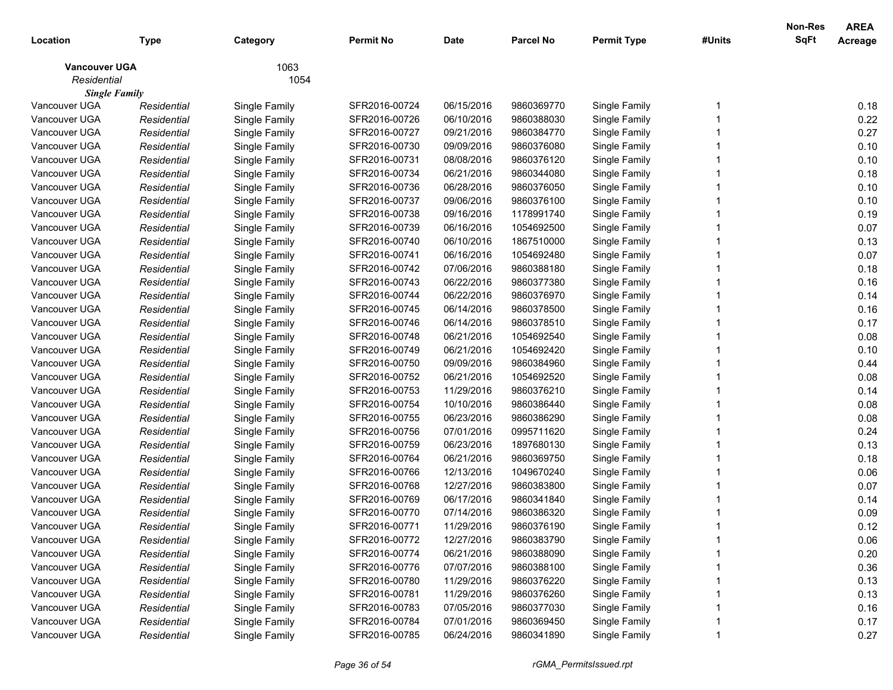| Location             | <b>Type</b> | Category      | <b>Permit No</b> | <b>Date</b> | <b>Parcel No</b> | <b>Permit Type</b> | #Units | Non-Res<br>SqFt | <b>AREA</b><br>Acreage |
|----------------------|-------------|---------------|------------------|-------------|------------------|--------------------|--------|-----------------|------------------------|
| <b>Vancouver UGA</b> |             | 1063          |                  |             |                  |                    |        |                 |                        |
| Residential          |             | 1054          |                  |             |                  |                    |        |                 |                        |
| <b>Single Family</b> |             |               |                  |             |                  |                    |        |                 |                        |
| Vancouver UGA        | Residential | Single Family | SFR2016-00724    | 06/15/2016  | 9860369770       | Single Family      |        |                 | 0.18                   |
| Vancouver UGA        | Residential | Single Family | SFR2016-00726    | 06/10/2016  | 9860388030       | Single Family      |        |                 | 0.22                   |
| Vancouver UGA        | Residential | Single Family | SFR2016-00727    | 09/21/2016  | 9860384770       | Single Family      |        |                 | 0.27                   |
| Vancouver UGA        | Residential | Single Family | SFR2016-00730    | 09/09/2016  | 9860376080       | Single Family      |        |                 | 0.10                   |
| Vancouver UGA        | Residential | Single Family | SFR2016-00731    | 08/08/2016  | 9860376120       | Single Family      |        |                 | 0.10                   |
| Vancouver UGA        | Residential | Single Family | SFR2016-00734    | 06/21/2016  | 9860344080       | Single Family      |        |                 | 0.18                   |
| Vancouver UGA        | Residential | Single Family | SFR2016-00736    | 06/28/2016  | 9860376050       | Single Family      |        |                 | 0.10                   |
| Vancouver UGA        | Residential | Single Family | SFR2016-00737    | 09/06/2016  | 9860376100       | Single Family      |        |                 | 0.10                   |
| Vancouver UGA        | Residential | Single Family | SFR2016-00738    | 09/16/2016  | 1178991740       | Single Family      |        |                 | 0.19                   |
| Vancouver UGA        | Residential | Single Family | SFR2016-00739    | 06/16/2016  | 1054692500       | Single Family      |        |                 | 0.07                   |
| Vancouver UGA        | Residential | Single Family | SFR2016-00740    | 06/10/2016  | 1867510000       | Single Family      |        |                 | 0.13                   |
| Vancouver UGA        | Residential | Single Family | SFR2016-00741    | 06/16/2016  | 1054692480       | Single Family      |        |                 | 0.07                   |
| Vancouver UGA        | Residential | Single Family | SFR2016-00742    | 07/06/2016  | 9860388180       | Single Family      |        |                 | 0.18                   |
| Vancouver UGA        | Residential | Single Family | SFR2016-00743    | 06/22/2016  | 9860377380       | Single Family      |        |                 | 0.16                   |
| Vancouver UGA        | Residential | Single Family | SFR2016-00744    | 06/22/2016  | 9860376970       | Single Family      |        |                 | 0.14                   |
| Vancouver UGA        | Residential | Single Family | SFR2016-00745    | 06/14/2016  | 9860378500       | Single Family      |        |                 | 0.16                   |
| Vancouver UGA        | Residential | Single Family | SFR2016-00746    | 06/14/2016  | 9860378510       | Single Family      |        |                 | 0.17                   |
| Vancouver UGA        | Residential | Single Family | SFR2016-00748    | 06/21/2016  | 1054692540       | Single Family      |        |                 | 0.08                   |
| Vancouver UGA        | Residential | Single Family | SFR2016-00749    | 06/21/2016  | 1054692420       | Single Family      |        |                 | 0.10                   |
| Vancouver UGA        | Residential | Single Family | SFR2016-00750    | 09/09/2016  | 9860384960       | Single Family      |        |                 | 0.44                   |
| Vancouver UGA        | Residential | Single Family | SFR2016-00752    | 06/21/2016  | 1054692520       | Single Family      |        |                 | 0.08                   |
| Vancouver UGA        | Residential | Single Family | SFR2016-00753    | 11/29/2016  | 9860376210       | Single Family      |        |                 | 0.14                   |
| Vancouver UGA        | Residential | Single Family | SFR2016-00754    | 10/10/2016  | 9860386440       | Single Family      |        |                 | 0.08                   |
| Vancouver UGA        | Residential | Single Family | SFR2016-00755    | 06/23/2016  | 9860386290       | Single Family      |        |                 | 0.08                   |
| Vancouver UGA        | Residential | Single Family | SFR2016-00756    | 07/01/2016  | 0995711620       | Single Family      |        |                 | 0.24                   |
| Vancouver UGA        | Residential | Single Family | SFR2016-00759    | 06/23/2016  | 1897680130       | Single Family      |        |                 | 0.13                   |
| Vancouver UGA        | Residential | Single Family | SFR2016-00764    | 06/21/2016  | 9860369750       | Single Family      |        |                 | 0.18                   |
| Vancouver UGA        | Residential | Single Family | SFR2016-00766    | 12/13/2016  | 1049670240       | Single Family      |        |                 | 0.06                   |
| Vancouver UGA        | Residential | Single Family | SFR2016-00768    | 12/27/2016  | 9860383800       | Single Family      |        |                 | 0.07                   |
| Vancouver UGA        | Residential | Single Family | SFR2016-00769    | 06/17/2016  | 9860341840       | Single Family      |        |                 | 0.14                   |
| Vancouver UGA        | Residential | Single Family | SFR2016-00770    | 07/14/2016  | 9860386320       | Single Family      |        |                 | 0.09                   |
| Vancouver UGA        | Residential | Single Family | SFR2016-00771    | 11/29/2016  | 9860376190       | Single Family      |        |                 | 0.12                   |
| Vancouver UGA        | Residential | Single Family | SFR2016-00772    | 12/27/2016  | 9860383790       | Single Family      |        |                 | 0.06                   |
| Vancouver UGA        | Residential | Single Family | SFR2016-00774    | 06/21/2016  | 9860388090       | Single Family      |        |                 | 0.20                   |
| Vancouver UGA        | Residential | Single Family | SFR2016-00776    | 07/07/2016  | 9860388100       | Single Family      |        |                 | 0.36                   |
| Vancouver UGA        | Residential | Single Family | SFR2016-00780    | 11/29/2016  | 9860376220       | Single Family      |        |                 | 0.13                   |
| Vancouver UGA        | Residential | Single Family | SFR2016-00781    | 11/29/2016  | 9860376260       | Single Family      |        |                 | 0.13                   |
| Vancouver UGA        | Residential | Single Family | SFR2016-00783    | 07/05/2016  | 9860377030       | Single Family      |        |                 | 0.16                   |
| Vancouver UGA        | Residential | Single Family | SFR2016-00784    | 07/01/2016  | 9860369450       | Single Family      |        |                 | 0.17                   |
| Vancouver UGA        | Residential | Single Family | SFR2016-00785    | 06/24/2016  | 9860341890       | Single Family      |        |                 | 0.27                   |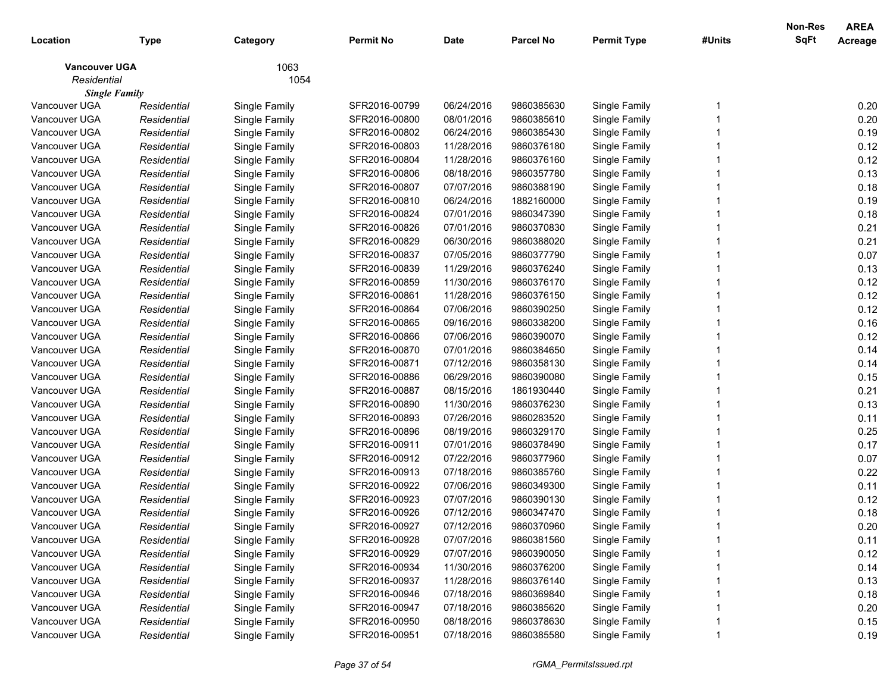|                      |             |               |               |             |                  |                    |        | Non-Res     | <b>AREA</b> |
|----------------------|-------------|---------------|---------------|-------------|------------------|--------------------|--------|-------------|-------------|
| Location             | Type        | Category      | Permit No     | <b>Date</b> | <b>Parcel No</b> | <b>Permit Type</b> | #Units | <b>SqFt</b> | Acreage     |
| <b>Vancouver UGA</b> |             | 1063          |               |             |                  |                    |        |             |             |
| Residential          |             | 1054          |               |             |                  |                    |        |             |             |
| <b>Single Family</b> |             |               |               |             |                  |                    |        |             |             |
| Vancouver UGA        | Residential | Single Family | SFR2016-00799 | 06/24/2016  | 9860385630       | Single Family      |        |             | 0.20        |
| Vancouver UGA        | Residential | Single Family | SFR2016-00800 | 08/01/2016  | 9860385610       | Single Family      |        |             | 0.20        |
| Vancouver UGA        | Residential | Single Family | SFR2016-00802 | 06/24/2016  | 9860385430       | Single Family      |        |             | 0.19        |
| Vancouver UGA        | Residential | Single Family | SFR2016-00803 | 11/28/2016  | 9860376180       | Single Family      |        |             | 0.12        |
| Vancouver UGA        | Residential | Single Family | SFR2016-00804 | 11/28/2016  | 9860376160       | Single Family      |        |             | 0.12        |
| Vancouver UGA        | Residential | Single Family | SFR2016-00806 | 08/18/2016  | 9860357780       | Single Family      |        |             | 0.13        |
| Vancouver UGA        | Residential | Single Family | SFR2016-00807 | 07/07/2016  | 9860388190       | Single Family      |        |             | 0.18        |
| Vancouver UGA        | Residential | Single Family | SFR2016-00810 | 06/24/2016  | 1882160000       | Single Family      |        |             | 0.19        |
| Vancouver UGA        | Residential | Single Family | SFR2016-00824 | 07/01/2016  | 9860347390       | Single Family      |        |             | 0.18        |
| Vancouver UGA        | Residential | Single Family | SFR2016-00826 | 07/01/2016  | 9860370830       | Single Family      |        |             | 0.21        |
| Vancouver UGA        | Residential | Single Family | SFR2016-00829 | 06/30/2016  | 9860388020       | Single Family      |        |             | 0.21        |
| Vancouver UGA        | Residential | Single Family | SFR2016-00837 | 07/05/2016  | 9860377790       | Single Family      |        |             | 0.07        |
| Vancouver UGA        | Residential | Single Family | SFR2016-00839 | 11/29/2016  | 9860376240       | Single Family      |        |             | 0.13        |
| Vancouver UGA        | Residential | Single Family | SFR2016-00859 | 11/30/2016  | 9860376170       | Single Family      |        |             | 0.12        |
| Vancouver UGA        | Residential | Single Family | SFR2016-00861 | 11/28/2016  | 9860376150       | Single Family      |        |             | 0.12        |
| Vancouver UGA        | Residential | Single Family | SFR2016-00864 | 07/06/2016  | 9860390250       | Single Family      |        |             | 0.12        |
| Vancouver UGA        | Residential | Single Family | SFR2016-00865 | 09/16/2016  | 9860338200       | Single Family      |        |             | 0.16        |
| Vancouver UGA        | Residential | Single Family | SFR2016-00866 | 07/06/2016  | 9860390070       | Single Family      |        |             | 0.12        |
| Vancouver UGA        | Residential | Single Family | SFR2016-00870 | 07/01/2016  | 9860384650       | Single Family      |        |             | 0.14        |
| Vancouver UGA        | Residential | Single Family | SFR2016-00871 | 07/12/2016  | 9860358130       | Single Family      |        |             | 0.14        |
| Vancouver UGA        | Residential | Single Family | SFR2016-00886 | 06/29/2016  | 9860390080       | Single Family      |        |             | 0.15        |
| Vancouver UGA        | Residential | Single Family | SFR2016-00887 | 08/15/2016  | 1861930440       | Single Family      |        |             | 0.21        |
| Vancouver UGA        | Residential | Single Family | SFR2016-00890 | 11/30/2016  | 9860376230       | Single Family      |        |             | 0.13        |
| Vancouver UGA        | Residential | Single Family | SFR2016-00893 | 07/26/2016  | 9860283520       | Single Family      |        |             | 0.11        |
| Vancouver UGA        | Residential | Single Family | SFR2016-00896 | 08/19/2016  | 9860329170       | Single Family      |        |             | 0.25        |
| Vancouver UGA        | Residential | Single Family | SFR2016-00911 | 07/01/2016  | 9860378490       | Single Family      |        |             | 0.17        |
| Vancouver UGA        | Residential | Single Family | SFR2016-00912 | 07/22/2016  | 9860377960       | Single Family      |        |             | 0.07        |
| Vancouver UGA        | Residential | Single Family | SFR2016-00913 | 07/18/2016  | 9860385760       | Single Family      |        |             | 0.22        |
| Vancouver UGA        | Residential | Single Family | SFR2016-00922 | 07/06/2016  | 9860349300       | Single Family      |        |             | 0.11        |
| Vancouver UGA        | Residential | Single Family | SFR2016-00923 | 07/07/2016  | 9860390130       | Single Family      |        |             | 0.12        |
| Vancouver UGA        | Residential | Single Family | SFR2016-00926 | 07/12/2016  | 9860347470       | Single Family      |        |             | 0.18        |
| Vancouver UGA        | Residential | Single Family | SFR2016-00927 | 07/12/2016  | 9860370960       | Single Family      |        |             | 0.20        |
| Vancouver UGA        | Residential | Single Family | SFR2016-00928 | 07/07/2016  | 9860381560       | Single Family      |        |             | 0.11        |
| Vancouver UGA        | Residential | Single Family | SFR2016-00929 | 07/07/2016  | 9860390050       | Single Family      |        |             | 0.12        |
| Vancouver UGA        | Residential | Single Family | SFR2016-00934 | 11/30/2016  | 9860376200       | Single Family      |        |             | 0.14        |
| Vancouver UGA        | Residential | Single Family | SFR2016-00937 | 11/28/2016  | 9860376140       | Single Family      |        |             | 0.13        |
| Vancouver UGA        | Residential | Single Family | SFR2016-00946 | 07/18/2016  | 9860369840       | Single Family      |        |             | 0.18        |
| Vancouver UGA        | Residential | Single Family | SFR2016-00947 | 07/18/2016  | 9860385620       | Single Family      |        |             | 0.20        |
| Vancouver UGA        | Residential | Single Family | SFR2016-00950 | 08/18/2016  | 9860378630       | Single Family      |        |             | 0.15        |
| Vancouver UGA        | Residential | Single Family | SFR2016-00951 | 07/18/2016  | 9860385580       | Single Family      |        |             | 0.19        |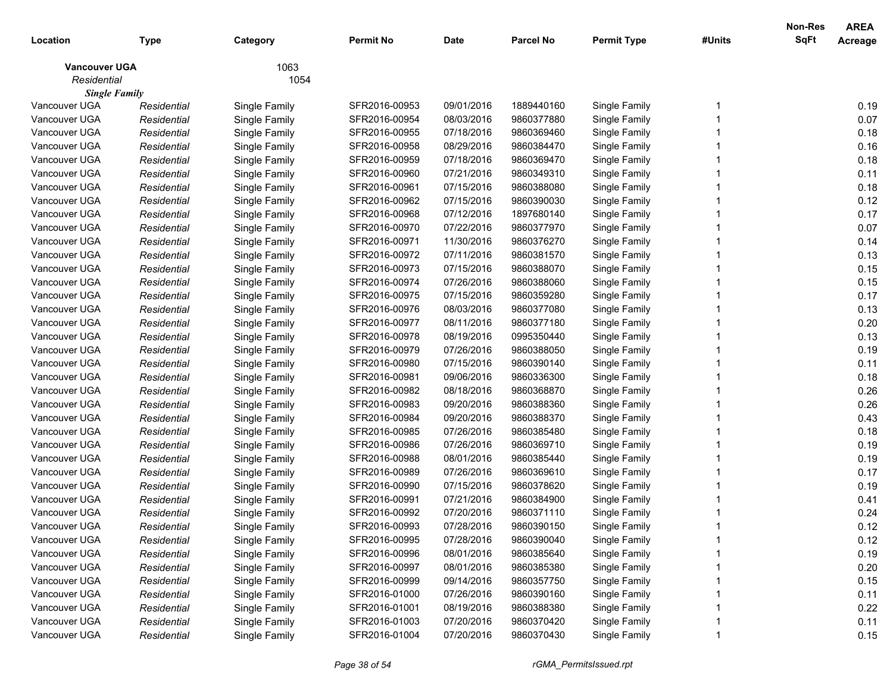| 1063<br><b>Vancouver UGA</b><br>Residential<br>1054<br><b>Single Family</b><br>Vancouver UGA<br>SFR2016-00953<br>09/01/2016<br>0.19<br>Single Family<br>1889440160<br>Single Family<br>Residential<br>08/03/2016<br>0.07<br>Vancouver UGA<br>Residential<br>Single Family<br>SFR2016-00954<br>9860377880<br>Single Family<br>Vancouver UGA<br>SFR2016-00955<br>07/18/2016<br>9860369460<br>Single Family<br>0.18<br>Residential<br>Single Family<br>0.16<br>Vancouver UGA<br>Residential<br>Single Family<br>SFR2016-00958<br>08/29/2016<br>9860384470<br>Single Family<br>0.18<br>Vancouver UGA<br>Residential<br>Single Family<br>SFR2016-00959<br>07/18/2016<br>9860369470<br>Single Family<br>0.11<br>Vancouver UGA<br>Residential<br>Single Family<br>SFR2016-00960<br>07/21/2016<br>9860349310<br>Single Family<br>0.18<br>Vancouver UGA<br>Residential<br>Single Family<br>SFR2016-00961<br>07/15/2016<br>9860388080<br>Single Family<br>0.12<br>Vancouver UGA<br>Residential<br>Single Family<br>SFR2016-00962<br>07/15/2016<br>9860390030<br>Single Family<br>0.17<br>Vancouver UGA<br>Residential<br>Single Family<br>SFR2016-00968<br>07/12/2016<br>1897680140<br>Single Family<br>Vancouver UGA<br>0.07<br>SFR2016-00970<br>07/22/2016<br>9860377970<br>Single Family<br>Residential<br>Single Family<br>Vancouver UGA<br>SFR2016-00971<br>11/30/2016<br>9860376270<br>Single Family<br>0.14<br>Residential<br>Single Family<br>0.13<br>Vancouver UGA<br>Residential<br>Single Family<br>SFR2016-00972<br>07/11/2016<br>9860381570<br>Single Family<br>0.15<br>Vancouver UGA<br>Residential<br>Single Family<br>SFR2016-00973<br>07/15/2016<br>9860388070<br>Single Family<br>0.15<br>Vancouver UGA<br>Residential<br>Single Family<br>SFR2016-00974<br>07/26/2016<br>9860388060<br>Single Family<br>Vancouver UGA<br>0.17<br>Residential<br>Single Family<br>SFR2016-00975<br>07/15/2016<br>9860359280<br>Single Family<br>0.13<br>Vancouver UGA<br>Residential<br>Single Family<br>SFR2016-00976<br>08/03/2016<br>9860377080<br>Single Family<br>0.20<br>Vancouver UGA<br>Residential<br>Single Family<br>SFR2016-00977<br>08/11/2016<br>9860377180<br>Single Family<br>Vancouver UGA<br>SFR2016-00978<br>08/19/2016<br>0995350440<br>Single Family<br>0.13<br>Residential<br>Single Family<br>0.19<br>Vancouver UGA<br>Residential<br>Single Family<br>SFR2016-00979<br>07/26/2016<br>9860388050<br>Single Family<br>Vancouver UGA<br>0.11<br>Residential<br>Single Family<br>SFR2016-00980<br>07/15/2016<br>9860390140<br>Single Family<br>0.18<br>Vancouver UGA<br>Residential<br>Single Family<br>SFR2016-00981<br>09/06/2016<br>9860336300<br>Single Family<br>0.26<br>Vancouver UGA<br>Residential<br>Single Family<br>SFR2016-00982<br>08/18/2016<br>9860368870<br>Single Family<br>0.26<br>Vancouver UGA<br>Residential<br>Single Family<br>SFR2016-00983<br>09/20/2016<br>9860388360<br>Single Family<br>0.43<br>Vancouver UGA<br>Residential<br>Single Family<br>SFR2016-00984<br>09/20/2016<br>9860388370<br>Single Family<br>0.18<br>Vancouver UGA<br>SFR2016-00985<br>07/26/2016<br>9860385480<br>Single Family<br>Residential<br>Single Family<br>0.19<br>Vancouver UGA<br>SFR2016-00986<br>07/26/2016<br>9860369710<br>Single Family<br>Residential<br>Single Family<br>0.19<br>Vancouver UGA<br>08/01/2016<br>Residential<br>Single Family<br>SFR2016-00988<br>9860385440<br>Single Family<br>Vancouver UGA<br>07/26/2016<br>0.17<br>Residential<br>Single Family<br>SFR2016-00989<br>9860369610<br>Single Family<br>0.19<br>07/15/2016<br>Vancouver UGA<br>Residential<br>Single Family<br>SFR2016-00990<br>9860378620<br>Single Family<br>07/21/2016<br>0.41<br>Vancouver UGA<br>Residential<br>Single Family<br>SFR2016-00991<br>9860384900<br>Single Family<br>0.24<br>Vancouver UGA<br>Single Family<br>SFR2016-00992<br>07/20/2016<br>9860371110<br>Single Family<br>Residential<br>Vancouver UGA<br>Single Family<br>Residential<br>SFR2016-00993<br>07/28/2016<br>9860390150<br>0.12<br>Single Family<br>07/28/2016<br>Single Family<br>0.12<br>Vancouver UGA<br>SFR2016-00995<br>9860390040<br>Residential<br>Single Family<br>0.19<br>Vancouver UGA<br>Single Family<br>08/01/2016<br>Single Family<br>Residential<br>SFR2016-00996<br>9860385640<br>0.20<br>Vancouver UGA<br>Single Family<br>08/01/2016<br>Single Family<br>Residential<br>SFR2016-00997<br>9860385380<br>0.15<br>Vancouver UGA<br>Single Family<br>09/14/2016<br>Single Family<br>Residential<br>SFR2016-00999<br>9860357750<br>Vancouver UGA<br>Single Family<br>07/26/2016<br>Single Family<br>0.11<br>Residential<br>SFR2016-01000<br>9860390160<br>0.22<br>Vancouver UGA<br>Single Family<br>08/19/2016<br>Single Family<br>Residential<br>SFR2016-01001<br>9860388380<br>Vancouver UGA<br>Single Family<br>07/20/2016<br>Single Family<br>0.11<br>Residential<br>SFR2016-01003<br>9860370420 | Location      | <b>Type</b> | Category      | <b>Permit No</b> | <b>Date</b> | <b>Parcel No</b> | <b>Permit Type</b> | #Units | Non-Res<br>SqFt | <b>AREA</b><br>Acreage |
|--------------------------------------------------------------------------------------------------------------------------------------------------------------------------------------------------------------------------------------------------------------------------------------------------------------------------------------------------------------------------------------------------------------------------------------------------------------------------------------------------------------------------------------------------------------------------------------------------------------------------------------------------------------------------------------------------------------------------------------------------------------------------------------------------------------------------------------------------------------------------------------------------------------------------------------------------------------------------------------------------------------------------------------------------------------------------------------------------------------------------------------------------------------------------------------------------------------------------------------------------------------------------------------------------------------------------------------------------------------------------------------------------------------------------------------------------------------------------------------------------------------------------------------------------------------------------------------------------------------------------------------------------------------------------------------------------------------------------------------------------------------------------------------------------------------------------------------------------------------------------------------------------------------------------------------------------------------------------------------------------------------------------------------------------------------------------------------------------------------------------------------------------------------------------------------------------------------------------------------------------------------------------------------------------------------------------------------------------------------------------------------------------------------------------------------------------------------------------------------------------------------------------------------------------------------------------------------------------------------------------------------------------------------------------------------------------------------------------------------------------------------------------------------------------------------------------------------------------------------------------------------------------------------------------------------------------------------------------------------------------------------------------------------------------------------------------------------------------------------------------------------------------------------------------------------------------------------------------------------------------------------------------------------------------------------------------------------------------------------------------------------------------------------------------------------------------------------------------------------------------------------------------------------------------------------------------------------------------------------------------------------------------------------------------------------------------------------------------------------------------------------------------------------------------------------------------------------------------------------------------------------------------------------------------------------------------------------------------------------------------------------------------------------------------------------------------------------------------------------------------------------------------------------------------------------------------------------------------------------------------------------------------------------------------------------------------------------------------------------------------------------------------------------------------------------------------------------------------------------------------------------------------------------------------------------------------------------------------------------------------------------------------------------------------------------------------------------------------------------------------------------------------------------------------------------------------------------------------------------------------------------------------------------|---------------|-------------|---------------|------------------|-------------|------------------|--------------------|--------|-----------------|------------------------|
|                                                                                                                                                                                                                                                                                                                                                                                                                                                                                                                                                                                                                                                                                                                                                                                                                                                                                                                                                                                                                                                                                                                                                                                                                                                                                                                                                                                                                                                                                                                                                                                                                                                                                                                                                                                                                                                                                                                                                                                                                                                                                                                                                                                                                                                                                                                                                                                                                                                                                                                                                                                                                                                                                                                                                                                                                                                                                                                                                                                                                                                                                                                                                                                                                                                                                                                                                                                                                                                                                                                                                                                                                                                                                                                                                                                                                                                                                                                                                                                                                                                                                                                                                                                                                                                                                                                                                                                                                                                                                                                                                                                                                                                                                                                                                                                                                                                                                                              |               |             |               |                  |             |                  |                    |        |                 |                        |
|                                                                                                                                                                                                                                                                                                                                                                                                                                                                                                                                                                                                                                                                                                                                                                                                                                                                                                                                                                                                                                                                                                                                                                                                                                                                                                                                                                                                                                                                                                                                                                                                                                                                                                                                                                                                                                                                                                                                                                                                                                                                                                                                                                                                                                                                                                                                                                                                                                                                                                                                                                                                                                                                                                                                                                                                                                                                                                                                                                                                                                                                                                                                                                                                                                                                                                                                                                                                                                                                                                                                                                                                                                                                                                                                                                                                                                                                                                                                                                                                                                                                                                                                                                                                                                                                                                                                                                                                                                                                                                                                                                                                                                                                                                                                                                                                                                                                                                              |               |             |               |                  |             |                  |                    |        |                 |                        |
|                                                                                                                                                                                                                                                                                                                                                                                                                                                                                                                                                                                                                                                                                                                                                                                                                                                                                                                                                                                                                                                                                                                                                                                                                                                                                                                                                                                                                                                                                                                                                                                                                                                                                                                                                                                                                                                                                                                                                                                                                                                                                                                                                                                                                                                                                                                                                                                                                                                                                                                                                                                                                                                                                                                                                                                                                                                                                                                                                                                                                                                                                                                                                                                                                                                                                                                                                                                                                                                                                                                                                                                                                                                                                                                                                                                                                                                                                                                                                                                                                                                                                                                                                                                                                                                                                                                                                                                                                                                                                                                                                                                                                                                                                                                                                                                                                                                                                                              |               |             |               |                  |             |                  |                    |        |                 |                        |
|                                                                                                                                                                                                                                                                                                                                                                                                                                                                                                                                                                                                                                                                                                                                                                                                                                                                                                                                                                                                                                                                                                                                                                                                                                                                                                                                                                                                                                                                                                                                                                                                                                                                                                                                                                                                                                                                                                                                                                                                                                                                                                                                                                                                                                                                                                                                                                                                                                                                                                                                                                                                                                                                                                                                                                                                                                                                                                                                                                                                                                                                                                                                                                                                                                                                                                                                                                                                                                                                                                                                                                                                                                                                                                                                                                                                                                                                                                                                                                                                                                                                                                                                                                                                                                                                                                                                                                                                                                                                                                                                                                                                                                                                                                                                                                                                                                                                                                              |               |             |               |                  |             |                  |                    |        |                 |                        |
|                                                                                                                                                                                                                                                                                                                                                                                                                                                                                                                                                                                                                                                                                                                                                                                                                                                                                                                                                                                                                                                                                                                                                                                                                                                                                                                                                                                                                                                                                                                                                                                                                                                                                                                                                                                                                                                                                                                                                                                                                                                                                                                                                                                                                                                                                                                                                                                                                                                                                                                                                                                                                                                                                                                                                                                                                                                                                                                                                                                                                                                                                                                                                                                                                                                                                                                                                                                                                                                                                                                                                                                                                                                                                                                                                                                                                                                                                                                                                                                                                                                                                                                                                                                                                                                                                                                                                                                                                                                                                                                                                                                                                                                                                                                                                                                                                                                                                                              |               |             |               |                  |             |                  |                    |        |                 |                        |
|                                                                                                                                                                                                                                                                                                                                                                                                                                                                                                                                                                                                                                                                                                                                                                                                                                                                                                                                                                                                                                                                                                                                                                                                                                                                                                                                                                                                                                                                                                                                                                                                                                                                                                                                                                                                                                                                                                                                                                                                                                                                                                                                                                                                                                                                                                                                                                                                                                                                                                                                                                                                                                                                                                                                                                                                                                                                                                                                                                                                                                                                                                                                                                                                                                                                                                                                                                                                                                                                                                                                                                                                                                                                                                                                                                                                                                                                                                                                                                                                                                                                                                                                                                                                                                                                                                                                                                                                                                                                                                                                                                                                                                                                                                                                                                                                                                                                                                              |               |             |               |                  |             |                  |                    |        |                 |                        |
|                                                                                                                                                                                                                                                                                                                                                                                                                                                                                                                                                                                                                                                                                                                                                                                                                                                                                                                                                                                                                                                                                                                                                                                                                                                                                                                                                                                                                                                                                                                                                                                                                                                                                                                                                                                                                                                                                                                                                                                                                                                                                                                                                                                                                                                                                                                                                                                                                                                                                                                                                                                                                                                                                                                                                                                                                                                                                                                                                                                                                                                                                                                                                                                                                                                                                                                                                                                                                                                                                                                                                                                                                                                                                                                                                                                                                                                                                                                                                                                                                                                                                                                                                                                                                                                                                                                                                                                                                                                                                                                                                                                                                                                                                                                                                                                                                                                                                                              |               |             |               |                  |             |                  |                    |        |                 |                        |
|                                                                                                                                                                                                                                                                                                                                                                                                                                                                                                                                                                                                                                                                                                                                                                                                                                                                                                                                                                                                                                                                                                                                                                                                                                                                                                                                                                                                                                                                                                                                                                                                                                                                                                                                                                                                                                                                                                                                                                                                                                                                                                                                                                                                                                                                                                                                                                                                                                                                                                                                                                                                                                                                                                                                                                                                                                                                                                                                                                                                                                                                                                                                                                                                                                                                                                                                                                                                                                                                                                                                                                                                                                                                                                                                                                                                                                                                                                                                                                                                                                                                                                                                                                                                                                                                                                                                                                                                                                                                                                                                                                                                                                                                                                                                                                                                                                                                                                              |               |             |               |                  |             |                  |                    |        |                 |                        |
|                                                                                                                                                                                                                                                                                                                                                                                                                                                                                                                                                                                                                                                                                                                                                                                                                                                                                                                                                                                                                                                                                                                                                                                                                                                                                                                                                                                                                                                                                                                                                                                                                                                                                                                                                                                                                                                                                                                                                                                                                                                                                                                                                                                                                                                                                                                                                                                                                                                                                                                                                                                                                                                                                                                                                                                                                                                                                                                                                                                                                                                                                                                                                                                                                                                                                                                                                                                                                                                                                                                                                                                                                                                                                                                                                                                                                                                                                                                                                                                                                                                                                                                                                                                                                                                                                                                                                                                                                                                                                                                                                                                                                                                                                                                                                                                                                                                                                                              |               |             |               |                  |             |                  |                    |        |                 |                        |
|                                                                                                                                                                                                                                                                                                                                                                                                                                                                                                                                                                                                                                                                                                                                                                                                                                                                                                                                                                                                                                                                                                                                                                                                                                                                                                                                                                                                                                                                                                                                                                                                                                                                                                                                                                                                                                                                                                                                                                                                                                                                                                                                                                                                                                                                                                                                                                                                                                                                                                                                                                                                                                                                                                                                                                                                                                                                                                                                                                                                                                                                                                                                                                                                                                                                                                                                                                                                                                                                                                                                                                                                                                                                                                                                                                                                                                                                                                                                                                                                                                                                                                                                                                                                                                                                                                                                                                                                                                                                                                                                                                                                                                                                                                                                                                                                                                                                                                              |               |             |               |                  |             |                  |                    |        |                 |                        |
|                                                                                                                                                                                                                                                                                                                                                                                                                                                                                                                                                                                                                                                                                                                                                                                                                                                                                                                                                                                                                                                                                                                                                                                                                                                                                                                                                                                                                                                                                                                                                                                                                                                                                                                                                                                                                                                                                                                                                                                                                                                                                                                                                                                                                                                                                                                                                                                                                                                                                                                                                                                                                                                                                                                                                                                                                                                                                                                                                                                                                                                                                                                                                                                                                                                                                                                                                                                                                                                                                                                                                                                                                                                                                                                                                                                                                                                                                                                                                                                                                                                                                                                                                                                                                                                                                                                                                                                                                                                                                                                                                                                                                                                                                                                                                                                                                                                                                                              |               |             |               |                  |             |                  |                    |        |                 |                        |
|                                                                                                                                                                                                                                                                                                                                                                                                                                                                                                                                                                                                                                                                                                                                                                                                                                                                                                                                                                                                                                                                                                                                                                                                                                                                                                                                                                                                                                                                                                                                                                                                                                                                                                                                                                                                                                                                                                                                                                                                                                                                                                                                                                                                                                                                                                                                                                                                                                                                                                                                                                                                                                                                                                                                                                                                                                                                                                                                                                                                                                                                                                                                                                                                                                                                                                                                                                                                                                                                                                                                                                                                                                                                                                                                                                                                                                                                                                                                                                                                                                                                                                                                                                                                                                                                                                                                                                                                                                                                                                                                                                                                                                                                                                                                                                                                                                                                                                              |               |             |               |                  |             |                  |                    |        |                 |                        |
|                                                                                                                                                                                                                                                                                                                                                                                                                                                                                                                                                                                                                                                                                                                                                                                                                                                                                                                                                                                                                                                                                                                                                                                                                                                                                                                                                                                                                                                                                                                                                                                                                                                                                                                                                                                                                                                                                                                                                                                                                                                                                                                                                                                                                                                                                                                                                                                                                                                                                                                                                                                                                                                                                                                                                                                                                                                                                                                                                                                                                                                                                                                                                                                                                                                                                                                                                                                                                                                                                                                                                                                                                                                                                                                                                                                                                                                                                                                                                                                                                                                                                                                                                                                                                                                                                                                                                                                                                                                                                                                                                                                                                                                                                                                                                                                                                                                                                                              |               |             |               |                  |             |                  |                    |        |                 |                        |
|                                                                                                                                                                                                                                                                                                                                                                                                                                                                                                                                                                                                                                                                                                                                                                                                                                                                                                                                                                                                                                                                                                                                                                                                                                                                                                                                                                                                                                                                                                                                                                                                                                                                                                                                                                                                                                                                                                                                                                                                                                                                                                                                                                                                                                                                                                                                                                                                                                                                                                                                                                                                                                                                                                                                                                                                                                                                                                                                                                                                                                                                                                                                                                                                                                                                                                                                                                                                                                                                                                                                                                                                                                                                                                                                                                                                                                                                                                                                                                                                                                                                                                                                                                                                                                                                                                                                                                                                                                                                                                                                                                                                                                                                                                                                                                                                                                                                                                              |               |             |               |                  |             |                  |                    |        |                 |                        |
|                                                                                                                                                                                                                                                                                                                                                                                                                                                                                                                                                                                                                                                                                                                                                                                                                                                                                                                                                                                                                                                                                                                                                                                                                                                                                                                                                                                                                                                                                                                                                                                                                                                                                                                                                                                                                                                                                                                                                                                                                                                                                                                                                                                                                                                                                                                                                                                                                                                                                                                                                                                                                                                                                                                                                                                                                                                                                                                                                                                                                                                                                                                                                                                                                                                                                                                                                                                                                                                                                                                                                                                                                                                                                                                                                                                                                                                                                                                                                                                                                                                                                                                                                                                                                                                                                                                                                                                                                                                                                                                                                                                                                                                                                                                                                                                                                                                                                                              |               |             |               |                  |             |                  |                    |        |                 |                        |
|                                                                                                                                                                                                                                                                                                                                                                                                                                                                                                                                                                                                                                                                                                                                                                                                                                                                                                                                                                                                                                                                                                                                                                                                                                                                                                                                                                                                                                                                                                                                                                                                                                                                                                                                                                                                                                                                                                                                                                                                                                                                                                                                                                                                                                                                                                                                                                                                                                                                                                                                                                                                                                                                                                                                                                                                                                                                                                                                                                                                                                                                                                                                                                                                                                                                                                                                                                                                                                                                                                                                                                                                                                                                                                                                                                                                                                                                                                                                                                                                                                                                                                                                                                                                                                                                                                                                                                                                                                                                                                                                                                                                                                                                                                                                                                                                                                                                                                              |               |             |               |                  |             |                  |                    |        |                 |                        |
|                                                                                                                                                                                                                                                                                                                                                                                                                                                                                                                                                                                                                                                                                                                                                                                                                                                                                                                                                                                                                                                                                                                                                                                                                                                                                                                                                                                                                                                                                                                                                                                                                                                                                                                                                                                                                                                                                                                                                                                                                                                                                                                                                                                                                                                                                                                                                                                                                                                                                                                                                                                                                                                                                                                                                                                                                                                                                                                                                                                                                                                                                                                                                                                                                                                                                                                                                                                                                                                                                                                                                                                                                                                                                                                                                                                                                                                                                                                                                                                                                                                                                                                                                                                                                                                                                                                                                                                                                                                                                                                                                                                                                                                                                                                                                                                                                                                                                                              |               |             |               |                  |             |                  |                    |        |                 |                        |
|                                                                                                                                                                                                                                                                                                                                                                                                                                                                                                                                                                                                                                                                                                                                                                                                                                                                                                                                                                                                                                                                                                                                                                                                                                                                                                                                                                                                                                                                                                                                                                                                                                                                                                                                                                                                                                                                                                                                                                                                                                                                                                                                                                                                                                                                                                                                                                                                                                                                                                                                                                                                                                                                                                                                                                                                                                                                                                                                                                                                                                                                                                                                                                                                                                                                                                                                                                                                                                                                                                                                                                                                                                                                                                                                                                                                                                                                                                                                                                                                                                                                                                                                                                                                                                                                                                                                                                                                                                                                                                                                                                                                                                                                                                                                                                                                                                                                                                              |               |             |               |                  |             |                  |                    |        |                 |                        |
|                                                                                                                                                                                                                                                                                                                                                                                                                                                                                                                                                                                                                                                                                                                                                                                                                                                                                                                                                                                                                                                                                                                                                                                                                                                                                                                                                                                                                                                                                                                                                                                                                                                                                                                                                                                                                                                                                                                                                                                                                                                                                                                                                                                                                                                                                                                                                                                                                                                                                                                                                                                                                                                                                                                                                                                                                                                                                                                                                                                                                                                                                                                                                                                                                                                                                                                                                                                                                                                                                                                                                                                                                                                                                                                                                                                                                                                                                                                                                                                                                                                                                                                                                                                                                                                                                                                                                                                                                                                                                                                                                                                                                                                                                                                                                                                                                                                                                                              |               |             |               |                  |             |                  |                    |        |                 |                        |
|                                                                                                                                                                                                                                                                                                                                                                                                                                                                                                                                                                                                                                                                                                                                                                                                                                                                                                                                                                                                                                                                                                                                                                                                                                                                                                                                                                                                                                                                                                                                                                                                                                                                                                                                                                                                                                                                                                                                                                                                                                                                                                                                                                                                                                                                                                                                                                                                                                                                                                                                                                                                                                                                                                                                                                                                                                                                                                                                                                                                                                                                                                                                                                                                                                                                                                                                                                                                                                                                                                                                                                                                                                                                                                                                                                                                                                                                                                                                                                                                                                                                                                                                                                                                                                                                                                                                                                                                                                                                                                                                                                                                                                                                                                                                                                                                                                                                                                              |               |             |               |                  |             |                  |                    |        |                 |                        |
|                                                                                                                                                                                                                                                                                                                                                                                                                                                                                                                                                                                                                                                                                                                                                                                                                                                                                                                                                                                                                                                                                                                                                                                                                                                                                                                                                                                                                                                                                                                                                                                                                                                                                                                                                                                                                                                                                                                                                                                                                                                                                                                                                                                                                                                                                                                                                                                                                                                                                                                                                                                                                                                                                                                                                                                                                                                                                                                                                                                                                                                                                                                                                                                                                                                                                                                                                                                                                                                                                                                                                                                                                                                                                                                                                                                                                                                                                                                                                                                                                                                                                                                                                                                                                                                                                                                                                                                                                                                                                                                                                                                                                                                                                                                                                                                                                                                                                                              |               |             |               |                  |             |                  |                    |        |                 |                        |
|                                                                                                                                                                                                                                                                                                                                                                                                                                                                                                                                                                                                                                                                                                                                                                                                                                                                                                                                                                                                                                                                                                                                                                                                                                                                                                                                                                                                                                                                                                                                                                                                                                                                                                                                                                                                                                                                                                                                                                                                                                                                                                                                                                                                                                                                                                                                                                                                                                                                                                                                                                                                                                                                                                                                                                                                                                                                                                                                                                                                                                                                                                                                                                                                                                                                                                                                                                                                                                                                                                                                                                                                                                                                                                                                                                                                                                                                                                                                                                                                                                                                                                                                                                                                                                                                                                                                                                                                                                                                                                                                                                                                                                                                                                                                                                                                                                                                                                              |               |             |               |                  |             |                  |                    |        |                 |                        |
|                                                                                                                                                                                                                                                                                                                                                                                                                                                                                                                                                                                                                                                                                                                                                                                                                                                                                                                                                                                                                                                                                                                                                                                                                                                                                                                                                                                                                                                                                                                                                                                                                                                                                                                                                                                                                                                                                                                                                                                                                                                                                                                                                                                                                                                                                                                                                                                                                                                                                                                                                                                                                                                                                                                                                                                                                                                                                                                                                                                                                                                                                                                                                                                                                                                                                                                                                                                                                                                                                                                                                                                                                                                                                                                                                                                                                                                                                                                                                                                                                                                                                                                                                                                                                                                                                                                                                                                                                                                                                                                                                                                                                                                                                                                                                                                                                                                                                                              |               |             |               |                  |             |                  |                    |        |                 |                        |
|                                                                                                                                                                                                                                                                                                                                                                                                                                                                                                                                                                                                                                                                                                                                                                                                                                                                                                                                                                                                                                                                                                                                                                                                                                                                                                                                                                                                                                                                                                                                                                                                                                                                                                                                                                                                                                                                                                                                                                                                                                                                                                                                                                                                                                                                                                                                                                                                                                                                                                                                                                                                                                                                                                                                                                                                                                                                                                                                                                                                                                                                                                                                                                                                                                                                                                                                                                                                                                                                                                                                                                                                                                                                                                                                                                                                                                                                                                                                                                                                                                                                                                                                                                                                                                                                                                                                                                                                                                                                                                                                                                                                                                                                                                                                                                                                                                                                                                              |               |             |               |                  |             |                  |                    |        |                 |                        |
|                                                                                                                                                                                                                                                                                                                                                                                                                                                                                                                                                                                                                                                                                                                                                                                                                                                                                                                                                                                                                                                                                                                                                                                                                                                                                                                                                                                                                                                                                                                                                                                                                                                                                                                                                                                                                                                                                                                                                                                                                                                                                                                                                                                                                                                                                                                                                                                                                                                                                                                                                                                                                                                                                                                                                                                                                                                                                                                                                                                                                                                                                                                                                                                                                                                                                                                                                                                                                                                                                                                                                                                                                                                                                                                                                                                                                                                                                                                                                                                                                                                                                                                                                                                                                                                                                                                                                                                                                                                                                                                                                                                                                                                                                                                                                                                                                                                                                                              |               |             |               |                  |             |                  |                    |        |                 |                        |
|                                                                                                                                                                                                                                                                                                                                                                                                                                                                                                                                                                                                                                                                                                                                                                                                                                                                                                                                                                                                                                                                                                                                                                                                                                                                                                                                                                                                                                                                                                                                                                                                                                                                                                                                                                                                                                                                                                                                                                                                                                                                                                                                                                                                                                                                                                                                                                                                                                                                                                                                                                                                                                                                                                                                                                                                                                                                                                                                                                                                                                                                                                                                                                                                                                                                                                                                                                                                                                                                                                                                                                                                                                                                                                                                                                                                                                                                                                                                                                                                                                                                                                                                                                                                                                                                                                                                                                                                                                                                                                                                                                                                                                                                                                                                                                                                                                                                                                              |               |             |               |                  |             |                  |                    |        |                 |                        |
|                                                                                                                                                                                                                                                                                                                                                                                                                                                                                                                                                                                                                                                                                                                                                                                                                                                                                                                                                                                                                                                                                                                                                                                                                                                                                                                                                                                                                                                                                                                                                                                                                                                                                                                                                                                                                                                                                                                                                                                                                                                                                                                                                                                                                                                                                                                                                                                                                                                                                                                                                                                                                                                                                                                                                                                                                                                                                                                                                                                                                                                                                                                                                                                                                                                                                                                                                                                                                                                                                                                                                                                                                                                                                                                                                                                                                                                                                                                                                                                                                                                                                                                                                                                                                                                                                                                                                                                                                                                                                                                                                                                                                                                                                                                                                                                                                                                                                                              |               |             |               |                  |             |                  |                    |        |                 |                        |
|                                                                                                                                                                                                                                                                                                                                                                                                                                                                                                                                                                                                                                                                                                                                                                                                                                                                                                                                                                                                                                                                                                                                                                                                                                                                                                                                                                                                                                                                                                                                                                                                                                                                                                                                                                                                                                                                                                                                                                                                                                                                                                                                                                                                                                                                                                                                                                                                                                                                                                                                                                                                                                                                                                                                                                                                                                                                                                                                                                                                                                                                                                                                                                                                                                                                                                                                                                                                                                                                                                                                                                                                                                                                                                                                                                                                                                                                                                                                                                                                                                                                                                                                                                                                                                                                                                                                                                                                                                                                                                                                                                                                                                                                                                                                                                                                                                                                                                              |               |             |               |                  |             |                  |                    |        |                 |                        |
|                                                                                                                                                                                                                                                                                                                                                                                                                                                                                                                                                                                                                                                                                                                                                                                                                                                                                                                                                                                                                                                                                                                                                                                                                                                                                                                                                                                                                                                                                                                                                                                                                                                                                                                                                                                                                                                                                                                                                                                                                                                                                                                                                                                                                                                                                                                                                                                                                                                                                                                                                                                                                                                                                                                                                                                                                                                                                                                                                                                                                                                                                                                                                                                                                                                                                                                                                                                                                                                                                                                                                                                                                                                                                                                                                                                                                                                                                                                                                                                                                                                                                                                                                                                                                                                                                                                                                                                                                                                                                                                                                                                                                                                                                                                                                                                                                                                                                                              |               |             |               |                  |             |                  |                    |        |                 |                        |
|                                                                                                                                                                                                                                                                                                                                                                                                                                                                                                                                                                                                                                                                                                                                                                                                                                                                                                                                                                                                                                                                                                                                                                                                                                                                                                                                                                                                                                                                                                                                                                                                                                                                                                                                                                                                                                                                                                                                                                                                                                                                                                                                                                                                                                                                                                                                                                                                                                                                                                                                                                                                                                                                                                                                                                                                                                                                                                                                                                                                                                                                                                                                                                                                                                                                                                                                                                                                                                                                                                                                                                                                                                                                                                                                                                                                                                                                                                                                                                                                                                                                                                                                                                                                                                                                                                                                                                                                                                                                                                                                                                                                                                                                                                                                                                                                                                                                                                              |               |             |               |                  |             |                  |                    |        |                 |                        |
|                                                                                                                                                                                                                                                                                                                                                                                                                                                                                                                                                                                                                                                                                                                                                                                                                                                                                                                                                                                                                                                                                                                                                                                                                                                                                                                                                                                                                                                                                                                                                                                                                                                                                                                                                                                                                                                                                                                                                                                                                                                                                                                                                                                                                                                                                                                                                                                                                                                                                                                                                                                                                                                                                                                                                                                                                                                                                                                                                                                                                                                                                                                                                                                                                                                                                                                                                                                                                                                                                                                                                                                                                                                                                                                                                                                                                                                                                                                                                                                                                                                                                                                                                                                                                                                                                                                                                                                                                                                                                                                                                                                                                                                                                                                                                                                                                                                                                                              |               |             |               |                  |             |                  |                    |        |                 |                        |
|                                                                                                                                                                                                                                                                                                                                                                                                                                                                                                                                                                                                                                                                                                                                                                                                                                                                                                                                                                                                                                                                                                                                                                                                                                                                                                                                                                                                                                                                                                                                                                                                                                                                                                                                                                                                                                                                                                                                                                                                                                                                                                                                                                                                                                                                                                                                                                                                                                                                                                                                                                                                                                                                                                                                                                                                                                                                                                                                                                                                                                                                                                                                                                                                                                                                                                                                                                                                                                                                                                                                                                                                                                                                                                                                                                                                                                                                                                                                                                                                                                                                                                                                                                                                                                                                                                                                                                                                                                                                                                                                                                                                                                                                                                                                                                                                                                                                                                              |               |             |               |                  |             |                  |                    |        |                 |                        |
|                                                                                                                                                                                                                                                                                                                                                                                                                                                                                                                                                                                                                                                                                                                                                                                                                                                                                                                                                                                                                                                                                                                                                                                                                                                                                                                                                                                                                                                                                                                                                                                                                                                                                                                                                                                                                                                                                                                                                                                                                                                                                                                                                                                                                                                                                                                                                                                                                                                                                                                                                                                                                                                                                                                                                                                                                                                                                                                                                                                                                                                                                                                                                                                                                                                                                                                                                                                                                                                                                                                                                                                                                                                                                                                                                                                                                                                                                                                                                                                                                                                                                                                                                                                                                                                                                                                                                                                                                                                                                                                                                                                                                                                                                                                                                                                                                                                                                                              |               |             |               |                  |             |                  |                    |        |                 |                        |
|                                                                                                                                                                                                                                                                                                                                                                                                                                                                                                                                                                                                                                                                                                                                                                                                                                                                                                                                                                                                                                                                                                                                                                                                                                                                                                                                                                                                                                                                                                                                                                                                                                                                                                                                                                                                                                                                                                                                                                                                                                                                                                                                                                                                                                                                                                                                                                                                                                                                                                                                                                                                                                                                                                                                                                                                                                                                                                                                                                                                                                                                                                                                                                                                                                                                                                                                                                                                                                                                                                                                                                                                                                                                                                                                                                                                                                                                                                                                                                                                                                                                                                                                                                                                                                                                                                                                                                                                                                                                                                                                                                                                                                                                                                                                                                                                                                                                                                              |               |             |               |                  |             |                  |                    |        |                 |                        |
|                                                                                                                                                                                                                                                                                                                                                                                                                                                                                                                                                                                                                                                                                                                                                                                                                                                                                                                                                                                                                                                                                                                                                                                                                                                                                                                                                                                                                                                                                                                                                                                                                                                                                                                                                                                                                                                                                                                                                                                                                                                                                                                                                                                                                                                                                                                                                                                                                                                                                                                                                                                                                                                                                                                                                                                                                                                                                                                                                                                                                                                                                                                                                                                                                                                                                                                                                                                                                                                                                                                                                                                                                                                                                                                                                                                                                                                                                                                                                                                                                                                                                                                                                                                                                                                                                                                                                                                                                                                                                                                                                                                                                                                                                                                                                                                                                                                                                                              |               |             |               |                  |             |                  |                    |        |                 |                        |
|                                                                                                                                                                                                                                                                                                                                                                                                                                                                                                                                                                                                                                                                                                                                                                                                                                                                                                                                                                                                                                                                                                                                                                                                                                                                                                                                                                                                                                                                                                                                                                                                                                                                                                                                                                                                                                                                                                                                                                                                                                                                                                                                                                                                                                                                                                                                                                                                                                                                                                                                                                                                                                                                                                                                                                                                                                                                                                                                                                                                                                                                                                                                                                                                                                                                                                                                                                                                                                                                                                                                                                                                                                                                                                                                                                                                                                                                                                                                                                                                                                                                                                                                                                                                                                                                                                                                                                                                                                                                                                                                                                                                                                                                                                                                                                                                                                                                                                              |               |             |               |                  |             |                  |                    |        |                 |                        |
|                                                                                                                                                                                                                                                                                                                                                                                                                                                                                                                                                                                                                                                                                                                                                                                                                                                                                                                                                                                                                                                                                                                                                                                                                                                                                                                                                                                                                                                                                                                                                                                                                                                                                                                                                                                                                                                                                                                                                                                                                                                                                                                                                                                                                                                                                                                                                                                                                                                                                                                                                                                                                                                                                                                                                                                                                                                                                                                                                                                                                                                                                                                                                                                                                                                                                                                                                                                                                                                                                                                                                                                                                                                                                                                                                                                                                                                                                                                                                                                                                                                                                                                                                                                                                                                                                                                                                                                                                                                                                                                                                                                                                                                                                                                                                                                                                                                                                                              |               |             |               |                  |             |                  |                    |        |                 |                        |
|                                                                                                                                                                                                                                                                                                                                                                                                                                                                                                                                                                                                                                                                                                                                                                                                                                                                                                                                                                                                                                                                                                                                                                                                                                                                                                                                                                                                                                                                                                                                                                                                                                                                                                                                                                                                                                                                                                                                                                                                                                                                                                                                                                                                                                                                                                                                                                                                                                                                                                                                                                                                                                                                                                                                                                                                                                                                                                                                                                                                                                                                                                                                                                                                                                                                                                                                                                                                                                                                                                                                                                                                                                                                                                                                                                                                                                                                                                                                                                                                                                                                                                                                                                                                                                                                                                                                                                                                                                                                                                                                                                                                                                                                                                                                                                                                                                                                                                              |               |             |               |                  |             |                  |                    |        |                 |                        |
|                                                                                                                                                                                                                                                                                                                                                                                                                                                                                                                                                                                                                                                                                                                                                                                                                                                                                                                                                                                                                                                                                                                                                                                                                                                                                                                                                                                                                                                                                                                                                                                                                                                                                                                                                                                                                                                                                                                                                                                                                                                                                                                                                                                                                                                                                                                                                                                                                                                                                                                                                                                                                                                                                                                                                                                                                                                                                                                                                                                                                                                                                                                                                                                                                                                                                                                                                                                                                                                                                                                                                                                                                                                                                                                                                                                                                                                                                                                                                                                                                                                                                                                                                                                                                                                                                                                                                                                                                                                                                                                                                                                                                                                                                                                                                                                                                                                                                                              |               |             |               |                  |             |                  |                    |        |                 |                        |
|                                                                                                                                                                                                                                                                                                                                                                                                                                                                                                                                                                                                                                                                                                                                                                                                                                                                                                                                                                                                                                                                                                                                                                                                                                                                                                                                                                                                                                                                                                                                                                                                                                                                                                                                                                                                                                                                                                                                                                                                                                                                                                                                                                                                                                                                                                                                                                                                                                                                                                                                                                                                                                                                                                                                                                                                                                                                                                                                                                                                                                                                                                                                                                                                                                                                                                                                                                                                                                                                                                                                                                                                                                                                                                                                                                                                                                                                                                                                                                                                                                                                                                                                                                                                                                                                                                                                                                                                                                                                                                                                                                                                                                                                                                                                                                                                                                                                                                              |               |             |               |                  |             |                  |                    |        |                 |                        |
|                                                                                                                                                                                                                                                                                                                                                                                                                                                                                                                                                                                                                                                                                                                                                                                                                                                                                                                                                                                                                                                                                                                                                                                                                                                                                                                                                                                                                                                                                                                                                                                                                                                                                                                                                                                                                                                                                                                                                                                                                                                                                                                                                                                                                                                                                                                                                                                                                                                                                                                                                                                                                                                                                                                                                                                                                                                                                                                                                                                                                                                                                                                                                                                                                                                                                                                                                                                                                                                                                                                                                                                                                                                                                                                                                                                                                                                                                                                                                                                                                                                                                                                                                                                                                                                                                                                                                                                                                                                                                                                                                                                                                                                                                                                                                                                                                                                                                                              |               |             |               |                  |             |                  |                    |        |                 |                        |
|                                                                                                                                                                                                                                                                                                                                                                                                                                                                                                                                                                                                                                                                                                                                                                                                                                                                                                                                                                                                                                                                                                                                                                                                                                                                                                                                                                                                                                                                                                                                                                                                                                                                                                                                                                                                                                                                                                                                                                                                                                                                                                                                                                                                                                                                                                                                                                                                                                                                                                                                                                                                                                                                                                                                                                                                                                                                                                                                                                                                                                                                                                                                                                                                                                                                                                                                                                                                                                                                                                                                                                                                                                                                                                                                                                                                                                                                                                                                                                                                                                                                                                                                                                                                                                                                                                                                                                                                                                                                                                                                                                                                                                                                                                                                                                                                                                                                                                              |               |             |               |                  |             |                  |                    |        |                 |                        |
| 9860370430<br>Residential                                                                                                                                                                                                                                                                                                                                                                                                                                                                                                                                                                                                                                                                                                                                                                                                                                                                                                                                                                                                                                                                                                                                                                                                                                                                                                                                                                                                                                                                                                                                                                                                                                                                                                                                                                                                                                                                                                                                                                                                                                                                                                                                                                                                                                                                                                                                                                                                                                                                                                                                                                                                                                                                                                                                                                                                                                                                                                                                                                                                                                                                                                                                                                                                                                                                                                                                                                                                                                                                                                                                                                                                                                                                                                                                                                                                                                                                                                                                                                                                                                                                                                                                                                                                                                                                                                                                                                                                                                                                                                                                                                                                                                                                                                                                                                                                                                                                                    | Vancouver UGA |             | Single Family | SFR2016-01004    | 07/20/2016  |                  | Single Family      |        |                 | 0.15                   |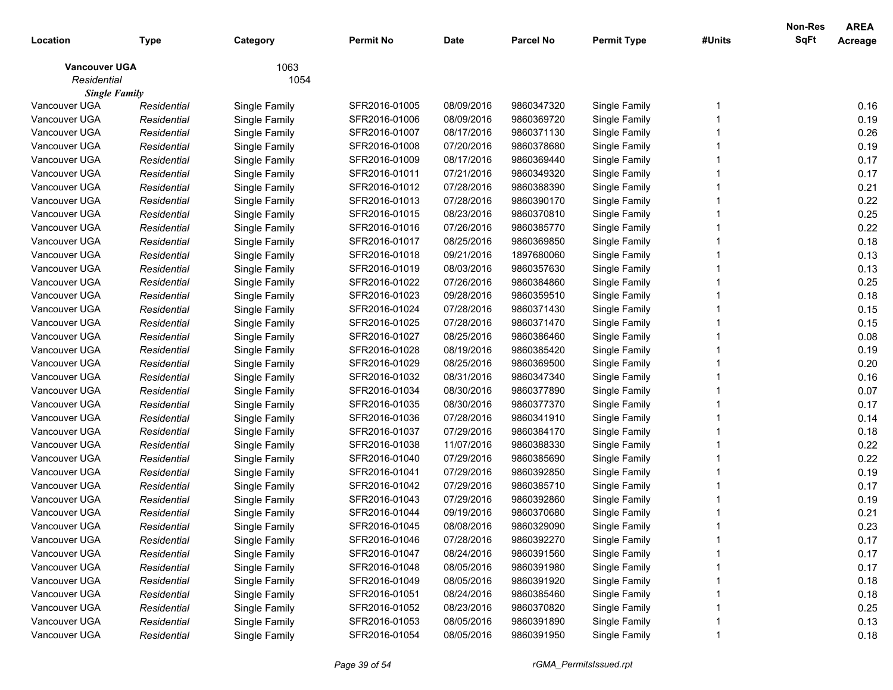|                      |             |               |               |             |                  |                    |        | Non-Res     | <b>AREA</b> |
|----------------------|-------------|---------------|---------------|-------------|------------------|--------------------|--------|-------------|-------------|
| Location             | Type        | Category      | Permit No     | <b>Date</b> | <b>Parcel No</b> | <b>Permit Type</b> | #Units | <b>SqFt</b> | Acreage     |
| <b>Vancouver UGA</b> |             | 1063          |               |             |                  |                    |        |             |             |
| Residential          |             | 1054          |               |             |                  |                    |        |             |             |
| <b>Single Family</b> |             |               |               |             |                  |                    |        |             |             |
| Vancouver UGA        | Residential | Single Family | SFR2016-01005 | 08/09/2016  | 9860347320       | Single Family      |        |             | 0.16        |
| Vancouver UGA        | Residential | Single Family | SFR2016-01006 | 08/09/2016  | 9860369720       | Single Family      |        |             | 0.19        |
| Vancouver UGA        | Residential | Single Family | SFR2016-01007 | 08/17/2016  | 9860371130       | Single Family      |        |             | 0.26        |
| Vancouver UGA        | Residential | Single Family | SFR2016-01008 | 07/20/2016  | 9860378680       | Single Family      |        |             | 0.19        |
| Vancouver UGA        | Residential | Single Family | SFR2016-01009 | 08/17/2016  | 9860369440       | Single Family      |        |             | 0.17        |
| Vancouver UGA        | Residential | Single Family | SFR2016-01011 | 07/21/2016  | 9860349320       | Single Family      |        |             | 0.17        |
| Vancouver UGA        | Residential | Single Family | SFR2016-01012 | 07/28/2016  | 9860388390       | Single Family      |        |             | 0.21        |
| Vancouver UGA        | Residential | Single Family | SFR2016-01013 | 07/28/2016  | 9860390170       | Single Family      |        |             | 0.22        |
| Vancouver UGA        | Residential | Single Family | SFR2016-01015 | 08/23/2016  | 9860370810       | Single Family      |        |             | 0.25        |
| Vancouver UGA        | Residential | Single Family | SFR2016-01016 | 07/26/2016  | 9860385770       | Single Family      |        |             | 0.22        |
| Vancouver UGA        | Residential | Single Family | SFR2016-01017 | 08/25/2016  | 9860369850       | Single Family      |        |             | 0.18        |
| Vancouver UGA        | Residential | Single Family | SFR2016-01018 | 09/21/2016  | 1897680060       | Single Family      |        |             | 0.13        |
| Vancouver UGA        | Residential | Single Family | SFR2016-01019 | 08/03/2016  | 9860357630       | Single Family      |        |             | 0.13        |
| Vancouver UGA        | Residential | Single Family | SFR2016-01022 | 07/26/2016  | 9860384860       | Single Family      |        |             | 0.25        |
| Vancouver UGA        | Residential | Single Family | SFR2016-01023 | 09/28/2016  | 9860359510       | Single Family      |        |             | 0.18        |
| Vancouver UGA        | Residential | Single Family | SFR2016-01024 | 07/28/2016  | 9860371430       | Single Family      |        |             | 0.15        |
| Vancouver UGA        | Residential | Single Family | SFR2016-01025 | 07/28/2016  | 9860371470       | Single Family      |        |             | 0.15        |
| Vancouver UGA        | Residential | Single Family | SFR2016-01027 | 08/25/2016  | 9860386460       | Single Family      |        |             | 0.08        |
| Vancouver UGA        | Residential | Single Family | SFR2016-01028 | 08/19/2016  | 9860385420       | Single Family      |        |             | 0.19        |
| Vancouver UGA        | Residential | Single Family | SFR2016-01029 | 08/25/2016  | 9860369500       | Single Family      |        |             | 0.20        |
| Vancouver UGA        | Residential | Single Family | SFR2016-01032 | 08/31/2016  | 9860347340       | Single Family      |        |             | 0.16        |
| Vancouver UGA        | Residential | Single Family | SFR2016-01034 | 08/30/2016  | 9860377890       | Single Family      |        |             | 0.07        |
| Vancouver UGA        | Residential | Single Family | SFR2016-01035 | 08/30/2016  | 9860377370       | Single Family      |        |             | 0.17        |
| Vancouver UGA        | Residential | Single Family | SFR2016-01036 | 07/28/2016  | 9860341910       | Single Family      |        |             | 0.14        |
| Vancouver UGA        | Residential | Single Family | SFR2016-01037 | 07/29/2016  | 9860384170       | Single Family      |        |             | 0.18        |
| Vancouver UGA        | Residential | Single Family | SFR2016-01038 | 11/07/2016  | 9860388330       | Single Family      |        |             | 0.22        |
| Vancouver UGA        | Residential | Single Family | SFR2016-01040 | 07/29/2016  | 9860385690       | Single Family      |        |             | 0.22        |
| Vancouver UGA        | Residential | Single Family | SFR2016-01041 | 07/29/2016  | 9860392850       | Single Family      |        |             | 0.19        |
| Vancouver UGA        | Residential | Single Family | SFR2016-01042 | 07/29/2016  | 9860385710       | Single Family      |        |             | 0.17        |
| Vancouver UGA        | Residential | Single Family | SFR2016-01043 | 07/29/2016  | 9860392860       | Single Family      |        |             | 0.19        |
| Vancouver UGA        | Residential | Single Family | SFR2016-01044 | 09/19/2016  | 9860370680       | Single Family      |        |             | 0.21        |
| Vancouver UGA        | Residential | Single Family | SFR2016-01045 | 08/08/2016  | 9860329090       | Single Family      |        |             | 0.23        |
| Vancouver UGA        | Residential | Single Family | SFR2016-01046 | 07/28/2016  | 9860392270       | Single Family      |        |             | 0.17        |
| Vancouver UGA        | Residential | Single Family | SFR2016-01047 | 08/24/2016  | 9860391560       | Single Family      |        |             | 0.17        |
| Vancouver UGA        | Residential | Single Family | SFR2016-01048 | 08/05/2016  | 9860391980       | Single Family      |        |             | 0.17        |
| Vancouver UGA        | Residential | Single Family | SFR2016-01049 | 08/05/2016  | 9860391920       | Single Family      |        |             | 0.18        |
| Vancouver UGA        | Residential | Single Family | SFR2016-01051 | 08/24/2016  | 9860385460       | Single Family      |        |             | 0.18        |
| Vancouver UGA        | Residential | Single Family | SFR2016-01052 | 08/23/2016  | 9860370820       | Single Family      |        |             | 0.25        |
| Vancouver UGA        | Residential | Single Family | SFR2016-01053 | 08/05/2016  | 9860391890       | Single Family      |        |             | 0.13        |
| Vancouver UGA        | Residential | Single Family | SFR2016-01054 | 08/05/2016  | 9860391950       | Single Family      |        |             | 0.18        |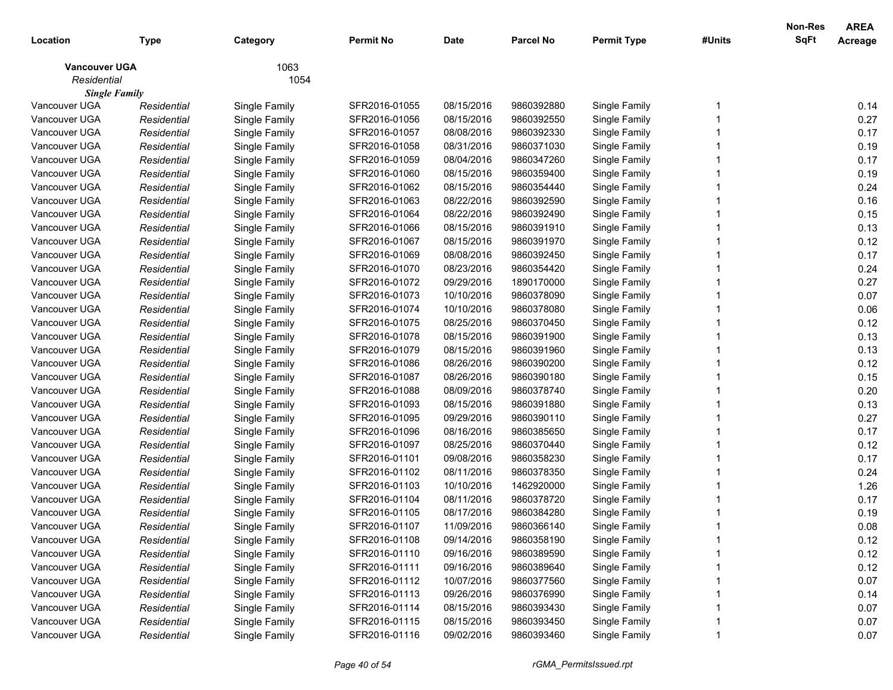| Location             | <b>Type</b> | Category      | <b>Permit No</b> | <b>Date</b> | <b>Parcel No</b> | <b>Permit Type</b> | #Units | <b>Non-Res</b><br>SqFt | <b>AREA</b><br>Acreage |
|----------------------|-------------|---------------|------------------|-------------|------------------|--------------------|--------|------------------------|------------------------|
| <b>Vancouver UGA</b> |             | 1063          |                  |             |                  |                    |        |                        |                        |
| Residential          |             | 1054          |                  |             |                  |                    |        |                        |                        |
| <b>Single Family</b> |             |               |                  |             |                  |                    |        |                        |                        |
| Vancouver UGA        | Residential | Single Family | SFR2016-01055    | 08/15/2016  | 9860392880       | Single Family      |        |                        | 0.14                   |
| Vancouver UGA        | Residential | Single Family | SFR2016-01056    | 08/15/2016  | 9860392550       | Single Family      |        |                        | 0.27                   |
| Vancouver UGA        | Residential | Single Family | SFR2016-01057    | 08/08/2016  | 9860392330       | Single Family      |        |                        | 0.17                   |
| Vancouver UGA        | Residential | Single Family | SFR2016-01058    | 08/31/2016  | 9860371030       | Single Family      |        |                        | 0.19                   |
| Vancouver UGA        | Residential | Single Family | SFR2016-01059    | 08/04/2016  | 9860347260       | Single Family      |        |                        | 0.17                   |
| Vancouver UGA        | Residential | Single Family | SFR2016-01060    | 08/15/2016  | 9860359400       | Single Family      |        |                        | 0.19                   |
| Vancouver UGA        | Residential | Single Family | SFR2016-01062    | 08/15/2016  | 9860354440       | Single Family      |        |                        | 0.24                   |
| Vancouver UGA        | Residential | Single Family | SFR2016-01063    | 08/22/2016  | 9860392590       | Single Family      |        |                        | 0.16                   |
| Vancouver UGA        | Residential | Single Family | SFR2016-01064    | 08/22/2016  | 9860392490       | Single Family      |        |                        | 0.15                   |
| Vancouver UGA        | Residential | Single Family | SFR2016-01066    | 08/15/2016  | 9860391910       | Single Family      |        |                        | 0.13                   |
| Vancouver UGA        | Residential | Single Family | SFR2016-01067    | 08/15/2016  | 9860391970       | Single Family      |        |                        | 0.12                   |
| Vancouver UGA        | Residential | Single Family | SFR2016-01069    | 08/08/2016  | 9860392450       | Single Family      |        |                        | 0.17                   |
| Vancouver UGA        | Residential | Single Family | SFR2016-01070    | 08/23/2016  | 9860354420       | Single Family      |        |                        | 0.24                   |
| Vancouver UGA        | Residential | Single Family | SFR2016-01072    | 09/29/2016  | 1890170000       | Single Family      |        |                        | 0.27                   |
| Vancouver UGA        | Residential | Single Family | SFR2016-01073    | 10/10/2016  | 9860378090       | Single Family      |        |                        | 0.07                   |
| Vancouver UGA        | Residential | Single Family | SFR2016-01074    | 10/10/2016  | 9860378080       | Single Family      |        |                        | 0.06                   |
| Vancouver UGA        | Residential | Single Family | SFR2016-01075    | 08/25/2016  | 9860370450       | Single Family      |        |                        | 0.12                   |
| Vancouver UGA        | Residential | Single Family | SFR2016-01078    | 08/15/2016  | 9860391900       | Single Family      |        |                        | 0.13                   |
| Vancouver UGA        | Residential | Single Family | SFR2016-01079    | 08/15/2016  | 9860391960       | Single Family      |        |                        | 0.13                   |
| Vancouver UGA        | Residential | Single Family | SFR2016-01086    | 08/26/2016  | 9860390200       | Single Family      |        |                        | 0.12                   |
| Vancouver UGA        | Residential | Single Family | SFR2016-01087    | 08/26/2016  | 9860390180       | Single Family      |        |                        | 0.15                   |
| Vancouver UGA        | Residential | Single Family | SFR2016-01088    | 08/09/2016  | 9860378740       | Single Family      |        |                        | 0.20                   |
| Vancouver UGA        | Residential | Single Family | SFR2016-01093    | 08/15/2016  | 9860391880       | Single Family      |        |                        | 0.13                   |
| Vancouver UGA        | Residential | Single Family | SFR2016-01095    | 09/29/2016  | 9860390110       | Single Family      |        |                        | 0.27                   |
| Vancouver UGA        | Residential | Single Family | SFR2016-01096    | 08/16/2016  | 9860385650       | Single Family      |        |                        | 0.17                   |
| Vancouver UGA        | Residential | Single Family | SFR2016-01097    | 08/25/2016  | 9860370440       | Single Family      |        |                        | 0.12                   |
| Vancouver UGA        | Residential | Single Family | SFR2016-01101    | 09/08/2016  | 9860358230       | Single Family      |        |                        | 0.17                   |
| Vancouver UGA        | Residential | Single Family | SFR2016-01102    | 08/11/2016  | 9860378350       | Single Family      |        |                        | 0.24                   |
| Vancouver UGA        | Residential | Single Family | SFR2016-01103    | 10/10/2016  | 1462920000       | Single Family      |        |                        | 1.26                   |
| Vancouver UGA        | Residential | Single Family | SFR2016-01104    | 08/11/2016  | 9860378720       | Single Family      |        |                        | 0.17                   |
| Vancouver UGA        | Residential | Single Family | SFR2016-01105    | 08/17/2016  | 9860384280       | Single Family      |        |                        | 0.19                   |
| Vancouver UGA        | Residential | Single Family | SFR2016-01107    | 11/09/2016  | 9860366140       | Single Family      |        |                        | 0.08                   |
| Vancouver UGA        | Residential | Single Family | SFR2016-01108    | 09/14/2016  | 9860358190       | Single Family      |        |                        | 0.12                   |
| Vancouver UGA        | Residential | Single Family | SFR2016-01110    | 09/16/2016  | 9860389590       | Single Family      |        |                        | 0.12                   |
| Vancouver UGA        | Residential | Single Family | SFR2016-01111    | 09/16/2016  | 9860389640       | Single Family      |        |                        | 0.12                   |
| Vancouver UGA        | Residential | Single Family | SFR2016-01112    | 10/07/2016  | 9860377560       | Single Family      |        |                        | 0.07                   |
| Vancouver UGA        | Residential | Single Family | SFR2016-01113    | 09/26/2016  | 9860376990       | Single Family      |        |                        | 0.14                   |
| Vancouver UGA        | Residential | Single Family | SFR2016-01114    | 08/15/2016  | 9860393430       | Single Family      |        |                        | 0.07                   |
| Vancouver UGA        | Residential | Single Family | SFR2016-01115    | 08/15/2016  | 9860393450       | Single Family      |        |                        | 0.07                   |
| Vancouver UGA        | Residential | Single Family | SFR2016-01116    | 09/02/2016  | 9860393460       | Single Family      |        |                        | 0.07                   |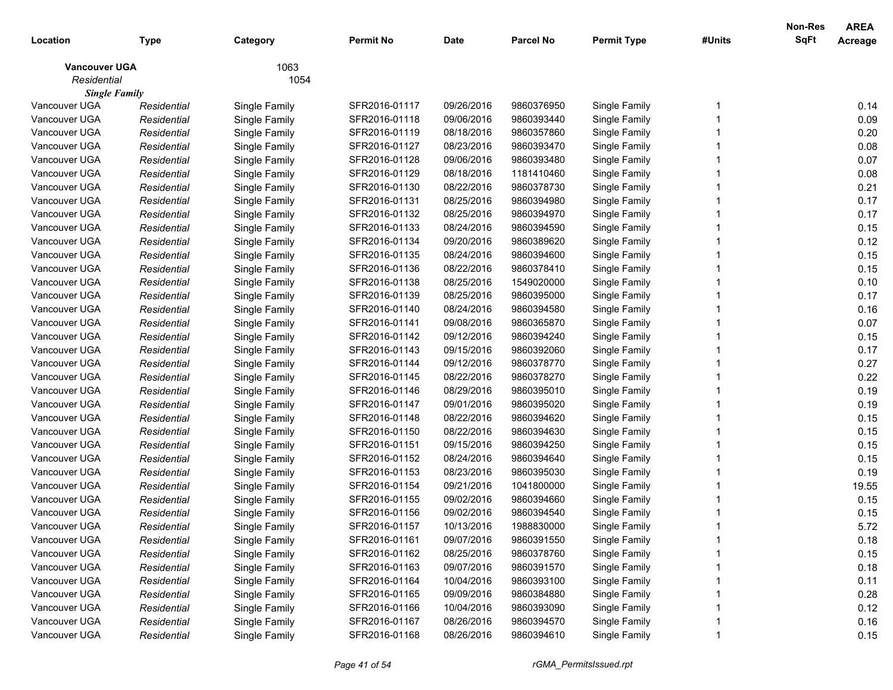| Location             | <b>Type</b> | Category      | <b>Permit No</b> | <b>Date</b> | <b>Parcel No</b> | <b>Permit Type</b> | #Units | Non-Res<br>SqFt | <b>AREA</b><br>Acreage |
|----------------------|-------------|---------------|------------------|-------------|------------------|--------------------|--------|-----------------|------------------------|
| <b>Vancouver UGA</b> |             | 1063          |                  |             |                  |                    |        |                 |                        |
| Residential          |             | 1054          |                  |             |                  |                    |        |                 |                        |
| <b>Single Family</b> |             |               |                  |             |                  |                    |        |                 |                        |
| Vancouver UGA        | Residential | Single Family | SFR2016-01117    | 09/26/2016  | 9860376950       | Single Family      |        |                 | 0.14                   |
| Vancouver UGA        | Residential | Single Family | SFR2016-01118    | 09/06/2016  | 9860393440       | Single Family      |        |                 | 0.09                   |
| Vancouver UGA        | Residential | Single Family | SFR2016-01119    | 08/18/2016  | 9860357860       | Single Family      |        |                 | 0.20                   |
| Vancouver UGA        | Residential | Single Family | SFR2016-01127    | 08/23/2016  | 9860393470       | Single Family      |        |                 | 0.08                   |
| Vancouver UGA        | Residential | Single Family | SFR2016-01128    | 09/06/2016  | 9860393480       | Single Family      |        |                 | 0.07                   |
| Vancouver UGA        | Residential | Single Family | SFR2016-01129    | 08/18/2016  | 1181410460       | Single Family      |        |                 | 0.08                   |
| Vancouver UGA        | Residential | Single Family | SFR2016-01130    | 08/22/2016  | 9860378730       | Single Family      |        |                 | 0.21                   |
| Vancouver UGA        | Residential | Single Family | SFR2016-01131    | 08/25/2016  | 9860394980       | Single Family      |        |                 | 0.17                   |
| Vancouver UGA        | Residential | Single Family | SFR2016-01132    | 08/25/2016  | 9860394970       | Single Family      |        |                 | 0.17                   |
| Vancouver UGA        | Residential | Single Family | SFR2016-01133    | 08/24/2016  | 9860394590       | Single Family      |        |                 | 0.15                   |
| Vancouver UGA        | Residential | Single Family | SFR2016-01134    | 09/20/2016  | 9860389620       | Single Family      |        |                 | 0.12                   |
| Vancouver UGA        | Residential | Single Family | SFR2016-01135    | 08/24/2016  | 9860394600       | Single Family      |        |                 | 0.15                   |
| Vancouver UGA        | Residential | Single Family | SFR2016-01136    | 08/22/2016  | 9860378410       | Single Family      |        |                 | 0.15                   |
| Vancouver UGA        | Residential | Single Family | SFR2016-01138    | 08/25/2016  | 1549020000       | Single Family      |        |                 | 0.10                   |
| Vancouver UGA        | Residential | Single Family | SFR2016-01139    | 08/25/2016  | 9860395000       | Single Family      |        |                 | 0.17                   |
| Vancouver UGA        | Residential | Single Family | SFR2016-01140    | 08/24/2016  | 9860394580       | Single Family      |        |                 | 0.16                   |
| Vancouver UGA        | Residential | Single Family | SFR2016-01141    | 09/08/2016  | 9860365870       | Single Family      |        |                 | 0.07                   |
| Vancouver UGA        | Residential | Single Family | SFR2016-01142    | 09/12/2016  | 9860394240       | Single Family      |        |                 | 0.15                   |
| Vancouver UGA        | Residential | Single Family | SFR2016-01143    | 09/15/2016  | 9860392060       | Single Family      |        |                 | 0.17                   |
| Vancouver UGA        | Residential | Single Family | SFR2016-01144    | 09/12/2016  | 9860378770       | Single Family      |        |                 | 0.27                   |
| Vancouver UGA        | Residential | Single Family | SFR2016-01145    | 08/22/2016  | 9860378270       | Single Family      |        |                 | 0.22                   |
| Vancouver UGA        | Residential | Single Family | SFR2016-01146    | 08/29/2016  | 9860395010       | Single Family      |        |                 | 0.19                   |
| Vancouver UGA        | Residential | Single Family | SFR2016-01147    | 09/01/2016  | 9860395020       | Single Family      |        |                 | 0.19                   |
| Vancouver UGA        | Residential | Single Family | SFR2016-01148    | 08/22/2016  | 9860394620       | Single Family      |        |                 | 0.15                   |
| Vancouver UGA        | Residential | Single Family | SFR2016-01150    | 08/22/2016  | 9860394630       | Single Family      |        |                 | 0.15                   |
| Vancouver UGA        | Residential | Single Family | SFR2016-01151    | 09/15/2016  | 9860394250       | Single Family      |        |                 | 0.15                   |
| Vancouver UGA        | Residential | Single Family | SFR2016-01152    | 08/24/2016  | 9860394640       | Single Family      |        |                 | 0.15                   |
| Vancouver UGA        | Residential | Single Family | SFR2016-01153    | 08/23/2016  | 9860395030       | Single Family      |        |                 | 0.19                   |
| Vancouver UGA        | Residential | Single Family | SFR2016-01154    | 09/21/2016  | 1041800000       | Single Family      |        |                 | 19.55                  |
| Vancouver UGA        | Residential | Single Family | SFR2016-01155    | 09/02/2016  | 9860394660       | Single Family      |        |                 | 0.15                   |
| Vancouver UGA        | Residential | Single Family | SFR2016-01156    | 09/02/2016  | 9860394540       | Single Family      |        |                 | 0.15                   |
| Vancouver UGA        | Residential | Single Family | SFR2016-01157    | 10/13/2016  | 1988830000       | Single Family      |        |                 | 5.72                   |
| Vancouver UGA        | Residential | Single Family | SFR2016-01161    | 09/07/2016  | 9860391550       | Single Family      |        |                 | 0.18                   |
| Vancouver UGA        | Residential | Single Family | SFR2016-01162    | 08/25/2016  | 9860378760       | Single Family      |        |                 | 0.15                   |
| Vancouver UGA        | Residential | Single Family | SFR2016-01163    | 09/07/2016  | 9860391570       | Single Family      |        |                 | 0.18                   |
| Vancouver UGA        | Residential | Single Family | SFR2016-01164    | 10/04/2016  | 9860393100       | Single Family      |        |                 | 0.11                   |
| Vancouver UGA        | Residential | Single Family | SFR2016-01165    | 09/09/2016  | 9860384880       | Single Family      |        |                 | 0.28                   |
| Vancouver UGA        | Residential | Single Family | SFR2016-01166    | 10/04/2016  | 9860393090       | Single Family      |        |                 | 0.12                   |
| Vancouver UGA        | Residential | Single Family | SFR2016-01167    | 08/26/2016  | 9860394570       | Single Family      |        |                 | 0.16                   |
| Vancouver UGA        | Residential | Single Family | SFR2016-01168    | 08/26/2016  | 9860394610       | Single Family      |        |                 | 0.15                   |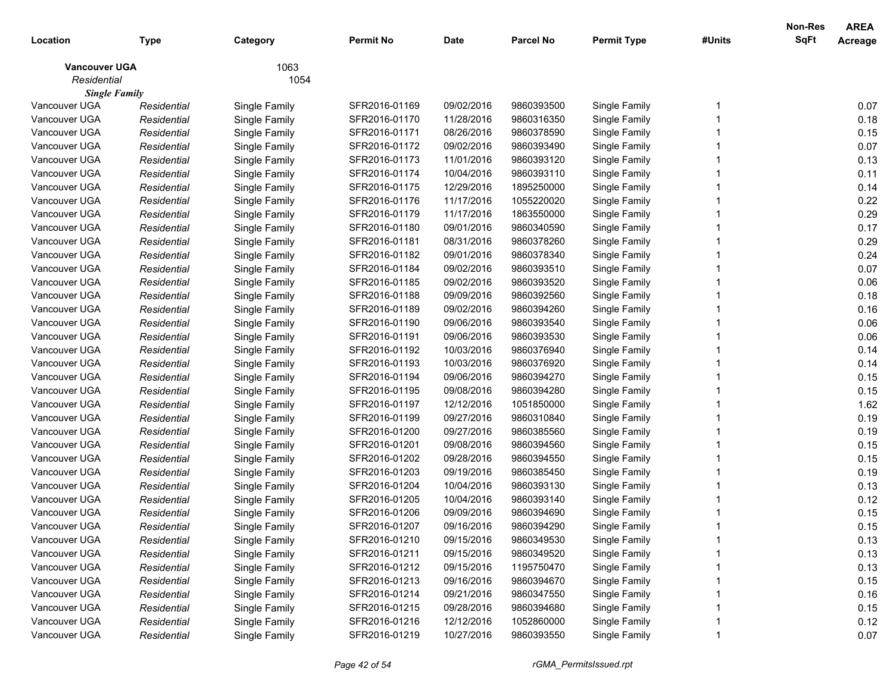| 1063<br><b>Vancouver UGA</b><br>Residential<br>1054<br><b>Single Family</b><br>Vancouver UGA<br>SFR2016-01169<br>09/02/2016<br>9860393500<br>Single Family<br>Single Family<br>Residential<br>Vancouver UGA<br>Residential<br>Single Family<br>SFR2016-01170<br>11/28/2016<br>9860316350<br>Single Family<br>Vancouver UGA<br>SFR2016-01171<br>08/26/2016<br>9860378590<br>Single Family<br>Residential<br>Single Family<br>Vancouver UGA<br>Residential<br>Single Family<br>SFR2016-01172<br>09/02/2016<br>9860393490<br>Single Family<br>Vancouver UGA<br>Residential<br>Single Family<br>SFR2016-01173<br>11/01/2016<br>9860393120<br>Single Family<br>Vancouver UGA<br>Residential<br>Single Family<br>SFR2016-01174<br>10/04/2016<br>9860393110<br>Single Family<br>Vancouver UGA<br>Residential<br>Single Family<br>SFR2016-01175<br>12/29/2016<br>1895250000<br>Single Family<br>Vancouver UGA<br>Residential<br>Single Family<br>SFR2016-01176<br>11/17/2016<br>1055220020<br>Single Family<br>Vancouver UGA<br>Residential<br>Single Family<br>SFR2016-01179<br>11/17/2016<br>1863550000<br>Single Family<br>Vancouver UGA<br>SFR2016-01180<br>09/01/2016<br>9860340590<br>Single Family<br>Residential<br>Single Family<br>Vancouver UGA<br>SFR2016-01181<br>08/31/2016<br>9860378260<br>Single Family<br>Residential<br>Single Family<br>Vancouver UGA<br>Residential<br>Single Family<br>SFR2016-01182<br>09/01/2016<br>9860378340<br>Single Family<br>Vancouver UGA<br>Residential<br>Single Family<br>SFR2016-01184<br>09/02/2016<br>9860393510<br>Single Family<br>Vancouver UGA<br>Residential<br>Single Family<br>SFR2016-01185<br>09/02/2016<br>9860393520<br>Single Family<br>Vancouver UGA<br>Residential<br>Single Family<br>SFR2016-01188<br>09/09/2016<br>9860392560<br>Single Family |      |
|--------------------------------------------------------------------------------------------------------------------------------------------------------------------------------------------------------------------------------------------------------------------------------------------------------------------------------------------------------------------------------------------------------------------------------------------------------------------------------------------------------------------------------------------------------------------------------------------------------------------------------------------------------------------------------------------------------------------------------------------------------------------------------------------------------------------------------------------------------------------------------------------------------------------------------------------------------------------------------------------------------------------------------------------------------------------------------------------------------------------------------------------------------------------------------------------------------------------------------------------------------------------------------------------------------------------------------------------------------------------------------------------------------------------------------------------------------------------------------------------------------------------------------------------------------------------------------------------------------------------------------------------------------------------------------------------------------------------------------------------------------------------------------------------------------------|------|
|                                                                                                                                                                                                                                                                                                                                                                                                                                                                                                                                                                                                                                                                                                                                                                                                                                                                                                                                                                                                                                                                                                                                                                                                                                                                                                                                                                                                                                                                                                                                                                                                                                                                                                                                                                                                              |      |
|                                                                                                                                                                                                                                                                                                                                                                                                                                                                                                                                                                                                                                                                                                                                                                                                                                                                                                                                                                                                                                                                                                                                                                                                                                                                                                                                                                                                                                                                                                                                                                                                                                                                                                                                                                                                              |      |
|                                                                                                                                                                                                                                                                                                                                                                                                                                                                                                                                                                                                                                                                                                                                                                                                                                                                                                                                                                                                                                                                                                                                                                                                                                                                                                                                                                                                                                                                                                                                                                                                                                                                                                                                                                                                              |      |
|                                                                                                                                                                                                                                                                                                                                                                                                                                                                                                                                                                                                                                                                                                                                                                                                                                                                                                                                                                                                                                                                                                                                                                                                                                                                                                                                                                                                                                                                                                                                                                                                                                                                                                                                                                                                              | 0.07 |
|                                                                                                                                                                                                                                                                                                                                                                                                                                                                                                                                                                                                                                                                                                                                                                                                                                                                                                                                                                                                                                                                                                                                                                                                                                                                                                                                                                                                                                                                                                                                                                                                                                                                                                                                                                                                              | 0.18 |
|                                                                                                                                                                                                                                                                                                                                                                                                                                                                                                                                                                                                                                                                                                                                                                                                                                                                                                                                                                                                                                                                                                                                                                                                                                                                                                                                                                                                                                                                                                                                                                                                                                                                                                                                                                                                              | 0.15 |
|                                                                                                                                                                                                                                                                                                                                                                                                                                                                                                                                                                                                                                                                                                                                                                                                                                                                                                                                                                                                                                                                                                                                                                                                                                                                                                                                                                                                                                                                                                                                                                                                                                                                                                                                                                                                              | 0.07 |
|                                                                                                                                                                                                                                                                                                                                                                                                                                                                                                                                                                                                                                                                                                                                                                                                                                                                                                                                                                                                                                                                                                                                                                                                                                                                                                                                                                                                                                                                                                                                                                                                                                                                                                                                                                                                              | 0.13 |
|                                                                                                                                                                                                                                                                                                                                                                                                                                                                                                                                                                                                                                                                                                                                                                                                                                                                                                                                                                                                                                                                                                                                                                                                                                                                                                                                                                                                                                                                                                                                                                                                                                                                                                                                                                                                              | 0.11 |
|                                                                                                                                                                                                                                                                                                                                                                                                                                                                                                                                                                                                                                                                                                                                                                                                                                                                                                                                                                                                                                                                                                                                                                                                                                                                                                                                                                                                                                                                                                                                                                                                                                                                                                                                                                                                              | 0.14 |
|                                                                                                                                                                                                                                                                                                                                                                                                                                                                                                                                                                                                                                                                                                                                                                                                                                                                                                                                                                                                                                                                                                                                                                                                                                                                                                                                                                                                                                                                                                                                                                                                                                                                                                                                                                                                              | 0.22 |
|                                                                                                                                                                                                                                                                                                                                                                                                                                                                                                                                                                                                                                                                                                                                                                                                                                                                                                                                                                                                                                                                                                                                                                                                                                                                                                                                                                                                                                                                                                                                                                                                                                                                                                                                                                                                              | 0.29 |
|                                                                                                                                                                                                                                                                                                                                                                                                                                                                                                                                                                                                                                                                                                                                                                                                                                                                                                                                                                                                                                                                                                                                                                                                                                                                                                                                                                                                                                                                                                                                                                                                                                                                                                                                                                                                              | 0.17 |
|                                                                                                                                                                                                                                                                                                                                                                                                                                                                                                                                                                                                                                                                                                                                                                                                                                                                                                                                                                                                                                                                                                                                                                                                                                                                                                                                                                                                                                                                                                                                                                                                                                                                                                                                                                                                              | 0.29 |
|                                                                                                                                                                                                                                                                                                                                                                                                                                                                                                                                                                                                                                                                                                                                                                                                                                                                                                                                                                                                                                                                                                                                                                                                                                                                                                                                                                                                                                                                                                                                                                                                                                                                                                                                                                                                              | 0.24 |
|                                                                                                                                                                                                                                                                                                                                                                                                                                                                                                                                                                                                                                                                                                                                                                                                                                                                                                                                                                                                                                                                                                                                                                                                                                                                                                                                                                                                                                                                                                                                                                                                                                                                                                                                                                                                              | 0.07 |
|                                                                                                                                                                                                                                                                                                                                                                                                                                                                                                                                                                                                                                                                                                                                                                                                                                                                                                                                                                                                                                                                                                                                                                                                                                                                                                                                                                                                                                                                                                                                                                                                                                                                                                                                                                                                              | 0.06 |
|                                                                                                                                                                                                                                                                                                                                                                                                                                                                                                                                                                                                                                                                                                                                                                                                                                                                                                                                                                                                                                                                                                                                                                                                                                                                                                                                                                                                                                                                                                                                                                                                                                                                                                                                                                                                              | 0.18 |
| Vancouver UGA<br>Residential<br>Single Family<br>SFR2016-01189<br>09/02/2016<br>9860394260<br>Single Family                                                                                                                                                                                                                                                                                                                                                                                                                                                                                                                                                                                                                                                                                                                                                                                                                                                                                                                                                                                                                                                                                                                                                                                                                                                                                                                                                                                                                                                                                                                                                                                                                                                                                                  | 0.16 |
| Vancouver UGA<br>Residential<br>Single Family<br>SFR2016-01190<br>09/06/2016<br>9860393540<br>Single Family                                                                                                                                                                                                                                                                                                                                                                                                                                                                                                                                                                                                                                                                                                                                                                                                                                                                                                                                                                                                                                                                                                                                                                                                                                                                                                                                                                                                                                                                                                                                                                                                                                                                                                  | 0.06 |
| Vancouver UGA<br>SFR2016-01191<br>09/06/2016<br>9860393530<br>Single Family<br>Residential<br>Single Family                                                                                                                                                                                                                                                                                                                                                                                                                                                                                                                                                                                                                                                                                                                                                                                                                                                                                                                                                                                                                                                                                                                                                                                                                                                                                                                                                                                                                                                                                                                                                                                                                                                                                                  | 0.06 |
| Vancouver UGA<br>Residential<br>Single Family<br>SFR2016-01192<br>10/03/2016<br>9860376940<br>Single Family                                                                                                                                                                                                                                                                                                                                                                                                                                                                                                                                                                                                                                                                                                                                                                                                                                                                                                                                                                                                                                                                                                                                                                                                                                                                                                                                                                                                                                                                                                                                                                                                                                                                                                  | 0.14 |
| Vancouver UGA<br>Residential<br>Single Family<br>SFR2016-01193<br>10/03/2016<br>9860376920<br>Single Family                                                                                                                                                                                                                                                                                                                                                                                                                                                                                                                                                                                                                                                                                                                                                                                                                                                                                                                                                                                                                                                                                                                                                                                                                                                                                                                                                                                                                                                                                                                                                                                                                                                                                                  | 0.14 |
| Vancouver UGA<br>Residential<br>Single Family<br>SFR2016-01194<br>09/06/2016<br>9860394270<br>Single Family                                                                                                                                                                                                                                                                                                                                                                                                                                                                                                                                                                                                                                                                                                                                                                                                                                                                                                                                                                                                                                                                                                                                                                                                                                                                                                                                                                                                                                                                                                                                                                                                                                                                                                  | 0.15 |
| Vancouver UGA<br>Residential<br>Single Family<br>SFR2016-01195<br>09/08/2016<br>9860394280<br>Single Family                                                                                                                                                                                                                                                                                                                                                                                                                                                                                                                                                                                                                                                                                                                                                                                                                                                                                                                                                                                                                                                                                                                                                                                                                                                                                                                                                                                                                                                                                                                                                                                                                                                                                                  | 0.15 |
| Vancouver UGA<br>Residential<br>Single Family<br>SFR2016-01197<br>12/12/2016<br>1051850000<br>Single Family                                                                                                                                                                                                                                                                                                                                                                                                                                                                                                                                                                                                                                                                                                                                                                                                                                                                                                                                                                                                                                                                                                                                                                                                                                                                                                                                                                                                                                                                                                                                                                                                                                                                                                  | 1.62 |
| Vancouver UGA<br>09/27/2016<br>Residential<br>Single Family<br>SFR2016-01199<br>9860310840<br>Single Family                                                                                                                                                                                                                                                                                                                                                                                                                                                                                                                                                                                                                                                                                                                                                                                                                                                                                                                                                                                                                                                                                                                                                                                                                                                                                                                                                                                                                                                                                                                                                                                                                                                                                                  | 0.19 |
| Vancouver UGA<br>SFR2016-01200<br>09/27/2016<br>9860385560<br>Single Family<br>Residential<br>Single Family                                                                                                                                                                                                                                                                                                                                                                                                                                                                                                                                                                                                                                                                                                                                                                                                                                                                                                                                                                                                                                                                                                                                                                                                                                                                                                                                                                                                                                                                                                                                                                                                                                                                                                  | 0.19 |
| Vancouver UGA<br>SFR2016-01201<br>09/08/2016<br>9860394560<br>Single Family<br>Residential<br>Single Family                                                                                                                                                                                                                                                                                                                                                                                                                                                                                                                                                                                                                                                                                                                                                                                                                                                                                                                                                                                                                                                                                                                                                                                                                                                                                                                                                                                                                                                                                                                                                                                                                                                                                                  | 0.15 |
| Vancouver UGA<br>09/28/2016<br>Residential<br>Single Family<br>SFR2016-01202<br>9860394550<br>Single Family                                                                                                                                                                                                                                                                                                                                                                                                                                                                                                                                                                                                                                                                                                                                                                                                                                                                                                                                                                                                                                                                                                                                                                                                                                                                                                                                                                                                                                                                                                                                                                                                                                                                                                  | 0.15 |
| Vancouver UGA<br>09/19/2016<br>Residential<br>Single Family<br>SFR2016-01203<br>9860385450<br>Single Family                                                                                                                                                                                                                                                                                                                                                                                                                                                                                                                                                                                                                                                                                                                                                                                                                                                                                                                                                                                                                                                                                                                                                                                                                                                                                                                                                                                                                                                                                                                                                                                                                                                                                                  | 0.19 |
| Vancouver UGA<br>Residential<br>Single Family<br>SFR2016-01204<br>10/04/2016<br>9860393130<br>Single Family                                                                                                                                                                                                                                                                                                                                                                                                                                                                                                                                                                                                                                                                                                                                                                                                                                                                                                                                                                                                                                                                                                                                                                                                                                                                                                                                                                                                                                                                                                                                                                                                                                                                                                  | 0.13 |
| Vancouver UGA<br>Residential<br>Single Family<br>SFR2016-01205<br>10/04/2016<br>9860393140<br>Single Family                                                                                                                                                                                                                                                                                                                                                                                                                                                                                                                                                                                                                                                                                                                                                                                                                                                                                                                                                                                                                                                                                                                                                                                                                                                                                                                                                                                                                                                                                                                                                                                                                                                                                                  | 0.12 |
| Vancouver UGA<br>Single Family<br>SFR2016-01206<br>09/09/2016<br>9860394690<br>Single Family<br>Residential                                                                                                                                                                                                                                                                                                                                                                                                                                                                                                                                                                                                                                                                                                                                                                                                                                                                                                                                                                                                                                                                                                                                                                                                                                                                                                                                                                                                                                                                                                                                                                                                                                                                                                  | 0.15 |
| Vancouver UGA<br>Single Family<br>Residential<br>SFR2016-01207<br>09/16/2016<br>9860394290<br>Single Family                                                                                                                                                                                                                                                                                                                                                                                                                                                                                                                                                                                                                                                                                                                                                                                                                                                                                                                                                                                                                                                                                                                                                                                                                                                                                                                                                                                                                                                                                                                                                                                                                                                                                                  | 0.15 |
| SFR2016-01210<br>09/15/2016<br>9860349530<br>Single Family<br>Vancouver UGA<br>Residential<br>Single Family                                                                                                                                                                                                                                                                                                                                                                                                                                                                                                                                                                                                                                                                                                                                                                                                                                                                                                                                                                                                                                                                                                                                                                                                                                                                                                                                                                                                                                                                                                                                                                                                                                                                                                  | 0.13 |
| Vancouver UGA<br>Single Family<br>SFR2016-01211<br>09/15/2016<br>Single Family<br>Residential<br>9860349520                                                                                                                                                                                                                                                                                                                                                                                                                                                                                                                                                                                                                                                                                                                                                                                                                                                                                                                                                                                                                                                                                                                                                                                                                                                                                                                                                                                                                                                                                                                                                                                                                                                                                                  | 0.13 |
| Vancouver UGA<br>Single Family<br>09/15/2016<br>Single Family<br>Residential<br>SFR2016-01212<br>1195750470                                                                                                                                                                                                                                                                                                                                                                                                                                                                                                                                                                                                                                                                                                                                                                                                                                                                                                                                                                                                                                                                                                                                                                                                                                                                                                                                                                                                                                                                                                                                                                                                                                                                                                  | 0.13 |
| Vancouver UGA<br>Single Family<br>09/16/2016<br>Single Family<br>Residential<br>SFR2016-01213<br>9860394670                                                                                                                                                                                                                                                                                                                                                                                                                                                                                                                                                                                                                                                                                                                                                                                                                                                                                                                                                                                                                                                                                                                                                                                                                                                                                                                                                                                                                                                                                                                                                                                                                                                                                                  | 0.15 |
| Vancouver UGA<br>Single Family<br>09/21/2016<br>Single Family<br>Residential<br>SFR2016-01214<br>9860347550                                                                                                                                                                                                                                                                                                                                                                                                                                                                                                                                                                                                                                                                                                                                                                                                                                                                                                                                                                                                                                                                                                                                                                                                                                                                                                                                                                                                                                                                                                                                                                                                                                                                                                  | 0.16 |
| Vancouver UGA<br>Single Family<br>09/28/2016<br>Single Family<br>Residential<br>SFR2016-01215<br>9860394680                                                                                                                                                                                                                                                                                                                                                                                                                                                                                                                                                                                                                                                                                                                                                                                                                                                                                                                                                                                                                                                                                                                                                                                                                                                                                                                                                                                                                                                                                                                                                                                                                                                                                                  | 0.15 |
| Vancouver UGA<br>Single Family<br>12/12/2016<br>1052860000<br>Single Family<br>Residential<br>SFR2016-01216                                                                                                                                                                                                                                                                                                                                                                                                                                                                                                                                                                                                                                                                                                                                                                                                                                                                                                                                                                                                                                                                                                                                                                                                                                                                                                                                                                                                                                                                                                                                                                                                                                                                                                  | 0.12 |
| Vancouver UGA<br>SFR2016-01219<br>10/27/2016<br>9860393550<br>Single Family<br>Single Family<br>Residential                                                                                                                                                                                                                                                                                                                                                                                                                                                                                                                                                                                                                                                                                                                                                                                                                                                                                                                                                                                                                                                                                                                                                                                                                                                                                                                                                                                                                                                                                                                                                                                                                                                                                                  | 0.07 |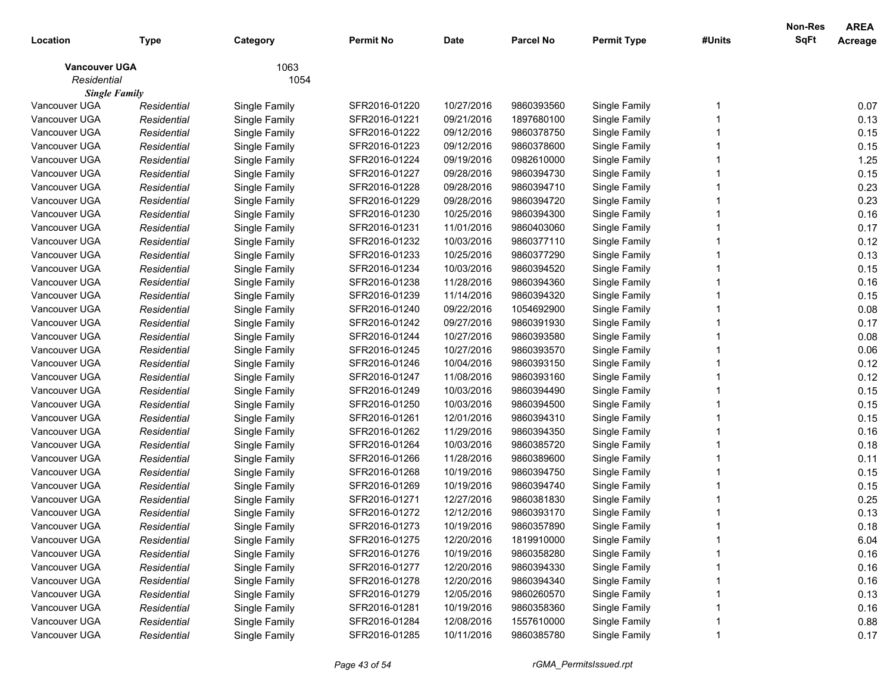| 1063<br><b>Vancouver UGA</b><br>Residential<br>1054<br><b>Single Family</b><br>Vancouver UGA<br>SFR2016-01220<br>10/27/2016<br>9860393560<br>0.07<br>Single Family<br>Single Family<br>Residential<br>09/21/2016<br>0.13<br>Vancouver UGA<br>Residential<br>Single Family<br>SFR2016-01221<br>1897680100<br>Single Family<br>0.15<br>Vancouver UGA<br>SFR2016-01222<br>09/12/2016<br>9860378750<br>Single Family<br>Residential<br>Single Family<br>0.15<br>Vancouver UGA<br>Residential<br>Single Family<br>SFR2016-01223<br>09/12/2016<br>9860378600<br>Single Family<br>1.25<br>Vancouver UGA<br>Residential<br>Single Family<br>SFR2016-01224<br>09/19/2016<br>0982610000<br>Single Family<br>0.15<br>Vancouver UGA<br>Residential<br>Single Family<br>SFR2016-01227<br>09/28/2016<br>9860394730<br>Single Family<br>0.23<br>Vancouver UGA<br>Residential<br>Single Family<br>SFR2016-01228<br>09/28/2016<br>9860394710<br>Single Family<br>0.23<br>Vancouver UGA<br>Residential<br>Single Family<br>SFR2016-01229<br>09/28/2016<br>9860394720<br>Single Family<br>0.16<br>Vancouver UGA<br>10/25/2016<br>Residential<br>Single Family<br>SFR2016-01230<br>9860394300<br>Single Family<br>Vancouver UGA<br>SFR2016-01231<br>11/01/2016<br>9860403060<br>Single Family<br>0.17<br>Residential<br>Single Family<br>0.12<br>Vancouver UGA<br>SFR2016-01232<br>10/03/2016<br>9860377110<br>Single Family<br>Residential<br>Single Family<br>0.13<br>Vancouver UGA<br>Residential<br>Single Family<br>SFR2016-01233<br>10/25/2016<br>9860377290<br>Single Family<br>0.15<br>Vancouver UGA<br>Residential<br>Single Family<br>SFR2016-01234<br>10/03/2016<br>9860394520<br>Single Family<br>0.16<br>Vancouver UGA<br>Residential<br>Single Family<br>SFR2016-01238<br>11/28/2016<br>9860394360<br>Single Family<br>0.15<br>Vancouver UGA<br>Residential<br>Single Family<br>SFR2016-01239<br>11/14/2016<br>9860394320<br>Single Family<br>0.08<br>Vancouver UGA<br>Residential<br>Single Family<br>SFR2016-01240<br>09/22/2016<br>1054692900<br>Single Family<br>0.17<br>Vancouver UGA<br>09/27/2016<br>Residential<br>Single Family<br>SFR2016-01242<br>9860391930<br>Single Family<br>10/27/2016<br>0.08<br>Vancouver UGA<br>SFR2016-01244<br>9860393580<br>Single Family<br>Residential<br>Single Family<br>0.06<br>Vancouver UGA<br>10/27/2016<br>Residential<br>Single Family<br>SFR2016-01245<br>9860393570<br>Single Family<br>0.12<br>Vancouver UGA<br>Residential<br>Single Family<br>SFR2016-01246<br>10/04/2016<br>9860393150<br>Single Family<br>0.12<br>Vancouver UGA<br>Residential<br>Single Family<br>SFR2016-01247<br>11/08/2016<br>9860393160<br>Single Family<br>0.15<br>Vancouver UGA<br>Residential<br>Single Family<br>SFR2016-01249<br>10/03/2016<br>9860394490<br>Single Family<br>0.15<br>Vancouver UGA<br>Residential<br>Single Family<br>SFR2016-01250<br>10/03/2016<br>9860394500<br>Single Family<br>0.15<br>Vancouver UGA<br>Residential<br>Single Family<br>SFR2016-01261<br>12/01/2016<br>9860394310<br>Single Family<br>Vancouver UGA<br>0.16<br>SFR2016-01262<br>11/29/2016<br>9860394350<br>Single Family<br>Residential<br>Single Family<br>0.18<br>Vancouver UGA<br>SFR2016-01264<br>10/03/2016<br>9860385720<br>Single Family<br>Residential<br>Single Family<br>Vancouver UGA<br>11/28/2016<br>0.11<br>Residential<br>Single Family<br>SFR2016-01266<br>9860389600<br>Single Family<br>0.15<br>Vancouver UGA<br>10/19/2016<br>Residential<br>Single Family<br>SFR2016-01268<br>9860394750<br>Single Family<br>0.15<br>Vancouver UGA<br>Residential<br>Single Family<br>SFR2016-01269<br>10/19/2016<br>9860394740<br>Single Family<br>12/27/2016<br>0.25<br>Vancouver UGA<br>Residential<br>Single Family<br>SFR2016-01271<br>9860381830<br>Single Family<br>0.13<br>Vancouver UGA<br>Single Family<br>SFR2016-01272<br>12/12/2016<br>9860393170<br>Single Family<br>Residential<br>Vancouver UGA<br>Single Family<br>Residential<br>SFR2016-01273<br>10/19/2016<br>9860357890<br>0.18<br>Single Family<br>SFR2016-01275<br>12/20/2016<br>Single Family<br>Vancouver UGA<br>1819910000<br>6.04<br>Residential<br>Single Family<br>0.16<br>Vancouver UGA<br>Single Family<br>SFR2016-01276<br>10/19/2016<br>9860358280<br>Single Family<br>Residential<br>0.16<br>Vancouver UGA<br>Single Family<br>12/20/2016<br>Single Family<br>Residential<br>SFR2016-01277<br>9860394330<br>0.16<br>Vancouver UGA<br>Single Family<br>12/20/2016<br>Single Family<br>Residential<br>SFR2016-01278<br>9860394340<br>0.13<br>Vancouver UGA<br>Single Family<br>12/05/2016<br>Single Family<br>Residential<br>SFR2016-01279<br>9860260570<br>0.16<br>Vancouver UGA<br>Single Family<br>10/19/2016<br>Single Family<br>Residential<br>SFR2016-01281<br>9860358360<br>0.88<br>Vancouver UGA<br>Single Family<br>12/08/2016<br>1557610000<br>Single Family<br>Residential<br>SFR2016-01284<br>Vancouver UGA<br>SFR2016-01285<br>10/11/2016<br>9860385780<br>Single Family | Location | <b>Type</b> | Category      | <b>Permit No</b> | <b>Date</b> | <b>Parcel No</b> | <b>Permit Type</b> | #Units | Non-Res<br>SqFt | <b>AREA</b><br>Acreage |
|---------------------------------------------------------------------------------------------------------------------------------------------------------------------------------------------------------------------------------------------------------------------------------------------------------------------------------------------------------------------------------------------------------------------------------------------------------------------------------------------------------------------------------------------------------------------------------------------------------------------------------------------------------------------------------------------------------------------------------------------------------------------------------------------------------------------------------------------------------------------------------------------------------------------------------------------------------------------------------------------------------------------------------------------------------------------------------------------------------------------------------------------------------------------------------------------------------------------------------------------------------------------------------------------------------------------------------------------------------------------------------------------------------------------------------------------------------------------------------------------------------------------------------------------------------------------------------------------------------------------------------------------------------------------------------------------------------------------------------------------------------------------------------------------------------------------------------------------------------------------------------------------------------------------------------------------------------------------------------------------------------------------------------------------------------------------------------------------------------------------------------------------------------------------------------------------------------------------------------------------------------------------------------------------------------------------------------------------------------------------------------------------------------------------------------------------------------------------------------------------------------------------------------------------------------------------------------------------------------------------------------------------------------------------------------------------------------------------------------------------------------------------------------------------------------------------------------------------------------------------------------------------------------------------------------------------------------------------------------------------------------------------------------------------------------------------------------------------------------------------------------------------------------------------------------------------------------------------------------------------------------------------------------------------------------------------------------------------------------------------------------------------------------------------------------------------------------------------------------------------------------------------------------------------------------------------------------------------------------------------------------------------------------------------------------------------------------------------------------------------------------------------------------------------------------------------------------------------------------------------------------------------------------------------------------------------------------------------------------------------------------------------------------------------------------------------------------------------------------------------------------------------------------------------------------------------------------------------------------------------------------------------------------------------------------------------------------------------------------------------------------------------------------------------------------------------------------------------------------------------------------------------------------------------------------------------------------------------------------------------------------------------------------------------------------------------------------------------------------------------------------------------------------------------------------------------------------------------------------------------------------------------------------------------------------------------------------------------------------------------|----------|-------------|---------------|------------------|-------------|------------------|--------------------|--------|-----------------|------------------------|
|                                                                                                                                                                                                                                                                                                                                                                                                                                                                                                                                                                                                                                                                                                                                                                                                                                                                                                                                                                                                                                                                                                                                                                                                                                                                                                                                                                                                                                                                                                                                                                                                                                                                                                                                                                                                                                                                                                                                                                                                                                                                                                                                                                                                                                                                                                                                                                                                                                                                                                                                                                                                                                                                                                                                                                                                                                                                                                                                                                                                                                                                                                                                                                                                                                                                                                                                                                                                                                                                                                                                                                                                                                                                                                                                                                                                                                                                                                                                                                                                                                                                                                                                                                                                                                                                                                                                                                                                                                                                                                                                                                                                                                                                                                                                                                                                                                                                                                                                                                                             |          |             |               |                  |             |                  |                    |        |                 |                        |
|                                                                                                                                                                                                                                                                                                                                                                                                                                                                                                                                                                                                                                                                                                                                                                                                                                                                                                                                                                                                                                                                                                                                                                                                                                                                                                                                                                                                                                                                                                                                                                                                                                                                                                                                                                                                                                                                                                                                                                                                                                                                                                                                                                                                                                                                                                                                                                                                                                                                                                                                                                                                                                                                                                                                                                                                                                                                                                                                                                                                                                                                                                                                                                                                                                                                                                                                                                                                                                                                                                                                                                                                                                                                                                                                                                                                                                                                                                                                                                                                                                                                                                                                                                                                                                                                                                                                                                                                                                                                                                                                                                                                                                                                                                                                                                                                                                                                                                                                                                                             |          |             |               |                  |             |                  |                    |        |                 |                        |
|                                                                                                                                                                                                                                                                                                                                                                                                                                                                                                                                                                                                                                                                                                                                                                                                                                                                                                                                                                                                                                                                                                                                                                                                                                                                                                                                                                                                                                                                                                                                                                                                                                                                                                                                                                                                                                                                                                                                                                                                                                                                                                                                                                                                                                                                                                                                                                                                                                                                                                                                                                                                                                                                                                                                                                                                                                                                                                                                                                                                                                                                                                                                                                                                                                                                                                                                                                                                                                                                                                                                                                                                                                                                                                                                                                                                                                                                                                                                                                                                                                                                                                                                                                                                                                                                                                                                                                                                                                                                                                                                                                                                                                                                                                                                                                                                                                                                                                                                                                                             |          |             |               |                  |             |                  |                    |        |                 |                        |
|                                                                                                                                                                                                                                                                                                                                                                                                                                                                                                                                                                                                                                                                                                                                                                                                                                                                                                                                                                                                                                                                                                                                                                                                                                                                                                                                                                                                                                                                                                                                                                                                                                                                                                                                                                                                                                                                                                                                                                                                                                                                                                                                                                                                                                                                                                                                                                                                                                                                                                                                                                                                                                                                                                                                                                                                                                                                                                                                                                                                                                                                                                                                                                                                                                                                                                                                                                                                                                                                                                                                                                                                                                                                                                                                                                                                                                                                                                                                                                                                                                                                                                                                                                                                                                                                                                                                                                                                                                                                                                                                                                                                                                                                                                                                                                                                                                                                                                                                                                                             |          |             |               |                  |             |                  |                    |        |                 |                        |
|                                                                                                                                                                                                                                                                                                                                                                                                                                                                                                                                                                                                                                                                                                                                                                                                                                                                                                                                                                                                                                                                                                                                                                                                                                                                                                                                                                                                                                                                                                                                                                                                                                                                                                                                                                                                                                                                                                                                                                                                                                                                                                                                                                                                                                                                                                                                                                                                                                                                                                                                                                                                                                                                                                                                                                                                                                                                                                                                                                                                                                                                                                                                                                                                                                                                                                                                                                                                                                                                                                                                                                                                                                                                                                                                                                                                                                                                                                                                                                                                                                                                                                                                                                                                                                                                                                                                                                                                                                                                                                                                                                                                                                                                                                                                                                                                                                                                                                                                                                                             |          |             |               |                  |             |                  |                    |        |                 |                        |
|                                                                                                                                                                                                                                                                                                                                                                                                                                                                                                                                                                                                                                                                                                                                                                                                                                                                                                                                                                                                                                                                                                                                                                                                                                                                                                                                                                                                                                                                                                                                                                                                                                                                                                                                                                                                                                                                                                                                                                                                                                                                                                                                                                                                                                                                                                                                                                                                                                                                                                                                                                                                                                                                                                                                                                                                                                                                                                                                                                                                                                                                                                                                                                                                                                                                                                                                                                                                                                                                                                                                                                                                                                                                                                                                                                                                                                                                                                                                                                                                                                                                                                                                                                                                                                                                                                                                                                                                                                                                                                                                                                                                                                                                                                                                                                                                                                                                                                                                                                                             |          |             |               |                  |             |                  |                    |        |                 |                        |
|                                                                                                                                                                                                                                                                                                                                                                                                                                                                                                                                                                                                                                                                                                                                                                                                                                                                                                                                                                                                                                                                                                                                                                                                                                                                                                                                                                                                                                                                                                                                                                                                                                                                                                                                                                                                                                                                                                                                                                                                                                                                                                                                                                                                                                                                                                                                                                                                                                                                                                                                                                                                                                                                                                                                                                                                                                                                                                                                                                                                                                                                                                                                                                                                                                                                                                                                                                                                                                                                                                                                                                                                                                                                                                                                                                                                                                                                                                                                                                                                                                                                                                                                                                                                                                                                                                                                                                                                                                                                                                                                                                                                                                                                                                                                                                                                                                                                                                                                                                                             |          |             |               |                  |             |                  |                    |        |                 |                        |
|                                                                                                                                                                                                                                                                                                                                                                                                                                                                                                                                                                                                                                                                                                                                                                                                                                                                                                                                                                                                                                                                                                                                                                                                                                                                                                                                                                                                                                                                                                                                                                                                                                                                                                                                                                                                                                                                                                                                                                                                                                                                                                                                                                                                                                                                                                                                                                                                                                                                                                                                                                                                                                                                                                                                                                                                                                                                                                                                                                                                                                                                                                                                                                                                                                                                                                                                                                                                                                                                                                                                                                                                                                                                                                                                                                                                                                                                                                                                                                                                                                                                                                                                                                                                                                                                                                                                                                                                                                                                                                                                                                                                                                                                                                                                                                                                                                                                                                                                                                                             |          |             |               |                  |             |                  |                    |        |                 |                        |
|                                                                                                                                                                                                                                                                                                                                                                                                                                                                                                                                                                                                                                                                                                                                                                                                                                                                                                                                                                                                                                                                                                                                                                                                                                                                                                                                                                                                                                                                                                                                                                                                                                                                                                                                                                                                                                                                                                                                                                                                                                                                                                                                                                                                                                                                                                                                                                                                                                                                                                                                                                                                                                                                                                                                                                                                                                                                                                                                                                                                                                                                                                                                                                                                                                                                                                                                                                                                                                                                                                                                                                                                                                                                                                                                                                                                                                                                                                                                                                                                                                                                                                                                                                                                                                                                                                                                                                                                                                                                                                                                                                                                                                                                                                                                                                                                                                                                                                                                                                                             |          |             |               |                  |             |                  |                    |        |                 |                        |
|                                                                                                                                                                                                                                                                                                                                                                                                                                                                                                                                                                                                                                                                                                                                                                                                                                                                                                                                                                                                                                                                                                                                                                                                                                                                                                                                                                                                                                                                                                                                                                                                                                                                                                                                                                                                                                                                                                                                                                                                                                                                                                                                                                                                                                                                                                                                                                                                                                                                                                                                                                                                                                                                                                                                                                                                                                                                                                                                                                                                                                                                                                                                                                                                                                                                                                                                                                                                                                                                                                                                                                                                                                                                                                                                                                                                                                                                                                                                                                                                                                                                                                                                                                                                                                                                                                                                                                                                                                                                                                                                                                                                                                                                                                                                                                                                                                                                                                                                                                                             |          |             |               |                  |             |                  |                    |        |                 |                        |
|                                                                                                                                                                                                                                                                                                                                                                                                                                                                                                                                                                                                                                                                                                                                                                                                                                                                                                                                                                                                                                                                                                                                                                                                                                                                                                                                                                                                                                                                                                                                                                                                                                                                                                                                                                                                                                                                                                                                                                                                                                                                                                                                                                                                                                                                                                                                                                                                                                                                                                                                                                                                                                                                                                                                                                                                                                                                                                                                                                                                                                                                                                                                                                                                                                                                                                                                                                                                                                                                                                                                                                                                                                                                                                                                                                                                                                                                                                                                                                                                                                                                                                                                                                                                                                                                                                                                                                                                                                                                                                                                                                                                                                                                                                                                                                                                                                                                                                                                                                                             |          |             |               |                  |             |                  |                    |        |                 |                        |
|                                                                                                                                                                                                                                                                                                                                                                                                                                                                                                                                                                                                                                                                                                                                                                                                                                                                                                                                                                                                                                                                                                                                                                                                                                                                                                                                                                                                                                                                                                                                                                                                                                                                                                                                                                                                                                                                                                                                                                                                                                                                                                                                                                                                                                                                                                                                                                                                                                                                                                                                                                                                                                                                                                                                                                                                                                                                                                                                                                                                                                                                                                                                                                                                                                                                                                                                                                                                                                                                                                                                                                                                                                                                                                                                                                                                                                                                                                                                                                                                                                                                                                                                                                                                                                                                                                                                                                                                                                                                                                                                                                                                                                                                                                                                                                                                                                                                                                                                                                                             |          |             |               |                  |             |                  |                    |        |                 |                        |
|                                                                                                                                                                                                                                                                                                                                                                                                                                                                                                                                                                                                                                                                                                                                                                                                                                                                                                                                                                                                                                                                                                                                                                                                                                                                                                                                                                                                                                                                                                                                                                                                                                                                                                                                                                                                                                                                                                                                                                                                                                                                                                                                                                                                                                                                                                                                                                                                                                                                                                                                                                                                                                                                                                                                                                                                                                                                                                                                                                                                                                                                                                                                                                                                                                                                                                                                                                                                                                                                                                                                                                                                                                                                                                                                                                                                                                                                                                                                                                                                                                                                                                                                                                                                                                                                                                                                                                                                                                                                                                                                                                                                                                                                                                                                                                                                                                                                                                                                                                                             |          |             |               |                  |             |                  |                    |        |                 |                        |
|                                                                                                                                                                                                                                                                                                                                                                                                                                                                                                                                                                                                                                                                                                                                                                                                                                                                                                                                                                                                                                                                                                                                                                                                                                                                                                                                                                                                                                                                                                                                                                                                                                                                                                                                                                                                                                                                                                                                                                                                                                                                                                                                                                                                                                                                                                                                                                                                                                                                                                                                                                                                                                                                                                                                                                                                                                                                                                                                                                                                                                                                                                                                                                                                                                                                                                                                                                                                                                                                                                                                                                                                                                                                                                                                                                                                                                                                                                                                                                                                                                                                                                                                                                                                                                                                                                                                                                                                                                                                                                                                                                                                                                                                                                                                                                                                                                                                                                                                                                                             |          |             |               |                  |             |                  |                    |        |                 |                        |
|                                                                                                                                                                                                                                                                                                                                                                                                                                                                                                                                                                                                                                                                                                                                                                                                                                                                                                                                                                                                                                                                                                                                                                                                                                                                                                                                                                                                                                                                                                                                                                                                                                                                                                                                                                                                                                                                                                                                                                                                                                                                                                                                                                                                                                                                                                                                                                                                                                                                                                                                                                                                                                                                                                                                                                                                                                                                                                                                                                                                                                                                                                                                                                                                                                                                                                                                                                                                                                                                                                                                                                                                                                                                                                                                                                                                                                                                                                                                                                                                                                                                                                                                                                                                                                                                                                                                                                                                                                                                                                                                                                                                                                                                                                                                                                                                                                                                                                                                                                                             |          |             |               |                  |             |                  |                    |        |                 |                        |
|                                                                                                                                                                                                                                                                                                                                                                                                                                                                                                                                                                                                                                                                                                                                                                                                                                                                                                                                                                                                                                                                                                                                                                                                                                                                                                                                                                                                                                                                                                                                                                                                                                                                                                                                                                                                                                                                                                                                                                                                                                                                                                                                                                                                                                                                                                                                                                                                                                                                                                                                                                                                                                                                                                                                                                                                                                                                                                                                                                                                                                                                                                                                                                                                                                                                                                                                                                                                                                                                                                                                                                                                                                                                                                                                                                                                                                                                                                                                                                                                                                                                                                                                                                                                                                                                                                                                                                                                                                                                                                                                                                                                                                                                                                                                                                                                                                                                                                                                                                                             |          |             |               |                  |             |                  |                    |        |                 |                        |
|                                                                                                                                                                                                                                                                                                                                                                                                                                                                                                                                                                                                                                                                                                                                                                                                                                                                                                                                                                                                                                                                                                                                                                                                                                                                                                                                                                                                                                                                                                                                                                                                                                                                                                                                                                                                                                                                                                                                                                                                                                                                                                                                                                                                                                                                                                                                                                                                                                                                                                                                                                                                                                                                                                                                                                                                                                                                                                                                                                                                                                                                                                                                                                                                                                                                                                                                                                                                                                                                                                                                                                                                                                                                                                                                                                                                                                                                                                                                                                                                                                                                                                                                                                                                                                                                                                                                                                                                                                                                                                                                                                                                                                                                                                                                                                                                                                                                                                                                                                                             |          |             |               |                  |             |                  |                    |        |                 |                        |
|                                                                                                                                                                                                                                                                                                                                                                                                                                                                                                                                                                                                                                                                                                                                                                                                                                                                                                                                                                                                                                                                                                                                                                                                                                                                                                                                                                                                                                                                                                                                                                                                                                                                                                                                                                                                                                                                                                                                                                                                                                                                                                                                                                                                                                                                                                                                                                                                                                                                                                                                                                                                                                                                                                                                                                                                                                                                                                                                                                                                                                                                                                                                                                                                                                                                                                                                                                                                                                                                                                                                                                                                                                                                                                                                                                                                                                                                                                                                                                                                                                                                                                                                                                                                                                                                                                                                                                                                                                                                                                                                                                                                                                                                                                                                                                                                                                                                                                                                                                                             |          |             |               |                  |             |                  |                    |        |                 |                        |
|                                                                                                                                                                                                                                                                                                                                                                                                                                                                                                                                                                                                                                                                                                                                                                                                                                                                                                                                                                                                                                                                                                                                                                                                                                                                                                                                                                                                                                                                                                                                                                                                                                                                                                                                                                                                                                                                                                                                                                                                                                                                                                                                                                                                                                                                                                                                                                                                                                                                                                                                                                                                                                                                                                                                                                                                                                                                                                                                                                                                                                                                                                                                                                                                                                                                                                                                                                                                                                                                                                                                                                                                                                                                                                                                                                                                                                                                                                                                                                                                                                                                                                                                                                                                                                                                                                                                                                                                                                                                                                                                                                                                                                                                                                                                                                                                                                                                                                                                                                                             |          |             |               |                  |             |                  |                    |        |                 |                        |
|                                                                                                                                                                                                                                                                                                                                                                                                                                                                                                                                                                                                                                                                                                                                                                                                                                                                                                                                                                                                                                                                                                                                                                                                                                                                                                                                                                                                                                                                                                                                                                                                                                                                                                                                                                                                                                                                                                                                                                                                                                                                                                                                                                                                                                                                                                                                                                                                                                                                                                                                                                                                                                                                                                                                                                                                                                                                                                                                                                                                                                                                                                                                                                                                                                                                                                                                                                                                                                                                                                                                                                                                                                                                                                                                                                                                                                                                                                                                                                                                                                                                                                                                                                                                                                                                                                                                                                                                                                                                                                                                                                                                                                                                                                                                                                                                                                                                                                                                                                                             |          |             |               |                  |             |                  |                    |        |                 |                        |
|                                                                                                                                                                                                                                                                                                                                                                                                                                                                                                                                                                                                                                                                                                                                                                                                                                                                                                                                                                                                                                                                                                                                                                                                                                                                                                                                                                                                                                                                                                                                                                                                                                                                                                                                                                                                                                                                                                                                                                                                                                                                                                                                                                                                                                                                                                                                                                                                                                                                                                                                                                                                                                                                                                                                                                                                                                                                                                                                                                                                                                                                                                                                                                                                                                                                                                                                                                                                                                                                                                                                                                                                                                                                                                                                                                                                                                                                                                                                                                                                                                                                                                                                                                                                                                                                                                                                                                                                                                                                                                                                                                                                                                                                                                                                                                                                                                                                                                                                                                                             |          |             |               |                  |             |                  |                    |        |                 |                        |
|                                                                                                                                                                                                                                                                                                                                                                                                                                                                                                                                                                                                                                                                                                                                                                                                                                                                                                                                                                                                                                                                                                                                                                                                                                                                                                                                                                                                                                                                                                                                                                                                                                                                                                                                                                                                                                                                                                                                                                                                                                                                                                                                                                                                                                                                                                                                                                                                                                                                                                                                                                                                                                                                                                                                                                                                                                                                                                                                                                                                                                                                                                                                                                                                                                                                                                                                                                                                                                                                                                                                                                                                                                                                                                                                                                                                                                                                                                                                                                                                                                                                                                                                                                                                                                                                                                                                                                                                                                                                                                                                                                                                                                                                                                                                                                                                                                                                                                                                                                                             |          |             |               |                  |             |                  |                    |        |                 |                        |
|                                                                                                                                                                                                                                                                                                                                                                                                                                                                                                                                                                                                                                                                                                                                                                                                                                                                                                                                                                                                                                                                                                                                                                                                                                                                                                                                                                                                                                                                                                                                                                                                                                                                                                                                                                                                                                                                                                                                                                                                                                                                                                                                                                                                                                                                                                                                                                                                                                                                                                                                                                                                                                                                                                                                                                                                                                                                                                                                                                                                                                                                                                                                                                                                                                                                                                                                                                                                                                                                                                                                                                                                                                                                                                                                                                                                                                                                                                                                                                                                                                                                                                                                                                                                                                                                                                                                                                                                                                                                                                                                                                                                                                                                                                                                                                                                                                                                                                                                                                                             |          |             |               |                  |             |                  |                    |        |                 |                        |
|                                                                                                                                                                                                                                                                                                                                                                                                                                                                                                                                                                                                                                                                                                                                                                                                                                                                                                                                                                                                                                                                                                                                                                                                                                                                                                                                                                                                                                                                                                                                                                                                                                                                                                                                                                                                                                                                                                                                                                                                                                                                                                                                                                                                                                                                                                                                                                                                                                                                                                                                                                                                                                                                                                                                                                                                                                                                                                                                                                                                                                                                                                                                                                                                                                                                                                                                                                                                                                                                                                                                                                                                                                                                                                                                                                                                                                                                                                                                                                                                                                                                                                                                                                                                                                                                                                                                                                                                                                                                                                                                                                                                                                                                                                                                                                                                                                                                                                                                                                                             |          |             |               |                  |             |                  |                    |        |                 |                        |
|                                                                                                                                                                                                                                                                                                                                                                                                                                                                                                                                                                                                                                                                                                                                                                                                                                                                                                                                                                                                                                                                                                                                                                                                                                                                                                                                                                                                                                                                                                                                                                                                                                                                                                                                                                                                                                                                                                                                                                                                                                                                                                                                                                                                                                                                                                                                                                                                                                                                                                                                                                                                                                                                                                                                                                                                                                                                                                                                                                                                                                                                                                                                                                                                                                                                                                                                                                                                                                                                                                                                                                                                                                                                                                                                                                                                                                                                                                                                                                                                                                                                                                                                                                                                                                                                                                                                                                                                                                                                                                                                                                                                                                                                                                                                                                                                                                                                                                                                                                                             |          |             |               |                  |             |                  |                    |        |                 |                        |
|                                                                                                                                                                                                                                                                                                                                                                                                                                                                                                                                                                                                                                                                                                                                                                                                                                                                                                                                                                                                                                                                                                                                                                                                                                                                                                                                                                                                                                                                                                                                                                                                                                                                                                                                                                                                                                                                                                                                                                                                                                                                                                                                                                                                                                                                                                                                                                                                                                                                                                                                                                                                                                                                                                                                                                                                                                                                                                                                                                                                                                                                                                                                                                                                                                                                                                                                                                                                                                                                                                                                                                                                                                                                                                                                                                                                                                                                                                                                                                                                                                                                                                                                                                                                                                                                                                                                                                                                                                                                                                                                                                                                                                                                                                                                                                                                                                                                                                                                                                                             |          |             |               |                  |             |                  |                    |        |                 |                        |
|                                                                                                                                                                                                                                                                                                                                                                                                                                                                                                                                                                                                                                                                                                                                                                                                                                                                                                                                                                                                                                                                                                                                                                                                                                                                                                                                                                                                                                                                                                                                                                                                                                                                                                                                                                                                                                                                                                                                                                                                                                                                                                                                                                                                                                                                                                                                                                                                                                                                                                                                                                                                                                                                                                                                                                                                                                                                                                                                                                                                                                                                                                                                                                                                                                                                                                                                                                                                                                                                                                                                                                                                                                                                                                                                                                                                                                                                                                                                                                                                                                                                                                                                                                                                                                                                                                                                                                                                                                                                                                                                                                                                                                                                                                                                                                                                                                                                                                                                                                                             |          |             |               |                  |             |                  |                    |        |                 |                        |
|                                                                                                                                                                                                                                                                                                                                                                                                                                                                                                                                                                                                                                                                                                                                                                                                                                                                                                                                                                                                                                                                                                                                                                                                                                                                                                                                                                                                                                                                                                                                                                                                                                                                                                                                                                                                                                                                                                                                                                                                                                                                                                                                                                                                                                                                                                                                                                                                                                                                                                                                                                                                                                                                                                                                                                                                                                                                                                                                                                                                                                                                                                                                                                                                                                                                                                                                                                                                                                                                                                                                                                                                                                                                                                                                                                                                                                                                                                                                                                                                                                                                                                                                                                                                                                                                                                                                                                                                                                                                                                                                                                                                                                                                                                                                                                                                                                                                                                                                                                                             |          |             |               |                  |             |                  |                    |        |                 |                        |
|                                                                                                                                                                                                                                                                                                                                                                                                                                                                                                                                                                                                                                                                                                                                                                                                                                                                                                                                                                                                                                                                                                                                                                                                                                                                                                                                                                                                                                                                                                                                                                                                                                                                                                                                                                                                                                                                                                                                                                                                                                                                                                                                                                                                                                                                                                                                                                                                                                                                                                                                                                                                                                                                                                                                                                                                                                                                                                                                                                                                                                                                                                                                                                                                                                                                                                                                                                                                                                                                                                                                                                                                                                                                                                                                                                                                                                                                                                                                                                                                                                                                                                                                                                                                                                                                                                                                                                                                                                                                                                                                                                                                                                                                                                                                                                                                                                                                                                                                                                                             |          |             |               |                  |             |                  |                    |        |                 |                        |
|                                                                                                                                                                                                                                                                                                                                                                                                                                                                                                                                                                                                                                                                                                                                                                                                                                                                                                                                                                                                                                                                                                                                                                                                                                                                                                                                                                                                                                                                                                                                                                                                                                                                                                                                                                                                                                                                                                                                                                                                                                                                                                                                                                                                                                                                                                                                                                                                                                                                                                                                                                                                                                                                                                                                                                                                                                                                                                                                                                                                                                                                                                                                                                                                                                                                                                                                                                                                                                                                                                                                                                                                                                                                                                                                                                                                                                                                                                                                                                                                                                                                                                                                                                                                                                                                                                                                                                                                                                                                                                                                                                                                                                                                                                                                                                                                                                                                                                                                                                                             |          |             |               |                  |             |                  |                    |        |                 |                        |
|                                                                                                                                                                                                                                                                                                                                                                                                                                                                                                                                                                                                                                                                                                                                                                                                                                                                                                                                                                                                                                                                                                                                                                                                                                                                                                                                                                                                                                                                                                                                                                                                                                                                                                                                                                                                                                                                                                                                                                                                                                                                                                                                                                                                                                                                                                                                                                                                                                                                                                                                                                                                                                                                                                                                                                                                                                                                                                                                                                                                                                                                                                                                                                                                                                                                                                                                                                                                                                                                                                                                                                                                                                                                                                                                                                                                                                                                                                                                                                                                                                                                                                                                                                                                                                                                                                                                                                                                                                                                                                                                                                                                                                                                                                                                                                                                                                                                                                                                                                                             |          |             |               |                  |             |                  |                    |        |                 |                        |
|                                                                                                                                                                                                                                                                                                                                                                                                                                                                                                                                                                                                                                                                                                                                                                                                                                                                                                                                                                                                                                                                                                                                                                                                                                                                                                                                                                                                                                                                                                                                                                                                                                                                                                                                                                                                                                                                                                                                                                                                                                                                                                                                                                                                                                                                                                                                                                                                                                                                                                                                                                                                                                                                                                                                                                                                                                                                                                                                                                                                                                                                                                                                                                                                                                                                                                                                                                                                                                                                                                                                                                                                                                                                                                                                                                                                                                                                                                                                                                                                                                                                                                                                                                                                                                                                                                                                                                                                                                                                                                                                                                                                                                                                                                                                                                                                                                                                                                                                                                                             |          |             |               |                  |             |                  |                    |        |                 |                        |
|                                                                                                                                                                                                                                                                                                                                                                                                                                                                                                                                                                                                                                                                                                                                                                                                                                                                                                                                                                                                                                                                                                                                                                                                                                                                                                                                                                                                                                                                                                                                                                                                                                                                                                                                                                                                                                                                                                                                                                                                                                                                                                                                                                                                                                                                                                                                                                                                                                                                                                                                                                                                                                                                                                                                                                                                                                                                                                                                                                                                                                                                                                                                                                                                                                                                                                                                                                                                                                                                                                                                                                                                                                                                                                                                                                                                                                                                                                                                                                                                                                                                                                                                                                                                                                                                                                                                                                                                                                                                                                                                                                                                                                                                                                                                                                                                                                                                                                                                                                                             |          |             |               |                  |             |                  |                    |        |                 |                        |
|                                                                                                                                                                                                                                                                                                                                                                                                                                                                                                                                                                                                                                                                                                                                                                                                                                                                                                                                                                                                                                                                                                                                                                                                                                                                                                                                                                                                                                                                                                                                                                                                                                                                                                                                                                                                                                                                                                                                                                                                                                                                                                                                                                                                                                                                                                                                                                                                                                                                                                                                                                                                                                                                                                                                                                                                                                                                                                                                                                                                                                                                                                                                                                                                                                                                                                                                                                                                                                                                                                                                                                                                                                                                                                                                                                                                                                                                                                                                                                                                                                                                                                                                                                                                                                                                                                                                                                                                                                                                                                                                                                                                                                                                                                                                                                                                                                                                                                                                                                                             |          |             |               |                  |             |                  |                    |        |                 |                        |
|                                                                                                                                                                                                                                                                                                                                                                                                                                                                                                                                                                                                                                                                                                                                                                                                                                                                                                                                                                                                                                                                                                                                                                                                                                                                                                                                                                                                                                                                                                                                                                                                                                                                                                                                                                                                                                                                                                                                                                                                                                                                                                                                                                                                                                                                                                                                                                                                                                                                                                                                                                                                                                                                                                                                                                                                                                                                                                                                                                                                                                                                                                                                                                                                                                                                                                                                                                                                                                                                                                                                                                                                                                                                                                                                                                                                                                                                                                                                                                                                                                                                                                                                                                                                                                                                                                                                                                                                                                                                                                                                                                                                                                                                                                                                                                                                                                                                                                                                                                                             |          |             |               |                  |             |                  |                    |        |                 |                        |
|                                                                                                                                                                                                                                                                                                                                                                                                                                                                                                                                                                                                                                                                                                                                                                                                                                                                                                                                                                                                                                                                                                                                                                                                                                                                                                                                                                                                                                                                                                                                                                                                                                                                                                                                                                                                                                                                                                                                                                                                                                                                                                                                                                                                                                                                                                                                                                                                                                                                                                                                                                                                                                                                                                                                                                                                                                                                                                                                                                                                                                                                                                                                                                                                                                                                                                                                                                                                                                                                                                                                                                                                                                                                                                                                                                                                                                                                                                                                                                                                                                                                                                                                                                                                                                                                                                                                                                                                                                                                                                                                                                                                                                                                                                                                                                                                                                                                                                                                                                                             |          |             |               |                  |             |                  |                    |        |                 |                        |
|                                                                                                                                                                                                                                                                                                                                                                                                                                                                                                                                                                                                                                                                                                                                                                                                                                                                                                                                                                                                                                                                                                                                                                                                                                                                                                                                                                                                                                                                                                                                                                                                                                                                                                                                                                                                                                                                                                                                                                                                                                                                                                                                                                                                                                                                                                                                                                                                                                                                                                                                                                                                                                                                                                                                                                                                                                                                                                                                                                                                                                                                                                                                                                                                                                                                                                                                                                                                                                                                                                                                                                                                                                                                                                                                                                                                                                                                                                                                                                                                                                                                                                                                                                                                                                                                                                                                                                                                                                                                                                                                                                                                                                                                                                                                                                                                                                                                                                                                                                                             |          |             |               |                  |             |                  |                    |        |                 |                        |
|                                                                                                                                                                                                                                                                                                                                                                                                                                                                                                                                                                                                                                                                                                                                                                                                                                                                                                                                                                                                                                                                                                                                                                                                                                                                                                                                                                                                                                                                                                                                                                                                                                                                                                                                                                                                                                                                                                                                                                                                                                                                                                                                                                                                                                                                                                                                                                                                                                                                                                                                                                                                                                                                                                                                                                                                                                                                                                                                                                                                                                                                                                                                                                                                                                                                                                                                                                                                                                                                                                                                                                                                                                                                                                                                                                                                                                                                                                                                                                                                                                                                                                                                                                                                                                                                                                                                                                                                                                                                                                                                                                                                                                                                                                                                                                                                                                                                                                                                                                                             |          |             |               |                  |             |                  |                    |        |                 |                        |
|                                                                                                                                                                                                                                                                                                                                                                                                                                                                                                                                                                                                                                                                                                                                                                                                                                                                                                                                                                                                                                                                                                                                                                                                                                                                                                                                                                                                                                                                                                                                                                                                                                                                                                                                                                                                                                                                                                                                                                                                                                                                                                                                                                                                                                                                                                                                                                                                                                                                                                                                                                                                                                                                                                                                                                                                                                                                                                                                                                                                                                                                                                                                                                                                                                                                                                                                                                                                                                                                                                                                                                                                                                                                                                                                                                                                                                                                                                                                                                                                                                                                                                                                                                                                                                                                                                                                                                                                                                                                                                                                                                                                                                                                                                                                                                                                                                                                                                                                                                                             |          |             |               |                  |             |                  |                    |        |                 |                        |
|                                                                                                                                                                                                                                                                                                                                                                                                                                                                                                                                                                                                                                                                                                                                                                                                                                                                                                                                                                                                                                                                                                                                                                                                                                                                                                                                                                                                                                                                                                                                                                                                                                                                                                                                                                                                                                                                                                                                                                                                                                                                                                                                                                                                                                                                                                                                                                                                                                                                                                                                                                                                                                                                                                                                                                                                                                                                                                                                                                                                                                                                                                                                                                                                                                                                                                                                                                                                                                                                                                                                                                                                                                                                                                                                                                                                                                                                                                                                                                                                                                                                                                                                                                                                                                                                                                                                                                                                                                                                                                                                                                                                                                                                                                                                                                                                                                                                                                                                                                                             |          |             |               |                  |             |                  |                    |        |                 |                        |
|                                                                                                                                                                                                                                                                                                                                                                                                                                                                                                                                                                                                                                                                                                                                                                                                                                                                                                                                                                                                                                                                                                                                                                                                                                                                                                                                                                                                                                                                                                                                                                                                                                                                                                                                                                                                                                                                                                                                                                                                                                                                                                                                                                                                                                                                                                                                                                                                                                                                                                                                                                                                                                                                                                                                                                                                                                                                                                                                                                                                                                                                                                                                                                                                                                                                                                                                                                                                                                                                                                                                                                                                                                                                                                                                                                                                                                                                                                                                                                                                                                                                                                                                                                                                                                                                                                                                                                                                                                                                                                                                                                                                                                                                                                                                                                                                                                                                                                                                                                                             |          |             |               |                  |             |                  |                    |        |                 |                        |
|                                                                                                                                                                                                                                                                                                                                                                                                                                                                                                                                                                                                                                                                                                                                                                                                                                                                                                                                                                                                                                                                                                                                                                                                                                                                                                                                                                                                                                                                                                                                                                                                                                                                                                                                                                                                                                                                                                                                                                                                                                                                                                                                                                                                                                                                                                                                                                                                                                                                                                                                                                                                                                                                                                                                                                                                                                                                                                                                                                                                                                                                                                                                                                                                                                                                                                                                                                                                                                                                                                                                                                                                                                                                                                                                                                                                                                                                                                                                                                                                                                                                                                                                                                                                                                                                                                                                                                                                                                                                                                                                                                                                                                                                                                                                                                                                                                                                                                                                                                                             |          |             |               |                  |             |                  |                    |        |                 |                        |
|                                                                                                                                                                                                                                                                                                                                                                                                                                                                                                                                                                                                                                                                                                                                                                                                                                                                                                                                                                                                                                                                                                                                                                                                                                                                                                                                                                                                                                                                                                                                                                                                                                                                                                                                                                                                                                                                                                                                                                                                                                                                                                                                                                                                                                                                                                                                                                                                                                                                                                                                                                                                                                                                                                                                                                                                                                                                                                                                                                                                                                                                                                                                                                                                                                                                                                                                                                                                                                                                                                                                                                                                                                                                                                                                                                                                                                                                                                                                                                                                                                                                                                                                                                                                                                                                                                                                                                                                                                                                                                                                                                                                                                                                                                                                                                                                                                                                                                                                                                                             |          | Residential | Single Family |                  |             |                  |                    |        |                 | 0.17                   |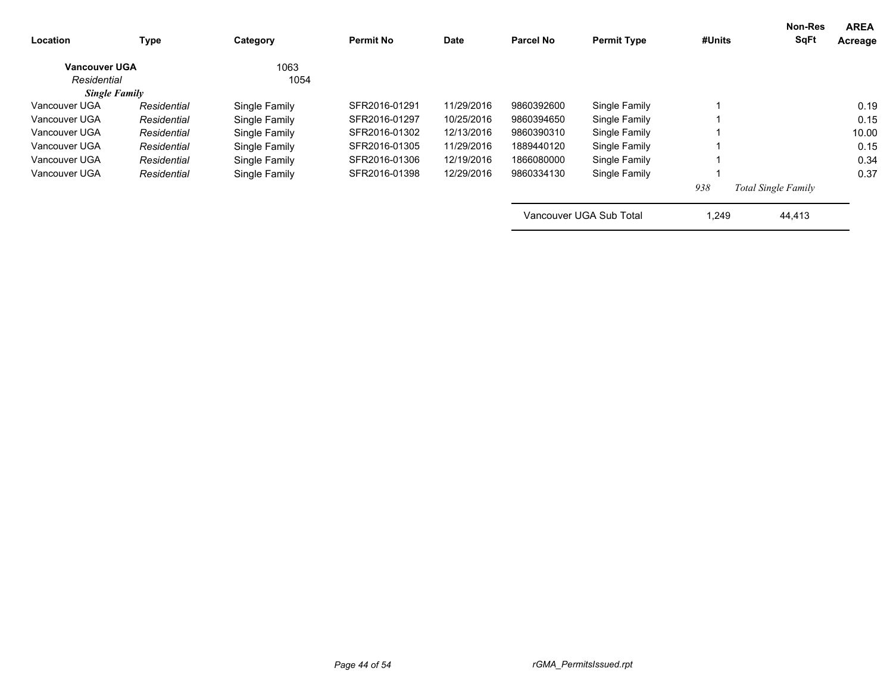| Location             | Type        | Category      | <b>Permit No</b> | Date       | Parcel No  | <b>Permit Type</b>      | #Units | <b>Non-Res</b><br><b>SqFt</b> | <b>AREA</b><br>Acreage |
|----------------------|-------------|---------------|------------------|------------|------------|-------------------------|--------|-------------------------------|------------------------|
| <b>Vancouver UGA</b> |             | 1063          |                  |            |            |                         |        |                               |                        |
| Residential          |             | 1054          |                  |            |            |                         |        |                               |                        |
| <b>Single Family</b> |             |               |                  |            |            |                         |        |                               |                        |
| Vancouver UGA        | Residential | Single Family | SFR2016-01291    | 11/29/2016 | 9860392600 | Single Family           |        |                               | 0.19                   |
| Vancouver UGA        | Residential | Single Family | SFR2016-01297    | 10/25/2016 | 9860394650 | Single Family           |        |                               | 0.15                   |
| Vancouver UGA        | Residential | Single Family | SFR2016-01302    | 12/13/2016 | 9860390310 | Single Family           |        |                               | 10.00                  |
| Vancouver UGA        | Residential | Single Family | SFR2016-01305    | 11/29/2016 | 1889440120 | Single Family           |        |                               | 0.15                   |
| Vancouver UGA        | Residential | Single Family | SFR2016-01306    | 12/19/2016 | 1866080000 | Single Family           |        |                               | 0.34                   |
| Vancouver UGA        | Residential | Single Family | SFR2016-01398    | 12/29/2016 | 9860334130 | Single Family           |        |                               | 0.37                   |
|                      |             |               |                  |            |            |                         | 938    | <b>Total Single Family</b>    |                        |
|                      |             |               |                  |            |            | Vancouver UGA Sub Total | 1,249  | 44,413                        |                        |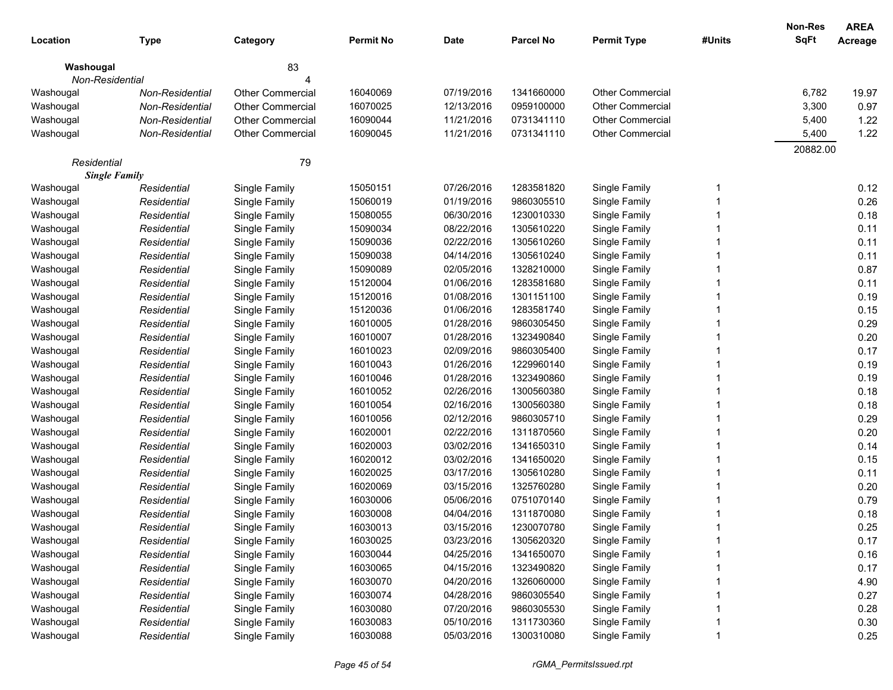|                      |                 |                         |                  |             |                  |                         |        | <b>Non-Res</b> | <b>AREA</b> |
|----------------------|-----------------|-------------------------|------------------|-------------|------------------|-------------------------|--------|----------------|-------------|
| Location             | <b>Type</b>     | Category                | <b>Permit No</b> | <b>Date</b> | <b>Parcel No</b> | <b>Permit Type</b>      | #Units | <b>SqFt</b>    | Acreage     |
| Washougal            |                 | 83                      |                  |             |                  |                         |        |                |             |
| Non-Residential      |                 |                         |                  |             |                  |                         |        |                |             |
| Washougal            | Non-Residential | Other Commercial        | 16040069         | 07/19/2016  | 1341660000       | <b>Other Commercial</b> |        | 6,782          | 19.97       |
| Washougal            | Non-Residential | <b>Other Commercial</b> | 16070025         | 12/13/2016  | 0959100000       | <b>Other Commercial</b> |        | 3,300          | 0.97        |
| Washougal            | Non-Residential | <b>Other Commercial</b> | 16090044         | 11/21/2016  | 0731341110       | <b>Other Commercial</b> |        | 5,400          | 1.22        |
| Washougal            | Non-Residential | <b>Other Commercial</b> | 16090045         | 11/21/2016  | 0731341110       | <b>Other Commercial</b> |        | 5,400          | 1.22        |
|                      |                 |                         |                  |             |                  |                         |        | 20882.00       |             |
| Residential          |                 | 79                      |                  |             |                  |                         |        |                |             |
| <b>Single Family</b> |                 |                         |                  |             |                  |                         |        |                |             |
| Washougal            | Residential     | Single Family           | 15050151         | 07/26/2016  | 1283581820       | Single Family           | 1      |                | 0.12        |
| Washougal            | Residential     | Single Family           | 15060019         | 01/19/2016  | 9860305510       | Single Family           |        |                | 0.26        |
| Washougal            | Residential     | Single Family           | 15080055         | 06/30/2016  | 1230010330       | Single Family           |        |                | 0.18        |
| Washougal            | Residential     | Single Family           | 15090034         | 08/22/2016  | 1305610220       | Single Family           |        |                | 0.11        |
| Washougal            | Residential     | Single Family           | 15090036         | 02/22/2016  | 1305610260       | Single Family           |        |                | 0.11        |
| Washougal            | Residential     | Single Family           | 15090038         | 04/14/2016  | 1305610240       | Single Family           |        |                | 0.11        |
| Washougal            | Residential     | Single Family           | 15090089         | 02/05/2016  | 1328210000       | Single Family           |        |                | 0.87        |
| Washougal            | Residential     | Single Family           | 15120004         | 01/06/2016  | 1283581680       | Single Family           |        |                | 0.11        |
| Washougal            | Residential     | Single Family           | 15120016         | 01/08/2016  | 1301151100       | Single Family           |        |                | 0.19        |
| Washougal            | Residential     | Single Family           | 15120036         | 01/06/2016  | 1283581740       | Single Family           |        |                | 0.15        |
| Washougal            | Residential     | Single Family           | 16010005         | 01/28/2016  | 9860305450       | Single Family           |        |                | 0.29        |
| Washougal            | Residential     | Single Family           | 16010007         | 01/28/2016  | 1323490840       | Single Family           |        |                | 0.20        |
| Washougal            | Residential     | Single Family           | 16010023         | 02/09/2016  | 9860305400       | Single Family           |        |                | 0.17        |
| Washougal            | Residential     | Single Family           | 16010043         | 01/26/2016  | 1229960140       | Single Family           |        |                | 0.19        |
| Washougal            | Residential     | Single Family           | 16010046         | 01/28/2016  | 1323490860       | Single Family           |        |                | 0.19        |
| Washougal            | Residential     | Single Family           | 16010052         | 02/26/2016  | 1300560380       | Single Family           |        |                | 0.18        |
| Washougal            | Residential     | Single Family           | 16010054         | 02/16/2016  | 1300560380       | Single Family           |        |                | 0.18        |
| Washougal            | Residential     | Single Family           | 16010056         | 02/12/2016  | 9860305710       | Single Family           |        |                | 0.29        |
| Washougal            | Residential     | Single Family           | 16020001         | 02/22/2016  | 1311870560       | Single Family           |        |                | 0.20        |
| Washougal            | Residential     | Single Family           | 16020003         | 03/02/2016  | 1341650310       | Single Family           |        |                | 0.14        |
| Washougal            | Residential     | Single Family           | 16020012         | 03/02/2016  | 1341650020       | Single Family           |        |                | 0.15        |
| Washougal            | Residential     | Single Family           | 16020025         | 03/17/2016  | 1305610280       | Single Family           |        |                | 0.11        |
| Washougal            | Residential     | Single Family           | 16020069         | 03/15/2016  | 1325760280       | Single Family           |        |                | 0.20        |
| Washougal            | Residential     | Single Family           | 16030006         | 05/06/2016  | 0751070140       | Single Family           |        |                | 0.79        |
| Washougal            | Residential     | Single Family           | 16030008         | 04/04/2016  | 1311870080       | Single Family           |        |                | 0.18        |
| Washougal            | Residential     | Single Family           | 16030013         | 03/15/2016  | 1230070780       | Single Family           |        |                | 0.25        |
| Washougal            | Residential     | Single Family           | 16030025         | 03/23/2016  | 1305620320       | Single Family           |        |                | 0.17        |
| Washougal            | Residential     | Single Family           | 16030044         | 04/25/2016  | 1341650070       | Single Family           |        |                | 0.16        |
| Washougal            | Residential     | Single Family           | 16030065         | 04/15/2016  | 1323490820       | Single Family           |        |                | 0.17        |
| Washougal            | Residential     | Single Family           | 16030070         | 04/20/2016  | 1326060000       | Single Family           |        |                | 4.90        |
| Washougal            | Residential     | Single Family           | 16030074         | 04/28/2016  | 9860305540       | Single Family           |        |                | 0.27        |
| Washougal            | Residential     | Single Family           | 16030080         | 07/20/2016  | 9860305530       | Single Family           |        |                | 0.28        |
| Washougal            | Residential     | Single Family           | 16030083         | 05/10/2016  | 1311730360       | Single Family           |        |                | 0.30        |
| Washougal            | Residential     | Single Family           | 16030088         | 05/03/2016  | 1300310080       | Single Family           |        |                | 0.25        |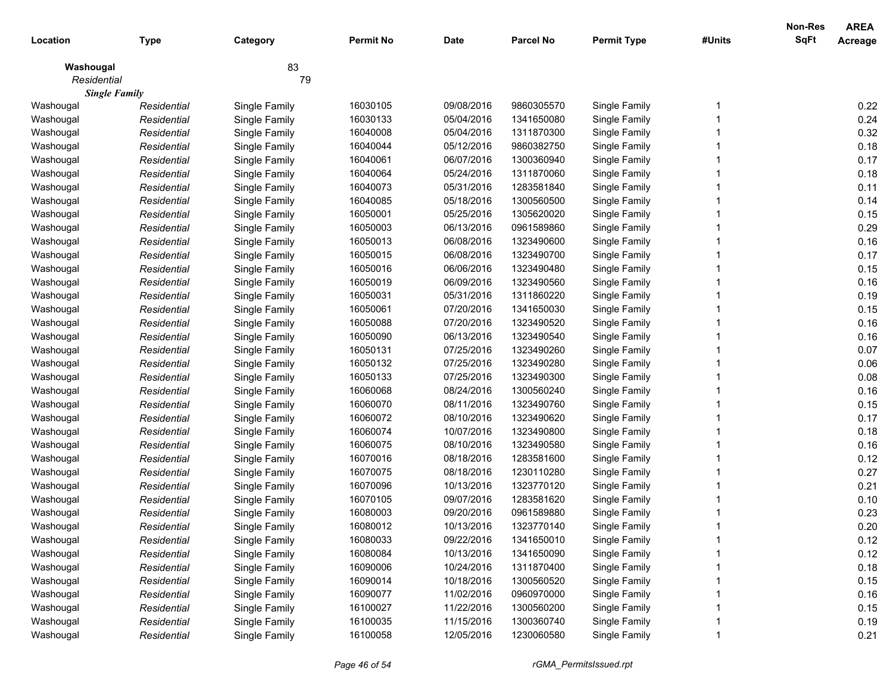|             |                      |               |                  |            |                  |                    |        | <b>Non-Res</b> | <b>AREA</b>    |
|-------------|----------------------|---------------|------------------|------------|------------------|--------------------|--------|----------------|----------------|
| Location    | <b>Type</b>          | Category      | <b>Permit No</b> | Date       | <b>Parcel No</b> | <b>Permit Type</b> | #Units | <b>SqFt</b>    | <b>Acreage</b> |
| Washougal   |                      | 83            |                  |            |                  |                    |        |                |                |
| Residential |                      | 79            |                  |            |                  |                    |        |                |                |
|             | <b>Single Family</b> |               |                  |            |                  |                    |        |                |                |
| Washougal   | Residential          | Single Family | 16030105         | 09/08/2016 | 9860305570       | Single Family      |        |                | 0.22           |
| Washougal   | Residential          | Single Family | 16030133         | 05/04/2016 | 1341650080       | Single Family      |        |                | 0.24           |
| Washougal   | Residential          | Single Family | 16040008         | 05/04/2016 | 1311870300       | Single Family      |        |                | 0.32           |
| Washougal   | Residential          | Single Family | 16040044         | 05/12/2016 | 9860382750       | Single Family      |        |                | 0.18           |
| Washougal   | Residential          | Single Family | 16040061         | 06/07/2016 | 1300360940       | Single Family      |        |                | 0.17           |
| Washougal   | Residential          | Single Family | 16040064         | 05/24/2016 | 1311870060       | Single Family      |        |                | 0.18           |
| Washougal   | Residential          | Single Family | 16040073         | 05/31/2016 | 1283581840       | Single Family      |        |                | 0.11           |
| Washougal   | Residential          | Single Family | 16040085         | 05/18/2016 | 1300560500       | Single Family      |        |                | 0.14           |
| Washougal   | Residential          | Single Family | 16050001         | 05/25/2016 | 1305620020       | Single Family      |        |                | 0.15           |
| Washougal   | Residential          | Single Family | 16050003         | 06/13/2016 | 0961589860       | Single Family      |        |                | 0.29           |
| Washougal   | Residential          | Single Family | 16050013         | 06/08/2016 | 1323490600       | Single Family      |        |                | 0.16           |
| Washougal   | Residential          | Single Family | 16050015         | 06/08/2016 | 1323490700       | Single Family      |        |                | 0.17           |
| Washougal   | Residential          | Single Family | 16050016         | 06/06/2016 | 1323490480       | Single Family      |        |                | 0.15           |
| Washougal   | Residential          | Single Family | 16050019         | 06/09/2016 | 1323490560       | Single Family      |        |                | 0.16           |
| Washougal   | Residential          | Single Family | 16050031         | 05/31/2016 | 1311860220       | Single Family      |        |                | 0.19           |
| Washougal   | Residential          | Single Family | 16050061         | 07/20/2016 | 1341650030       | Single Family      |        |                | 0.15           |
| Washougal   | Residential          | Single Family | 16050088         | 07/20/2016 | 1323490520       | Single Family      |        |                | 0.16           |
| Washougal   | Residential          | Single Family | 16050090         | 06/13/2016 | 1323490540       | Single Family      |        |                | 0.16           |
| Washougal   | Residential          | Single Family | 16050131         | 07/25/2016 | 1323490260       | Single Family      |        |                | 0.07           |
| Washougal   | Residential          | Single Family | 16050132         | 07/25/2016 | 1323490280       | Single Family      |        |                | 0.06           |
| Washougal   | Residential          | Single Family | 16050133         | 07/25/2016 | 1323490300       | Single Family      |        |                | 0.08           |
| Washougal   | Residential          | Single Family | 16060068         | 08/24/2016 | 1300560240       | Single Family      |        |                | 0.16           |
| Washougal   | Residential          | Single Family | 16060070         | 08/11/2016 | 1323490760       | Single Family      |        |                | 0.15           |
| Washougal   | Residential          | Single Family | 16060072         | 08/10/2016 | 1323490620       | Single Family      |        |                | 0.17           |
| Washougal   | Residential          | Single Family | 16060074         | 10/07/2016 | 1323490800       | Single Family      |        |                | 0.18           |
| Washougal   | Residential          | Single Family | 16060075         | 08/10/2016 | 1323490580       | Single Family      |        |                | 0.16           |
| Washougal   | Residential          | Single Family | 16070016         | 08/18/2016 | 1283581600       | Single Family      |        |                | 0.12           |
| Washougal   | Residential          | Single Family | 16070075         | 08/18/2016 | 1230110280       | Single Family      |        |                | 0.27           |
| Washougal   | Residential          | Single Family | 16070096         | 10/13/2016 | 1323770120       | Single Family      |        |                | 0.21           |
| Washougal   | Residential          | Single Family | 16070105         | 09/07/2016 | 1283581620       | Single Family      |        |                | 0.10           |
| Washougal   | Residential          | Single Family | 16080003         | 09/20/2016 | 0961589880       | Single Family      |        |                | 0.23           |
| Washougal   | Residential          | Single Family | 16080012         | 10/13/2016 | 1323770140       | Single Family      |        |                | 0.20           |
| Washougal   | Residential          | Single Family | 16080033         | 09/22/2016 | 1341650010       | Single Family      |        |                | 0.12           |
| Washougal   | Residential          | Single Family | 16080084         | 10/13/2016 | 1341650090       | Single Family      |        |                | 0.12           |
| Washougal   | Residential          | Single Family | 16090006         | 10/24/2016 | 1311870400       | Single Family      |        |                | 0.18           |
| Washougal   | Residential          | Single Family | 16090014         | 10/18/2016 | 1300560520       | Single Family      |        |                | 0.15           |
| Washougal   | Residential          | Single Family | 16090077         | 11/02/2016 | 0960970000       | Single Family      |        |                | 0.16           |
| Washougal   | Residential          | Single Family | 16100027         | 11/22/2016 | 1300560200       | Single Family      |        |                | 0.15           |
| Washougal   | Residential          | Single Family | 16100035         | 11/15/2016 | 1300360740       | Single Family      |        |                | 0.19           |
| Washougal   | Residential          | Single Family | 16100058         | 12/05/2016 | 1230060580       | Single Family      |        |                | 0.21           |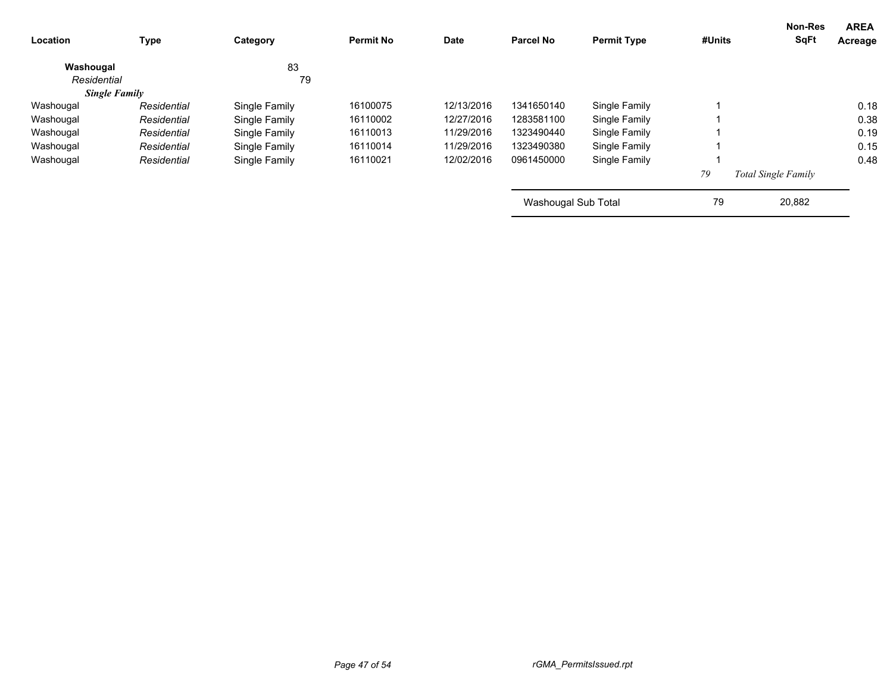| <b>Location</b>      | Type        | Category      | <b>Permit No</b> | <b>Date</b> | <b>Parcel No</b>    | <b>Permit Type</b> | #Units | Non-Res<br><b>SqFt</b>     | <b>AREA</b><br>Acreage |
|----------------------|-------------|---------------|------------------|-------------|---------------------|--------------------|--------|----------------------------|------------------------|
| Washougal            |             | 83            |                  |             |                     |                    |        |                            |                        |
| Residential          |             | 79            |                  |             |                     |                    |        |                            |                        |
| <b>Single Family</b> |             |               |                  |             |                     |                    |        |                            |                        |
| Washougal            | Residential | Single Family | 16100075         | 12/13/2016  | 1341650140          | Single Family      |        |                            | 0.18                   |
| Washougal            | Residential | Single Family | 16110002         | 12/27/2016  | 1283581100          | Single Family      |        |                            | 0.38                   |
| Washougal            | Residential | Single Family | 16110013         | 11/29/2016  | 1323490440          | Single Family      |        |                            | 0.19                   |
| Washougal            | Residential | Single Family | 16110014         | 11/29/2016  | 1323490380          | Single Family      |        |                            | 0.15                   |
| Washougal            | Residential | Single Family | 16110021         | 12/02/2016  | 0961450000          | Single Family      |        |                            | 0.48                   |
|                      |             |               |                  |             |                     |                    | 79     | <b>Total Single Family</b> |                        |
|                      |             |               |                  |             | Washougal Sub Total |                    | 79     | 20,882                     |                        |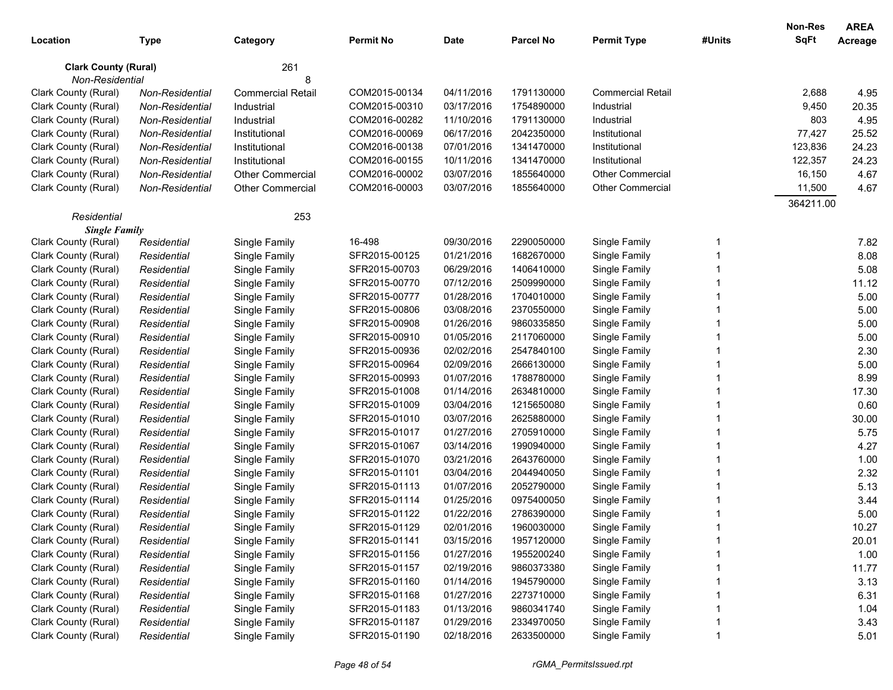| <b>SqFt</b><br><b>Permit No</b><br><b>Date</b><br><b>Parcel No</b><br><b>Permit Type</b><br>#Units<br>Location<br>Type<br>Category<br>261<br><b>Clark County (Rural)</b><br>Non-Residential<br>COM2015-00134<br>04/11/2016<br><b>Commercial Retail</b><br>Clark County (Rural)<br>1791130000<br>2,688<br>Non-Residential<br><b>Commercial Retail</b><br>03/17/2016<br>1754890000<br>9,450<br>Clark County (Rural)<br>Non-Residential<br>Industrial<br>COM2015-00310<br>Industrial<br>COM2016-00282<br>11/10/2016<br>1791130000<br>803<br>Clark County (Rural)<br>Non-Residential<br>Industrial<br>Industrial | Acreage<br>4.95<br>20.35<br>4.95<br>25.52<br>24.23<br>24.23<br>4.67<br>4.67 |
|--------------------------------------------------------------------------------------------------------------------------------------------------------------------------------------------------------------------------------------------------------------------------------------------------------------------------------------------------------------------------------------------------------------------------------------------------------------------------------------------------------------------------------------------------------------------------------------------------------------|-----------------------------------------------------------------------------|
|                                                                                                                                                                                                                                                                                                                                                                                                                                                                                                                                                                                                              |                                                                             |
|                                                                                                                                                                                                                                                                                                                                                                                                                                                                                                                                                                                                              |                                                                             |
|                                                                                                                                                                                                                                                                                                                                                                                                                                                                                                                                                                                                              |                                                                             |
|                                                                                                                                                                                                                                                                                                                                                                                                                                                                                                                                                                                                              |                                                                             |
|                                                                                                                                                                                                                                                                                                                                                                                                                                                                                                                                                                                                              |                                                                             |
|                                                                                                                                                                                                                                                                                                                                                                                                                                                                                                                                                                                                              |                                                                             |
| COM2016-00069<br>06/17/2016<br>2042350000<br>77,427<br>Clark County (Rural)<br>Non-Residential<br>Institutional<br>Institutional                                                                                                                                                                                                                                                                                                                                                                                                                                                                             |                                                                             |
| COM2016-00138<br>07/01/2016<br>1341470000<br>123,836<br>Clark County (Rural)<br>Non-Residential<br>Institutional<br>Institutional                                                                                                                                                                                                                                                                                                                                                                                                                                                                            |                                                                             |
| Clark County (Rural)<br>COM2016-00155<br>10/11/2016<br>122,357<br>Non-Residential<br>Institutional<br>1341470000<br>Institutional                                                                                                                                                                                                                                                                                                                                                                                                                                                                            |                                                                             |
| Clark County (Rural)<br><b>Other Commercial</b><br>COM2016-00002<br>03/07/2016<br><b>Other Commercial</b><br>16,150<br>Non-Residential<br>1855640000                                                                                                                                                                                                                                                                                                                                                                                                                                                         |                                                                             |
| 03/07/2016<br>Other Commercial<br>11,500<br>Clark County (Rural)<br>COM2016-00003<br>1855640000<br>Non-Residential<br><b>Other Commercial</b>                                                                                                                                                                                                                                                                                                                                                                                                                                                                |                                                                             |
| 364211.00                                                                                                                                                                                                                                                                                                                                                                                                                                                                                                                                                                                                    |                                                                             |
| 253<br>Residential                                                                                                                                                                                                                                                                                                                                                                                                                                                                                                                                                                                           |                                                                             |
| <b>Single Family</b>                                                                                                                                                                                                                                                                                                                                                                                                                                                                                                                                                                                         |                                                                             |
| 16-498<br>09/30/2016<br>Clark County (Rural)<br>2290050000<br>Single Family<br>-1<br>Residential<br>Single Family                                                                                                                                                                                                                                                                                                                                                                                                                                                                                            | 7.82                                                                        |
| 01/21/2016<br>Clark County (Rural)<br>SFR2015-00125<br>1682670000<br>Single Family<br>Residential<br>Single Family                                                                                                                                                                                                                                                                                                                                                                                                                                                                                           | 8.08                                                                        |
| 06/29/2016<br>Clark County (Rural)<br>Residential<br>Single Family<br>SFR2015-00703<br>1406410000<br>Single Family                                                                                                                                                                                                                                                                                                                                                                                                                                                                                           | 5.08                                                                        |
| 07/12/2016<br>Single Family<br>Clark County (Rural)<br>Residential<br>Single Family<br>SFR2015-00770<br>2509990000                                                                                                                                                                                                                                                                                                                                                                                                                                                                                           | 11.12                                                                       |
| 01/28/2016<br>Clark County (Rural)<br>Residential<br>Single Family<br>SFR2015-00777<br>1704010000<br>Single Family                                                                                                                                                                                                                                                                                                                                                                                                                                                                                           | 5.00                                                                        |
| 03/08/2016<br>Clark County (Rural)<br>Residential<br>Single Family<br>SFR2015-00806<br>2370550000<br>Single Family                                                                                                                                                                                                                                                                                                                                                                                                                                                                                           | 5.00                                                                        |
| 01/26/2016<br>Clark County (Rural)<br>Residential<br>Single Family<br>SFR2015-00908<br>9860335850<br>Single Family                                                                                                                                                                                                                                                                                                                                                                                                                                                                                           | 5.00                                                                        |
| 01/05/2016<br>Clark County (Rural)<br>Residential<br>Single Family<br>SFR2015-00910<br>2117060000<br>Single Family                                                                                                                                                                                                                                                                                                                                                                                                                                                                                           | 5.00                                                                        |
| 02/02/2016<br>Clark County (Rural)<br>Single Family<br>SFR2015-00936<br>2547840100<br>Single Family<br>Residential                                                                                                                                                                                                                                                                                                                                                                                                                                                                                           | 2.30                                                                        |
| Clark County (Rural)<br>SFR2015-00964<br>02/09/2016<br>Residential<br>Single Family<br>2666130000<br>Single Family                                                                                                                                                                                                                                                                                                                                                                                                                                                                                           | 5.00                                                                        |
| Clark County (Rural)<br>01/07/2016<br>Residential<br>Single Family<br>SFR2015-00993<br>1788780000<br>Single Family                                                                                                                                                                                                                                                                                                                                                                                                                                                                                           | 8.99                                                                        |
| Clark County (Rural)<br>01/14/2016<br>Residential<br>Single Family<br>SFR2015-01008<br>2634810000<br>Single Family                                                                                                                                                                                                                                                                                                                                                                                                                                                                                           | 17.30                                                                       |
| 03/04/2016<br>Clark County (Rural)<br>Residential<br>Single Family<br>SFR2015-01009<br>1215650080<br>Single Family                                                                                                                                                                                                                                                                                                                                                                                                                                                                                           | 0.60                                                                        |
| 03/07/2016<br>Clark County (Rural)<br>Residential<br>Single Family<br>SFR2015-01010<br>2625880000<br>Single Family                                                                                                                                                                                                                                                                                                                                                                                                                                                                                           | 30.00                                                                       |
| 01/27/2016<br>Clark County (Rural)<br>Residential<br>Single Family<br>SFR2015-01017<br>2705910000<br>Single Family                                                                                                                                                                                                                                                                                                                                                                                                                                                                                           | 5.75                                                                        |
| 03/14/2016<br>Clark County (Rural)<br>SFR2015-01067<br>1990940000<br>Single Family<br>Residential<br>Single Family                                                                                                                                                                                                                                                                                                                                                                                                                                                                                           | 4.27                                                                        |
| Clark County (Rural)<br>SFR2015-01070<br>03/21/2016<br>2643760000<br>Single Family<br>Residential<br>Single Family                                                                                                                                                                                                                                                                                                                                                                                                                                                                                           | 1.00                                                                        |
| 03/04/2016<br>Clark County (Rural)<br>Residential<br>Single Family<br>SFR2015-01101<br>2044940050<br>Single Family                                                                                                                                                                                                                                                                                                                                                                                                                                                                                           | 2.32                                                                        |
| 01/07/2016<br>Clark County (Rural)<br>Residential<br>Single Family<br>SFR2015-01113<br>2052790000<br>Single Family                                                                                                                                                                                                                                                                                                                                                                                                                                                                                           | 5.13                                                                        |
| Clark County (Rural)<br>01/25/2016<br>Residential<br>Single Family<br>SFR2015-01114<br>0975400050<br>Single Family                                                                                                                                                                                                                                                                                                                                                                                                                                                                                           | 3.44                                                                        |
| SFR2015-01122<br>01/22/2016<br>Clark County (Rural)<br>Residential<br>Single Family<br>2786390000<br>Single Family                                                                                                                                                                                                                                                                                                                                                                                                                                                                                           | 5.00                                                                        |
| Clark County (Rural)<br>Single Family<br>SFR2015-01129<br>Single Family<br>02/01/2016<br>1960030000<br>Residential                                                                                                                                                                                                                                                                                                                                                                                                                                                                                           | 10.27                                                                       |
| SFR2015-01141<br>Clark County (Rural)<br>Single Family<br>03/15/2016<br>1957120000<br>Single Family<br>Residential                                                                                                                                                                                                                                                                                                                                                                                                                                                                                           | 20.01                                                                       |
| Clark County (Rural)<br>SFR2015-01156<br>01/27/2016<br>Single Family<br>Single Family<br>1955200240<br>Residential                                                                                                                                                                                                                                                                                                                                                                                                                                                                                           | 1.00                                                                        |
| Clark County (Rural)<br>SFR2015-01157<br>Residential<br>Single Family<br>02/19/2016<br>9860373380<br>Single Family                                                                                                                                                                                                                                                                                                                                                                                                                                                                                           | 11.77                                                                       |
| Clark County (Rural)<br>SFR2015-01160<br>01/14/2016<br>Residential<br>Single Family<br>1945790000<br>Single Family                                                                                                                                                                                                                                                                                                                                                                                                                                                                                           | 3.13                                                                        |
| Clark County (Rural)<br>SFR2015-01168<br>Residential<br>Single Family<br>01/27/2016<br>2273710000<br>Single Family                                                                                                                                                                                                                                                                                                                                                                                                                                                                                           | 6.31                                                                        |
| Clark County (Rural)<br>Single Family<br>SFR2015-01183<br>Residential<br>01/13/2016<br>9860341740<br>Single Family                                                                                                                                                                                                                                                                                                                                                                                                                                                                                           | 1.04                                                                        |
| Clark County (Rural)<br>Single Family<br>SFR2015-01187<br>Single Family<br>Residential<br>01/29/2016<br>2334970050                                                                                                                                                                                                                                                                                                                                                                                                                                                                                           | 3.43                                                                        |
| Clark County (Rural)<br>Single Family<br>SFR2015-01190<br>02/18/2016<br>Single Family<br>Residential<br>2633500000                                                                                                                                                                                                                                                                                                                                                                                                                                                                                           | 5.01                                                                        |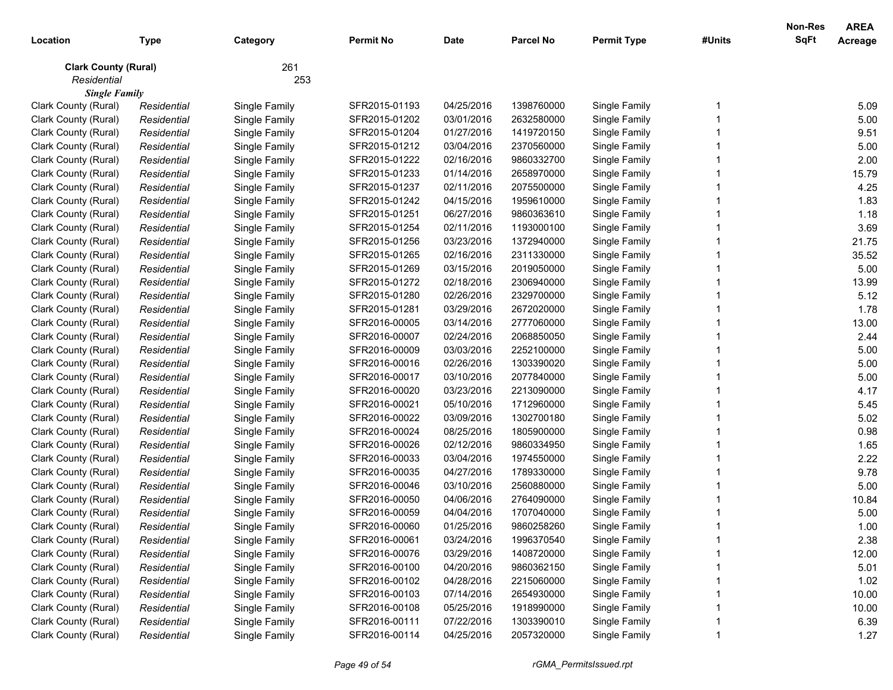| Location                    | <b>Type</b> | Category      | <b>Permit No</b> | <b>Date</b> | <b>Parcel No</b> | <b>Permit Type</b> | #Units | <b>Non-Res</b><br><b>SqFt</b> | <b>AREA</b><br>Acreage |
|-----------------------------|-------------|---------------|------------------|-------------|------------------|--------------------|--------|-------------------------------|------------------------|
| <b>Clark County (Rural)</b> |             | 261           |                  |             |                  |                    |        |                               |                        |
| Residential                 |             | 253           |                  |             |                  |                    |        |                               |                        |
| <b>Single Family</b>        |             |               |                  |             |                  |                    |        |                               |                        |
| Clark County (Rural)        | Residential | Single Family | SFR2015-01193    | 04/25/2016  | 1398760000       | Single Family      |        |                               | 5.09                   |
| Clark County (Rural)        | Residential | Single Family | SFR2015-01202    | 03/01/2016  | 2632580000       | Single Family      |        |                               | 5.00                   |
| Clark County (Rural)        | Residential | Single Family | SFR2015-01204    | 01/27/2016  | 1419720150       | Single Family      |        |                               | 9.51                   |
| Clark County (Rural)        | Residential | Single Family | SFR2015-01212    | 03/04/2016  | 2370560000       | Single Family      |        |                               | 5.00                   |
| Clark County (Rural)        | Residential | Single Family | SFR2015-01222    | 02/16/2016  | 9860332700       | Single Family      |        |                               | 2.00                   |
| Clark County (Rural)        | Residential | Single Family | SFR2015-01233    | 01/14/2016  | 2658970000       | Single Family      |        |                               | 15.79                  |
| Clark County (Rural)        | Residential | Single Family | SFR2015-01237    | 02/11/2016  | 2075500000       | Single Family      |        |                               | 4.25                   |
| Clark County (Rural)        | Residential | Single Family | SFR2015-01242    | 04/15/2016  | 1959610000       | Single Family      |        |                               | 1.83                   |
| Clark County (Rural)        | Residential | Single Family | SFR2015-01251    | 06/27/2016  | 9860363610       | Single Family      |        |                               | 1.18                   |
| Clark County (Rural)        | Residential | Single Family | SFR2015-01254    | 02/11/2016  | 1193000100       | Single Family      |        |                               | 3.69                   |
| Clark County (Rural)        | Residential | Single Family | SFR2015-01256    | 03/23/2016  | 1372940000       | Single Family      |        |                               | 21.75                  |
| Clark County (Rural)        | Residential | Single Family | SFR2015-01265    | 02/16/2016  | 2311330000       | Single Family      |        |                               | 35.52                  |
| Clark County (Rural)        | Residential | Single Family | SFR2015-01269    | 03/15/2016  | 2019050000       | Single Family      |        |                               | 5.00                   |
| Clark County (Rural)        | Residential | Single Family | SFR2015-01272    | 02/18/2016  | 2306940000       | Single Family      |        |                               | 13.99                  |
| Clark County (Rural)        | Residential | Single Family | SFR2015-01280    | 02/26/2016  | 2329700000       | Single Family      |        |                               | 5.12                   |
| Clark County (Rural)        | Residential | Single Family | SFR2015-01281    | 03/29/2016  | 2672020000       | Single Family      |        |                               | 1.78                   |
| Clark County (Rural)        | Residential | Single Family | SFR2016-00005    | 03/14/2016  | 2777060000       | Single Family      |        |                               | 13.00                  |
| Clark County (Rural)        | Residential | Single Family | SFR2016-00007    | 02/24/2016  | 2068850050       | Single Family      |        |                               | 2.44                   |
| Clark County (Rural)        | Residential | Single Family | SFR2016-00009    | 03/03/2016  | 2252100000       | Single Family      |        |                               | 5.00                   |
| Clark County (Rural)        | Residential | Single Family | SFR2016-00016    | 02/26/2016  | 1303390020       | Single Family      |        |                               | 5.00                   |
| Clark County (Rural)        | Residential | Single Family | SFR2016-00017    | 03/10/2016  | 2077840000       | Single Family      |        |                               | 5.00                   |
| Clark County (Rural)        | Residential | Single Family | SFR2016-00020    | 03/23/2016  | 2213090000       | Single Family      |        |                               | 4.17                   |
| Clark County (Rural)        | Residential | Single Family | SFR2016-00021    | 05/10/2016  | 1712960000       | Single Family      |        |                               | 5.45                   |
| Clark County (Rural)        | Residential | Single Family | SFR2016-00022    | 03/09/2016  | 1302700180       | Single Family      |        |                               | 5.02                   |
| Clark County (Rural)        | Residential | Single Family | SFR2016-00024    | 08/25/2016  | 1805900000       | Single Family      |        |                               | 0.98                   |
| Clark County (Rural)        | Residential | Single Family | SFR2016-00026    | 02/12/2016  | 9860334950       | Single Family      |        |                               | 1.65                   |
| Clark County (Rural)        | Residential | Single Family | SFR2016-00033    | 03/04/2016  | 1974550000       | Single Family      |        |                               | 2.22                   |
| Clark County (Rural)        | Residential | Single Family | SFR2016-00035    | 04/27/2016  | 1789330000       | Single Family      |        |                               | 9.78                   |
| Clark County (Rural)        | Residential | Single Family | SFR2016-00046    | 03/10/2016  | 2560880000       | Single Family      |        |                               | 5.00                   |
| Clark County (Rural)        | Residential | Single Family | SFR2016-00050    | 04/06/2016  | 2764090000       | Single Family      |        |                               | 10.84                  |
| Clark County (Rural)        | Residential | Single Family | SFR2016-00059    | 04/04/2016  | 1707040000       | Single Family      |        |                               | 5.00                   |
| Clark County (Rural)        | Residential | Single Family | SFR2016-00060    | 01/25/2016  | 9860258260       | Single Family      |        |                               | 1.00                   |
| Clark County (Rural)        | Residential | Single Family | SFR2016-00061    | 03/24/2016  | 1996370540       | Single Family      |        |                               | 2.38                   |
| Clark County (Rural)        | Residential | Single Family | SFR2016-00076    | 03/29/2016  | 1408720000       | Single Family      |        |                               | 12.00                  |
| Clark County (Rural)        | Residential | Single Family | SFR2016-00100    | 04/20/2016  | 9860362150       | Single Family      |        |                               | 5.01                   |
| Clark County (Rural)        | Residential | Single Family | SFR2016-00102    | 04/28/2016  | 2215060000       | Single Family      |        |                               | 1.02                   |
| Clark County (Rural)        | Residential | Single Family | SFR2016-00103    | 07/14/2016  | 2654930000       | Single Family      |        |                               | 10.00                  |
| Clark County (Rural)        | Residential | Single Family | SFR2016-00108    | 05/25/2016  | 1918990000       | Single Family      |        |                               | 10.00                  |
| Clark County (Rural)        | Residential | Single Family | SFR2016-00111    | 07/22/2016  | 1303390010       | Single Family      |        |                               | 6.39                   |
| Clark County (Rural)        | Residential | Single Family | SFR2016-00114    | 04/25/2016  | 2057320000       | Single Family      |        |                               | 1.27                   |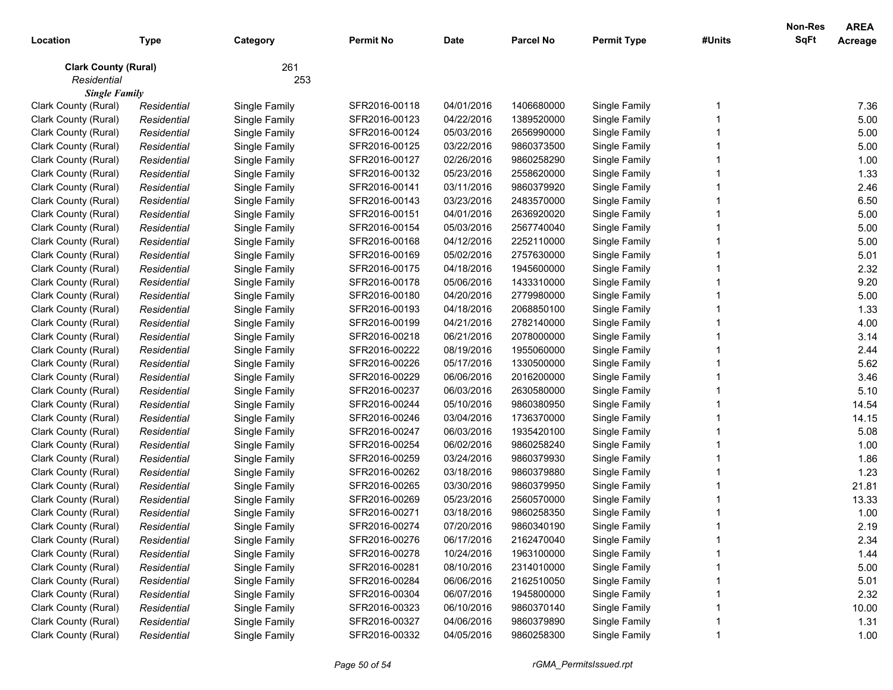| Type<br>Category<br>261<br><b>Clark County (Rural)</b><br>Residential<br>253<br><b>Single Family</b><br>04/01/2016<br>Single Family<br>7.36<br>Single Family<br>SFR2016-00118<br>1406680000<br>Clark County (Rural)<br>Residential<br>5.00<br>Residential<br>Single Family<br>SFR2016-00123<br>04/22/2016<br>1389520000<br>Single Family<br>Clark County (Rural)<br>5.00<br>SFR2016-00124<br>05/03/2016<br>2656990000<br>Single Family<br>Clark County (Rural)<br>Residential<br>Single Family<br>5.00<br>Clark County (Rural)<br>Residential<br>Single Family<br>SFR2016-00125<br>03/22/2016<br>9860373500<br>Single Family<br>1.00<br>02/26/2016<br>Single Family<br>Clark County (Rural)<br>Residential<br>Single Family<br>SFR2016-00127<br>9860258290<br>1.33<br>05/23/2016<br>Clark County (Rural)<br>Residential<br>Single Family<br>SFR2016-00132<br>2558620000<br>Single Family<br>2.46<br>Clark County (Rural)<br>Residential<br>Single Family<br>SFR2016-00141<br>03/11/2016<br>9860379920<br>Single Family<br>6.50<br>Clark County (Rural)<br>Residential<br>Single Family<br>SFR2016-00143<br>03/23/2016<br>2483570000<br>Single Family<br>5.00<br>Clark County (Rural)<br>Residential<br>Single Family<br>SFR2016-00151<br>04/01/2016<br>2636920020<br>Single Family<br>5.00<br>Clark County (Rural)<br>SFR2016-00154<br>05/03/2016<br>2567740040<br>Single Family<br>Residential<br>Single Family<br>5.00<br>Clark County (Rural)<br>SFR2016-00168<br>04/12/2016<br>2252110000<br>Single Family<br>Residential<br>Single Family<br>5.01<br>Clark County (Rural)<br>Residential<br>Single Family<br>SFR2016-00169<br>05/02/2016<br>2757630000<br>Single Family<br>2.32<br>Clark County (Rural)<br>Residential<br>Single Family<br>SFR2016-00175<br>04/18/2016<br>1945600000<br>Single Family<br>9.20<br>Clark County (Rural)<br>Residential<br>Single Family<br>SFR2016-00178<br>05/06/2016<br>1433310000<br>Single Family<br>5.00<br>Clark County (Rural)<br>Residential<br>Single Family<br>SFR2016-00180<br>04/20/2016<br>2779980000<br>Single Family<br>1.33<br>Clark County (Rural)<br>Residential<br>Single Family<br>SFR2016-00193<br>04/18/2016<br>2068850100<br>Single Family<br>4.00<br>Clark County (Rural)<br>Residential<br>Single Family<br>SFR2016-00199<br>04/21/2016<br>2782140000<br>Single Family<br>Clark County (Rural)<br>Single Family<br>SFR2016-00218<br>06/21/2016<br>2078000000<br>Single Family<br>3.14<br>Residential<br>Single Family<br>08/19/2016<br>1955060000<br>Single Family<br>2.44<br>Clark County (Rural)<br>Residential<br>SFR2016-00222<br>5.62<br>Single Family<br>05/17/2016<br>Single Family<br>Clark County (Rural)<br>Residential<br>SFR2016-00226<br>1330500000<br>06/06/2016<br>Single Family<br>3.46<br>Clark County (Rural)<br>Residential<br>Single Family<br>SFR2016-00229<br>2016200000<br>Single Family<br>5.10<br>Clark County (Rural)<br>Residential<br>Single Family<br>SFR2016-00237<br>06/03/2016<br>2630580000<br>Single Family<br>14.54<br>Clark County (Rural)<br>Residential<br>Single Family<br>SFR2016-00244<br>05/10/2016<br>9860380950<br>14.15<br>Clark County (Rural)<br>Residential<br>Single Family<br>SFR2016-00246<br>03/04/2016<br>1736370000<br>Single Family<br>Clark County (Rural)<br>Single Family<br>SFR2016-00247<br>06/03/2016<br>1935420100<br>Single Family<br>5.08<br>Residential<br>06/02/2016<br>Clark County (Rural)<br>SFR2016-00254<br>9860258240<br>Single Family<br>1.00<br>Residential<br>Single Family<br>SFR2016-00259<br>03/24/2016<br>9860379930<br>Single Family<br>1.86<br>Clark County (Rural)<br>Residential<br>Single Family<br>1.23<br>SFR2016-00262<br>03/18/2016<br>Single Family<br>Clark County (Rural)<br>Residential<br>Single Family<br>9860379880<br>SFR2016-00265<br>03/30/2016<br>21.81<br>Clark County (Rural)<br>Residential<br>Single Family<br>9860379950<br>Single Family<br>13.33<br>Clark County (Rural)<br>Residential<br>Single Family<br>SFR2016-00269<br>05/23/2016<br>2560570000<br>Single Family<br>SFR2016-00271<br>03/18/2016<br>9860258350<br>1.00<br>Clark County (Rural)<br>Residential<br>Single Family<br>Single Family<br>2.19<br>Clark County (Rural)<br>SFR2016-00274<br>07/20/2016<br>9860340190<br>Single Family<br>Residential<br>Single Family<br>SFR2016-00276<br>06/17/2016<br>2162470040<br>Single Family<br>Clark County (Rural)<br>2.34<br>Residential<br>Single Family<br>Clark County (Rural)<br>Single Family<br>SFR2016-00278<br>10/24/2016<br>Single Family<br>1.44<br>Residential<br>1963100000<br>Single Family<br>08/10/2016<br>Single Family<br>5.00<br>Clark County (Rural)<br>SFR2016-00281<br>2314010000<br>Residential<br>Single Family<br>06/06/2016<br>Single Family<br>5.01<br>Clark County (Rural)<br>SFR2016-00284<br>2162510050<br>Residential<br>Single Family<br>06/07/2016<br>Single Family<br>2.32<br>Clark County (Rural)<br>SFR2016-00304<br>1945800000<br>Residential<br>Single Family<br>06/10/2016<br>Single Family<br>10.00<br>Clark County (Rural)<br>SFR2016-00323<br>9860370140<br>Residential<br>Clark County (Rural)<br>Single Family<br>04/06/2016<br>Single Family<br>1.31<br>SFR2016-00327<br>9860379890<br>Residential<br>Single Family<br>Clark County (Rural)<br>SFR2016-00332<br>04/05/2016<br>9860258300<br>1.00<br>Single Family<br>Residential |          |  |                  |             |                  |                    |        | Non-Res | <b>AREA</b>    |
|-----------------------------------------------------------------------------------------------------------------------------------------------------------------------------------------------------------------------------------------------------------------------------------------------------------------------------------------------------------------------------------------------------------------------------------------------------------------------------------------------------------------------------------------------------------------------------------------------------------------------------------------------------------------------------------------------------------------------------------------------------------------------------------------------------------------------------------------------------------------------------------------------------------------------------------------------------------------------------------------------------------------------------------------------------------------------------------------------------------------------------------------------------------------------------------------------------------------------------------------------------------------------------------------------------------------------------------------------------------------------------------------------------------------------------------------------------------------------------------------------------------------------------------------------------------------------------------------------------------------------------------------------------------------------------------------------------------------------------------------------------------------------------------------------------------------------------------------------------------------------------------------------------------------------------------------------------------------------------------------------------------------------------------------------------------------------------------------------------------------------------------------------------------------------------------------------------------------------------------------------------------------------------------------------------------------------------------------------------------------------------------------------------------------------------------------------------------------------------------------------------------------------------------------------------------------------------------------------------------------------------------------------------------------------------------------------------------------------------------------------------------------------------------------------------------------------------------------------------------------------------------------------------------------------------------------------------------------------------------------------------------------------------------------------------------------------------------------------------------------------------------------------------------------------------------------------------------------------------------------------------------------------------------------------------------------------------------------------------------------------------------------------------------------------------------------------------------------------------------------------------------------------------------------------------------------------------------------------------------------------------------------------------------------------------------------------------------------------------------------------------------------------------------------------------------------------------------------------------------------------------------------------------------------------------------------------------------------------------------------------------------------------------------------------------------------------------------------------------------------------------------------------------------------------------------------------------------------------------------------------------------------------------------------------------------------------------------------------------------------------------------------------------------------------------------------------------------------------------------------------------------------------------------------------------------------------------------------------------------------------------------------------------------------------------------------------------------------------------------------------------------------------------------------------------------------------------------------------------------------------------------------------------------------------------------------------------------------------------------------------------------------------------------------------------------------------------------------------------------------------------------------------------------------------------------------------------------------------------------------------------------------------------------------------------------------------------------------------------------|----------|--|------------------|-------------|------------------|--------------------|--------|---------|----------------|
|                                                                                                                                                                                                                                                                                                                                                                                                                                                                                                                                                                                                                                                                                                                                                                                                                                                                                                                                                                                                                                                                                                                                                                                                                                                                                                                                                                                                                                                                                                                                                                                                                                                                                                                                                                                                                                                                                                                                                                                                                                                                                                                                                                                                                                                                                                                                                                                                                                                                                                                                                                                                                                                                                                                                                                                                                                                                                                                                                                                                                                                                                                                                                                                                                                                                                                                                                                                                                                                                                                                                                                                                                                                                                                                                                                                                                                                                                                                                                                                                                                                                                                                                                                                                                                                                                                                                                                                                                                                                                                                                                                                                                                                                                                                                                                                                                                                                                                                                                                                                                                                                                                                                                                                                                                                                                                                                                           | Location |  | <b>Permit No</b> | <b>Date</b> | <b>Parcel No</b> | <b>Permit Type</b> | #Units | SqFt    | <b>Acreage</b> |
|                                                                                                                                                                                                                                                                                                                                                                                                                                                                                                                                                                                                                                                                                                                                                                                                                                                                                                                                                                                                                                                                                                                                                                                                                                                                                                                                                                                                                                                                                                                                                                                                                                                                                                                                                                                                                                                                                                                                                                                                                                                                                                                                                                                                                                                                                                                                                                                                                                                                                                                                                                                                                                                                                                                                                                                                                                                                                                                                                                                                                                                                                                                                                                                                                                                                                                                                                                                                                                                                                                                                                                                                                                                                                                                                                                                                                                                                                                                                                                                                                                                                                                                                                                                                                                                                                                                                                                                                                                                                                                                                                                                                                                                                                                                                                                                                                                                                                                                                                                                                                                                                                                                                                                                                                                                                                                                                                           |          |  |                  |             |                  |                    |        |         |                |
|                                                                                                                                                                                                                                                                                                                                                                                                                                                                                                                                                                                                                                                                                                                                                                                                                                                                                                                                                                                                                                                                                                                                                                                                                                                                                                                                                                                                                                                                                                                                                                                                                                                                                                                                                                                                                                                                                                                                                                                                                                                                                                                                                                                                                                                                                                                                                                                                                                                                                                                                                                                                                                                                                                                                                                                                                                                                                                                                                                                                                                                                                                                                                                                                                                                                                                                                                                                                                                                                                                                                                                                                                                                                                                                                                                                                                                                                                                                                                                                                                                                                                                                                                                                                                                                                                                                                                                                                                                                                                                                                                                                                                                                                                                                                                                                                                                                                                                                                                                                                                                                                                                                                                                                                                                                                                                                                                           |          |  |                  |             |                  |                    |        |         |                |
|                                                                                                                                                                                                                                                                                                                                                                                                                                                                                                                                                                                                                                                                                                                                                                                                                                                                                                                                                                                                                                                                                                                                                                                                                                                                                                                                                                                                                                                                                                                                                                                                                                                                                                                                                                                                                                                                                                                                                                                                                                                                                                                                                                                                                                                                                                                                                                                                                                                                                                                                                                                                                                                                                                                                                                                                                                                                                                                                                                                                                                                                                                                                                                                                                                                                                                                                                                                                                                                                                                                                                                                                                                                                                                                                                                                                                                                                                                                                                                                                                                                                                                                                                                                                                                                                                                                                                                                                                                                                                                                                                                                                                                                                                                                                                                                                                                                                                                                                                                                                                                                                                                                                                                                                                                                                                                                                                           |          |  |                  |             |                  |                    |        |         |                |
|                                                                                                                                                                                                                                                                                                                                                                                                                                                                                                                                                                                                                                                                                                                                                                                                                                                                                                                                                                                                                                                                                                                                                                                                                                                                                                                                                                                                                                                                                                                                                                                                                                                                                                                                                                                                                                                                                                                                                                                                                                                                                                                                                                                                                                                                                                                                                                                                                                                                                                                                                                                                                                                                                                                                                                                                                                                                                                                                                                                                                                                                                                                                                                                                                                                                                                                                                                                                                                                                                                                                                                                                                                                                                                                                                                                                                                                                                                                                                                                                                                                                                                                                                                                                                                                                                                                                                                                                                                                                                                                                                                                                                                                                                                                                                                                                                                                                                                                                                                                                                                                                                                                                                                                                                                                                                                                                                           |          |  |                  |             |                  |                    |        |         |                |
|                                                                                                                                                                                                                                                                                                                                                                                                                                                                                                                                                                                                                                                                                                                                                                                                                                                                                                                                                                                                                                                                                                                                                                                                                                                                                                                                                                                                                                                                                                                                                                                                                                                                                                                                                                                                                                                                                                                                                                                                                                                                                                                                                                                                                                                                                                                                                                                                                                                                                                                                                                                                                                                                                                                                                                                                                                                                                                                                                                                                                                                                                                                                                                                                                                                                                                                                                                                                                                                                                                                                                                                                                                                                                                                                                                                                                                                                                                                                                                                                                                                                                                                                                                                                                                                                                                                                                                                                                                                                                                                                                                                                                                                                                                                                                                                                                                                                                                                                                                                                                                                                                                                                                                                                                                                                                                                                                           |          |  |                  |             |                  |                    |        |         |                |
|                                                                                                                                                                                                                                                                                                                                                                                                                                                                                                                                                                                                                                                                                                                                                                                                                                                                                                                                                                                                                                                                                                                                                                                                                                                                                                                                                                                                                                                                                                                                                                                                                                                                                                                                                                                                                                                                                                                                                                                                                                                                                                                                                                                                                                                                                                                                                                                                                                                                                                                                                                                                                                                                                                                                                                                                                                                                                                                                                                                                                                                                                                                                                                                                                                                                                                                                                                                                                                                                                                                                                                                                                                                                                                                                                                                                                                                                                                                                                                                                                                                                                                                                                                                                                                                                                                                                                                                                                                                                                                                                                                                                                                                                                                                                                                                                                                                                                                                                                                                                                                                                                                                                                                                                                                                                                                                                                           |          |  |                  |             |                  |                    |        |         |                |
|                                                                                                                                                                                                                                                                                                                                                                                                                                                                                                                                                                                                                                                                                                                                                                                                                                                                                                                                                                                                                                                                                                                                                                                                                                                                                                                                                                                                                                                                                                                                                                                                                                                                                                                                                                                                                                                                                                                                                                                                                                                                                                                                                                                                                                                                                                                                                                                                                                                                                                                                                                                                                                                                                                                                                                                                                                                                                                                                                                                                                                                                                                                                                                                                                                                                                                                                                                                                                                                                                                                                                                                                                                                                                                                                                                                                                                                                                                                                                                                                                                                                                                                                                                                                                                                                                                                                                                                                                                                                                                                                                                                                                                                                                                                                                                                                                                                                                                                                                                                                                                                                                                                                                                                                                                                                                                                                                           |          |  |                  |             |                  |                    |        |         |                |
|                                                                                                                                                                                                                                                                                                                                                                                                                                                                                                                                                                                                                                                                                                                                                                                                                                                                                                                                                                                                                                                                                                                                                                                                                                                                                                                                                                                                                                                                                                                                                                                                                                                                                                                                                                                                                                                                                                                                                                                                                                                                                                                                                                                                                                                                                                                                                                                                                                                                                                                                                                                                                                                                                                                                                                                                                                                                                                                                                                                                                                                                                                                                                                                                                                                                                                                                                                                                                                                                                                                                                                                                                                                                                                                                                                                                                                                                                                                                                                                                                                                                                                                                                                                                                                                                                                                                                                                                                                                                                                                                                                                                                                                                                                                                                                                                                                                                                                                                                                                                                                                                                                                                                                                                                                                                                                                                                           |          |  |                  |             |                  |                    |        |         |                |
|                                                                                                                                                                                                                                                                                                                                                                                                                                                                                                                                                                                                                                                                                                                                                                                                                                                                                                                                                                                                                                                                                                                                                                                                                                                                                                                                                                                                                                                                                                                                                                                                                                                                                                                                                                                                                                                                                                                                                                                                                                                                                                                                                                                                                                                                                                                                                                                                                                                                                                                                                                                                                                                                                                                                                                                                                                                                                                                                                                                                                                                                                                                                                                                                                                                                                                                                                                                                                                                                                                                                                                                                                                                                                                                                                                                                                                                                                                                                                                                                                                                                                                                                                                                                                                                                                                                                                                                                                                                                                                                                                                                                                                                                                                                                                                                                                                                                                                                                                                                                                                                                                                                                                                                                                                                                                                                                                           |          |  |                  |             |                  |                    |        |         |                |
|                                                                                                                                                                                                                                                                                                                                                                                                                                                                                                                                                                                                                                                                                                                                                                                                                                                                                                                                                                                                                                                                                                                                                                                                                                                                                                                                                                                                                                                                                                                                                                                                                                                                                                                                                                                                                                                                                                                                                                                                                                                                                                                                                                                                                                                                                                                                                                                                                                                                                                                                                                                                                                                                                                                                                                                                                                                                                                                                                                                                                                                                                                                                                                                                                                                                                                                                                                                                                                                                                                                                                                                                                                                                                                                                                                                                                                                                                                                                                                                                                                                                                                                                                                                                                                                                                                                                                                                                                                                                                                                                                                                                                                                                                                                                                                                                                                                                                                                                                                                                                                                                                                                                                                                                                                                                                                                                                           |          |  |                  |             |                  |                    |        |         |                |
|                                                                                                                                                                                                                                                                                                                                                                                                                                                                                                                                                                                                                                                                                                                                                                                                                                                                                                                                                                                                                                                                                                                                                                                                                                                                                                                                                                                                                                                                                                                                                                                                                                                                                                                                                                                                                                                                                                                                                                                                                                                                                                                                                                                                                                                                                                                                                                                                                                                                                                                                                                                                                                                                                                                                                                                                                                                                                                                                                                                                                                                                                                                                                                                                                                                                                                                                                                                                                                                                                                                                                                                                                                                                                                                                                                                                                                                                                                                                                                                                                                                                                                                                                                                                                                                                                                                                                                                                                                                                                                                                                                                                                                                                                                                                                                                                                                                                                                                                                                                                                                                                                                                                                                                                                                                                                                                                                           |          |  |                  |             |                  |                    |        |         |                |
|                                                                                                                                                                                                                                                                                                                                                                                                                                                                                                                                                                                                                                                                                                                                                                                                                                                                                                                                                                                                                                                                                                                                                                                                                                                                                                                                                                                                                                                                                                                                                                                                                                                                                                                                                                                                                                                                                                                                                                                                                                                                                                                                                                                                                                                                                                                                                                                                                                                                                                                                                                                                                                                                                                                                                                                                                                                                                                                                                                                                                                                                                                                                                                                                                                                                                                                                                                                                                                                                                                                                                                                                                                                                                                                                                                                                                                                                                                                                                                                                                                                                                                                                                                                                                                                                                                                                                                                                                                                                                                                                                                                                                                                                                                                                                                                                                                                                                                                                                                                                                                                                                                                                                                                                                                                                                                                                                           |          |  |                  |             |                  |                    |        |         |                |
|                                                                                                                                                                                                                                                                                                                                                                                                                                                                                                                                                                                                                                                                                                                                                                                                                                                                                                                                                                                                                                                                                                                                                                                                                                                                                                                                                                                                                                                                                                                                                                                                                                                                                                                                                                                                                                                                                                                                                                                                                                                                                                                                                                                                                                                                                                                                                                                                                                                                                                                                                                                                                                                                                                                                                                                                                                                                                                                                                                                                                                                                                                                                                                                                                                                                                                                                                                                                                                                                                                                                                                                                                                                                                                                                                                                                                                                                                                                                                                                                                                                                                                                                                                                                                                                                                                                                                                                                                                                                                                                                                                                                                                                                                                                                                                                                                                                                                                                                                                                                                                                                                                                                                                                                                                                                                                                                                           |          |  |                  |             |                  |                    |        |         |                |
|                                                                                                                                                                                                                                                                                                                                                                                                                                                                                                                                                                                                                                                                                                                                                                                                                                                                                                                                                                                                                                                                                                                                                                                                                                                                                                                                                                                                                                                                                                                                                                                                                                                                                                                                                                                                                                                                                                                                                                                                                                                                                                                                                                                                                                                                                                                                                                                                                                                                                                                                                                                                                                                                                                                                                                                                                                                                                                                                                                                                                                                                                                                                                                                                                                                                                                                                                                                                                                                                                                                                                                                                                                                                                                                                                                                                                                                                                                                                                                                                                                                                                                                                                                                                                                                                                                                                                                                                                                                                                                                                                                                                                                                                                                                                                                                                                                                                                                                                                                                                                                                                                                                                                                                                                                                                                                                                                           |          |  |                  |             |                  |                    |        |         |                |
|                                                                                                                                                                                                                                                                                                                                                                                                                                                                                                                                                                                                                                                                                                                                                                                                                                                                                                                                                                                                                                                                                                                                                                                                                                                                                                                                                                                                                                                                                                                                                                                                                                                                                                                                                                                                                                                                                                                                                                                                                                                                                                                                                                                                                                                                                                                                                                                                                                                                                                                                                                                                                                                                                                                                                                                                                                                                                                                                                                                                                                                                                                                                                                                                                                                                                                                                                                                                                                                                                                                                                                                                                                                                                                                                                                                                                                                                                                                                                                                                                                                                                                                                                                                                                                                                                                                                                                                                                                                                                                                                                                                                                                                                                                                                                                                                                                                                                                                                                                                                                                                                                                                                                                                                                                                                                                                                                           |          |  |                  |             |                  |                    |        |         |                |
|                                                                                                                                                                                                                                                                                                                                                                                                                                                                                                                                                                                                                                                                                                                                                                                                                                                                                                                                                                                                                                                                                                                                                                                                                                                                                                                                                                                                                                                                                                                                                                                                                                                                                                                                                                                                                                                                                                                                                                                                                                                                                                                                                                                                                                                                                                                                                                                                                                                                                                                                                                                                                                                                                                                                                                                                                                                                                                                                                                                                                                                                                                                                                                                                                                                                                                                                                                                                                                                                                                                                                                                                                                                                                                                                                                                                                                                                                                                                                                                                                                                                                                                                                                                                                                                                                                                                                                                                                                                                                                                                                                                                                                                                                                                                                                                                                                                                                                                                                                                                                                                                                                                                                                                                                                                                                                                                                           |          |  |                  |             |                  |                    |        |         |                |
|                                                                                                                                                                                                                                                                                                                                                                                                                                                                                                                                                                                                                                                                                                                                                                                                                                                                                                                                                                                                                                                                                                                                                                                                                                                                                                                                                                                                                                                                                                                                                                                                                                                                                                                                                                                                                                                                                                                                                                                                                                                                                                                                                                                                                                                                                                                                                                                                                                                                                                                                                                                                                                                                                                                                                                                                                                                                                                                                                                                                                                                                                                                                                                                                                                                                                                                                                                                                                                                                                                                                                                                                                                                                                                                                                                                                                                                                                                                                                                                                                                                                                                                                                                                                                                                                                                                                                                                                                                                                                                                                                                                                                                                                                                                                                                                                                                                                                                                                                                                                                                                                                                                                                                                                                                                                                                                                                           |          |  |                  |             |                  |                    |        |         |                |
|                                                                                                                                                                                                                                                                                                                                                                                                                                                                                                                                                                                                                                                                                                                                                                                                                                                                                                                                                                                                                                                                                                                                                                                                                                                                                                                                                                                                                                                                                                                                                                                                                                                                                                                                                                                                                                                                                                                                                                                                                                                                                                                                                                                                                                                                                                                                                                                                                                                                                                                                                                                                                                                                                                                                                                                                                                                                                                                                                                                                                                                                                                                                                                                                                                                                                                                                                                                                                                                                                                                                                                                                                                                                                                                                                                                                                                                                                                                                                                                                                                                                                                                                                                                                                                                                                                                                                                                                                                                                                                                                                                                                                                                                                                                                                                                                                                                                                                                                                                                                                                                                                                                                                                                                                                                                                                                                                           |          |  |                  |             |                  |                    |        |         |                |
|                                                                                                                                                                                                                                                                                                                                                                                                                                                                                                                                                                                                                                                                                                                                                                                                                                                                                                                                                                                                                                                                                                                                                                                                                                                                                                                                                                                                                                                                                                                                                                                                                                                                                                                                                                                                                                                                                                                                                                                                                                                                                                                                                                                                                                                                                                                                                                                                                                                                                                                                                                                                                                                                                                                                                                                                                                                                                                                                                                                                                                                                                                                                                                                                                                                                                                                                                                                                                                                                                                                                                                                                                                                                                                                                                                                                                                                                                                                                                                                                                                                                                                                                                                                                                                                                                                                                                                                                                                                                                                                                                                                                                                                                                                                                                                                                                                                                                                                                                                                                                                                                                                                                                                                                                                                                                                                                                           |          |  |                  |             |                  |                    |        |         |                |
|                                                                                                                                                                                                                                                                                                                                                                                                                                                                                                                                                                                                                                                                                                                                                                                                                                                                                                                                                                                                                                                                                                                                                                                                                                                                                                                                                                                                                                                                                                                                                                                                                                                                                                                                                                                                                                                                                                                                                                                                                                                                                                                                                                                                                                                                                                                                                                                                                                                                                                                                                                                                                                                                                                                                                                                                                                                                                                                                                                                                                                                                                                                                                                                                                                                                                                                                                                                                                                                                                                                                                                                                                                                                                                                                                                                                                                                                                                                                                                                                                                                                                                                                                                                                                                                                                                                                                                                                                                                                                                                                                                                                                                                                                                                                                                                                                                                                                                                                                                                                                                                                                                                                                                                                                                                                                                                                                           |          |  |                  |             |                  |                    |        |         |                |
|                                                                                                                                                                                                                                                                                                                                                                                                                                                                                                                                                                                                                                                                                                                                                                                                                                                                                                                                                                                                                                                                                                                                                                                                                                                                                                                                                                                                                                                                                                                                                                                                                                                                                                                                                                                                                                                                                                                                                                                                                                                                                                                                                                                                                                                                                                                                                                                                                                                                                                                                                                                                                                                                                                                                                                                                                                                                                                                                                                                                                                                                                                                                                                                                                                                                                                                                                                                                                                                                                                                                                                                                                                                                                                                                                                                                                                                                                                                                                                                                                                                                                                                                                                                                                                                                                                                                                                                                                                                                                                                                                                                                                                                                                                                                                                                                                                                                                                                                                                                                                                                                                                                                                                                                                                                                                                                                                           |          |  |                  |             |                  |                    |        |         |                |
|                                                                                                                                                                                                                                                                                                                                                                                                                                                                                                                                                                                                                                                                                                                                                                                                                                                                                                                                                                                                                                                                                                                                                                                                                                                                                                                                                                                                                                                                                                                                                                                                                                                                                                                                                                                                                                                                                                                                                                                                                                                                                                                                                                                                                                                                                                                                                                                                                                                                                                                                                                                                                                                                                                                                                                                                                                                                                                                                                                                                                                                                                                                                                                                                                                                                                                                                                                                                                                                                                                                                                                                                                                                                                                                                                                                                                                                                                                                                                                                                                                                                                                                                                                                                                                                                                                                                                                                                                                                                                                                                                                                                                                                                                                                                                                                                                                                                                                                                                                                                                                                                                                                                                                                                                                                                                                                                                           |          |  |                  |             |                  |                    |        |         |                |
|                                                                                                                                                                                                                                                                                                                                                                                                                                                                                                                                                                                                                                                                                                                                                                                                                                                                                                                                                                                                                                                                                                                                                                                                                                                                                                                                                                                                                                                                                                                                                                                                                                                                                                                                                                                                                                                                                                                                                                                                                                                                                                                                                                                                                                                                                                                                                                                                                                                                                                                                                                                                                                                                                                                                                                                                                                                                                                                                                                                                                                                                                                                                                                                                                                                                                                                                                                                                                                                                                                                                                                                                                                                                                                                                                                                                                                                                                                                                                                                                                                                                                                                                                                                                                                                                                                                                                                                                                                                                                                                                                                                                                                                                                                                                                                                                                                                                                                                                                                                                                                                                                                                                                                                                                                                                                                                                                           |          |  |                  |             |                  |                    |        |         |                |
|                                                                                                                                                                                                                                                                                                                                                                                                                                                                                                                                                                                                                                                                                                                                                                                                                                                                                                                                                                                                                                                                                                                                                                                                                                                                                                                                                                                                                                                                                                                                                                                                                                                                                                                                                                                                                                                                                                                                                                                                                                                                                                                                                                                                                                                                                                                                                                                                                                                                                                                                                                                                                                                                                                                                                                                                                                                                                                                                                                                                                                                                                                                                                                                                                                                                                                                                                                                                                                                                                                                                                                                                                                                                                                                                                                                                                                                                                                                                                                                                                                                                                                                                                                                                                                                                                                                                                                                                                                                                                                                                                                                                                                                                                                                                                                                                                                                                                                                                                                                                                                                                                                                                                                                                                                                                                                                                                           |          |  |                  |             |                  |                    |        |         |                |
|                                                                                                                                                                                                                                                                                                                                                                                                                                                                                                                                                                                                                                                                                                                                                                                                                                                                                                                                                                                                                                                                                                                                                                                                                                                                                                                                                                                                                                                                                                                                                                                                                                                                                                                                                                                                                                                                                                                                                                                                                                                                                                                                                                                                                                                                                                                                                                                                                                                                                                                                                                                                                                                                                                                                                                                                                                                                                                                                                                                                                                                                                                                                                                                                                                                                                                                                                                                                                                                                                                                                                                                                                                                                                                                                                                                                                                                                                                                                                                                                                                                                                                                                                                                                                                                                                                                                                                                                                                                                                                                                                                                                                                                                                                                                                                                                                                                                                                                                                                                                                                                                                                                                                                                                                                                                                                                                                           |          |  |                  |             |                  |                    |        |         |                |
|                                                                                                                                                                                                                                                                                                                                                                                                                                                                                                                                                                                                                                                                                                                                                                                                                                                                                                                                                                                                                                                                                                                                                                                                                                                                                                                                                                                                                                                                                                                                                                                                                                                                                                                                                                                                                                                                                                                                                                                                                                                                                                                                                                                                                                                                                                                                                                                                                                                                                                                                                                                                                                                                                                                                                                                                                                                                                                                                                                                                                                                                                                                                                                                                                                                                                                                                                                                                                                                                                                                                                                                                                                                                                                                                                                                                                                                                                                                                                                                                                                                                                                                                                                                                                                                                                                                                                                                                                                                                                                                                                                                                                                                                                                                                                                                                                                                                                                                                                                                                                                                                                                                                                                                                                                                                                                                                                           |          |  |                  |             |                  |                    |        |         |                |
|                                                                                                                                                                                                                                                                                                                                                                                                                                                                                                                                                                                                                                                                                                                                                                                                                                                                                                                                                                                                                                                                                                                                                                                                                                                                                                                                                                                                                                                                                                                                                                                                                                                                                                                                                                                                                                                                                                                                                                                                                                                                                                                                                                                                                                                                                                                                                                                                                                                                                                                                                                                                                                                                                                                                                                                                                                                                                                                                                                                                                                                                                                                                                                                                                                                                                                                                                                                                                                                                                                                                                                                                                                                                                                                                                                                                                                                                                                                                                                                                                                                                                                                                                                                                                                                                                                                                                                                                                                                                                                                                                                                                                                                                                                                                                                                                                                                                                                                                                                                                                                                                                                                                                                                                                                                                                                                                                           |          |  |                  |             |                  |                    |        |         |                |
|                                                                                                                                                                                                                                                                                                                                                                                                                                                                                                                                                                                                                                                                                                                                                                                                                                                                                                                                                                                                                                                                                                                                                                                                                                                                                                                                                                                                                                                                                                                                                                                                                                                                                                                                                                                                                                                                                                                                                                                                                                                                                                                                                                                                                                                                                                                                                                                                                                                                                                                                                                                                                                                                                                                                                                                                                                                                                                                                                                                                                                                                                                                                                                                                                                                                                                                                                                                                                                                                                                                                                                                                                                                                                                                                                                                                                                                                                                                                                                                                                                                                                                                                                                                                                                                                                                                                                                                                                                                                                                                                                                                                                                                                                                                                                                                                                                                                                                                                                                                                                                                                                                                                                                                                                                                                                                                                                           |          |  |                  |             |                  |                    |        |         |                |
|                                                                                                                                                                                                                                                                                                                                                                                                                                                                                                                                                                                                                                                                                                                                                                                                                                                                                                                                                                                                                                                                                                                                                                                                                                                                                                                                                                                                                                                                                                                                                                                                                                                                                                                                                                                                                                                                                                                                                                                                                                                                                                                                                                                                                                                                                                                                                                                                                                                                                                                                                                                                                                                                                                                                                                                                                                                                                                                                                                                                                                                                                                                                                                                                                                                                                                                                                                                                                                                                                                                                                                                                                                                                                                                                                                                                                                                                                                                                                                                                                                                                                                                                                                                                                                                                                                                                                                                                                                                                                                                                                                                                                                                                                                                                                                                                                                                                                                                                                                                                                                                                                                                                                                                                                                                                                                                                                           |          |  |                  |             |                  |                    |        |         |                |
|                                                                                                                                                                                                                                                                                                                                                                                                                                                                                                                                                                                                                                                                                                                                                                                                                                                                                                                                                                                                                                                                                                                                                                                                                                                                                                                                                                                                                                                                                                                                                                                                                                                                                                                                                                                                                                                                                                                                                                                                                                                                                                                                                                                                                                                                                                                                                                                                                                                                                                                                                                                                                                                                                                                                                                                                                                                                                                                                                                                                                                                                                                                                                                                                                                                                                                                                                                                                                                                                                                                                                                                                                                                                                                                                                                                                                                                                                                                                                                                                                                                                                                                                                                                                                                                                                                                                                                                                                                                                                                                                                                                                                                                                                                                                                                                                                                                                                                                                                                                                                                                                                                                                                                                                                                                                                                                                                           |          |  |                  |             |                  |                    |        |         |                |
|                                                                                                                                                                                                                                                                                                                                                                                                                                                                                                                                                                                                                                                                                                                                                                                                                                                                                                                                                                                                                                                                                                                                                                                                                                                                                                                                                                                                                                                                                                                                                                                                                                                                                                                                                                                                                                                                                                                                                                                                                                                                                                                                                                                                                                                                                                                                                                                                                                                                                                                                                                                                                                                                                                                                                                                                                                                                                                                                                                                                                                                                                                                                                                                                                                                                                                                                                                                                                                                                                                                                                                                                                                                                                                                                                                                                                                                                                                                                                                                                                                                                                                                                                                                                                                                                                                                                                                                                                                                                                                                                                                                                                                                                                                                                                                                                                                                                                                                                                                                                                                                                                                                                                                                                                                                                                                                                                           |          |  |                  |             |                  |                    |        |         |                |
|                                                                                                                                                                                                                                                                                                                                                                                                                                                                                                                                                                                                                                                                                                                                                                                                                                                                                                                                                                                                                                                                                                                                                                                                                                                                                                                                                                                                                                                                                                                                                                                                                                                                                                                                                                                                                                                                                                                                                                                                                                                                                                                                                                                                                                                                                                                                                                                                                                                                                                                                                                                                                                                                                                                                                                                                                                                                                                                                                                                                                                                                                                                                                                                                                                                                                                                                                                                                                                                                                                                                                                                                                                                                                                                                                                                                                                                                                                                                                                                                                                                                                                                                                                                                                                                                                                                                                                                                                                                                                                                                                                                                                                                                                                                                                                                                                                                                                                                                                                                                                                                                                                                                                                                                                                                                                                                                                           |          |  |                  |             |                  |                    |        |         |                |
|                                                                                                                                                                                                                                                                                                                                                                                                                                                                                                                                                                                                                                                                                                                                                                                                                                                                                                                                                                                                                                                                                                                                                                                                                                                                                                                                                                                                                                                                                                                                                                                                                                                                                                                                                                                                                                                                                                                                                                                                                                                                                                                                                                                                                                                                                                                                                                                                                                                                                                                                                                                                                                                                                                                                                                                                                                                                                                                                                                                                                                                                                                                                                                                                                                                                                                                                                                                                                                                                                                                                                                                                                                                                                                                                                                                                                                                                                                                                                                                                                                                                                                                                                                                                                                                                                                                                                                                                                                                                                                                                                                                                                                                                                                                                                                                                                                                                                                                                                                                                                                                                                                                                                                                                                                                                                                                                                           |          |  |                  |             |                  |                    |        |         |                |
|                                                                                                                                                                                                                                                                                                                                                                                                                                                                                                                                                                                                                                                                                                                                                                                                                                                                                                                                                                                                                                                                                                                                                                                                                                                                                                                                                                                                                                                                                                                                                                                                                                                                                                                                                                                                                                                                                                                                                                                                                                                                                                                                                                                                                                                                                                                                                                                                                                                                                                                                                                                                                                                                                                                                                                                                                                                                                                                                                                                                                                                                                                                                                                                                                                                                                                                                                                                                                                                                                                                                                                                                                                                                                                                                                                                                                                                                                                                                                                                                                                                                                                                                                                                                                                                                                                                                                                                                                                                                                                                                                                                                                                                                                                                                                                                                                                                                                                                                                                                                                                                                                                                                                                                                                                                                                                                                                           |          |  |                  |             |                  |                    |        |         |                |
|                                                                                                                                                                                                                                                                                                                                                                                                                                                                                                                                                                                                                                                                                                                                                                                                                                                                                                                                                                                                                                                                                                                                                                                                                                                                                                                                                                                                                                                                                                                                                                                                                                                                                                                                                                                                                                                                                                                                                                                                                                                                                                                                                                                                                                                                                                                                                                                                                                                                                                                                                                                                                                                                                                                                                                                                                                                                                                                                                                                                                                                                                                                                                                                                                                                                                                                                                                                                                                                                                                                                                                                                                                                                                                                                                                                                                                                                                                                                                                                                                                                                                                                                                                                                                                                                                                                                                                                                                                                                                                                                                                                                                                                                                                                                                                                                                                                                                                                                                                                                                                                                                                                                                                                                                                                                                                                                                           |          |  |                  |             |                  |                    |        |         |                |
|                                                                                                                                                                                                                                                                                                                                                                                                                                                                                                                                                                                                                                                                                                                                                                                                                                                                                                                                                                                                                                                                                                                                                                                                                                                                                                                                                                                                                                                                                                                                                                                                                                                                                                                                                                                                                                                                                                                                                                                                                                                                                                                                                                                                                                                                                                                                                                                                                                                                                                                                                                                                                                                                                                                                                                                                                                                                                                                                                                                                                                                                                                                                                                                                                                                                                                                                                                                                                                                                                                                                                                                                                                                                                                                                                                                                                                                                                                                                                                                                                                                                                                                                                                                                                                                                                                                                                                                                                                                                                                                                                                                                                                                                                                                                                                                                                                                                                                                                                                                                                                                                                                                                                                                                                                                                                                                                                           |          |  |                  |             |                  |                    |        |         |                |
|                                                                                                                                                                                                                                                                                                                                                                                                                                                                                                                                                                                                                                                                                                                                                                                                                                                                                                                                                                                                                                                                                                                                                                                                                                                                                                                                                                                                                                                                                                                                                                                                                                                                                                                                                                                                                                                                                                                                                                                                                                                                                                                                                                                                                                                                                                                                                                                                                                                                                                                                                                                                                                                                                                                                                                                                                                                                                                                                                                                                                                                                                                                                                                                                                                                                                                                                                                                                                                                                                                                                                                                                                                                                                                                                                                                                                                                                                                                                                                                                                                                                                                                                                                                                                                                                                                                                                                                                                                                                                                                                                                                                                                                                                                                                                                                                                                                                                                                                                                                                                                                                                                                                                                                                                                                                                                                                                           |          |  |                  |             |                  |                    |        |         |                |
|                                                                                                                                                                                                                                                                                                                                                                                                                                                                                                                                                                                                                                                                                                                                                                                                                                                                                                                                                                                                                                                                                                                                                                                                                                                                                                                                                                                                                                                                                                                                                                                                                                                                                                                                                                                                                                                                                                                                                                                                                                                                                                                                                                                                                                                                                                                                                                                                                                                                                                                                                                                                                                                                                                                                                                                                                                                                                                                                                                                                                                                                                                                                                                                                                                                                                                                                                                                                                                                                                                                                                                                                                                                                                                                                                                                                                                                                                                                                                                                                                                                                                                                                                                                                                                                                                                                                                                                                                                                                                                                                                                                                                                                                                                                                                                                                                                                                                                                                                                                                                                                                                                                                                                                                                                                                                                                                                           |          |  |                  |             |                  |                    |        |         |                |
|                                                                                                                                                                                                                                                                                                                                                                                                                                                                                                                                                                                                                                                                                                                                                                                                                                                                                                                                                                                                                                                                                                                                                                                                                                                                                                                                                                                                                                                                                                                                                                                                                                                                                                                                                                                                                                                                                                                                                                                                                                                                                                                                                                                                                                                                                                                                                                                                                                                                                                                                                                                                                                                                                                                                                                                                                                                                                                                                                                                                                                                                                                                                                                                                                                                                                                                                                                                                                                                                                                                                                                                                                                                                                                                                                                                                                                                                                                                                                                                                                                                                                                                                                                                                                                                                                                                                                                                                                                                                                                                                                                                                                                                                                                                                                                                                                                                                                                                                                                                                                                                                                                                                                                                                                                                                                                                                                           |          |  |                  |             |                  |                    |        |         |                |
|                                                                                                                                                                                                                                                                                                                                                                                                                                                                                                                                                                                                                                                                                                                                                                                                                                                                                                                                                                                                                                                                                                                                                                                                                                                                                                                                                                                                                                                                                                                                                                                                                                                                                                                                                                                                                                                                                                                                                                                                                                                                                                                                                                                                                                                                                                                                                                                                                                                                                                                                                                                                                                                                                                                                                                                                                                                                                                                                                                                                                                                                                                                                                                                                                                                                                                                                                                                                                                                                                                                                                                                                                                                                                                                                                                                                                                                                                                                                                                                                                                                                                                                                                                                                                                                                                                                                                                                                                                                                                                                                                                                                                                                                                                                                                                                                                                                                                                                                                                                                                                                                                                                                                                                                                                                                                                                                                           |          |  |                  |             |                  |                    |        |         |                |
|                                                                                                                                                                                                                                                                                                                                                                                                                                                                                                                                                                                                                                                                                                                                                                                                                                                                                                                                                                                                                                                                                                                                                                                                                                                                                                                                                                                                                                                                                                                                                                                                                                                                                                                                                                                                                                                                                                                                                                                                                                                                                                                                                                                                                                                                                                                                                                                                                                                                                                                                                                                                                                                                                                                                                                                                                                                                                                                                                                                                                                                                                                                                                                                                                                                                                                                                                                                                                                                                                                                                                                                                                                                                                                                                                                                                                                                                                                                                                                                                                                                                                                                                                                                                                                                                                                                                                                                                                                                                                                                                                                                                                                                                                                                                                                                                                                                                                                                                                                                                                                                                                                                                                                                                                                                                                                                                                           |          |  |                  |             |                  |                    |        |         |                |
|                                                                                                                                                                                                                                                                                                                                                                                                                                                                                                                                                                                                                                                                                                                                                                                                                                                                                                                                                                                                                                                                                                                                                                                                                                                                                                                                                                                                                                                                                                                                                                                                                                                                                                                                                                                                                                                                                                                                                                                                                                                                                                                                                                                                                                                                                                                                                                                                                                                                                                                                                                                                                                                                                                                                                                                                                                                                                                                                                                                                                                                                                                                                                                                                                                                                                                                                                                                                                                                                                                                                                                                                                                                                                                                                                                                                                                                                                                                                                                                                                                                                                                                                                                                                                                                                                                                                                                                                                                                                                                                                                                                                                                                                                                                                                                                                                                                                                                                                                                                                                                                                                                                                                                                                                                                                                                                                                           |          |  |                  |             |                  |                    |        |         |                |
|                                                                                                                                                                                                                                                                                                                                                                                                                                                                                                                                                                                                                                                                                                                                                                                                                                                                                                                                                                                                                                                                                                                                                                                                                                                                                                                                                                                                                                                                                                                                                                                                                                                                                                                                                                                                                                                                                                                                                                                                                                                                                                                                                                                                                                                                                                                                                                                                                                                                                                                                                                                                                                                                                                                                                                                                                                                                                                                                                                                                                                                                                                                                                                                                                                                                                                                                                                                                                                                                                                                                                                                                                                                                                                                                                                                                                                                                                                                                                                                                                                                                                                                                                                                                                                                                                                                                                                                                                                                                                                                                                                                                                                                                                                                                                                                                                                                                                                                                                                                                                                                                                                                                                                                                                                                                                                                                                           |          |  |                  |             |                  |                    |        |         |                |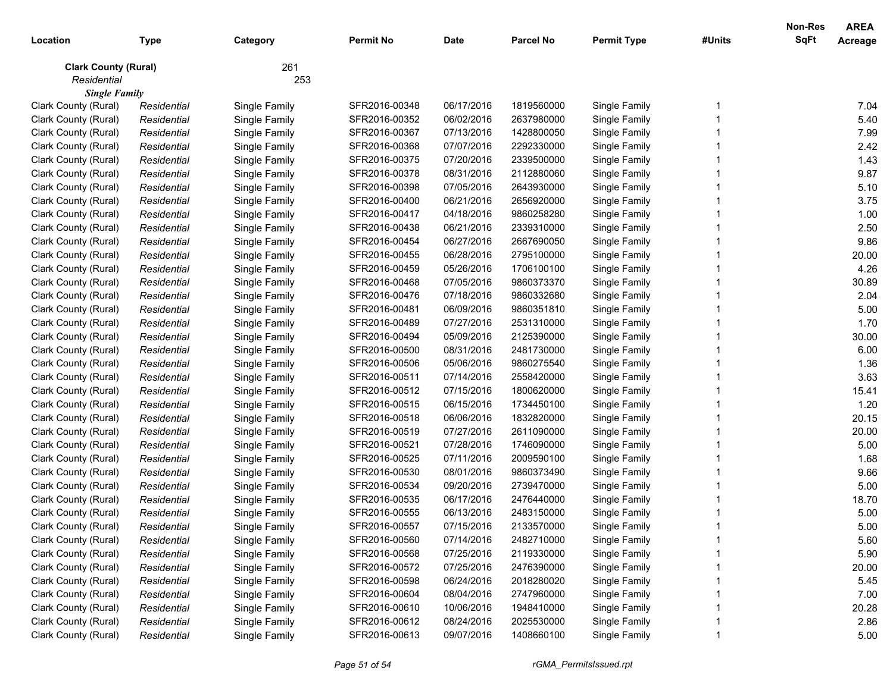| Location                    | <b>Type</b> | Category      | <b>Permit No</b> | <b>Date</b> | <b>Parcel No</b> | <b>Permit Type</b> | #Units | <b>Non-Res</b><br><b>SqFt</b> | <b>AREA</b><br>Acreage |
|-----------------------------|-------------|---------------|------------------|-------------|------------------|--------------------|--------|-------------------------------|------------------------|
| <b>Clark County (Rural)</b> |             | 261           |                  |             |                  |                    |        |                               |                        |
| Residential                 |             | 253           |                  |             |                  |                    |        |                               |                        |
| <b>Single Family</b>        |             |               |                  |             |                  |                    |        |                               |                        |
| Clark County (Rural)        | Residential | Single Family | SFR2016-00348    | 06/17/2016  | 1819560000       | Single Family      |        |                               | 7.04                   |
| Clark County (Rural)        | Residential | Single Family | SFR2016-00352    | 06/02/2016  | 2637980000       | Single Family      |        |                               | 5.40                   |
| Clark County (Rural)        | Residential | Single Family | SFR2016-00367    | 07/13/2016  | 1428800050       | Single Family      |        |                               | 7.99                   |
| Clark County (Rural)        | Residential | Single Family | SFR2016-00368    | 07/07/2016  | 2292330000       | Single Family      |        |                               | 2.42                   |
| Clark County (Rural)        | Residential | Single Family | SFR2016-00375    | 07/20/2016  | 2339500000       | Single Family      |        |                               | 1.43                   |
| Clark County (Rural)        | Residential | Single Family | SFR2016-00378    | 08/31/2016  | 2112880060       | Single Family      |        |                               | 9.87                   |
| Clark County (Rural)        | Residential | Single Family | SFR2016-00398    | 07/05/2016  | 2643930000       | Single Family      |        |                               | 5.10                   |
| Clark County (Rural)        | Residential | Single Family | SFR2016-00400    | 06/21/2016  | 2656920000       | Single Family      |        |                               | 3.75                   |
| Clark County (Rural)        | Residential | Single Family | SFR2016-00417    | 04/18/2016  | 9860258280       | Single Family      |        |                               | 1.00                   |
| Clark County (Rural)        | Residential | Single Family | SFR2016-00438    | 06/21/2016  | 2339310000       | Single Family      |        |                               | 2.50                   |
| Clark County (Rural)        | Residential | Single Family | SFR2016-00454    | 06/27/2016  | 2667690050       | Single Family      |        |                               | 9.86                   |
| Clark County (Rural)        | Residential | Single Family | SFR2016-00455    | 06/28/2016  | 2795100000       | Single Family      |        |                               | 20.00                  |
| Clark County (Rural)        | Residential | Single Family | SFR2016-00459    | 05/26/2016  | 1706100100       | Single Family      |        |                               | 4.26                   |
| Clark County (Rural)        | Residential | Single Family | SFR2016-00468    | 07/05/2016  | 9860373370       | Single Family      |        |                               | 30.89                  |
| Clark County (Rural)        | Residential | Single Family | SFR2016-00476    | 07/18/2016  | 9860332680       | Single Family      |        |                               | 2.04                   |
| Clark County (Rural)        | Residential | Single Family | SFR2016-00481    | 06/09/2016  | 9860351810       | Single Family      |        |                               | 5.00                   |
| Clark County (Rural)        | Residential | Single Family | SFR2016-00489    | 07/27/2016  | 2531310000       | Single Family      |        |                               | 1.70                   |
| Clark County (Rural)        | Residential | Single Family | SFR2016-00494    | 05/09/2016  | 2125390000       | Single Family      |        |                               | 30.00                  |
| Clark County (Rural)        | Residential | Single Family | SFR2016-00500    | 08/31/2016  | 2481730000       | Single Family      |        |                               | 6.00                   |
| Clark County (Rural)        | Residential | Single Family | SFR2016-00506    | 05/06/2016  | 9860275540       | Single Family      |        |                               | 1.36                   |
| Clark County (Rural)        | Residential | Single Family | SFR2016-00511    | 07/14/2016  | 2558420000       | Single Family      |        |                               | 3.63                   |
| Clark County (Rural)        | Residential | Single Family | SFR2016-00512    | 07/15/2016  | 1800620000       | Single Family      |        |                               | 15.41                  |
| Clark County (Rural)        | Residential | Single Family | SFR2016-00515    | 06/15/2016  | 1734450100       | Single Family      |        |                               | 1.20                   |
| Clark County (Rural)        | Residential | Single Family | SFR2016-00518    | 06/06/2016  | 1832820000       | Single Family      |        |                               | 20.15                  |
| Clark County (Rural)        | Residential | Single Family | SFR2016-00519    | 07/27/2016  | 2611090000       | Single Family      |        |                               | 20.00                  |
| Clark County (Rural)        | Residential | Single Family | SFR2016-00521    | 07/28/2016  | 1746090000       | Single Family      |        |                               | 5.00                   |
| Clark County (Rural)        | Residential | Single Family | SFR2016-00525    | 07/11/2016  | 2009590100       | Single Family      |        |                               | 1.68                   |
| Clark County (Rural)        | Residential | Single Family | SFR2016-00530    | 08/01/2016  | 9860373490       | Single Family      |        |                               | 9.66                   |
| Clark County (Rural)        | Residential | Single Family | SFR2016-00534    | 09/20/2016  | 2739470000       | Single Family      |        |                               | 5.00                   |
| Clark County (Rural)        | Residential | Single Family | SFR2016-00535    | 06/17/2016  | 2476440000       | Single Family      |        |                               | 18.70                  |
| Clark County (Rural)        | Residential | Single Family | SFR2016-00555    | 06/13/2016  | 2483150000       | Single Family      |        |                               | 5.00                   |
| Clark County (Rural)        | Residential | Single Family | SFR2016-00557    | 07/15/2016  | 2133570000       | Single Family      |        |                               | 5.00                   |
| Clark County (Rural)        | Residential | Single Family | SFR2016-00560    | 07/14/2016  | 2482710000       | Single Family      |        |                               | 5.60                   |
| Clark County (Rural)        | Residential | Single Family | SFR2016-00568    | 07/25/2016  | 2119330000       | Single Family      |        |                               | 5.90                   |
| Clark County (Rural)        | Residential | Single Family | SFR2016-00572    | 07/25/2016  | 2476390000       | Single Family      |        |                               | 20.00                  |
| Clark County (Rural)        | Residential | Single Family | SFR2016-00598    | 06/24/2016  | 2018280020       | Single Family      |        |                               | 5.45                   |
| Clark County (Rural)        | Residential | Single Family | SFR2016-00604    | 08/04/2016  | 2747960000       | Single Family      |        |                               | 7.00                   |
| Clark County (Rural)        | Residential | Single Family | SFR2016-00610    | 10/06/2016  | 1948410000       | Single Family      |        |                               | 20.28                  |
| Clark County (Rural)        | Residential | Single Family | SFR2016-00612    | 08/24/2016  | 2025530000       | Single Family      |        |                               | 2.86                   |
| Clark County (Rural)        | Residential | Single Family | SFR2016-00613    | 09/07/2016  | 1408660100       | Single Family      |        |                               | 5.00                   |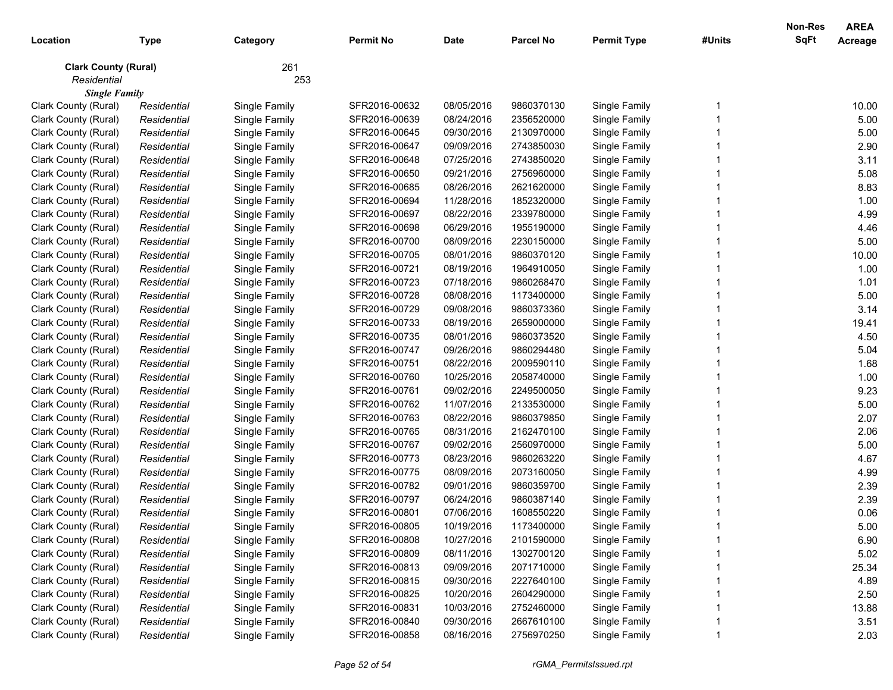| Location                    | <b>Type</b> | Category      | <b>Permit No</b> | <b>Date</b> | <b>Parcel No</b> | <b>Permit Type</b> | #Units | <b>Non-Res</b><br><b>SqFt</b> | <b>AREA</b><br>Acreage |
|-----------------------------|-------------|---------------|------------------|-------------|------------------|--------------------|--------|-------------------------------|------------------------|
| <b>Clark County (Rural)</b> |             | 261           |                  |             |                  |                    |        |                               |                        |
| Residential                 |             | 253           |                  |             |                  |                    |        |                               |                        |
| <b>Single Family</b>        |             |               |                  |             |                  |                    |        |                               |                        |
| Clark County (Rural)        | Residential | Single Family | SFR2016-00632    | 08/05/2016  | 9860370130       | Single Family      |        |                               | 10.00                  |
| Clark County (Rural)        | Residential | Single Family | SFR2016-00639    | 08/24/2016  | 2356520000       | Single Family      |        |                               | 5.00                   |
| Clark County (Rural)        | Residential | Single Family | SFR2016-00645    | 09/30/2016  | 2130970000       | Single Family      |        |                               | 5.00                   |
| Clark County (Rural)        | Residential | Single Family | SFR2016-00647    | 09/09/2016  | 2743850030       | Single Family      |        |                               | 2.90                   |
| Clark County (Rural)        | Residential | Single Family | SFR2016-00648    | 07/25/2016  | 2743850020       | Single Family      |        |                               | 3.11                   |
| Clark County (Rural)        | Residential | Single Family | SFR2016-00650    | 09/21/2016  | 2756960000       | Single Family      |        |                               | 5.08                   |
| Clark County (Rural)        | Residential | Single Family | SFR2016-00685    | 08/26/2016  | 2621620000       | Single Family      |        |                               | 8.83                   |
| Clark County (Rural)        | Residential | Single Family | SFR2016-00694    | 11/28/2016  | 1852320000       | Single Family      |        |                               | 1.00                   |
| Clark County (Rural)        | Residential | Single Family | SFR2016-00697    | 08/22/2016  | 2339780000       | Single Family      |        |                               | 4.99                   |
| Clark County (Rural)        | Residential | Single Family | SFR2016-00698    | 06/29/2016  | 1955190000       | Single Family      |        |                               | 4.46                   |
| Clark County (Rural)        | Residential | Single Family | SFR2016-00700    | 08/09/2016  | 2230150000       | Single Family      |        |                               | 5.00                   |
| Clark County (Rural)        | Residential | Single Family | SFR2016-00705    | 08/01/2016  | 9860370120       | Single Family      |        |                               | 10.00                  |
| Clark County (Rural)        | Residential | Single Family | SFR2016-00721    | 08/19/2016  | 1964910050       | Single Family      |        |                               | 1.00                   |
| Clark County (Rural)        | Residential | Single Family | SFR2016-00723    | 07/18/2016  | 9860268470       | Single Family      |        |                               | 1.01                   |
| Clark County (Rural)        | Residential | Single Family | SFR2016-00728    | 08/08/2016  | 1173400000       | Single Family      |        |                               | 5.00                   |
| Clark County (Rural)        | Residential | Single Family | SFR2016-00729    | 09/08/2016  | 9860373360       | Single Family      |        |                               | 3.14                   |
| Clark County (Rural)        | Residential | Single Family | SFR2016-00733    | 08/19/2016  | 2659000000       | Single Family      |        |                               | 19.41                  |
| Clark County (Rural)        | Residential | Single Family | SFR2016-00735    | 08/01/2016  | 9860373520       | Single Family      |        |                               | 4.50                   |
| Clark County (Rural)        | Residential | Single Family | SFR2016-00747    | 09/26/2016  | 9860294480       | Single Family      |        |                               | 5.04                   |
| Clark County (Rural)        | Residential | Single Family | SFR2016-00751    | 08/22/2016  | 2009590110       | Single Family      |        |                               | 1.68                   |
| Clark County (Rural)        | Residential | Single Family | SFR2016-00760    | 10/25/2016  | 2058740000       | Single Family      |        |                               | 1.00                   |
| Clark County (Rural)        | Residential | Single Family | SFR2016-00761    | 09/02/2016  | 2249500050       | Single Family      |        |                               | 9.23                   |
| Clark County (Rural)        | Residential | Single Family | SFR2016-00762    | 11/07/2016  | 2133530000       | Single Family      |        |                               | 5.00                   |
| Clark County (Rural)        | Residential | Single Family | SFR2016-00763    | 08/22/2016  | 9860379850       | Single Family      |        |                               | 2.07                   |
| Clark County (Rural)        | Residential | Single Family | SFR2016-00765    | 08/31/2016  | 2162470100       | Single Family      |        |                               | 2.06                   |
| Clark County (Rural)        | Residential | Single Family | SFR2016-00767    | 09/02/2016  | 2560970000       | Single Family      |        |                               | 5.00                   |
| Clark County (Rural)        | Residential | Single Family | SFR2016-00773    | 08/23/2016  | 9860263220       | Single Family      |        |                               | 4.67                   |
| Clark County (Rural)        | Residential | Single Family | SFR2016-00775    | 08/09/2016  | 2073160050       | Single Family      |        |                               | 4.99                   |
| Clark County (Rural)        | Residential | Single Family | SFR2016-00782    | 09/01/2016  | 9860359700       | Single Family      |        |                               | 2.39                   |
| Clark County (Rural)        | Residential | Single Family | SFR2016-00797    | 06/24/2016  | 9860387140       | Single Family      |        |                               | 2.39                   |
| Clark County (Rural)        | Residential | Single Family | SFR2016-00801    | 07/06/2016  | 1608550220       | Single Family      |        |                               | 0.06                   |
| Clark County (Rural)        | Residential | Single Family | SFR2016-00805    | 10/19/2016  | 1173400000       | Single Family      |        |                               | 5.00                   |
| Clark County (Rural)        | Residential | Single Family | SFR2016-00808    | 10/27/2016  | 2101590000       | Single Family      |        |                               | 6.90                   |
| Clark County (Rural)        | Residential | Single Family | SFR2016-00809    | 08/11/2016  | 1302700120       | Single Family      |        |                               | 5.02                   |
| Clark County (Rural)        | Residential | Single Family | SFR2016-00813    | 09/09/2016  | 2071710000       | Single Family      |        |                               | 25.34                  |
| Clark County (Rural)        | Residential | Single Family | SFR2016-00815    | 09/30/2016  | 2227640100       | Single Family      |        |                               | 4.89                   |
| Clark County (Rural)        | Residential | Single Family | SFR2016-00825    | 10/20/2016  | 2604290000       | Single Family      |        |                               | 2.50                   |
| Clark County (Rural)        | Residential | Single Family | SFR2016-00831    | 10/03/2016  | 2752460000       | Single Family      |        |                               | 13.88                  |
| Clark County (Rural)        | Residential | Single Family | SFR2016-00840    | 09/30/2016  | 2667610100       | Single Family      |        |                               | 3.51                   |
| Clark County (Rural)        | Residential | Single Family | SFR2016-00858    | 08/16/2016  | 2756970250       | Single Family      |        |                               | 2.03                   |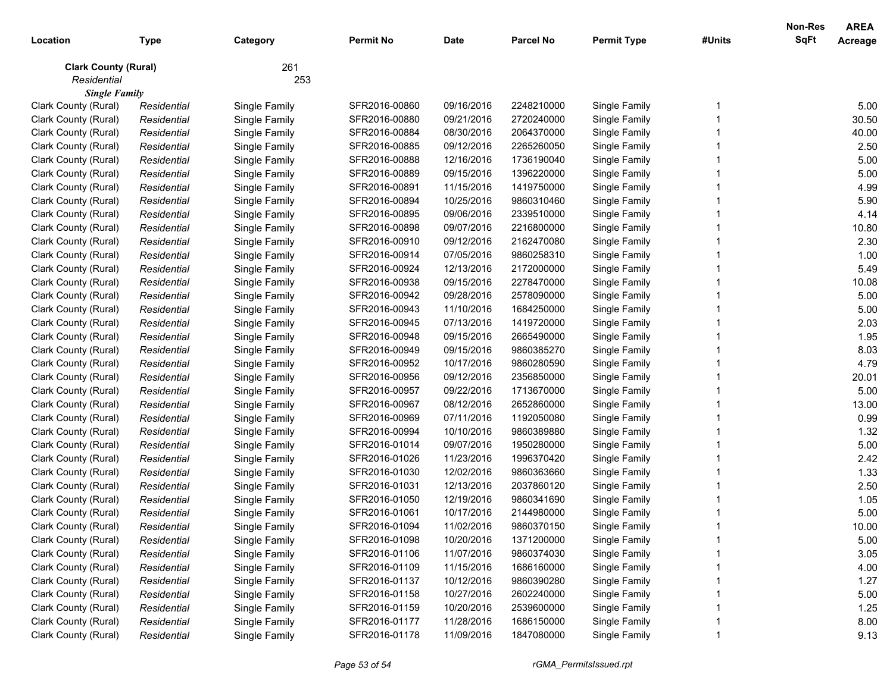| Location                    | <b>Type</b> | Category      | <b>Permit No</b> | <b>Date</b> | <b>Parcel No</b> | <b>Permit Type</b> | #Units | Non-Res<br><b>SqFt</b> | <b>AREA</b><br>Acreage |
|-----------------------------|-------------|---------------|------------------|-------------|------------------|--------------------|--------|------------------------|------------------------|
| <b>Clark County (Rural)</b> |             | 261           |                  |             |                  |                    |        |                        |                        |
| Residential                 |             | 253           |                  |             |                  |                    |        |                        |                        |
| <b>Single Family</b>        |             |               |                  |             |                  |                    |        |                        |                        |
| Clark County (Rural)        | Residential | Single Family | SFR2016-00860    | 09/16/2016  | 2248210000       | Single Family      |        |                        | 5.00                   |
| Clark County (Rural)        | Residential | Single Family | SFR2016-00880    | 09/21/2016  | 2720240000       | Single Family      |        |                        | 30.50                  |
| Clark County (Rural)        | Residential | Single Family | SFR2016-00884    | 08/30/2016  | 2064370000       | Single Family      |        |                        | 40.00                  |
| Clark County (Rural)        | Residential | Single Family | SFR2016-00885    | 09/12/2016  | 2265260050       | Single Family      |        |                        | 2.50                   |
| Clark County (Rural)        | Residential | Single Family | SFR2016-00888    | 12/16/2016  | 1736190040       | Single Family      |        |                        | 5.00                   |
| Clark County (Rural)        | Residential | Single Family | SFR2016-00889    | 09/15/2016  | 1396220000       | Single Family      |        |                        | 5.00                   |
| Clark County (Rural)        | Residential | Single Family | SFR2016-00891    | 11/15/2016  | 1419750000       | Single Family      |        |                        | 4.99                   |
| Clark County (Rural)        | Residential | Single Family | SFR2016-00894    | 10/25/2016  | 9860310460       | Single Family      |        |                        | 5.90                   |
| Clark County (Rural)        | Residential | Single Family | SFR2016-00895    | 09/06/2016  | 2339510000       | Single Family      |        |                        | 4.14                   |
| Clark County (Rural)        | Residential | Single Family | SFR2016-00898    | 09/07/2016  | 2216800000       | Single Family      |        |                        | 10.80                  |
| Clark County (Rural)        | Residential | Single Family | SFR2016-00910    | 09/12/2016  | 2162470080       | Single Family      |        |                        | 2.30                   |
| Clark County (Rural)        | Residential | Single Family | SFR2016-00914    | 07/05/2016  | 9860258310       | Single Family      |        |                        | 1.00                   |
| Clark County (Rural)        | Residential | Single Family | SFR2016-00924    | 12/13/2016  | 2172000000       | Single Family      |        |                        | 5.49                   |
| Clark County (Rural)        | Residential | Single Family | SFR2016-00938    | 09/15/2016  | 2278470000       | Single Family      |        |                        | 10.08                  |
| Clark County (Rural)        | Residential | Single Family | SFR2016-00942    | 09/28/2016  | 2578090000       | Single Family      |        |                        | 5.00                   |
| Clark County (Rural)        | Residential | Single Family | SFR2016-00943    | 11/10/2016  | 1684250000       | Single Family      |        |                        | 5.00                   |
| Clark County (Rural)        | Residential | Single Family | SFR2016-00945    | 07/13/2016  | 1419720000       | Single Family      |        |                        | 2.03                   |
| Clark County (Rural)        | Residential | Single Family | SFR2016-00948    | 09/15/2016  | 2665490000       | Single Family      |        |                        | 1.95                   |
| Clark County (Rural)        | Residential | Single Family | SFR2016-00949    | 09/15/2016  | 9860385270       | Single Family      |        |                        | 8.03                   |
| Clark County (Rural)        | Residential | Single Family | SFR2016-00952    | 10/17/2016  | 9860280590       | Single Family      |        |                        | 4.79                   |
| Clark County (Rural)        | Residential | Single Family | SFR2016-00956    | 09/12/2016  | 2356850000       | Single Family      |        |                        | 20.01                  |
| Clark County (Rural)        | Residential | Single Family | SFR2016-00957    | 09/22/2016  | 1713670000       | Single Family      |        |                        | 5.00                   |
| Clark County (Rural)        | Residential | Single Family | SFR2016-00967    | 08/12/2016  | 2652860000       | Single Family      |        |                        | 13.00                  |
| Clark County (Rural)        | Residential | Single Family | SFR2016-00969    | 07/11/2016  | 1192050080       | Single Family      |        |                        | 0.99                   |
| Clark County (Rural)        | Residential | Single Family | SFR2016-00994    | 10/10/2016  | 9860389880       | Single Family      |        |                        | 1.32                   |
| Clark County (Rural)        | Residential | Single Family | SFR2016-01014    | 09/07/2016  | 1950280000       | Single Family      |        |                        | 5.00                   |
| Clark County (Rural)        | Residential | Single Family | SFR2016-01026    | 11/23/2016  | 1996370420       | Single Family      |        |                        | 2.42                   |
| Clark County (Rural)        | Residential | Single Family | SFR2016-01030    | 12/02/2016  | 9860363660       | Single Family      |        |                        | 1.33                   |
| Clark County (Rural)        | Residential | Single Family | SFR2016-01031    | 12/13/2016  | 2037860120       | Single Family      |        |                        | 2.50                   |
| Clark County (Rural)        | Residential | Single Family | SFR2016-01050    | 12/19/2016  | 9860341690       | Single Family      |        |                        | 1.05                   |
| Clark County (Rural)        | Residential | Single Family | SFR2016-01061    | 10/17/2016  | 2144980000       | Single Family      |        |                        | 5.00                   |
| Clark County (Rural)        | Residential | Single Family | SFR2016-01094    | 11/02/2016  | 9860370150       | Single Family      |        |                        | 10.00                  |
| Clark County (Rural)        | Residential | Single Family | SFR2016-01098    | 10/20/2016  | 1371200000       | Single Family      |        |                        | 5.00                   |
| Clark County (Rural)        | Residential | Single Family | SFR2016-01106    | 11/07/2016  | 9860374030       | Single Family      |        |                        | 3.05                   |
| Clark County (Rural)        | Residential | Single Family | SFR2016-01109    | 11/15/2016  | 1686160000       | Single Family      |        |                        | 4.00                   |
| Clark County (Rural)        | Residential | Single Family | SFR2016-01137    | 10/12/2016  | 9860390280       | Single Family      |        |                        | 1.27                   |
| Clark County (Rural)        | Residential | Single Family | SFR2016-01158    | 10/27/2016  | 2602240000       | Single Family      |        |                        | 5.00                   |
| Clark County (Rural)        | Residential | Single Family | SFR2016-01159    | 10/20/2016  | 2539600000       | Single Family      |        |                        | 1.25                   |
| Clark County (Rural)        | Residential | Single Family | SFR2016-01177    | 11/28/2016  | 1686150000       | Single Family      |        |                        | 8.00                   |
| Clark County (Rural)        | Residential | Single Family | SFR2016-01178    | 11/09/2016  | 1847080000       | Single Family      |        |                        | 9.13                   |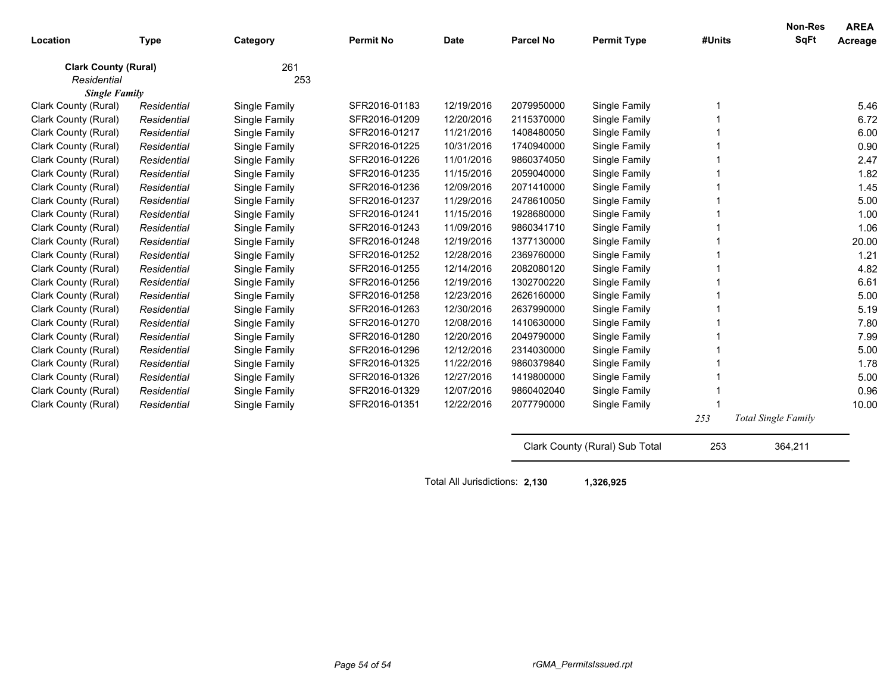| Location                    | <b>Type</b> | Category      | <b>Permit No</b> | <b>Date</b> | <b>Parcel No</b> | <b>Permit Type</b>             | #Units | <b>Non-Res</b><br>SqFt     | <b>AREA</b><br>Acreage |
|-----------------------------|-------------|---------------|------------------|-------------|------------------|--------------------------------|--------|----------------------------|------------------------|
| <b>Clark County (Rural)</b> |             | 261           |                  |             |                  |                                |        |                            |                        |
| Residential                 |             | 253           |                  |             |                  |                                |        |                            |                        |
| <b>Single Family</b>        |             |               |                  |             |                  |                                |        |                            |                        |
| Clark County (Rural)        | Residential | Single Family | SFR2016-01183    | 12/19/2016  | 2079950000       | Single Family                  |        |                            | 5.46                   |
| Clark County (Rural)        | Residential | Single Family | SFR2016-01209    | 12/20/2016  | 2115370000       | Single Family                  |        |                            | 6.72                   |
| Clark County (Rural)        | Residential | Single Family | SFR2016-01217    | 11/21/2016  | 1408480050       | Single Family                  |        |                            | 6.00                   |
| Clark County (Rural)        | Residential | Single Family | SFR2016-01225    | 10/31/2016  | 1740940000       | Single Family                  |        |                            | 0.90                   |
| Clark County (Rural)        | Residential | Single Family | SFR2016-01226    | 11/01/2016  | 9860374050       | Single Family                  |        |                            | 2.47                   |
| Clark County (Rural)        | Residential | Single Family | SFR2016-01235    | 11/15/2016  | 2059040000       | Single Family                  |        |                            | 1.82                   |
| Clark County (Rural)        | Residential | Single Family | SFR2016-01236    | 12/09/2016  | 2071410000       | Single Family                  |        |                            | 1.45                   |
| Clark County (Rural)        | Residential | Single Family | SFR2016-01237    | 11/29/2016  | 2478610050       | Single Family                  |        |                            | 5.00                   |
| Clark County (Rural)        | Residential | Single Family | SFR2016-01241    | 11/15/2016  | 1928680000       | Single Family                  |        |                            | 1.00                   |
| Clark County (Rural)        | Residential | Single Family | SFR2016-01243    | 11/09/2016  | 9860341710       | Single Family                  |        |                            | 1.06                   |
| Clark County (Rural)        | Residential | Single Family | SFR2016-01248    | 12/19/2016  | 1377130000       | Single Family                  |        |                            | 20.00                  |
| Clark County (Rural)        | Residential | Single Family | SFR2016-01252    | 12/28/2016  | 2369760000       | Single Family                  |        |                            | 1.21                   |
| Clark County (Rural)        | Residential | Single Family | SFR2016-01255    | 12/14/2016  | 2082080120       | Single Family                  |        |                            | 4.82                   |
| Clark County (Rural)        | Residential | Single Family | SFR2016-01256    | 12/19/2016  | 1302700220       | Single Family                  |        |                            | 6.61                   |
| Clark County (Rural)        | Residential | Single Family | SFR2016-01258    | 12/23/2016  | 2626160000       | Single Family                  |        |                            | 5.00                   |
| Clark County (Rural)        | Residential | Single Family | SFR2016-01263    | 12/30/2016  | 2637990000       | Single Family                  |        |                            | 5.19                   |
| Clark County (Rural)        | Residential | Single Family | SFR2016-01270    | 12/08/2016  | 1410630000       | Single Family                  |        |                            | 7.80                   |
| Clark County (Rural)        | Residential | Single Family | SFR2016-01280    | 12/20/2016  | 2049790000       | Single Family                  |        |                            | 7.99                   |
| Clark County (Rural)        | Residential | Single Family | SFR2016-01296    | 12/12/2016  | 2314030000       | Single Family                  |        |                            | 5.00                   |
| Clark County (Rural)        | Residential | Single Family | SFR2016-01325    | 11/22/2016  | 9860379840       | Single Family                  |        |                            | 1.78                   |
| Clark County (Rural)        | Residential | Single Family | SFR2016-01326    | 12/27/2016  | 1419800000       | Single Family                  |        |                            | 5.00                   |
| Clark County (Rural)        | Residential | Single Family | SFR2016-01329    | 12/07/2016  | 9860402040       | Single Family                  |        |                            | 0.96                   |
| Clark County (Rural)        | Residential | Single Family | SFR2016-01351    | 12/22/2016  | 2077790000       | Single Family                  |        |                            | 10.00                  |
|                             |             |               |                  |             |                  |                                | 253    | <b>Total Single Family</b> |                        |
|                             |             |               |                  |             |                  | Clark County (Rural) Sub Total | 253    | 364,211                    |                        |

Total All Jurisdictions: **2,130 1,326,925**